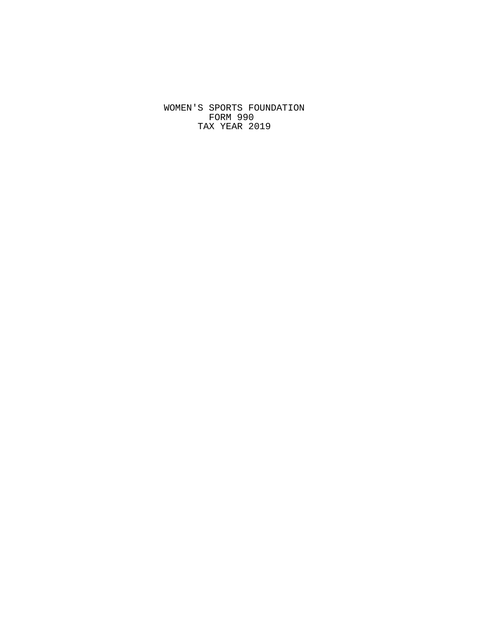WOMEN'S SPORTS FOUNDATION FORM 990 TAX YEAR 2019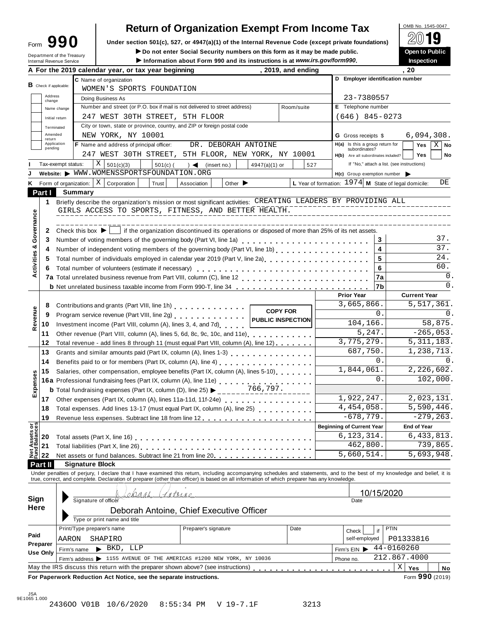| ∙orm |                             | 990 |
|------|-----------------------------|-----|
|      | د ده ۳ و د داغ کو خورد و ده |     |

## **Return of Organization Exempt From Income Tax**

Form **UPP III Under section 501(c), 527, or 4947(a)(1) of the Internal Revenue Code (except private foundations) <b>A¥**<br> **Department of the Treasury Pubblic**<br> **Department of the Treasury Pubblic**<br> **Department of the Treasur** Do not enter Social Security numbers on this form as it may be made public.

| Internal Revenue Service<br><b>B</b> Check if applicable: | A For the 2019 calendar year, or tax year beginning<br>C Name of organization | Information about Form 990 and its instructions is at www.irs.gov/form990.                                                                                                                                                                                                                                                                                                                            | , 2019, and ending                                                                                                                                                                                                                                                                                                                                                                                                                                                                                                                                                                                                                                                                                                                                                                                                                            |                                                                                                                                                                                                                                                                                                                                                                                                                                                                                                                                                                                                                                                                                                                                                                                                                                                                    | Inspection<br>. 20                                                                                                                                                                                                                                                                                                                                                                                                                                                                                                                                                                                                                                                                                                                                                                                                                                                                                                                                                                                                                                                                                                                                                                                      |  |  |  |  |
|-----------------------------------------------------------|-------------------------------------------------------------------------------|-------------------------------------------------------------------------------------------------------------------------------------------------------------------------------------------------------------------------------------------------------------------------------------------------------------------------------------------------------------------------------------------------------|-----------------------------------------------------------------------------------------------------------------------------------------------------------------------------------------------------------------------------------------------------------------------------------------------------------------------------------------------------------------------------------------------------------------------------------------------------------------------------------------------------------------------------------------------------------------------------------------------------------------------------------------------------------------------------------------------------------------------------------------------------------------------------------------------------------------------------------------------|--------------------------------------------------------------------------------------------------------------------------------------------------------------------------------------------------------------------------------------------------------------------------------------------------------------------------------------------------------------------------------------------------------------------------------------------------------------------------------------------------------------------------------------------------------------------------------------------------------------------------------------------------------------------------------------------------------------------------------------------------------------------------------------------------------------------------------------------------------------------|---------------------------------------------------------------------------------------------------------------------------------------------------------------------------------------------------------------------------------------------------------------------------------------------------------------------------------------------------------------------------------------------------------------------------------------------------------------------------------------------------------------------------------------------------------------------------------------------------------------------------------------------------------------------------------------------------------------------------------------------------------------------------------------------------------------------------------------------------------------------------------------------------------------------------------------------------------------------------------------------------------------------------------------------------------------------------------------------------------------------------------------------------------------------------------------------------------|--|--|--|--|
|                                                           |                                                                               |                                                                                                                                                                                                                                                                                                                                                                                                       |                                                                                                                                                                                                                                                                                                                                                                                                                                                                                                                                                                                                                                                                                                                                                                                                                                               |                                                                                                                                                                                                                                                                                                                                                                                                                                                                                                                                                                                                                                                                                                                                                                                                                                                                    |                                                                                                                                                                                                                                                                                                                                                                                                                                                                                                                                                                                                                                                                                                                                                                                                                                                                                                                                                                                                                                                                                                                                                                                                         |  |  |  |  |
|                                                           |                                                                               |                                                                                                                                                                                                                                                                                                                                                                                                       |                                                                                                                                                                                                                                                                                                                                                                                                                                                                                                                                                                                                                                                                                                                                                                                                                                               | D Employer identification number                                                                                                                                                                                                                                                                                                                                                                                                                                                                                                                                                                                                                                                                                                                                                                                                                                   |                                                                                                                                                                                                                                                                                                                                                                                                                                                                                                                                                                                                                                                                                                                                                                                                                                                                                                                                                                                                                                                                                                                                                                                                         |  |  |  |  |
|                                                           | WOMEN'S SPORTS FOUNDATION                                                     |                                                                                                                                                                                                                                                                                                                                                                                                       |                                                                                                                                                                                                                                                                                                                                                                                                                                                                                                                                                                                                                                                                                                                                                                                                                                               |                                                                                                                                                                                                                                                                                                                                                                                                                                                                                                                                                                                                                                                                                                                                                                                                                                                                    |                                                                                                                                                                                                                                                                                                                                                                                                                                                                                                                                                                                                                                                                                                                                                                                                                                                                                                                                                                                                                                                                                                                                                                                                         |  |  |  |  |
| Address                                                   | Doing Business As                                                             |                                                                                                                                                                                                                                                                                                                                                                                                       |                                                                                                                                                                                                                                                                                                                                                                                                                                                                                                                                                                                                                                                                                                                                                                                                                                               | 23-7380557                                                                                                                                                                                                                                                                                                                                                                                                                                                                                                                                                                                                                                                                                                                                                                                                                                                         |                                                                                                                                                                                                                                                                                                                                                                                                                                                                                                                                                                                                                                                                                                                                                                                                                                                                                                                                                                                                                                                                                                                                                                                                         |  |  |  |  |
| change<br>Name change                                     | Number and street (or P.O. box if mail is not delivered to street address)    | E Telephone number                                                                                                                                                                                                                                                                                                                                                                                    |                                                                                                                                                                                                                                                                                                                                                                                                                                                                                                                                                                                                                                                                                                                                                                                                                                               |                                                                                                                                                                                                                                                                                                                                                                                                                                                                                                                                                                                                                                                                                                                                                                                                                                                                    |                                                                                                                                                                                                                                                                                                                                                                                                                                                                                                                                                                                                                                                                                                                                                                                                                                                                                                                                                                                                                                                                                                                                                                                                         |  |  |  |  |
| Initial return                                            | 247 WEST 30TH STREET, 5TH FLOOR                                               |                                                                                                                                                                                                                                                                                                                                                                                                       | Room/suite                                                                                                                                                                                                                                                                                                                                                                                                                                                                                                                                                                                                                                                                                                                                                                                                                                    | $(646)$ 845-0273                                                                                                                                                                                                                                                                                                                                                                                                                                                                                                                                                                                                                                                                                                                                                                                                                                                   |                                                                                                                                                                                                                                                                                                                                                                                                                                                                                                                                                                                                                                                                                                                                                                                                                                                                                                                                                                                                                                                                                                                                                                                                         |  |  |  |  |
|                                                           |                                                                               |                                                                                                                                                                                                                                                                                                                                                                                                       |                                                                                                                                                                                                                                                                                                                                                                                                                                                                                                                                                                                                                                                                                                                                                                                                                                               |                                                                                                                                                                                                                                                                                                                                                                                                                                                                                                                                                                                                                                                                                                                                                                                                                                                                    |                                                                                                                                                                                                                                                                                                                                                                                                                                                                                                                                                                                                                                                                                                                                                                                                                                                                                                                                                                                                                                                                                                                                                                                                         |  |  |  |  |
| Amended                                                   |                                                                               |                                                                                                                                                                                                                                                                                                                                                                                                       |                                                                                                                                                                                                                                                                                                                                                                                                                                                                                                                                                                                                                                                                                                                                                                                                                                               |                                                                                                                                                                                                                                                                                                                                                                                                                                                                                                                                                                                                                                                                                                                                                                                                                                                                    | 6,094,308.                                                                                                                                                                                                                                                                                                                                                                                                                                                                                                                                                                                                                                                                                                                                                                                                                                                                                                                                                                                                                                                                                                                                                                                              |  |  |  |  |
| return<br>Application                                     |                                                                               |                                                                                                                                                                                                                                                                                                                                                                                                       |                                                                                                                                                                                                                                                                                                                                                                                                                                                                                                                                                                                                                                                                                                                                                                                                                                               |                                                                                                                                                                                                                                                                                                                                                                                                                                                                                                                                                                                                                                                                                                                                                                                                                                                                    | Yes<br>$X \mid$ No                                                                                                                                                                                                                                                                                                                                                                                                                                                                                                                                                                                                                                                                                                                                                                                                                                                                                                                                                                                                                                                                                                                                                                                      |  |  |  |  |
| pending                                                   |                                                                               |                                                                                                                                                                                                                                                                                                                                                                                                       |                                                                                                                                                                                                                                                                                                                                                                                                                                                                                                                                                                                                                                                                                                                                                                                                                                               | subordinates?                                                                                                                                                                                                                                                                                                                                                                                                                                                                                                                                                                                                                                                                                                                                                                                                                                                      |                                                                                                                                                                                                                                                                                                                                                                                                                                                                                                                                                                                                                                                                                                                                                                                                                                                                                                                                                                                                                                                                                                                                                                                                         |  |  |  |  |
|                                                           |                                                                               |                                                                                                                                                                                                                                                                                                                                                                                                       |                                                                                                                                                                                                                                                                                                                                                                                                                                                                                                                                                                                                                                                                                                                                                                                                                                               |                                                                                                                                                                                                                                                                                                                                                                                                                                                                                                                                                                                                                                                                                                                                                                                                                                                                    | <b>Yes</b><br>No                                                                                                                                                                                                                                                                                                                                                                                                                                                                                                                                                                                                                                                                                                                                                                                                                                                                                                                                                                                                                                                                                                                                                                                        |  |  |  |  |
|                                                           |                                                                               |                                                                                                                                                                                                                                                                                                                                                                                                       |                                                                                                                                                                                                                                                                                                                                                                                                                                                                                                                                                                                                                                                                                                                                                                                                                                               |                                                                                                                                                                                                                                                                                                                                                                                                                                                                                                                                                                                                                                                                                                                                                                                                                                                                    |                                                                                                                                                                                                                                                                                                                                                                                                                                                                                                                                                                                                                                                                                                                                                                                                                                                                                                                                                                                                                                                                                                                                                                                                         |  |  |  |  |
|                                                           |                                                                               |                                                                                                                                                                                                                                                                                                                                                                                                       |                                                                                                                                                                                                                                                                                                                                                                                                                                                                                                                                                                                                                                                                                                                                                                                                                                               |                                                                                                                                                                                                                                                                                                                                                                                                                                                                                                                                                                                                                                                                                                                                                                                                                                                                    |                                                                                                                                                                                                                                                                                                                                                                                                                                                                                                                                                                                                                                                                                                                                                                                                                                                                                                                                                                                                                                                                                                                                                                                                         |  |  |  |  |
|                                                           |                                                                               |                                                                                                                                                                                                                                                                                                                                                                                                       |                                                                                                                                                                                                                                                                                                                                                                                                                                                                                                                                                                                                                                                                                                                                                                                                                                               |                                                                                                                                                                                                                                                                                                                                                                                                                                                                                                                                                                                                                                                                                                                                                                                                                                                                    | DE                                                                                                                                                                                                                                                                                                                                                                                                                                                                                                                                                                                                                                                                                                                                                                                                                                                                                                                                                                                                                                                                                                                                                                                                      |  |  |  |  |
|                                                           |                                                                               |                                                                                                                                                                                                                                                                                                                                                                                                       |                                                                                                                                                                                                                                                                                                                                                                                                                                                                                                                                                                                                                                                                                                                                                                                                                                               |                                                                                                                                                                                                                                                                                                                                                                                                                                                                                                                                                                                                                                                                                                                                                                                                                                                                    |                                                                                                                                                                                                                                                                                                                                                                                                                                                                                                                                                                                                                                                                                                                                                                                                                                                                                                                                                                                                                                                                                                                                                                                                         |  |  |  |  |
|                                                           |                                                                               |                                                                                                                                                                                                                                                                                                                                                                                                       |                                                                                                                                                                                                                                                                                                                                                                                                                                                                                                                                                                                                                                                                                                                                                                                                                                               |                                                                                                                                                                                                                                                                                                                                                                                                                                                                                                                                                                                                                                                                                                                                                                                                                                                                    |                                                                                                                                                                                                                                                                                                                                                                                                                                                                                                                                                                                                                                                                                                                                                                                                                                                                                                                                                                                                                                                                                                                                                                                                         |  |  |  |  |
|                                                           |                                                                               |                                                                                                                                                                                                                                                                                                                                                                                                       |                                                                                                                                                                                                                                                                                                                                                                                                                                                                                                                                                                                                                                                                                                                                                                                                                                               |                                                                                                                                                                                                                                                                                                                                                                                                                                                                                                                                                                                                                                                                                                                                                                                                                                                                    |                                                                                                                                                                                                                                                                                                                                                                                                                                                                                                                                                                                                                                                                                                                                                                                                                                                                                                                                                                                                                                                                                                                                                                                                         |  |  |  |  |
|                                                           |                                                                               |                                                                                                                                                                                                                                                                                                                                                                                                       |                                                                                                                                                                                                                                                                                                                                                                                                                                                                                                                                                                                                                                                                                                                                                                                                                                               |                                                                                                                                                                                                                                                                                                                                                                                                                                                                                                                                                                                                                                                                                                                                                                                                                                                                    |                                                                                                                                                                                                                                                                                                                                                                                                                                                                                                                                                                                                                                                                                                                                                                                                                                                                                                                                                                                                                                                                                                                                                                                                         |  |  |  |  |
|                                                           |                                                                               |                                                                                                                                                                                                                                                                                                                                                                                                       |                                                                                                                                                                                                                                                                                                                                                                                                                                                                                                                                                                                                                                                                                                                                                                                                                                               |                                                                                                                                                                                                                                                                                                                                                                                                                                                                                                                                                                                                                                                                                                                                                                                                                                                                    |                                                                                                                                                                                                                                                                                                                                                                                                                                                                                                                                                                                                                                                                                                                                                                                                                                                                                                                                                                                                                                                                                                                                                                                                         |  |  |  |  |
|                                                           |                                                                               |                                                                                                                                                                                                                                                                                                                                                                                                       |                                                                                                                                                                                                                                                                                                                                                                                                                                                                                                                                                                                                                                                                                                                                                                                                                                               | 3                                                                                                                                                                                                                                                                                                                                                                                                                                                                                                                                                                                                                                                                                                                                                                                                                                                                  | 37.                                                                                                                                                                                                                                                                                                                                                                                                                                                                                                                                                                                                                                                                                                                                                                                                                                                                                                                                                                                                                                                                                                                                                                                                     |  |  |  |  |
|                                                           |                                                                               |                                                                                                                                                                                                                                                                                                                                                                                                       |                                                                                                                                                                                                                                                                                                                                                                                                                                                                                                                                                                                                                                                                                                                                                                                                                                               | 4                                                                                                                                                                                                                                                                                                                                                                                                                                                                                                                                                                                                                                                                                                                                                                                                                                                                  | $\overline{37}$ .                                                                                                                                                                                                                                                                                                                                                                                                                                                                                                                                                                                                                                                                                                                                                                                                                                                                                                                                                                                                                                                                                                                                                                                       |  |  |  |  |
|                                                           |                                                                               |                                                                                                                                                                                                                                                                                                                                                                                                       |                                                                                                                                                                                                                                                                                                                                                                                                                                                                                                                                                                                                                                                                                                                                                                                                                                               | 5                                                                                                                                                                                                                                                                                                                                                                                                                                                                                                                                                                                                                                                                                                                                                                                                                                                                  | 24.                                                                                                                                                                                                                                                                                                                                                                                                                                                                                                                                                                                                                                                                                                                                                                                                                                                                                                                                                                                                                                                                                                                                                                                                     |  |  |  |  |
|                                                           |                                                                               |                                                                                                                                                                                                                                                                                                                                                                                                       |                                                                                                                                                                                                                                                                                                                                                                                                                                                                                                                                                                                                                                                                                                                                                                                                                                               | 6                                                                                                                                                                                                                                                                                                                                                                                                                                                                                                                                                                                                                                                                                                                                                                                                                                                                  | 60.                                                                                                                                                                                                                                                                                                                                                                                                                                                                                                                                                                                                                                                                                                                                                                                                                                                                                                                                                                                                                                                                                                                                                                                                     |  |  |  |  |
|                                                           | 7a                                                                            | $\mathbf 0$ .                                                                                                                                                                                                                                                                                                                                                                                         |                                                                                                                                                                                                                                                                                                                                                                                                                                                                                                                                                                                                                                                                                                                                                                                                                                               |                                                                                                                                                                                                                                                                                                                                                                                                                                                                                                                                                                                                                                                                                                                                                                                                                                                                    |                                                                                                                                                                                                                                                                                                                                                                                                                                                                                                                                                                                                                                                                                                                                                                                                                                                                                                                                                                                                                                                                                                                                                                                                         |  |  |  |  |
|                                                           |                                                                               |                                                                                                                                                                                                                                                                                                                                                                                                       |                                                                                                                                                                                                                                                                                                                                                                                                                                                                                                                                                                                                                                                                                                                                                                                                                                               | 7b                                                                                                                                                                                                                                                                                                                                                                                                                                                                                                                                                                                                                                                                                                                                                                                                                                                                 | 0.                                                                                                                                                                                                                                                                                                                                                                                                                                                                                                                                                                                                                                                                                                                                                                                                                                                                                                                                                                                                                                                                                                                                                                                                      |  |  |  |  |
|                                                           |                                                                               |                                                                                                                                                                                                                                                                                                                                                                                                       |                                                                                                                                                                                                                                                                                                                                                                                                                                                                                                                                                                                                                                                                                                                                                                                                                                               | <b>Prior Year</b>                                                                                                                                                                                                                                                                                                                                                                                                                                                                                                                                                                                                                                                                                                                                                                                                                                                  | <b>Current Year</b>                                                                                                                                                                                                                                                                                                                                                                                                                                                                                                                                                                                                                                                                                                                                                                                                                                                                                                                                                                                                                                                                                                                                                                                     |  |  |  |  |
|                                                           |                                                                               |                                                                                                                                                                                                                                                                                                                                                                                                       |                                                                                                                                                                                                                                                                                                                                                                                                                                                                                                                                                                                                                                                                                                                                                                                                                                               | 3,665,866.                                                                                                                                                                                                                                                                                                                                                                                                                                                                                                                                                                                                                                                                                                                                                                                                                                                         | 5,517,361.                                                                                                                                                                                                                                                                                                                                                                                                                                                                                                                                                                                                                                                                                                                                                                                                                                                                                                                                                                                                                                                                                                                                                                                              |  |  |  |  |
|                                                           |                                                                               |                                                                                                                                                                                                                                                                                                                                                                                                       |                                                                                                                                                                                                                                                                                                                                                                                                                                                                                                                                                                                                                                                                                                                                                                                                                                               | 0.                                                                                                                                                                                                                                                                                                                                                                                                                                                                                                                                                                                                                                                                                                                                                                                                                                                                 | $\Omega$ .                                                                                                                                                                                                                                                                                                                                                                                                                                                                                                                                                                                                                                                                                                                                                                                                                                                                                                                                                                                                                                                                                                                                                                                              |  |  |  |  |
|                                                           |                                                                               |                                                                                                                                                                                                                                                                                                                                                                                                       |                                                                                                                                                                                                                                                                                                                                                                                                                                                                                                                                                                                                                                                                                                                                                                                                                                               | 104, 166.                                                                                                                                                                                                                                                                                                                                                                                                                                                                                                                                                                                                                                                                                                                                                                                                                                                          | 58,875.                                                                                                                                                                                                                                                                                                                                                                                                                                                                                                                                                                                                                                                                                                                                                                                                                                                                                                                                                                                                                                                                                                                                                                                                 |  |  |  |  |
|                                                           | $-265,053.$                                                                   |                                                                                                                                                                                                                                                                                                                                                                                                       |                                                                                                                                                                                                                                                                                                                                                                                                                                                                                                                                                                                                                                                                                                                                                                                                                                               |                                                                                                                                                                                                                                                                                                                                                                                                                                                                                                                                                                                                                                                                                                                                                                                                                                                                    |                                                                                                                                                                                                                                                                                                                                                                                                                                                                                                                                                                                                                                                                                                                                                                                                                                                                                                                                                                                                                                                                                                                                                                                                         |  |  |  |  |
|                                                           |                                                                               |                                                                                                                                                                                                                                                                                                                                                                                                       |                                                                                                                                                                                                                                                                                                                                                                                                                                                                                                                                                                                                                                                                                                                                                                                                                                               | 3,775,279.                                                                                                                                                                                                                                                                                                                                                                                                                                                                                                                                                                                                                                                                                                                                                                                                                                                         | 5, 311, 183.                                                                                                                                                                                                                                                                                                                                                                                                                                                                                                                                                                                                                                                                                                                                                                                                                                                                                                                                                                                                                                                                                                                                                                                            |  |  |  |  |
|                                                           |                                                                               |                                                                                                                                                                                                                                                                                                                                                                                                       |                                                                                                                                                                                                                                                                                                                                                                                                                                                                                                                                                                                                                                                                                                                                                                                                                                               |                                                                                                                                                                                                                                                                                                                                                                                                                                                                                                                                                                                                                                                                                                                                                                                                                                                                    | 1,238,713.                                                                                                                                                                                                                                                                                                                                                                                                                                                                                                                                                                                                                                                                                                                                                                                                                                                                                                                                                                                                                                                                                                                                                                                              |  |  |  |  |
|                                                           |                                                                               |                                                                                                                                                                                                                                                                                                                                                                                                       |                                                                                                                                                                                                                                                                                                                                                                                                                                                                                                                                                                                                                                                                                                                                                                                                                                               | 0.                                                                                                                                                                                                                                                                                                                                                                                                                                                                                                                                                                                                                                                                                                                                                                                                                                                                 | 0.                                                                                                                                                                                                                                                                                                                                                                                                                                                                                                                                                                                                                                                                                                                                                                                                                                                                                                                                                                                                                                                                                                                                                                                                      |  |  |  |  |
|                                                           |                                                                               |                                                                                                                                                                                                                                                                                                                                                                                                       |                                                                                                                                                                                                                                                                                                                                                                                                                                                                                                                                                                                                                                                                                                                                                                                                                                               |                                                                                                                                                                                                                                                                                                                                                                                                                                                                                                                                                                                                                                                                                                                                                                                                                                                                    | 2,226,602.                                                                                                                                                                                                                                                                                                                                                                                                                                                                                                                                                                                                                                                                                                                                                                                                                                                                                                                                                                                                                                                                                                                                                                                              |  |  |  |  |
|                                                           |                                                                               |                                                                                                                                                                                                                                                                                                                                                                                                       | $\Omega$ .                                                                                                                                                                                                                                                                                                                                                                                                                                                                                                                                                                                                                                                                                                                                                                                                                                    | 102,000.                                                                                                                                                                                                                                                                                                                                                                                                                                                                                                                                                                                                                                                                                                                                                                                                                                                           |                                                                                                                                                                                                                                                                                                                                                                                                                                                                                                                                                                                                                                                                                                                                                                                                                                                                                                                                                                                                                                                                                                                                                                                                         |  |  |  |  |
|                                                           |                                                                               |                                                                                                                                                                                                                                                                                                                                                                                                       |                                                                                                                                                                                                                                                                                                                                                                                                                                                                                                                                                                                                                                                                                                                                                                                                                                               |                                                                                                                                                                                                                                                                                                                                                                                                                                                                                                                                                                                                                                                                                                                                                                                                                                                                    |                                                                                                                                                                                                                                                                                                                                                                                                                                                                                                                                                                                                                                                                                                                                                                                                                                                                                                                                                                                                                                                                                                                                                                                                         |  |  |  |  |
|                                                           |                                                                               |                                                                                                                                                                                                                                                                                                                                                                                                       |                                                                                                                                                                                                                                                                                                                                                                                                                                                                                                                                                                                                                                                                                                                                                                                                                                               |                                                                                                                                                                                                                                                                                                                                                                                                                                                                                                                                                                                                                                                                                                                                                                                                                                                                    |                                                                                                                                                                                                                                                                                                                                                                                                                                                                                                                                                                                                                                                                                                                                                                                                                                                                                                                                                                                                                                                                                                                                                                                                         |  |  |  |  |
|                                                           |                                                                               |                                                                                                                                                                                                                                                                                                                                                                                                       |                                                                                                                                                                                                                                                                                                                                                                                                                                                                                                                                                                                                                                                                                                                                                                                                                                               |                                                                                                                                                                                                                                                                                                                                                                                                                                                                                                                                                                                                                                                                                                                                                                                                                                                                    | 2,023,131.<br>5,590,446.                                                                                                                                                                                                                                                                                                                                                                                                                                                                                                                                                                                                                                                                                                                                                                                                                                                                                                                                                                                                                                                                                                                                                                                |  |  |  |  |
|                                                           |                                                                               |                                                                                                                                                                                                                                                                                                                                                                                                       |                                                                                                                                                                                                                                                                                                                                                                                                                                                                                                                                                                                                                                                                                                                                                                                                                                               |                                                                                                                                                                                                                                                                                                                                                                                                                                                                                                                                                                                                                                                                                                                                                                                                                                                                    | $-279, 263.$                                                                                                                                                                                                                                                                                                                                                                                                                                                                                                                                                                                                                                                                                                                                                                                                                                                                                                                                                                                                                                                                                                                                                                                            |  |  |  |  |
|                                                           |                                                                               |                                                                                                                                                                                                                                                                                                                                                                                                       |                                                                                                                                                                                                                                                                                                                                                                                                                                                                                                                                                                                                                                                                                                                                                                                                                                               |                                                                                                                                                                                                                                                                                                                                                                                                                                                                                                                                                                                                                                                                                                                                                                                                                                                                    | <b>End of Year</b>                                                                                                                                                                                                                                                                                                                                                                                                                                                                                                                                                                                                                                                                                                                                                                                                                                                                                                                                                                                                                                                                                                                                                                                      |  |  |  |  |
|                                                           |                                                                               |                                                                                                                                                                                                                                                                                                                                                                                                       |                                                                                                                                                                                                                                                                                                                                                                                                                                                                                                                                                                                                                                                                                                                                                                                                                                               |                                                                                                                                                                                                                                                                                                                                                                                                                                                                                                                                                                                                                                                                                                                                                                                                                                                                    | 6,433,813.                                                                                                                                                                                                                                                                                                                                                                                                                                                                                                                                                                                                                                                                                                                                                                                                                                                                                                                                                                                                                                                                                                                                                                                              |  |  |  |  |
|                                                           |                                                                               |                                                                                                                                                                                                                                                                                                                                                                                                       |                                                                                                                                                                                                                                                                                                                                                                                                                                                                                                                                                                                                                                                                                                                                                                                                                                               |                                                                                                                                                                                                                                                                                                                                                                                                                                                                                                                                                                                                                                                                                                                                                                                                                                                                    | 739,865.                                                                                                                                                                                                                                                                                                                                                                                                                                                                                                                                                                                                                                                                                                                                                                                                                                                                                                                                                                                                                                                                                                                                                                                                |  |  |  |  |
|                                                           |                                                                               |                                                                                                                                                                                                                                                                                                                                                                                                       |                                                                                                                                                                                                                                                                                                                                                                                                                                                                                                                                                                                                                                                                                                                                                                                                                                               |                                                                                                                                                                                                                                                                                                                                                                                                                                                                                                                                                                                                                                                                                                                                                                                                                                                                    | 5,693,948.                                                                                                                                                                                                                                                                                                                                                                                                                                                                                                                                                                                                                                                                                                                                                                                                                                                                                                                                                                                                                                                                                                                                                                                              |  |  |  |  |
|                                                           |                                                                               |                                                                                                                                                                                                                                                                                                                                                                                                       |                                                                                                                                                                                                                                                                                                                                                                                                                                                                                                                                                                                                                                                                                                                                                                                                                                               |                                                                                                                                                                                                                                                                                                                                                                                                                                                                                                                                                                                                                                                                                                                                                                                                                                                                    |                                                                                                                                                                                                                                                                                                                                                                                                                                                                                                                                                                                                                                                                                                                                                                                                                                                                                                                                                                                                                                                                                                                                                                                                         |  |  |  |  |
|                                                           |                                                                               |                                                                                                                                                                                                                                                                                                                                                                                                       |                                                                                                                                                                                                                                                                                                                                                                                                                                                                                                                                                                                                                                                                                                                                                                                                                                               |                                                                                                                                                                                                                                                                                                                                                                                                                                                                                                                                                                                                                                                                                                                                                                                                                                                                    |                                                                                                                                                                                                                                                                                                                                                                                                                                                                                                                                                                                                                                                                                                                                                                                                                                                                                                                                                                                                                                                                                                                                                                                                         |  |  |  |  |
|                                                           |                                                                               |                                                                                                                                                                                                                                                                                                                                                                                                       |                                                                                                                                                                                                                                                                                                                                                                                                                                                                                                                                                                                                                                                                                                                                                                                                                                               |                                                                                                                                                                                                                                                                                                                                                                                                                                                                                                                                                                                                                                                                                                                                                                                                                                                                    |                                                                                                                                                                                                                                                                                                                                                                                                                                                                                                                                                                                                                                                                                                                                                                                                                                                                                                                                                                                                                                                                                                                                                                                                         |  |  |  |  |
|                                                           |                                                                               |                                                                                                                                                                                                                                                                                                                                                                                                       |                                                                                                                                                                                                                                                                                                                                                                                                                                                                                                                                                                                                                                                                                                                                                                                                                                               |                                                                                                                                                                                                                                                                                                                                                                                                                                                                                                                                                                                                                                                                                                                                                                                                                                                                    |                                                                                                                                                                                                                                                                                                                                                                                                                                                                                                                                                                                                                                                                                                                                                                                                                                                                                                                                                                                                                                                                                                                                                                                                         |  |  |  |  |
|                                                           |                                                                               |                                                                                                                                                                                                                                                                                                                                                                                                       |                                                                                                                                                                                                                                                                                                                                                                                                                                                                                                                                                                                                                                                                                                                                                                                                                                               |                                                                                                                                                                                                                                                                                                                                                                                                                                                                                                                                                                                                                                                                                                                                                                                                                                                                    |                                                                                                                                                                                                                                                                                                                                                                                                                                                                                                                                                                                                                                                                                                                                                                                                                                                                                                                                                                                                                                                                                                                                                                                                         |  |  |  |  |
|                                                           |                                                                               |                                                                                                                                                                                                                                                                                                                                                                                                       |                                                                                                                                                                                                                                                                                                                                                                                                                                                                                                                                                                                                                                                                                                                                                                                                                                               |                                                                                                                                                                                                                                                                                                                                                                                                                                                                                                                                                                                                                                                                                                                                                                                                                                                                    |                                                                                                                                                                                                                                                                                                                                                                                                                                                                                                                                                                                                                                                                                                                                                                                                                                                                                                                                                                                                                                                                                                                                                                                                         |  |  |  |  |
|                                                           |                                                                               |                                                                                                                                                                                                                                                                                                                                                                                                       |                                                                                                                                                                                                                                                                                                                                                                                                                                                                                                                                                                                                                                                                                                                                                                                                                                               |                                                                                                                                                                                                                                                                                                                                                                                                                                                                                                                                                                                                                                                                                                                                                                                                                                                                    |                                                                                                                                                                                                                                                                                                                                                                                                                                                                                                                                                                                                                                                                                                                                                                                                                                                                                                                                                                                                                                                                                                                                                                                                         |  |  |  |  |
|                                                           |                                                                               |                                                                                                                                                                                                                                                                                                                                                                                                       |                                                                                                                                                                                                                                                                                                                                                                                                                                                                                                                                                                                                                                                                                                                                                                                                                                               |                                                                                                                                                                                                                                                                                                                                                                                                                                                                                                                                                                                                                                                                                                                                                                                                                                                                    |                                                                                                                                                                                                                                                                                                                                                                                                                                                                                                                                                                                                                                                                                                                                                                                                                                                                                                                                                                                                                                                                                                                                                                                                         |  |  |  |  |
|                                                           |                                                                               |                                                                                                                                                                                                                                                                                                                                                                                                       | Date                                                                                                                                                                                                                                                                                                                                                                                                                                                                                                                                                                                                                                                                                                                                                                                                                                          | if<br>Check                                                                                                                                                                                                                                                                                                                                                                                                                                                                                                                                                                                                                                                                                                                                                                                                                                                        | <b>PTIN</b>                                                                                                                                                                                                                                                                                                                                                                                                                                                                                                                                                                                                                                                                                                                                                                                                                                                                                                                                                                                                                                                                                                                                                                                             |  |  |  |  |
|                                                           | SHAPIRO                                                                       |                                                                                                                                                                                                                                                                                                                                                                                                       |                                                                                                                                                                                                                                                                                                                                                                                                                                                                                                                                                                                                                                                                                                                                                                                                                                               | self-employed                                                                                                                                                                                                                                                                                                                                                                                                                                                                                                                                                                                                                                                                                                                                                                                                                                                      | P01333816                                                                                                                                                                                                                                                                                                                                                                                                                                                                                                                                                                                                                                                                                                                                                                                                                                                                                                                                                                                                                                                                                                                                                                                               |  |  |  |  |
|                                                           | $\blacktriangleright$ BKD, LLP                                                |                                                                                                                                                                                                                                                                                                                                                                                                       |                                                                                                                                                                                                                                                                                                                                                                                                                                                                                                                                                                                                                                                                                                                                                                                                                                               | Firm's $EIN$                                                                                                                                                                                                                                                                                                                                                                                                                                                                                                                                                                                                                                                                                                                                                                                                                                                       | 44-0160260                                                                                                                                                                                                                                                                                                                                                                                                                                                                                                                                                                                                                                                                                                                                                                                                                                                                                                                                                                                                                                                                                                                                                                                              |  |  |  |  |
|                                                           |                                                                               |                                                                                                                                                                                                                                                                                                                                                                                                       |                                                                                                                                                                                                                                                                                                                                                                                                                                                                                                                                                                                                                                                                                                                                                                                                                                               | Phone no.                                                                                                                                                                                                                                                                                                                                                                                                                                                                                                                                                                                                                                                                                                                                                                                                                                                          | 212.867.4000                                                                                                                                                                                                                                                                                                                                                                                                                                                                                                                                                                                                                                                                                                                                                                                                                                                                                                                                                                                                                                                                                                                                                                                            |  |  |  |  |
|                                                           |                                                                               |                                                                                                                                                                                                                                                                                                                                                                                                       |                                                                                                                                                                                                                                                                                                                                                                                                                                                                                                                                                                                                                                                                                                                                                                                                                                               |                                                                                                                                                                                                                                                                                                                                                                                                                                                                                                                                                                                                                                                                                                                                                                                                                                                                    | Χ<br>Yes<br>No                                                                                                                                                                                                                                                                                                                                                                                                                                                                                                                                                                                                                                                                                                                                                                                                                                                                                                                                                                                                                                                                                                                                                                                          |  |  |  |  |
|                                                           | Terminated                                                                    | NEW YORK, NY 10001<br>F Name and address of principal officer:<br>X<br>Tax-exempt status:<br>501(c)(3)<br>$501(c)$ (<br>ΧI<br>Corporation<br>Form of organization:<br>Trust<br><b>Summary</b><br>Total number of volunteers (estimate if necessary)<br><b>Signature Block</b><br>o Kura<br>Signature of officer<br>Type or print name and title<br>Print/Type preparer's name<br>AARON<br>Firm's name | City or town, state or province, country, and ZIP or foreign postal code<br>$\rightarrow$<br>(insert no.)<br>Website: WWW.WOMENSSPORTSFOUNDATION.ORG<br>Other $\blacktriangleright$<br>Association<br>Contributions and grants (Part VIII, line 1h)<br>Program service revenue (Part VIII, line 2g)<br>Investment income (Part VIII, column (A), lines 3, 4, and 7d)<br><b>b</b> Total fundraising expenses (Part IX, column (D), line 25) $\blacktriangleright$ ____<br>Other expenses (Part IX, column (A), lines 11a-11d, 11f-24e)<br>Deborah Antoine, Chief Executive Officer<br>Preparer's signature<br>Firm's address > 1155 AVENUE OF THE AMERICAS #1200 NEW YORK, NY 10036<br>May the IRS discuss this return with the preparer shown above? (see instructions)<br>For Paperwork Reduction Act Notice, see the separate instructions. | DR. DEBORAH ANTOINE<br>247 WEST 30TH STREET, 5TH FLOOR, NEW YORK, NY 10001<br>4947(a)(1) or<br>527<br>GIRLS ACCESS TO SPORTS, FITNESS, AND BETTER HEALTH.<br><b>COPY FOR</b><br><b>PUBLIC INSPECTION</b><br>Other revenue (Part VIII, column (A), lines 5, 6d, 8c, 9c, 10c, and 11e)<br>Total revenue - add lines 8 through 11 (must equal Part VIII, column (A), line 12)<br>Benefits paid to or for members (Part IX, column (A), line 4)<br>Salaries, other compensation, employee benefits (Part IX, column (A), lines 5-10)<br>16a Professional fundraising fees (Part IX, column (A), line 11e)<br>16a Professional fundraising fees (Part IX, column (A), line 11e)<br>766,797.<br>Total expenses. Add lines 13-17 (must equal Part IX, column (A), line 25)<br>Net assets or fund balances. Subtract line 21 from line 20 [11, 11, 11, 11, 11, 11, 11, 11] | <b>G</b> Gross receipts \$<br>$H(a)$ Is this a group return for<br>H(b) Are all subordinates included?<br>If "No," attach a list. (see instructions)<br>$H(c)$ Group exemption number<br>L Year of formation: $1974$ M State of legal domicile:<br>Briefly describe the organization's mission or most significant activities: CREATING LEADERS BY PROVIDING ALL<br>Check this box $\blacktriangleright$   if the organization discontinued its operations or disposed of more than 25% of its net assets.<br>Number of independent voting members of the governing body (Part VI, line 1b)<br>Total number of individuals employed in calendar year 2019 (Part V, line 2a)<br>The 2a)<br><b>b</b> Net unrelated business taxable income from Form 990-T, line 34<br>5, 247.<br>687,750.<br>1,844,061.<br>1,922,247.<br>4, 454, 058.<br>$-678,779.$<br><b>Beginning of Current Year</b><br>6, 123, 314.<br>$\overline{46}$ 2,800.<br>5,660,514.<br>Under penalties of perjury, I declare that I have examined this return, including accompanying schedules and statements, and to the best of my knowledge and belief, it is true, correct, and complete. Declaration of prepare<br>10/15/2020<br>Date |  |  |  |  |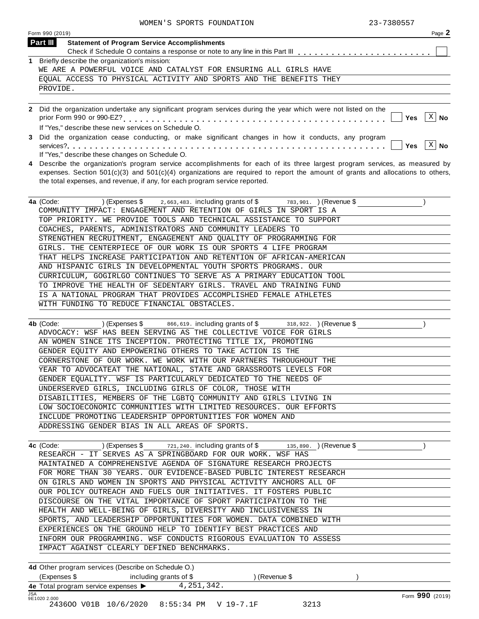|   | 23-7380557<br>WOMEN'S SPORTS FOUNDATION                                                                                                                                                                |  |
|---|--------------------------------------------------------------------------------------------------------------------------------------------------------------------------------------------------------|--|
|   | Form 990 (2019)<br>Page 2                                                                                                                                                                              |  |
|   | <b>Part III</b><br><b>Statement of Program Service Accomplishments</b>                                                                                                                                 |  |
|   |                                                                                                                                                                                                        |  |
|   | 1 Briefly describe the organization's mission:<br>WE ARE A POWERFUL VOICE AND CATALYST FOR ENSURING ALL GIRLS HAVE                                                                                     |  |
|   | EQUAL ACCESS TO PHYSICAL ACTIVITY AND SPORTS AND THE BENEFITS THEY                                                                                                                                     |  |
|   | PROVIDE.                                                                                                                                                                                               |  |
|   | 2 Did the organization undertake any significant program services during the year which were not listed on the<br>X<br><b>No</b><br><b>Yes</b><br>If "Yes," describe these new services on Schedule O. |  |
| 3 | Did the organization cease conducting, or make significant changes in how it conducts, any program<br>X<br>No<br><b>Yes</b><br>If "Yes," describe these changes on Schedule O.                         |  |
|   | 1. Describe the exacutation's program cention accomplishments for soch of its three lergest program centions as measured by                                                                            |  |

If "Yes," describe these changes on Schedule O. **4** Describe the organization's program service accomplishments for each of its three largest program services, as measured by  $\ldots$   $\blacksquare$  Yes  $\lfloor x \rfloor$  No

expenses. Section 501(c)(3) and 501(c)(4) organizations are required to report the amount of grants and allocations to others, the total expenses, and revenue, if any, for each program service reported.

| (Expenses \$ 2,663,483. including grants of \$ 783,901. ) (Revenue \$<br>4a (Code: |
|------------------------------------------------------------------------------------|
| COMMUNITY IMPACT: ENGAGEMENT AND RETENTION OF GIRLS IN SPORT IS A                  |
| TOP PRIORITY. WE PROVIDE TOOLS AND TECHNICAL ASSISTANCE TO SUPPORT                 |
| COACHES, PARENTS, ADMINISTRATORS AND COMMUNITY LEADERS TO                          |
| STRENGTHEN RECRUITMENT, ENGAGEMENT AND OUALITY OF PROGRAMMING FOR                  |
| GIRLS. THE CENTERPIECE OF OUR WORK IS OUR SPORTS 4 LIFE PROGRAM                    |
| THAT HELPS INCREASE PARTICIPATION AND RETENTION OF AFRICAN-AMERICAN                |
| AND HISPANIC GIRLS IN DEVELOPMENTAL YOUTH SPORTS PROGRAMS. OUR                     |
| CURRICULUM, GOGIRLGO CONTINUES TO SERVE AS A PRIMARY EDUCATION TOOL                |
| TO IMPROVE THE HEALTH OF SEDENTARY GIRLS. TRAVEL AND TRAINING FUND                 |
| IS A NATIONAL PROGRAM THAT PROVIDES ACCOMPLISHED FEMALE ATHLETES                   |
| WITH FUNDING TO REDUCE FINANCIAL OBSTACLES.                                        |

| 4b (Code: | $(1)$ (Expenses \$ $866, 619$ . including grants of \$ $318, 922$ . (Revenue \$ |  |  |
|-----------|---------------------------------------------------------------------------------|--|--|
|           | ADVOCACY: WSF HAS BEEN SERVING AS THE COLLECTIVE VOICE FOR GIRLS                |  |  |
|           | AN WOMEN SINCE ITS INCEPTION. PROTECTING TITLE IX, PROMOTING                    |  |  |
|           | GENDER EOUITY AND EMPOWERING OTHERS TO TAKE ACTION IS THE                       |  |  |
|           | CORNERSTONE OF OUR WORK. WE WORK WITH OUR PARTNERS THROUGHOUT THE               |  |  |
|           | YEAR TO ADVOCATEAT THE NATIONAL, STATE AND GRASSROOTS LEVELS FOR                |  |  |
|           | GENDER EQUALITY. WSF IS PARTICULARLY DEDICATED TO THE NEEDS OF                  |  |  |
|           | UNDERSERVED GIRLS, INCLUDING GIRLS OF COLOR, THOSE WITH                         |  |  |
|           | DISABILITIES, MEMBERS OF THE LGBTO COMMUNITY AND GIRLS LIVING IN                |  |  |
|           | LOW SOCIOECONOMIC COMMUNITIES WITH LIMITED RESOURCES. OUR EFFORTS               |  |  |
|           | INCLUDE PROMOTING LEADERSHIP OPPORTUNITIES FOR WOMEN AND                        |  |  |
|           | ADDRESSING GENDER BIAS IN ALL AREAS OF SPORTS.                                  |  |  |

| 4c (Code:                                                           |  | (Expenses $\frac{1}{2}$ $\frac{721}{240}$ , including grants of $\frac{1}{2}$ | 135,890. (Revenue \$ |  |
|---------------------------------------------------------------------|--|-------------------------------------------------------------------------------|----------------------|--|
| RESEARCH - IT SERVES AS A SPRINGBOARD FOR OUR WORK. WSF HAS         |  |                                                                               |                      |  |
| MAINTAINED A COMPREHENSIVE AGENDA OF SIGNATURE RESEARCH PROJECTS    |  |                                                                               |                      |  |
| FOR MORE THAN 30 YEARS. OUR EVIDENCE-BASED PUBLIC INTEREST RESEARCH |  |                                                                               |                      |  |
| ON GIRLS AND WOMEN IN SPORTS AND PHYSICAL ACTIVITY ANCHORS ALL OF   |  |                                                                               |                      |  |
| OUR POLICY OUTREACH AND FUELS OUR INITIATIVES. IT FOSTERS PUBLIC    |  |                                                                               |                      |  |
| DISCOURSE ON THE VITAL IMPORTANCE OF SPORT PARTICIPATION TO THE     |  |                                                                               |                      |  |
| HEALTH AND WELL-BEING OF GIRLS, DIVERSITY AND INCLUSIVENESS IN      |  |                                                                               |                      |  |
| SPORTS, AND LEADERSHIP OPPORTUNITIES FOR WOMEN. DATA COMBINED WITH  |  |                                                                               |                      |  |
| EXPERIENCES ON THE GROUND HELP TO IDENTIFY BEST PRACTICES AND       |  |                                                                               |                      |  |
| INFORM OUR PROGRAMMING. WSF CONDUCTS RIGOROUS EVALUATION TO ASSESS  |  |                                                                               |                      |  |
| IMPACT AGAINST CLEARLY DEFINED BENCHMARKS.                          |  |                                                                               |                      |  |
|                                                                     |  |                                                                               |                      |  |

**4d** Other program services (Describe on Schedule O.) (Expenses \$ including grants of \$ ) (Revenue \$ ) 4e Total program service expenses  $\blacktriangleright$ 4,251,342.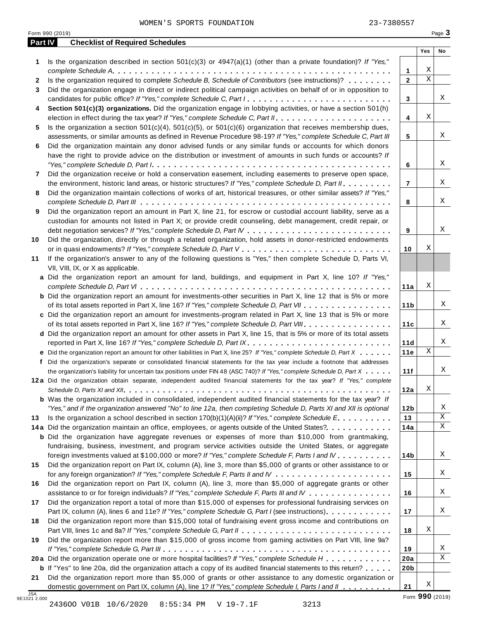|    | 23-7380557<br>WOMEN'S SPORTS FOUNDATION<br>Form 990 (2019)                                                                                                                                                                      |                 |                         | Page 3 |
|----|---------------------------------------------------------------------------------------------------------------------------------------------------------------------------------------------------------------------------------|-----------------|-------------------------|--------|
|    | <b>Checklist of Required Schedules</b><br><b>Part IV</b>                                                                                                                                                                        |                 |                         |        |
|    | Is the organization described in section $501(c)(3)$ or $4947(a)(1)$ (other than a private foundation)? If "Yes,"                                                                                                               |                 | Yes                     | No     |
| 1  |                                                                                                                                                                                                                                 | 1               | Χ                       |        |
| 2  | Is the organization required to complete Schedule B, Schedule of Contributors (see instructions)?                                                                                                                               | $\mathbf{2}$    | $\overline{\mathbf{x}}$ |        |
| 3  | Did the organization engage in direct or indirect political campaign activities on behalf of or in opposition to                                                                                                                |                 |                         |        |
|    | candidates for public office? If "Yes," complete Schedule C, Part I                                                                                                                                                             | 3               |                         | Χ      |
| 4  | Section 501(c)(3) organizations. Did the organization engage in lobbying activities, or have a section 501(h)                                                                                                                   |                 |                         |        |
|    |                                                                                                                                                                                                                                 | 4               | Χ                       |        |
| 5  | Is the organization a section $501(c)(4)$ , $501(c)(5)$ , or $501(c)(6)$ organization that receives membership dues,                                                                                                            |                 |                         |        |
|    | assessments, or similar amounts as defined in Revenue Procedure 98-19? If "Yes," complete Schedule C, Part III                                                                                                                  | 5               |                         | Χ      |
| 6  | Did the organization maintain any donor advised funds or any similar funds or accounts for which donors                                                                                                                         |                 |                         |        |
|    | have the right to provide advice on the distribution or investment of amounts in such funds or accounts? If                                                                                                                     |                 |                         |        |
|    |                                                                                                                                                                                                                                 | 6               |                         | Χ      |
| 7  | Did the organization receive or hold a conservation easement, including easements to preserve open space,                                                                                                                       |                 |                         |        |
|    | the environment, historic land areas, or historic structures? If "Yes," complete Schedule D, Part II.                                                                                                                           | $\overline{7}$  |                         | Χ      |
| 8  | Did the organization maintain collections of works of art, historical treasures, or other similar assets? If "Yes,"                                                                                                             |                 |                         |        |
| 9  |                                                                                                                                                                                                                                 | 8               |                         | Χ      |
|    | Did the organization report an amount in Part X, line 21, for escrow or custodial account liability, serve as a<br>custodian for amounts not listed in Part X; or provide credit counseling, debt management, credit repair, or |                 |                         |        |
|    |                                                                                                                                                                                                                                 | 9               |                         | Χ      |
| 10 | Did the organization, directly or through a related organization, hold assets in donor-restricted endowments                                                                                                                    |                 |                         |        |
|    |                                                                                                                                                                                                                                 | 10              | Χ                       |        |
| 11 | If the organization's answer to any of the following questions is "Yes," then complete Schedule D, Parts VI,                                                                                                                    |                 |                         |        |
|    | VII, VIII, IX, or X as applicable.                                                                                                                                                                                              |                 |                         |        |
|    | a Did the organization report an amount for land, buildings, and equipment in Part X, line 10? If "Yes,"                                                                                                                        |                 |                         |        |
|    |                                                                                                                                                                                                                                 | 11a             | Χ                       |        |
|    | <b>b</b> Did the organization report an amount for investments-other securities in Part X, line 12 that is 5% or more                                                                                                           |                 |                         |        |
|    | of its total assets reported in Part X, line 16? If "Yes," complete Schedule D, Part VII                                                                                                                                        | 11 b            |                         | X      |
|    | c Did the organization report an amount for investments-program related in Part X, line 13 that is 5% or more                                                                                                                   |                 |                         |        |
|    | of its total assets reported in Part X, line 16? If "Yes," complete Schedule D, Part VIII                                                                                                                                       | 11c             |                         | Χ      |
|    | d Did the organization report an amount for other assets in Part X, line 15, that is 5% or more of its total assets                                                                                                             |                 |                         |        |
|    | reported in Part X, line 16? If "Yes," complete Schedule D, Part IX.                                                                                                                                                            | 11d             |                         | Χ      |
|    | e Did the organization report an amount for other liabilities in Part X, line 25? If "Yes," complete Schedule D, Part X                                                                                                         | 11e             | $\mathbf X$             |        |
|    | f Did the organization's separate or consolidated financial statements for the tax year include a footnote that addresses                                                                                                       |                 |                         |        |
|    | the organization's liability for uncertain tax positions under FIN 48 (ASC 740)? If "Yes," complete Schedule D. Part X                                                                                                          | 11f             |                         | X      |
|    | 12a Did the organization obtain separate, independent audited financial statements for the tax year? If "Yes," complete                                                                                                         |                 |                         |        |
|    |                                                                                                                                                                                                                                 | 12a             | Χ                       |        |
|    | <b>b</b> Was the organization included in consolidated, independent audited financial statements for the tax year? If                                                                                                           |                 |                         |        |
|    | "Yes," and if the organization answered "No" to line 12a, then completing Schedule D, Parts XI and XII is optional                                                                                                              | 12 <sub>b</sub> |                         | Χ<br>Χ |
| 13 | Is the organization a school described in section $170(b)(1)(A)(ii)?$ If "Yes," complete Schedule E.                                                                                                                            | 13              |                         | X      |
|    | 14a Did the organization maintain an office, employees, or agents outside of the United States?.<br><b>b</b> Did the organization have aggregate revenues or expenses of more than \$10,000 from grantmaking,                   | 14a             |                         |        |
|    | fundraising, business, investment, and program service activities outside the United States, or aggregate                                                                                                                       |                 |                         |        |
|    | foreign investments valued at \$100,000 or more? If "Yes," complete Schedule F, Parts I and IV                                                                                                                                  | 14b             |                         | Χ      |
| 15 | Did the organization report on Part IX, column (A), line 3, more than \$5,000 of grants or other assistance to or                                                                                                               |                 |                         |        |
|    |                                                                                                                                                                                                                                 | 15              |                         | Χ      |
| 16 | Did the organization report on Part IX, column (A), line 3, more than \$5,000 of aggregate grants or other                                                                                                                      |                 |                         |        |
|    | assistance to or for foreign individuals? If "Yes," complete Schedule F, Parts III and IV                                                                                                                                       | 16              |                         | Χ      |
| 17 | Did the organization report a total of more than \$15,000 of expenses for professional fundraising services on                                                                                                                  |                 |                         |        |
|    | Part IX, column (A), lines 6 and 11e? If "Yes," complete Schedule G, Part I (see instructions)                                                                                                                                  | 17              |                         | Χ      |
| 18 | Did the organization report more than \$15,000 total of fundraising event gross income and contributions on                                                                                                                     |                 |                         |        |
|    |                                                                                                                                                                                                                                 | 18              | Χ                       |        |
| 19 | Did the organization report more than \$15,000 of gross income from gaming activities on Part VIII, line 9a?                                                                                                                    |                 |                         |        |
|    |                                                                                                                                                                                                                                 | 19              |                         | Χ      |
|    | 20a Did the organization operate one or more hospital facilities? If "Yes," complete Schedule H                                                                                                                                 | 20a             |                         | Χ      |
|    | <b>b</b> If "Yes" to line 20a, did the organization attach a copy of its audited financial statements to this return?                                                                                                           | 20 <sub>b</sub> |                         |        |
| 21 | Did the organization report more than \$5,000 of grants or other assistance to any domestic organization or                                                                                                                     |                 |                         |        |
|    | domestic government on Part IX, column (A), line 1? If "Yes," complete Schedule I, Parts I and II                                                                                                                               | 21              | Χ                       |        |

SA<br>
9E1021 2.000<br>
243600 VO1B 10/6/2020 8:55:34 PM V 19-7.1F 3213 243600 V01B 10/6/2020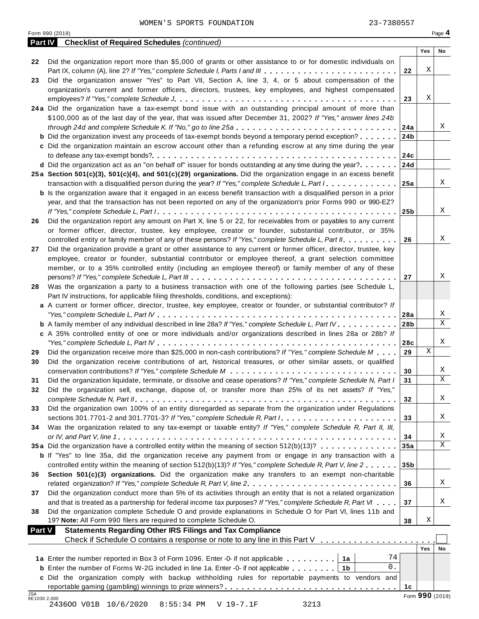| Form 990 (2019)<br><b>Part IV</b> Checklist of Required Schedules (continued)<br>Yes<br>Did the organization report more than \$5,000 of grants or other assistance to or for domestic individuals on<br>22<br>Χ<br>Part IX, column (A), line 2? If "Yes," complete Schedule I, Parts I and III<br>22<br>Did the organization answer "Yes" to Part VII, Section A, line 3, 4, or 5 about compensation of the<br>organization's current and former officers, directors, trustees, key employees, and highest compensated<br>Χ<br>23<br>24a Did the organization have a tax-exempt bond issue with an outstanding principal amount of more than<br>\$100,000 as of the last day of the year, that was issued after December 31, 2002? If "Yes," answer lines 24b<br>through 24d and complete Schedule K. If "No," go to line 25a<br>24a<br><b>b</b> Did the organization invest any proceeds of tax-exempt bonds beyond a temporary period exception?<br>24b<br>c Did the organization maintain an escrow account other than a refunding escrow at any time during the year<br>24c<br>d Did the organization act as an "on behalf of" issuer for bonds outstanding at any time during the year?<br>24d<br>25a Section 501(c)(3), 501(c)(4), and 501(c)(29) organizations. Did the organization engage in an excess benefit<br>transaction with a disqualified person during the year? If "Yes," complete Schedule L, Part I<br>25a<br><b>b</b> Is the organization aware that it engaged in an excess benefit transaction with a disqualified person in a prior<br>year, and that the transaction has not been reported on any of the organization's prior Forms 990 or 990-EZ?<br>25 <sub>b</sub><br>Did the organization report any amount on Part X, line 5 or 22, for receivables from or payables to any current<br>or former officer, director, trustee, key employee, creator or founder, substantial contributor, or 35%<br>controlled entity or family member of any of these persons? If "Yes," complete Schedule L, Part II.<br>26<br>Did the organization provide a grant or other assistance to any current or former officer, director, trustee, key<br>employee, creator or founder, substantial contributor or employee thereof, a grant selection committee<br>member, or to a 35% controlled entity (including an employee thereof) or family member of any of these<br>27<br>Was the organization a party to a business transaction with one of the following parties (see Schedule L,<br>Part IV instructions, for applicable filing thresholds, conditions, and exceptions):<br>a A current or former officer, director, trustee, key employee, creator or founder, or substantial contributor? If<br>28a<br><b>b</b> A family member of any individual described in line 28a? If "Yes," complete Schedule L, Part IV.<br>28b<br>c A 35% controlled entity of one or more individuals and/or organizations described in lines 28a or 28b? If<br>28c<br>X<br>Did the organization receive more than \$25,000 in non-cash contributions? If "Yes," complete Schedule M<br>29<br>29<br>Did the organization receive contributions of art, historical treasures, or other similar assets, or qualified<br>30<br>30<br>Did the organization liquidate, terminate, or dissolve and cease operations? If "Yes," complete Schedule N, Part I<br>31<br>31<br>Did the organization sell, exchange, dispose of, or transfer more than 25% of its net assets? If "Yes,"<br>32<br>32<br>Did the organization own 100% of an entity disregarded as separate from the organization under Regulations<br>33<br>33<br>Was the organization related to any tax-exempt or taxable entity? If "Yes," complete Schedule R, Part II, III,<br>34<br>34<br>35a Did the organization have a controlled entity within the meaning of section 512(b)(13)?<br>35a<br><b>b</b> If "Yes" to line 35a, did the organization receive any payment from or engage in any transaction with a<br>controlled entity within the meaning of section 512(b)(13)? If "Yes," complete Schedule R, Part V, line 2<br>35 <sub>b</sub><br>Section 501(c)(3) organizations. Did the organization make any transfers to an exempt non-charitable<br>36<br>36<br>Did the organization conduct more than 5% of its activities through an entity that is not a related organization<br>and that is treated as a partnership for federal income tax purposes? If "Yes," complete Schedule R, Part VI<br>37<br>Did the organization complete Schedule O and provide explanations in Schedule O for Part VI, lines 11b and<br>Χ<br>19? Note: All Form 990 filers are required to complete Schedule O.<br>38<br><b>Statements Regarding Other IRS Filings and Tax Compliance</b><br><b>Part V</b><br>Check if Schedule O contains a response or note to any line in this Part V<br>Yes<br>74<br>1a Enter the number reported in Box 3 of Form 1096. Enter -0- if not applicable<br>1a<br>$0$ .<br><b>b</b> Enter the number of Forms W-2G included in line 1a. Enter -0- if not applicable<br>1 <sub>b</sub><br>c Did the organization comply with backup withholding rules for reportable payments to vendors and<br>1c<br>Form 990 (2019)<br>9E1030 2.000 |            | 23-7380557<br>WOMEN'S SPORTS FOUNDATION |  |        |
|--------------------------------------------------------------------------------------------------------------------------------------------------------------------------------------------------------------------------------------------------------------------------------------------------------------------------------------------------------------------------------------------------------------------------------------------------------------------------------------------------------------------------------------------------------------------------------------------------------------------------------------------------------------------------------------------------------------------------------------------------------------------------------------------------------------------------------------------------------------------------------------------------------------------------------------------------------------------------------------------------------------------------------------------------------------------------------------------------------------------------------------------------------------------------------------------------------------------------------------------------------------------------------------------------------------------------------------------------------------------------------------------------------------------------------------------------------------------------------------------------------------------------------------------------------------------------------------------------------------------------------------------------------------------------------------------------------------------------------------------------------------------------------------------------------------------------------------------------------------------------------------------------------------------------------------------------------------------------------------------------------------------------------------------------------------------------------------------------------------------------------------------------------------------------------------------------------------------------------------------------------------------------------------------------------------------------------------------------------------------------------------------------------------------------------------------------------------------------------------------------------------------------------------------------------------------------------------------------------------------------------------------------------------------------------------------------------------------------------------------------------------------------------------------------------------------------------------------------------------------------------------------------------------------------------------------------------------------------------------------------------------------------------------------------------------------------------------------------------------------------------------------------------------------------------------------------------------------------------------------------------------------------------------------------------------------------------------------------------------------------------------------------------------------------------------------------------------------------------------------------------------------------------------------------------------------------------------------------------------------------------------------------------------------------------------------------------------------------------------------------------------------------------------------------------------------------------------------------------------------------------------------------------------------------------------------------------------------------------------------------------------------------------------------------------------------------------------------------------------------------------------------------------------------------------------------------------------------------------------------------------------------------------------------------------------------------------------------------------------------------------------------------------------------------------------------------------------------------------------------------------------------------------------------------------------------------------------------------------------------------------------------------------------------------------------------------------------------------------------------------------------------------------------------------------------------------------------------------------------------------------------------------------------------------------------------------------------------------------------------------------------------------------------------------------------------------------------------------------------------------------------------------------------------------------------------------------------------------|------------|-----------------------------------------|--|--------|
|                                                                                                                                                                                                                                                                                                                                                                                                                                                                                                                                                                                                                                                                                                                                                                                                                                                                                                                                                                                                                                                                                                                                                                                                                                                                                                                                                                                                                                                                                                                                                                                                                                                                                                                                                                                                                                                                                                                                                                                                                                                                                                                                                                                                                                                                                                                                                                                                                                                                                                                                                                                                                                                                                                                                                                                                                                                                                                                                                                                                                                                                                                                                                                                                                                                                                                                                                                                                                                                                                                                                                                                                                                                                                                                                                                                                                                                                                                                                                                                                                                                                                                                                                                                                                                                                                                                                                                                                                                                                                                                                                                                                                                                                                                                                                                                                                                                                                                                                                                                                                                                                                                                                                                                                                          |            |                                         |  | Page 4 |
|                                                                                                                                                                                                                                                                                                                                                                                                                                                                                                                                                                                                                                                                                                                                                                                                                                                                                                                                                                                                                                                                                                                                                                                                                                                                                                                                                                                                                                                                                                                                                                                                                                                                                                                                                                                                                                                                                                                                                                                                                                                                                                                                                                                                                                                                                                                                                                                                                                                                                                                                                                                                                                                                                                                                                                                                                                                                                                                                                                                                                                                                                                                                                                                                                                                                                                                                                                                                                                                                                                                                                                                                                                                                                                                                                                                                                                                                                                                                                                                                                                                                                                                                                                                                                                                                                                                                                                                                                                                                                                                                                                                                                                                                                                                                                                                                                                                                                                                                                                                                                                                                                                                                                                                                                          |            |                                         |  | No     |
|                                                                                                                                                                                                                                                                                                                                                                                                                                                                                                                                                                                                                                                                                                                                                                                                                                                                                                                                                                                                                                                                                                                                                                                                                                                                                                                                                                                                                                                                                                                                                                                                                                                                                                                                                                                                                                                                                                                                                                                                                                                                                                                                                                                                                                                                                                                                                                                                                                                                                                                                                                                                                                                                                                                                                                                                                                                                                                                                                                                                                                                                                                                                                                                                                                                                                                                                                                                                                                                                                                                                                                                                                                                                                                                                                                                                                                                                                                                                                                                                                                                                                                                                                                                                                                                                                                                                                                                                                                                                                                                                                                                                                                                                                                                                                                                                                                                                                                                                                                                                                                                                                                                                                                                                                          |            |                                         |  |        |
|                                                                                                                                                                                                                                                                                                                                                                                                                                                                                                                                                                                                                                                                                                                                                                                                                                                                                                                                                                                                                                                                                                                                                                                                                                                                                                                                                                                                                                                                                                                                                                                                                                                                                                                                                                                                                                                                                                                                                                                                                                                                                                                                                                                                                                                                                                                                                                                                                                                                                                                                                                                                                                                                                                                                                                                                                                                                                                                                                                                                                                                                                                                                                                                                                                                                                                                                                                                                                                                                                                                                                                                                                                                                                                                                                                                                                                                                                                                                                                                                                                                                                                                                                                                                                                                                                                                                                                                                                                                                                                                                                                                                                                                                                                                                                                                                                                                                                                                                                                                                                                                                                                                                                                                                                          |            |                                         |  |        |
|                                                                                                                                                                                                                                                                                                                                                                                                                                                                                                                                                                                                                                                                                                                                                                                                                                                                                                                                                                                                                                                                                                                                                                                                                                                                                                                                                                                                                                                                                                                                                                                                                                                                                                                                                                                                                                                                                                                                                                                                                                                                                                                                                                                                                                                                                                                                                                                                                                                                                                                                                                                                                                                                                                                                                                                                                                                                                                                                                                                                                                                                                                                                                                                                                                                                                                                                                                                                                                                                                                                                                                                                                                                                                                                                                                                                                                                                                                                                                                                                                                                                                                                                                                                                                                                                                                                                                                                                                                                                                                                                                                                                                                                                                                                                                                                                                                                                                                                                                                                                                                                                                                                                                                                                                          | 23         |                                         |  |        |
|                                                                                                                                                                                                                                                                                                                                                                                                                                                                                                                                                                                                                                                                                                                                                                                                                                                                                                                                                                                                                                                                                                                                                                                                                                                                                                                                                                                                                                                                                                                                                                                                                                                                                                                                                                                                                                                                                                                                                                                                                                                                                                                                                                                                                                                                                                                                                                                                                                                                                                                                                                                                                                                                                                                                                                                                                                                                                                                                                                                                                                                                                                                                                                                                                                                                                                                                                                                                                                                                                                                                                                                                                                                                                                                                                                                                                                                                                                                                                                                                                                                                                                                                                                                                                                                                                                                                                                                                                                                                                                                                                                                                                                                                                                                                                                                                                                                                                                                                                                                                                                                                                                                                                                                                                          |            |                                         |  |        |
|                                                                                                                                                                                                                                                                                                                                                                                                                                                                                                                                                                                                                                                                                                                                                                                                                                                                                                                                                                                                                                                                                                                                                                                                                                                                                                                                                                                                                                                                                                                                                                                                                                                                                                                                                                                                                                                                                                                                                                                                                                                                                                                                                                                                                                                                                                                                                                                                                                                                                                                                                                                                                                                                                                                                                                                                                                                                                                                                                                                                                                                                                                                                                                                                                                                                                                                                                                                                                                                                                                                                                                                                                                                                                                                                                                                                                                                                                                                                                                                                                                                                                                                                                                                                                                                                                                                                                                                                                                                                                                                                                                                                                                                                                                                                                                                                                                                                                                                                                                                                                                                                                                                                                                                                                          |            |                                         |  |        |
|                                                                                                                                                                                                                                                                                                                                                                                                                                                                                                                                                                                                                                                                                                                                                                                                                                                                                                                                                                                                                                                                                                                                                                                                                                                                                                                                                                                                                                                                                                                                                                                                                                                                                                                                                                                                                                                                                                                                                                                                                                                                                                                                                                                                                                                                                                                                                                                                                                                                                                                                                                                                                                                                                                                                                                                                                                                                                                                                                                                                                                                                                                                                                                                                                                                                                                                                                                                                                                                                                                                                                                                                                                                                                                                                                                                                                                                                                                                                                                                                                                                                                                                                                                                                                                                                                                                                                                                                                                                                                                                                                                                                                                                                                                                                                                                                                                                                                                                                                                                                                                                                                                                                                                                                                          |            |                                         |  |        |
|                                                                                                                                                                                                                                                                                                                                                                                                                                                                                                                                                                                                                                                                                                                                                                                                                                                                                                                                                                                                                                                                                                                                                                                                                                                                                                                                                                                                                                                                                                                                                                                                                                                                                                                                                                                                                                                                                                                                                                                                                                                                                                                                                                                                                                                                                                                                                                                                                                                                                                                                                                                                                                                                                                                                                                                                                                                                                                                                                                                                                                                                                                                                                                                                                                                                                                                                                                                                                                                                                                                                                                                                                                                                                                                                                                                                                                                                                                                                                                                                                                                                                                                                                                                                                                                                                                                                                                                                                                                                                                                                                                                                                                                                                                                                                                                                                                                                                                                                                                                                                                                                                                                                                                                                                          |            |                                         |  |        |
|                                                                                                                                                                                                                                                                                                                                                                                                                                                                                                                                                                                                                                                                                                                                                                                                                                                                                                                                                                                                                                                                                                                                                                                                                                                                                                                                                                                                                                                                                                                                                                                                                                                                                                                                                                                                                                                                                                                                                                                                                                                                                                                                                                                                                                                                                                                                                                                                                                                                                                                                                                                                                                                                                                                                                                                                                                                                                                                                                                                                                                                                                                                                                                                                                                                                                                                                                                                                                                                                                                                                                                                                                                                                                                                                                                                                                                                                                                                                                                                                                                                                                                                                                                                                                                                                                                                                                                                                                                                                                                                                                                                                                                                                                                                                                                                                                                                                                                                                                                                                                                                                                                                                                                                                                          |            |                                         |  | Χ      |
|                                                                                                                                                                                                                                                                                                                                                                                                                                                                                                                                                                                                                                                                                                                                                                                                                                                                                                                                                                                                                                                                                                                                                                                                                                                                                                                                                                                                                                                                                                                                                                                                                                                                                                                                                                                                                                                                                                                                                                                                                                                                                                                                                                                                                                                                                                                                                                                                                                                                                                                                                                                                                                                                                                                                                                                                                                                                                                                                                                                                                                                                                                                                                                                                                                                                                                                                                                                                                                                                                                                                                                                                                                                                                                                                                                                                                                                                                                                                                                                                                                                                                                                                                                                                                                                                                                                                                                                                                                                                                                                                                                                                                                                                                                                                                                                                                                                                                                                                                                                                                                                                                                                                                                                                                          |            |                                         |  |        |
|                                                                                                                                                                                                                                                                                                                                                                                                                                                                                                                                                                                                                                                                                                                                                                                                                                                                                                                                                                                                                                                                                                                                                                                                                                                                                                                                                                                                                                                                                                                                                                                                                                                                                                                                                                                                                                                                                                                                                                                                                                                                                                                                                                                                                                                                                                                                                                                                                                                                                                                                                                                                                                                                                                                                                                                                                                                                                                                                                                                                                                                                                                                                                                                                                                                                                                                                                                                                                                                                                                                                                                                                                                                                                                                                                                                                                                                                                                                                                                                                                                                                                                                                                                                                                                                                                                                                                                                                                                                                                                                                                                                                                                                                                                                                                                                                                                                                                                                                                                                                                                                                                                                                                                                                                          |            |                                         |  |        |
|                                                                                                                                                                                                                                                                                                                                                                                                                                                                                                                                                                                                                                                                                                                                                                                                                                                                                                                                                                                                                                                                                                                                                                                                                                                                                                                                                                                                                                                                                                                                                                                                                                                                                                                                                                                                                                                                                                                                                                                                                                                                                                                                                                                                                                                                                                                                                                                                                                                                                                                                                                                                                                                                                                                                                                                                                                                                                                                                                                                                                                                                                                                                                                                                                                                                                                                                                                                                                                                                                                                                                                                                                                                                                                                                                                                                                                                                                                                                                                                                                                                                                                                                                                                                                                                                                                                                                                                                                                                                                                                                                                                                                                                                                                                                                                                                                                                                                                                                                                                                                                                                                                                                                                                                                          |            |                                         |  |        |
|                                                                                                                                                                                                                                                                                                                                                                                                                                                                                                                                                                                                                                                                                                                                                                                                                                                                                                                                                                                                                                                                                                                                                                                                                                                                                                                                                                                                                                                                                                                                                                                                                                                                                                                                                                                                                                                                                                                                                                                                                                                                                                                                                                                                                                                                                                                                                                                                                                                                                                                                                                                                                                                                                                                                                                                                                                                                                                                                                                                                                                                                                                                                                                                                                                                                                                                                                                                                                                                                                                                                                                                                                                                                                                                                                                                                                                                                                                                                                                                                                                                                                                                                                                                                                                                                                                                                                                                                                                                                                                                                                                                                                                                                                                                                                                                                                                                                                                                                                                                                                                                                                                                                                                                                                          |            |                                         |  |        |
|                                                                                                                                                                                                                                                                                                                                                                                                                                                                                                                                                                                                                                                                                                                                                                                                                                                                                                                                                                                                                                                                                                                                                                                                                                                                                                                                                                                                                                                                                                                                                                                                                                                                                                                                                                                                                                                                                                                                                                                                                                                                                                                                                                                                                                                                                                                                                                                                                                                                                                                                                                                                                                                                                                                                                                                                                                                                                                                                                                                                                                                                                                                                                                                                                                                                                                                                                                                                                                                                                                                                                                                                                                                                                                                                                                                                                                                                                                                                                                                                                                                                                                                                                                                                                                                                                                                                                                                                                                                                                                                                                                                                                                                                                                                                                                                                                                                                                                                                                                                                                                                                                                                                                                                                                          |            |                                         |  |        |
|                                                                                                                                                                                                                                                                                                                                                                                                                                                                                                                                                                                                                                                                                                                                                                                                                                                                                                                                                                                                                                                                                                                                                                                                                                                                                                                                                                                                                                                                                                                                                                                                                                                                                                                                                                                                                                                                                                                                                                                                                                                                                                                                                                                                                                                                                                                                                                                                                                                                                                                                                                                                                                                                                                                                                                                                                                                                                                                                                                                                                                                                                                                                                                                                                                                                                                                                                                                                                                                                                                                                                                                                                                                                                                                                                                                                                                                                                                                                                                                                                                                                                                                                                                                                                                                                                                                                                                                                                                                                                                                                                                                                                                                                                                                                                                                                                                                                                                                                                                                                                                                                                                                                                                                                                          |            |                                         |  | X      |
|                                                                                                                                                                                                                                                                                                                                                                                                                                                                                                                                                                                                                                                                                                                                                                                                                                                                                                                                                                                                                                                                                                                                                                                                                                                                                                                                                                                                                                                                                                                                                                                                                                                                                                                                                                                                                                                                                                                                                                                                                                                                                                                                                                                                                                                                                                                                                                                                                                                                                                                                                                                                                                                                                                                                                                                                                                                                                                                                                                                                                                                                                                                                                                                                                                                                                                                                                                                                                                                                                                                                                                                                                                                                                                                                                                                                                                                                                                                                                                                                                                                                                                                                                                                                                                                                                                                                                                                                                                                                                                                                                                                                                                                                                                                                                                                                                                                                                                                                                                                                                                                                                                                                                                                                                          |            |                                         |  |        |
|                                                                                                                                                                                                                                                                                                                                                                                                                                                                                                                                                                                                                                                                                                                                                                                                                                                                                                                                                                                                                                                                                                                                                                                                                                                                                                                                                                                                                                                                                                                                                                                                                                                                                                                                                                                                                                                                                                                                                                                                                                                                                                                                                                                                                                                                                                                                                                                                                                                                                                                                                                                                                                                                                                                                                                                                                                                                                                                                                                                                                                                                                                                                                                                                                                                                                                                                                                                                                                                                                                                                                                                                                                                                                                                                                                                                                                                                                                                                                                                                                                                                                                                                                                                                                                                                                                                                                                                                                                                                                                                                                                                                                                                                                                                                                                                                                                                                                                                                                                                                                                                                                                                                                                                                                          |            |                                         |  |        |
|                                                                                                                                                                                                                                                                                                                                                                                                                                                                                                                                                                                                                                                                                                                                                                                                                                                                                                                                                                                                                                                                                                                                                                                                                                                                                                                                                                                                                                                                                                                                                                                                                                                                                                                                                                                                                                                                                                                                                                                                                                                                                                                                                                                                                                                                                                                                                                                                                                                                                                                                                                                                                                                                                                                                                                                                                                                                                                                                                                                                                                                                                                                                                                                                                                                                                                                                                                                                                                                                                                                                                                                                                                                                                                                                                                                                                                                                                                                                                                                                                                                                                                                                                                                                                                                                                                                                                                                                                                                                                                                                                                                                                                                                                                                                                                                                                                                                                                                                                                                                                                                                                                                                                                                                                          |            |                                         |  | Χ      |
|                                                                                                                                                                                                                                                                                                                                                                                                                                                                                                                                                                                                                                                                                                                                                                                                                                                                                                                                                                                                                                                                                                                                                                                                                                                                                                                                                                                                                                                                                                                                                                                                                                                                                                                                                                                                                                                                                                                                                                                                                                                                                                                                                                                                                                                                                                                                                                                                                                                                                                                                                                                                                                                                                                                                                                                                                                                                                                                                                                                                                                                                                                                                                                                                                                                                                                                                                                                                                                                                                                                                                                                                                                                                                                                                                                                                                                                                                                                                                                                                                                                                                                                                                                                                                                                                                                                                                                                                                                                                                                                                                                                                                                                                                                                                                                                                                                                                                                                                                                                                                                                                                                                                                                                                                          | 26         |                                         |  |        |
|                                                                                                                                                                                                                                                                                                                                                                                                                                                                                                                                                                                                                                                                                                                                                                                                                                                                                                                                                                                                                                                                                                                                                                                                                                                                                                                                                                                                                                                                                                                                                                                                                                                                                                                                                                                                                                                                                                                                                                                                                                                                                                                                                                                                                                                                                                                                                                                                                                                                                                                                                                                                                                                                                                                                                                                                                                                                                                                                                                                                                                                                                                                                                                                                                                                                                                                                                                                                                                                                                                                                                                                                                                                                                                                                                                                                                                                                                                                                                                                                                                                                                                                                                                                                                                                                                                                                                                                                                                                                                                                                                                                                                                                                                                                                                                                                                                                                                                                                                                                                                                                                                                                                                                                                                          |            |                                         |  |        |
|                                                                                                                                                                                                                                                                                                                                                                                                                                                                                                                                                                                                                                                                                                                                                                                                                                                                                                                                                                                                                                                                                                                                                                                                                                                                                                                                                                                                                                                                                                                                                                                                                                                                                                                                                                                                                                                                                                                                                                                                                                                                                                                                                                                                                                                                                                                                                                                                                                                                                                                                                                                                                                                                                                                                                                                                                                                                                                                                                                                                                                                                                                                                                                                                                                                                                                                                                                                                                                                                                                                                                                                                                                                                                                                                                                                                                                                                                                                                                                                                                                                                                                                                                                                                                                                                                                                                                                                                                                                                                                                                                                                                                                                                                                                                                                                                                                                                                                                                                                                                                                                                                                                                                                                                                          |            |                                         |  | Χ      |
|                                                                                                                                                                                                                                                                                                                                                                                                                                                                                                                                                                                                                                                                                                                                                                                                                                                                                                                                                                                                                                                                                                                                                                                                                                                                                                                                                                                                                                                                                                                                                                                                                                                                                                                                                                                                                                                                                                                                                                                                                                                                                                                                                                                                                                                                                                                                                                                                                                                                                                                                                                                                                                                                                                                                                                                                                                                                                                                                                                                                                                                                                                                                                                                                                                                                                                                                                                                                                                                                                                                                                                                                                                                                                                                                                                                                                                                                                                                                                                                                                                                                                                                                                                                                                                                                                                                                                                                                                                                                                                                                                                                                                                                                                                                                                                                                                                                                                                                                                                                                                                                                                                                                                                                                                          | 27         |                                         |  |        |
|                                                                                                                                                                                                                                                                                                                                                                                                                                                                                                                                                                                                                                                                                                                                                                                                                                                                                                                                                                                                                                                                                                                                                                                                                                                                                                                                                                                                                                                                                                                                                                                                                                                                                                                                                                                                                                                                                                                                                                                                                                                                                                                                                                                                                                                                                                                                                                                                                                                                                                                                                                                                                                                                                                                                                                                                                                                                                                                                                                                                                                                                                                                                                                                                                                                                                                                                                                                                                                                                                                                                                                                                                                                                                                                                                                                                                                                                                                                                                                                                                                                                                                                                                                                                                                                                                                                                                                                                                                                                                                                                                                                                                                                                                                                                                                                                                                                                                                                                                                                                                                                                                                                                                                                                                          |            |                                         |  |        |
|                                                                                                                                                                                                                                                                                                                                                                                                                                                                                                                                                                                                                                                                                                                                                                                                                                                                                                                                                                                                                                                                                                                                                                                                                                                                                                                                                                                                                                                                                                                                                                                                                                                                                                                                                                                                                                                                                                                                                                                                                                                                                                                                                                                                                                                                                                                                                                                                                                                                                                                                                                                                                                                                                                                                                                                                                                                                                                                                                                                                                                                                                                                                                                                                                                                                                                                                                                                                                                                                                                                                                                                                                                                                                                                                                                                                                                                                                                                                                                                                                                                                                                                                                                                                                                                                                                                                                                                                                                                                                                                                                                                                                                                                                                                                                                                                                                                                                                                                                                                                                                                                                                                                                                                                                          |            |                                         |  |        |
|                                                                                                                                                                                                                                                                                                                                                                                                                                                                                                                                                                                                                                                                                                                                                                                                                                                                                                                                                                                                                                                                                                                                                                                                                                                                                                                                                                                                                                                                                                                                                                                                                                                                                                                                                                                                                                                                                                                                                                                                                                                                                                                                                                                                                                                                                                                                                                                                                                                                                                                                                                                                                                                                                                                                                                                                                                                                                                                                                                                                                                                                                                                                                                                                                                                                                                                                                                                                                                                                                                                                                                                                                                                                                                                                                                                                                                                                                                                                                                                                                                                                                                                                                                                                                                                                                                                                                                                                                                                                                                                                                                                                                                                                                                                                                                                                                                                                                                                                                                                                                                                                                                                                                                                                                          |            |                                         |  | Χ      |
|                                                                                                                                                                                                                                                                                                                                                                                                                                                                                                                                                                                                                                                                                                                                                                                                                                                                                                                                                                                                                                                                                                                                                                                                                                                                                                                                                                                                                                                                                                                                                                                                                                                                                                                                                                                                                                                                                                                                                                                                                                                                                                                                                                                                                                                                                                                                                                                                                                                                                                                                                                                                                                                                                                                                                                                                                                                                                                                                                                                                                                                                                                                                                                                                                                                                                                                                                                                                                                                                                                                                                                                                                                                                                                                                                                                                                                                                                                                                                                                                                                                                                                                                                                                                                                                                                                                                                                                                                                                                                                                                                                                                                                                                                                                                                                                                                                                                                                                                                                                                                                                                                                                                                                                                                          | 28         |                                         |  |        |
|                                                                                                                                                                                                                                                                                                                                                                                                                                                                                                                                                                                                                                                                                                                                                                                                                                                                                                                                                                                                                                                                                                                                                                                                                                                                                                                                                                                                                                                                                                                                                                                                                                                                                                                                                                                                                                                                                                                                                                                                                                                                                                                                                                                                                                                                                                                                                                                                                                                                                                                                                                                                                                                                                                                                                                                                                                                                                                                                                                                                                                                                                                                                                                                                                                                                                                                                                                                                                                                                                                                                                                                                                                                                                                                                                                                                                                                                                                                                                                                                                                                                                                                                                                                                                                                                                                                                                                                                                                                                                                                                                                                                                                                                                                                                                                                                                                                                                                                                                                                                                                                                                                                                                                                                                          |            |                                         |  |        |
|                                                                                                                                                                                                                                                                                                                                                                                                                                                                                                                                                                                                                                                                                                                                                                                                                                                                                                                                                                                                                                                                                                                                                                                                                                                                                                                                                                                                                                                                                                                                                                                                                                                                                                                                                                                                                                                                                                                                                                                                                                                                                                                                                                                                                                                                                                                                                                                                                                                                                                                                                                                                                                                                                                                                                                                                                                                                                                                                                                                                                                                                                                                                                                                                                                                                                                                                                                                                                                                                                                                                                                                                                                                                                                                                                                                                                                                                                                                                                                                                                                                                                                                                                                                                                                                                                                                                                                                                                                                                                                                                                                                                                                                                                                                                                                                                                                                                                                                                                                                                                                                                                                                                                                                                                          |            |                                         |  |        |
|                                                                                                                                                                                                                                                                                                                                                                                                                                                                                                                                                                                                                                                                                                                                                                                                                                                                                                                                                                                                                                                                                                                                                                                                                                                                                                                                                                                                                                                                                                                                                                                                                                                                                                                                                                                                                                                                                                                                                                                                                                                                                                                                                                                                                                                                                                                                                                                                                                                                                                                                                                                                                                                                                                                                                                                                                                                                                                                                                                                                                                                                                                                                                                                                                                                                                                                                                                                                                                                                                                                                                                                                                                                                                                                                                                                                                                                                                                                                                                                                                                                                                                                                                                                                                                                                                                                                                                                                                                                                                                                                                                                                                                                                                                                                                                                                                                                                                                                                                                                                                                                                                                                                                                                                                          |            |                                         |  | Χ      |
|                                                                                                                                                                                                                                                                                                                                                                                                                                                                                                                                                                                                                                                                                                                                                                                                                                                                                                                                                                                                                                                                                                                                                                                                                                                                                                                                                                                                                                                                                                                                                                                                                                                                                                                                                                                                                                                                                                                                                                                                                                                                                                                                                                                                                                                                                                                                                                                                                                                                                                                                                                                                                                                                                                                                                                                                                                                                                                                                                                                                                                                                                                                                                                                                                                                                                                                                                                                                                                                                                                                                                                                                                                                                                                                                                                                                                                                                                                                                                                                                                                                                                                                                                                                                                                                                                                                                                                                                                                                                                                                                                                                                                                                                                                                                                                                                                                                                                                                                                                                                                                                                                                                                                                                                                          |            |                                         |  | X      |
|                                                                                                                                                                                                                                                                                                                                                                                                                                                                                                                                                                                                                                                                                                                                                                                                                                                                                                                                                                                                                                                                                                                                                                                                                                                                                                                                                                                                                                                                                                                                                                                                                                                                                                                                                                                                                                                                                                                                                                                                                                                                                                                                                                                                                                                                                                                                                                                                                                                                                                                                                                                                                                                                                                                                                                                                                                                                                                                                                                                                                                                                                                                                                                                                                                                                                                                                                                                                                                                                                                                                                                                                                                                                                                                                                                                                                                                                                                                                                                                                                                                                                                                                                                                                                                                                                                                                                                                                                                                                                                                                                                                                                                                                                                                                                                                                                                                                                                                                                                                                                                                                                                                                                                                                                          |            |                                         |  |        |
|                                                                                                                                                                                                                                                                                                                                                                                                                                                                                                                                                                                                                                                                                                                                                                                                                                                                                                                                                                                                                                                                                                                                                                                                                                                                                                                                                                                                                                                                                                                                                                                                                                                                                                                                                                                                                                                                                                                                                                                                                                                                                                                                                                                                                                                                                                                                                                                                                                                                                                                                                                                                                                                                                                                                                                                                                                                                                                                                                                                                                                                                                                                                                                                                                                                                                                                                                                                                                                                                                                                                                                                                                                                                                                                                                                                                                                                                                                                                                                                                                                                                                                                                                                                                                                                                                                                                                                                                                                                                                                                                                                                                                                                                                                                                                                                                                                                                                                                                                                                                                                                                                                                                                                                                                          |            |                                         |  | Χ      |
|                                                                                                                                                                                                                                                                                                                                                                                                                                                                                                                                                                                                                                                                                                                                                                                                                                                                                                                                                                                                                                                                                                                                                                                                                                                                                                                                                                                                                                                                                                                                                                                                                                                                                                                                                                                                                                                                                                                                                                                                                                                                                                                                                                                                                                                                                                                                                                                                                                                                                                                                                                                                                                                                                                                                                                                                                                                                                                                                                                                                                                                                                                                                                                                                                                                                                                                                                                                                                                                                                                                                                                                                                                                                                                                                                                                                                                                                                                                                                                                                                                                                                                                                                                                                                                                                                                                                                                                                                                                                                                                                                                                                                                                                                                                                                                                                                                                                                                                                                                                                                                                                                                                                                                                                                          |            |                                         |  |        |
|                                                                                                                                                                                                                                                                                                                                                                                                                                                                                                                                                                                                                                                                                                                                                                                                                                                                                                                                                                                                                                                                                                                                                                                                                                                                                                                                                                                                                                                                                                                                                                                                                                                                                                                                                                                                                                                                                                                                                                                                                                                                                                                                                                                                                                                                                                                                                                                                                                                                                                                                                                                                                                                                                                                                                                                                                                                                                                                                                                                                                                                                                                                                                                                                                                                                                                                                                                                                                                                                                                                                                                                                                                                                                                                                                                                                                                                                                                                                                                                                                                                                                                                                                                                                                                                                                                                                                                                                                                                                                                                                                                                                                                                                                                                                                                                                                                                                                                                                                                                                                                                                                                                                                                                                                          |            |                                         |  |        |
|                                                                                                                                                                                                                                                                                                                                                                                                                                                                                                                                                                                                                                                                                                                                                                                                                                                                                                                                                                                                                                                                                                                                                                                                                                                                                                                                                                                                                                                                                                                                                                                                                                                                                                                                                                                                                                                                                                                                                                                                                                                                                                                                                                                                                                                                                                                                                                                                                                                                                                                                                                                                                                                                                                                                                                                                                                                                                                                                                                                                                                                                                                                                                                                                                                                                                                                                                                                                                                                                                                                                                                                                                                                                                                                                                                                                                                                                                                                                                                                                                                                                                                                                                                                                                                                                                                                                                                                                                                                                                                                                                                                                                                                                                                                                                                                                                                                                                                                                                                                                                                                                                                                                                                                                                          |            |                                         |  | Χ<br>Χ |
|                                                                                                                                                                                                                                                                                                                                                                                                                                                                                                                                                                                                                                                                                                                                                                                                                                                                                                                                                                                                                                                                                                                                                                                                                                                                                                                                                                                                                                                                                                                                                                                                                                                                                                                                                                                                                                                                                                                                                                                                                                                                                                                                                                                                                                                                                                                                                                                                                                                                                                                                                                                                                                                                                                                                                                                                                                                                                                                                                                                                                                                                                                                                                                                                                                                                                                                                                                                                                                                                                                                                                                                                                                                                                                                                                                                                                                                                                                                                                                                                                                                                                                                                                                                                                                                                                                                                                                                                                                                                                                                                                                                                                                                                                                                                                                                                                                                                                                                                                                                                                                                                                                                                                                                                                          |            |                                         |  |        |
|                                                                                                                                                                                                                                                                                                                                                                                                                                                                                                                                                                                                                                                                                                                                                                                                                                                                                                                                                                                                                                                                                                                                                                                                                                                                                                                                                                                                                                                                                                                                                                                                                                                                                                                                                                                                                                                                                                                                                                                                                                                                                                                                                                                                                                                                                                                                                                                                                                                                                                                                                                                                                                                                                                                                                                                                                                                                                                                                                                                                                                                                                                                                                                                                                                                                                                                                                                                                                                                                                                                                                                                                                                                                                                                                                                                                                                                                                                                                                                                                                                                                                                                                                                                                                                                                                                                                                                                                                                                                                                                                                                                                                                                                                                                                                                                                                                                                                                                                                                                                                                                                                                                                                                                                                          |            |                                         |  | X      |
|                                                                                                                                                                                                                                                                                                                                                                                                                                                                                                                                                                                                                                                                                                                                                                                                                                                                                                                                                                                                                                                                                                                                                                                                                                                                                                                                                                                                                                                                                                                                                                                                                                                                                                                                                                                                                                                                                                                                                                                                                                                                                                                                                                                                                                                                                                                                                                                                                                                                                                                                                                                                                                                                                                                                                                                                                                                                                                                                                                                                                                                                                                                                                                                                                                                                                                                                                                                                                                                                                                                                                                                                                                                                                                                                                                                                                                                                                                                                                                                                                                                                                                                                                                                                                                                                                                                                                                                                                                                                                                                                                                                                                                                                                                                                                                                                                                                                                                                                                                                                                                                                                                                                                                                                                          |            |                                         |  |        |
|                                                                                                                                                                                                                                                                                                                                                                                                                                                                                                                                                                                                                                                                                                                                                                                                                                                                                                                                                                                                                                                                                                                                                                                                                                                                                                                                                                                                                                                                                                                                                                                                                                                                                                                                                                                                                                                                                                                                                                                                                                                                                                                                                                                                                                                                                                                                                                                                                                                                                                                                                                                                                                                                                                                                                                                                                                                                                                                                                                                                                                                                                                                                                                                                                                                                                                                                                                                                                                                                                                                                                                                                                                                                                                                                                                                                                                                                                                                                                                                                                                                                                                                                                                                                                                                                                                                                                                                                                                                                                                                                                                                                                                                                                                                                                                                                                                                                                                                                                                                                                                                                                                                                                                                                                          |            |                                         |  | X      |
|                                                                                                                                                                                                                                                                                                                                                                                                                                                                                                                                                                                                                                                                                                                                                                                                                                                                                                                                                                                                                                                                                                                                                                                                                                                                                                                                                                                                                                                                                                                                                                                                                                                                                                                                                                                                                                                                                                                                                                                                                                                                                                                                                                                                                                                                                                                                                                                                                                                                                                                                                                                                                                                                                                                                                                                                                                                                                                                                                                                                                                                                                                                                                                                                                                                                                                                                                                                                                                                                                                                                                                                                                                                                                                                                                                                                                                                                                                                                                                                                                                                                                                                                                                                                                                                                                                                                                                                                                                                                                                                                                                                                                                                                                                                                                                                                                                                                                                                                                                                                                                                                                                                                                                                                                          |            |                                         |  |        |
|                                                                                                                                                                                                                                                                                                                                                                                                                                                                                                                                                                                                                                                                                                                                                                                                                                                                                                                                                                                                                                                                                                                                                                                                                                                                                                                                                                                                                                                                                                                                                                                                                                                                                                                                                                                                                                                                                                                                                                                                                                                                                                                                                                                                                                                                                                                                                                                                                                                                                                                                                                                                                                                                                                                                                                                                                                                                                                                                                                                                                                                                                                                                                                                                                                                                                                                                                                                                                                                                                                                                                                                                                                                                                                                                                                                                                                                                                                                                                                                                                                                                                                                                                                                                                                                                                                                                                                                                                                                                                                                                                                                                                                                                                                                                                                                                                                                                                                                                                                                                                                                                                                                                                                                                                          |            |                                         |  | Χ      |
|                                                                                                                                                                                                                                                                                                                                                                                                                                                                                                                                                                                                                                                                                                                                                                                                                                                                                                                                                                                                                                                                                                                                                                                                                                                                                                                                                                                                                                                                                                                                                                                                                                                                                                                                                                                                                                                                                                                                                                                                                                                                                                                                                                                                                                                                                                                                                                                                                                                                                                                                                                                                                                                                                                                                                                                                                                                                                                                                                                                                                                                                                                                                                                                                                                                                                                                                                                                                                                                                                                                                                                                                                                                                                                                                                                                                                                                                                                                                                                                                                                                                                                                                                                                                                                                                                                                                                                                                                                                                                                                                                                                                                                                                                                                                                                                                                                                                                                                                                                                                                                                                                                                                                                                                                          |            |                                         |  | X      |
|                                                                                                                                                                                                                                                                                                                                                                                                                                                                                                                                                                                                                                                                                                                                                                                                                                                                                                                                                                                                                                                                                                                                                                                                                                                                                                                                                                                                                                                                                                                                                                                                                                                                                                                                                                                                                                                                                                                                                                                                                                                                                                                                                                                                                                                                                                                                                                                                                                                                                                                                                                                                                                                                                                                                                                                                                                                                                                                                                                                                                                                                                                                                                                                                                                                                                                                                                                                                                                                                                                                                                                                                                                                                                                                                                                                                                                                                                                                                                                                                                                                                                                                                                                                                                                                                                                                                                                                                                                                                                                                                                                                                                                                                                                                                                                                                                                                                                                                                                                                                                                                                                                                                                                                                                          |            |                                         |  |        |
|                                                                                                                                                                                                                                                                                                                                                                                                                                                                                                                                                                                                                                                                                                                                                                                                                                                                                                                                                                                                                                                                                                                                                                                                                                                                                                                                                                                                                                                                                                                                                                                                                                                                                                                                                                                                                                                                                                                                                                                                                                                                                                                                                                                                                                                                                                                                                                                                                                                                                                                                                                                                                                                                                                                                                                                                                                                                                                                                                                                                                                                                                                                                                                                                                                                                                                                                                                                                                                                                                                                                                                                                                                                                                                                                                                                                                                                                                                                                                                                                                                                                                                                                                                                                                                                                                                                                                                                                                                                                                                                                                                                                                                                                                                                                                                                                                                                                                                                                                                                                                                                                                                                                                                                                                          |            |                                         |  |        |
|                                                                                                                                                                                                                                                                                                                                                                                                                                                                                                                                                                                                                                                                                                                                                                                                                                                                                                                                                                                                                                                                                                                                                                                                                                                                                                                                                                                                                                                                                                                                                                                                                                                                                                                                                                                                                                                                                                                                                                                                                                                                                                                                                                                                                                                                                                                                                                                                                                                                                                                                                                                                                                                                                                                                                                                                                                                                                                                                                                                                                                                                                                                                                                                                                                                                                                                                                                                                                                                                                                                                                                                                                                                                                                                                                                                                                                                                                                                                                                                                                                                                                                                                                                                                                                                                                                                                                                                                                                                                                                                                                                                                                                                                                                                                                                                                                                                                                                                                                                                                                                                                                                                                                                                                                          |            |                                         |  |        |
|                                                                                                                                                                                                                                                                                                                                                                                                                                                                                                                                                                                                                                                                                                                                                                                                                                                                                                                                                                                                                                                                                                                                                                                                                                                                                                                                                                                                                                                                                                                                                                                                                                                                                                                                                                                                                                                                                                                                                                                                                                                                                                                                                                                                                                                                                                                                                                                                                                                                                                                                                                                                                                                                                                                                                                                                                                                                                                                                                                                                                                                                                                                                                                                                                                                                                                                                                                                                                                                                                                                                                                                                                                                                                                                                                                                                                                                                                                                                                                                                                                                                                                                                                                                                                                                                                                                                                                                                                                                                                                                                                                                                                                                                                                                                                                                                                                                                                                                                                                                                                                                                                                                                                                                                                          |            |                                         |  | Χ      |
|                                                                                                                                                                                                                                                                                                                                                                                                                                                                                                                                                                                                                                                                                                                                                                                                                                                                                                                                                                                                                                                                                                                                                                                                                                                                                                                                                                                                                                                                                                                                                                                                                                                                                                                                                                                                                                                                                                                                                                                                                                                                                                                                                                                                                                                                                                                                                                                                                                                                                                                                                                                                                                                                                                                                                                                                                                                                                                                                                                                                                                                                                                                                                                                                                                                                                                                                                                                                                                                                                                                                                                                                                                                                                                                                                                                                                                                                                                                                                                                                                                                                                                                                                                                                                                                                                                                                                                                                                                                                                                                                                                                                                                                                                                                                                                                                                                                                                                                                                                                                                                                                                                                                                                                                                          | 37         |                                         |  |        |
|                                                                                                                                                                                                                                                                                                                                                                                                                                                                                                                                                                                                                                                                                                                                                                                                                                                                                                                                                                                                                                                                                                                                                                                                                                                                                                                                                                                                                                                                                                                                                                                                                                                                                                                                                                                                                                                                                                                                                                                                                                                                                                                                                                                                                                                                                                                                                                                                                                                                                                                                                                                                                                                                                                                                                                                                                                                                                                                                                                                                                                                                                                                                                                                                                                                                                                                                                                                                                                                                                                                                                                                                                                                                                                                                                                                                                                                                                                                                                                                                                                                                                                                                                                                                                                                                                                                                                                                                                                                                                                                                                                                                                                                                                                                                                                                                                                                                                                                                                                                                                                                                                                                                                                                                                          |            |                                         |  | Χ      |
|                                                                                                                                                                                                                                                                                                                                                                                                                                                                                                                                                                                                                                                                                                                                                                                                                                                                                                                                                                                                                                                                                                                                                                                                                                                                                                                                                                                                                                                                                                                                                                                                                                                                                                                                                                                                                                                                                                                                                                                                                                                                                                                                                                                                                                                                                                                                                                                                                                                                                                                                                                                                                                                                                                                                                                                                                                                                                                                                                                                                                                                                                                                                                                                                                                                                                                                                                                                                                                                                                                                                                                                                                                                                                                                                                                                                                                                                                                                                                                                                                                                                                                                                                                                                                                                                                                                                                                                                                                                                                                                                                                                                                                                                                                                                                                                                                                                                                                                                                                                                                                                                                                                                                                                                                          | 38         |                                         |  |        |
|                                                                                                                                                                                                                                                                                                                                                                                                                                                                                                                                                                                                                                                                                                                                                                                                                                                                                                                                                                                                                                                                                                                                                                                                                                                                                                                                                                                                                                                                                                                                                                                                                                                                                                                                                                                                                                                                                                                                                                                                                                                                                                                                                                                                                                                                                                                                                                                                                                                                                                                                                                                                                                                                                                                                                                                                                                                                                                                                                                                                                                                                                                                                                                                                                                                                                                                                                                                                                                                                                                                                                                                                                                                                                                                                                                                                                                                                                                                                                                                                                                                                                                                                                                                                                                                                                                                                                                                                                                                                                                                                                                                                                                                                                                                                                                                                                                                                                                                                                                                                                                                                                                                                                                                                                          |            |                                         |  |        |
|                                                                                                                                                                                                                                                                                                                                                                                                                                                                                                                                                                                                                                                                                                                                                                                                                                                                                                                                                                                                                                                                                                                                                                                                                                                                                                                                                                                                                                                                                                                                                                                                                                                                                                                                                                                                                                                                                                                                                                                                                                                                                                                                                                                                                                                                                                                                                                                                                                                                                                                                                                                                                                                                                                                                                                                                                                                                                                                                                                                                                                                                                                                                                                                                                                                                                                                                                                                                                                                                                                                                                                                                                                                                                                                                                                                                                                                                                                                                                                                                                                                                                                                                                                                                                                                                                                                                                                                                                                                                                                                                                                                                                                                                                                                                                                                                                                                                                                                                                                                                                                                                                                                                                                                                                          |            |                                         |  |        |
|                                                                                                                                                                                                                                                                                                                                                                                                                                                                                                                                                                                                                                                                                                                                                                                                                                                                                                                                                                                                                                                                                                                                                                                                                                                                                                                                                                                                                                                                                                                                                                                                                                                                                                                                                                                                                                                                                                                                                                                                                                                                                                                                                                                                                                                                                                                                                                                                                                                                                                                                                                                                                                                                                                                                                                                                                                                                                                                                                                                                                                                                                                                                                                                                                                                                                                                                                                                                                                                                                                                                                                                                                                                                                                                                                                                                                                                                                                                                                                                                                                                                                                                                                                                                                                                                                                                                                                                                                                                                                                                                                                                                                                                                                                                                                                                                                                                                                                                                                                                                                                                                                                                                                                                                                          |            |                                         |  |        |
|                                                                                                                                                                                                                                                                                                                                                                                                                                                                                                                                                                                                                                                                                                                                                                                                                                                                                                                                                                                                                                                                                                                                                                                                                                                                                                                                                                                                                                                                                                                                                                                                                                                                                                                                                                                                                                                                                                                                                                                                                                                                                                                                                                                                                                                                                                                                                                                                                                                                                                                                                                                                                                                                                                                                                                                                                                                                                                                                                                                                                                                                                                                                                                                                                                                                                                                                                                                                                                                                                                                                                                                                                                                                                                                                                                                                                                                                                                                                                                                                                                                                                                                                                                                                                                                                                                                                                                                                                                                                                                                                                                                                                                                                                                                                                                                                                                                                                                                                                                                                                                                                                                                                                                                                                          |            |                                         |  | No     |
|                                                                                                                                                                                                                                                                                                                                                                                                                                                                                                                                                                                                                                                                                                                                                                                                                                                                                                                                                                                                                                                                                                                                                                                                                                                                                                                                                                                                                                                                                                                                                                                                                                                                                                                                                                                                                                                                                                                                                                                                                                                                                                                                                                                                                                                                                                                                                                                                                                                                                                                                                                                                                                                                                                                                                                                                                                                                                                                                                                                                                                                                                                                                                                                                                                                                                                                                                                                                                                                                                                                                                                                                                                                                                                                                                                                                                                                                                                                                                                                                                                                                                                                                                                                                                                                                                                                                                                                                                                                                                                                                                                                                                                                                                                                                                                                                                                                                                                                                                                                                                                                                                                                                                                                                                          |            |                                         |  |        |
|                                                                                                                                                                                                                                                                                                                                                                                                                                                                                                                                                                                                                                                                                                                                                                                                                                                                                                                                                                                                                                                                                                                                                                                                                                                                                                                                                                                                                                                                                                                                                                                                                                                                                                                                                                                                                                                                                                                                                                                                                                                                                                                                                                                                                                                                                                                                                                                                                                                                                                                                                                                                                                                                                                                                                                                                                                                                                                                                                                                                                                                                                                                                                                                                                                                                                                                                                                                                                                                                                                                                                                                                                                                                                                                                                                                                                                                                                                                                                                                                                                                                                                                                                                                                                                                                                                                                                                                                                                                                                                                                                                                                                                                                                                                                                                                                                                                                                                                                                                                                                                                                                                                                                                                                                          |            |                                         |  |        |
|                                                                                                                                                                                                                                                                                                                                                                                                                                                                                                                                                                                                                                                                                                                                                                                                                                                                                                                                                                                                                                                                                                                                                                                                                                                                                                                                                                                                                                                                                                                                                                                                                                                                                                                                                                                                                                                                                                                                                                                                                                                                                                                                                                                                                                                                                                                                                                                                                                                                                                                                                                                                                                                                                                                                                                                                                                                                                                                                                                                                                                                                                                                                                                                                                                                                                                                                                                                                                                                                                                                                                                                                                                                                                                                                                                                                                                                                                                                                                                                                                                                                                                                                                                                                                                                                                                                                                                                                                                                                                                                                                                                                                                                                                                                                                                                                                                                                                                                                                                                                                                                                                                                                                                                                                          |            |                                         |  |        |
|                                                                                                                                                                                                                                                                                                                                                                                                                                                                                                                                                                                                                                                                                                                                                                                                                                                                                                                                                                                                                                                                                                                                                                                                                                                                                                                                                                                                                                                                                                                                                                                                                                                                                                                                                                                                                                                                                                                                                                                                                                                                                                                                                                                                                                                                                                                                                                                                                                                                                                                                                                                                                                                                                                                                                                                                                                                                                                                                                                                                                                                                                                                                                                                                                                                                                                                                                                                                                                                                                                                                                                                                                                                                                                                                                                                                                                                                                                                                                                                                                                                                                                                                                                                                                                                                                                                                                                                                                                                                                                                                                                                                                                                                                                                                                                                                                                                                                                                                                                                                                                                                                                                                                                                                                          |            |                                         |  |        |
|                                                                                                                                                                                                                                                                                                                                                                                                                                                                                                                                                                                                                                                                                                                                                                                                                                                                                                                                                                                                                                                                                                                                                                                                                                                                                                                                                                                                                                                                                                                                                                                                                                                                                                                                                                                                                                                                                                                                                                                                                                                                                                                                                                                                                                                                                                                                                                                                                                                                                                                                                                                                                                                                                                                                                                                                                                                                                                                                                                                                                                                                                                                                                                                                                                                                                                                                                                                                                                                                                                                                                                                                                                                                                                                                                                                                                                                                                                                                                                                                                                                                                                                                                                                                                                                                                                                                                                                                                                                                                                                                                                                                                                                                                                                                                                                                                                                                                                                                                                                                                                                                                                                                                                                                                          | <b>JSA</b> |                                         |  |        |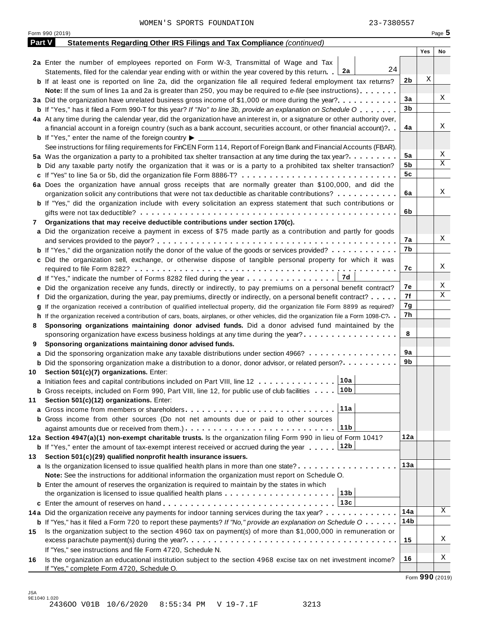|               | WOMEN'S SPORTS FOUNDATION<br>23-7380557                                                                                                                            |                |     |                 |
|---------------|--------------------------------------------------------------------------------------------------------------------------------------------------------------------|----------------|-----|-----------------|
|               | Form 990 (2019)                                                                                                                                                    |                |     | Page $5$        |
| <b>Part V</b> | Statements Regarding Other IRS Filings and Tax Compliance (continued)                                                                                              |                |     |                 |
|               |                                                                                                                                                                    |                | Yes | No              |
|               | 2a Enter the number of employees reported on Form W-3, Transmittal of Wage and Tax                                                                                 |                |     |                 |
|               | 24<br>Statements, filed for the calendar year ending with or within the year covered by this return. $2a$                                                          |                |     |                 |
|               | <b>b</b> If at least one is reported on line 2a, did the organization file all required federal employment tax returns?                                            | 2 <sub>b</sub> | Χ   |                 |
|               | Note: If the sum of lines 1a and 2a is greater than 250, you may be required to e-file (see instructions)                                                          |                |     |                 |
|               | 3a Did the organization have unrelated business gross income of \$1,000 or more during the year?                                                                   | 3a             |     | Χ               |
|               | <b>b</b> If "Yes," has it filed a Form 990-T for this year? If "No" to line 3b, provide an explanation on Schedule O                                               | 3 <sub>b</sub> |     |                 |
|               | 4a At any time during the calendar year, did the organization have an interest in, or a signature or other authority over,                                         |                |     |                 |
|               | a financial account in a foreign country (such as a bank account, securities account, or other financial account)?                                                 | 4a             |     | Χ               |
|               | <b>b</b> If "Yes," enter the name of the foreign country $\blacktriangleright$                                                                                     |                |     |                 |
|               | See instructions for filing requirements for FinCEN Form 114, Report of Foreign Bank and Financial Accounts (FBAR).                                                |                |     |                 |
|               | 5a Was the organization a party to a prohibited tax shelter transaction at any time during the tax year?                                                           | 5a             |     | Χ               |
|               | <b>b</b> Did any taxable party notify the organization that it was or is a party to a prohibited tax shelter transaction?                                          | 5b             |     | Χ               |
|               |                                                                                                                                                                    | 5c             |     |                 |
|               | 6a Does the organization have annual gross receipts that are normally greater than \$100,000, and did the                                                          |                |     |                 |
|               | organization solicit any contributions that were not tax deductible as charitable contributions?                                                                   | 6a             |     | Χ               |
|               | <b>b</b> If "Yes," did the organization include with every solicitation an express statement that such contributions or                                            |                |     |                 |
|               |                                                                                                                                                                    | 6b             |     |                 |
| 7.            | Organizations that may receive deductible contributions under section 170(c).                                                                                      |                |     |                 |
|               | a Did the organization receive a payment in excess of \$75 made partly as a contribution and partly for goods                                                      |                |     |                 |
|               |                                                                                                                                                                    | 7a             |     | X               |
|               | <b>b</b> If "Yes," did the organization notify the donor of the value of the goods or services provided?                                                           | 7b             |     |                 |
|               | c Did the organization sell, exchange, or otherwise dispose of tangible personal property for which it was                                                         |                |     |                 |
|               |                                                                                                                                                                    | 7c             |     | X               |
|               |                                                                                                                                                                    |                |     |                 |
|               | e Did the organization receive any funds, directly or indirectly, to pay premiums on a personal benefit contract?                                                  | 7е             |     | X<br>Χ          |
|               | f Did the organization, during the year, pay premiums, directly or indirectly, on a personal benefit contract?                                                     | 7f             |     |                 |
|               | If the organization received a contribution of qualified intellectual property, did the organization file Form 8899 as required?                                   | 7g             |     |                 |
|               | h If the organization received a contribution of cars, boats, airplanes, or other vehicles, did the organization file a Form 1098-C?. .                            | 7h             |     |                 |
| 8             | Sponsoring organizations maintaining donor advised funds. Did a donor advised fund maintained by the                                                               |                |     |                 |
|               | sponsoring organization have excess business holdings at any time during the year?                                                                                 | 8              |     |                 |
| 9             | Sponsoring organizations maintaining donor advised funds.                                                                                                          |                |     |                 |
| а             | Did the sponsoring organization make any taxable distributions under section 4966?                                                                                 | 9a<br>9b       |     |                 |
|               | <b>b</b> Did the sponsoring organization make a distribution to a donor, donor advisor, or related person?                                                         |                |     |                 |
| 10            | Section 501(c)(7) organizations. Enter:<br>10a                                                                                                                     |                |     |                 |
|               | a Initiation fees and capital contributions included on Part VIII, line 12<br>10 <sub>b</sub>                                                                      |                |     |                 |
|               | <b>b</b> Gross receipts, included on Form 990, Part VIII, line 12, for public use of club facilities                                                               |                |     |                 |
| 11            | Section 501(c)(12) organizations. Enter:<br>11a                                                                                                                    |                |     |                 |
|               |                                                                                                                                                                    |                |     |                 |
|               | <b>b</b> Gross income from other sources (Do not net amounts due or paid to other sources<br>11 <sub>b</sub>                                                       |                |     |                 |
|               | 12a Section 4947(a)(1) non-exempt charitable trusts. Is the organization filing Form 990 in lieu of Form 1041?                                                     | 12a            |     |                 |
|               | 12b                                                                                                                                                                |                |     |                 |
|               | <b>b</b> If "Yes," enter the amount of tax-exempt interest received or accrued during the year<br>Section 501(c)(29) qualified nonprofit health insurance issuers. |                |     |                 |
| 13            | a Is the organization licensed to issue qualified health plans in more than one state?                                                                             | 13a            |     |                 |
|               | Note: See the instructions for additional information the organization must report on Schedule O.                                                                  |                |     |                 |
|               | <b>b</b> Enter the amount of reserves the organization is required to maintain by the states in which                                                              |                |     |                 |
|               | 13 <sub>b</sub>                                                                                                                                                    |                |     |                 |
|               | 13c                                                                                                                                                                |                |     |                 |
|               | 14a Did the organization receive any payments for indoor tanning services during the tax year?                                                                     | 14a            |     | X               |
|               | <b>b</b> If "Yes," has it filed a Form 720 to report these payments? If "No," provide an explanation on Schedule $0 \cdot \cdot \cdot \cdot$                       | 14b            |     |                 |
| 15            | Is the organization subject to the section 4960 tax on payment(s) of more than \$1,000,000 in remuneration or                                                      |                |     |                 |
|               | excess parachute payment(s) during the year?                                                                                                                       | 15             |     | Χ               |
|               | If "Yes," see instructions and file Form 4720, Schedule N.                                                                                                         |                |     |                 |
| 16            | Is the organization an educational institution subject to the section 4968 excise tax on net investment income?                                                    | 16             |     | Χ               |
|               | If "Yes," complete Form 4720, Schedule O.                                                                                                                          |                |     |                 |
|               |                                                                                                                                                                    |                |     | Form 990 (2019) |

JSA 9E1040 1.020 2436OO V01B 10/6/2020 8:55:34 PM V 19-7.1F 3213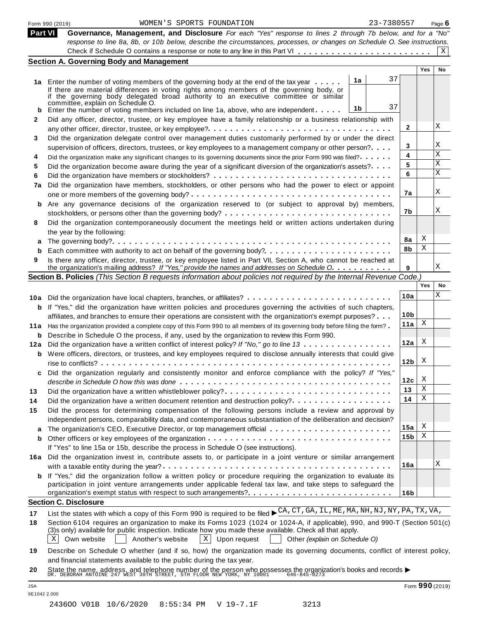|            | 23-7380557<br>WOMEN'S SPORTS FOUNDATION<br>Form 990 (2019)                                                                                                                                                                                                                                                                                                                                                                                                                                 |                 |                 | Page $6$ |
|------------|--------------------------------------------------------------------------------------------------------------------------------------------------------------------------------------------------------------------------------------------------------------------------------------------------------------------------------------------------------------------------------------------------------------------------------------------------------------------------------------------|-----------------|-----------------|----------|
| Part VI    | Governance, Management, and Disclosure For each "Yes" response to lines 2 through 7b below, and for a "No"                                                                                                                                                                                                                                                                                                                                                                                 |                 |                 |          |
|            | response to line 8a, 8b, or 10b below, describe the circumstances, processes, or changes on Schedule O. See instructions.                                                                                                                                                                                                                                                                                                                                                                  |                 |                 | X        |
|            | <b>Section A. Governing Body and Management</b>                                                                                                                                                                                                                                                                                                                                                                                                                                            |                 |                 |          |
|            |                                                                                                                                                                                                                                                                                                                                                                                                                                                                                            |                 | <b>Yes</b>      | No       |
|            | 37<br>1a<br>1a Enter the number of voting members of the governing body at the end of the tax year<br>If there are material differences in voting rights among members of the governing body, or<br>if the governing body delegated broad authority to an executive committee or similar<br>committée, explain on Schedule O.<br>37<br>1 <sub>b</sub>                                                                                                                                      |                 |                 |          |
|            | Enter the number of voting members included on line 1a, above, who are independent                                                                                                                                                                                                                                                                                                                                                                                                         |                 |                 |          |
| 2          | Did any officer, director, trustee, or key employee have a family relationship or a business relationship with                                                                                                                                                                                                                                                                                                                                                                             | 2               |                 | Χ        |
|            | Did the organization delegate control over management duties customarily performed by or under the direct                                                                                                                                                                                                                                                                                                                                                                                  |                 |                 |          |
| 3          | supervision of officers, directors, trustees, or key employees to a management company or other person?                                                                                                                                                                                                                                                                                                                                                                                    | 3               |                 | Χ        |
| 4          | Did the organization make any significant changes to its governing documents since the prior Form 990 was filed?                                                                                                                                                                                                                                                                                                                                                                           | 4               |                 | Χ        |
| 5          | Did the organization become aware during the year of a significant diversion of the organization's assets?                                                                                                                                                                                                                                                                                                                                                                                 | 5               |                 | Χ        |
| 6          |                                                                                                                                                                                                                                                                                                                                                                                                                                                                                            | 6               |                 | Χ        |
| 7a         | Did the organization have members, stockholders, or other persons who had the power to elect or appoint                                                                                                                                                                                                                                                                                                                                                                                    |                 |                 |          |
|            |                                                                                                                                                                                                                                                                                                                                                                                                                                                                                            | 7a              |                 | Χ        |
| b          | Are any governance decisions of the organization reserved to (or subject to approval by) members,                                                                                                                                                                                                                                                                                                                                                                                          | 7b              |                 | Χ        |
| 8          | Did the organization contemporaneously document the meetings held or written actions undertaken during                                                                                                                                                                                                                                                                                                                                                                                     |                 |                 |          |
|            | the year by the following:                                                                                                                                                                                                                                                                                                                                                                                                                                                                 |                 |                 |          |
| а          |                                                                                                                                                                                                                                                                                                                                                                                                                                                                                            | 8a              | X               |          |
| b          |                                                                                                                                                                                                                                                                                                                                                                                                                                                                                            | 8b              | Χ               |          |
| 9          | Is there any officer, director, trustee, or key employee listed in Part VII, Section A, who cannot be reached at<br>the organization's mailing address? If "Yes," provide the names and addresses on Schedule O.                                                                                                                                                                                                                                                                           | 9               |                 | Χ        |
|            | Section B. Policies (This Section B requests information about policies not required by the Internal Revenue Code.)                                                                                                                                                                                                                                                                                                                                                                        |                 |                 |          |
|            |                                                                                                                                                                                                                                                                                                                                                                                                                                                                                            |                 | Yes             | No       |
|            | 10a Did the organization have local chapters, branches, or affiliates?                                                                                                                                                                                                                                                                                                                                                                                                                     | 10a             |                 | Χ        |
|            | <b>b</b> If "Yes," did the organization have written policies and procedures governing the activities of such chapters,                                                                                                                                                                                                                                                                                                                                                                    |                 |                 |          |
|            | affiliates, and branches to ensure their operations are consistent with the organization's exempt purposes?                                                                                                                                                                                                                                                                                                                                                                                | 10 <sub>b</sub> |                 |          |
|            | 11a Has the organization provided a complete copy of this Form 990 to all members of its governing body before filing the form?                                                                                                                                                                                                                                                                                                                                                            | 11a             | X               |          |
|            | <b>b</b> Describe in Schedule O the process, if any, used by the organization to review this Form 990.                                                                                                                                                                                                                                                                                                                                                                                     |                 |                 |          |
|            | 12a Did the organization have a written conflict of interest policy? If "No," go to line 13                                                                                                                                                                                                                                                                                                                                                                                                | 12a             | X               |          |
|            | <b>b</b> Were officers, directors, or trustees, and key employees required to disclose annually interests that could give                                                                                                                                                                                                                                                                                                                                                                  |                 | X               |          |
|            | Did the organization regularly and consistently monitor and enforce compliance with the policy? If "Yes,"                                                                                                                                                                                                                                                                                                                                                                                  | 12 <sub>b</sub> |                 |          |
|            |                                                                                                                                                                                                                                                                                                                                                                                                                                                                                            | 12c             | X               |          |
| 13         | Did the organization have a written whistleblower policy?                                                                                                                                                                                                                                                                                                                                                                                                                                  | 13              | X               |          |
| 14         | Did the organization have a written document retention and destruction policy?                                                                                                                                                                                                                                                                                                                                                                                                             | 14              | Χ               |          |
| 15         | Did the process for determining compensation of the following persons include a review and approval by<br>independent persons, comparability data, and contemporaneous substantiation of the deliberation and decision?                                                                                                                                                                                                                                                                    |                 |                 |          |
|            | The organization's CEO, Executive Director, or top management official                                                                                                                                                                                                                                                                                                                                                                                                                     | 15a             | X<br>Χ          |          |
| b          | If "Yes" to line 15a or 15b, describe the process in Schedule O (see instructions).                                                                                                                                                                                                                                                                                                                                                                                                        | 15 <sub>b</sub> |                 |          |
|            | 16a Did the organization invest in, contribute assets to, or participate in a joint venture or similar arrangement                                                                                                                                                                                                                                                                                                                                                                         | 16a             |                 | Χ        |
|            | <b>b</b> If "Yes," did the organization follow a written policy or procedure requiring the organization to evaluate its<br>participation in joint venture arrangements under applicable federal tax law, and take steps to safeguard the                                                                                                                                                                                                                                                   |                 |                 |          |
|            | organization's exempt status with respect to such arrangements?                                                                                                                                                                                                                                                                                                                                                                                                                            | 16 <sub>b</sub> |                 |          |
|            | <b>Section C. Disclosure</b>                                                                                                                                                                                                                                                                                                                                                                                                                                                               |                 |                 |          |
| 17<br>18   | List the states with which a copy of this Form 990 is required to be filed $\blacktriangleright$ CA, CT, GA, LL, ME, MA, NH, NJ, NY, PA, TX, VA,<br>Section 6104 requires an organization to make its Forms 1023 (1024 or 1024-A, if applicable), 990, and 990-T (Section 501(c)<br>(3)s only) available for public inspection. Indicate how you made these available. Check all that apply.<br>$X$ Upon request<br>Χ<br>Own website<br>Another's website<br>Other (explain on Schedule O) |                 |                 |          |
| 19         | Describe on Schedule O whether (and if so, how) the organization made its governing documents, conflict of interest policy,<br>and financial statements available to the public during the tax year.                                                                                                                                                                                                                                                                                       |                 |                 |          |
| 20         | State the name, address, and telephone number of the person who possesses the organization's books and records $\blacktriangleright$<br>DR. DEBORAH ANTOINE 247 WEST 30TH STREET, 5TH FLOOR NEW YORK, NY 10001 646-845-0273                                                                                                                                                                                                                                                                |                 |                 |          |
| <b>JSA</b> | 9E1042 2.000                                                                                                                                                                                                                                                                                                                                                                                                                                                                               |                 | Form 990 (2019) |          |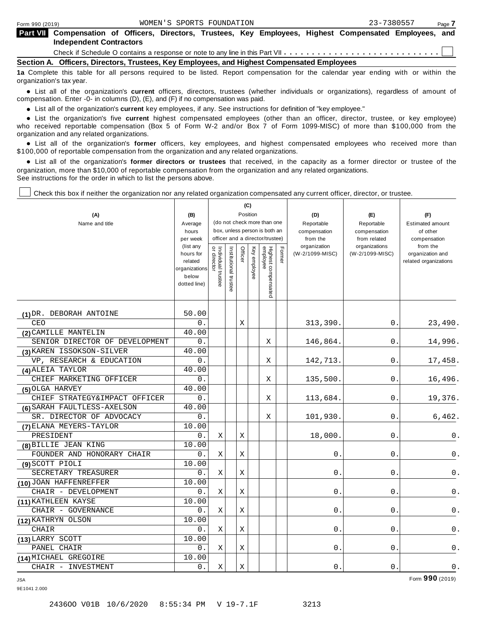| Part VII Compensation of Officers, Directors, Trustees, Key Employees, Highest Compensated Employees, and |  |  |  |  |  |
|-----------------------------------------------------------------------------------------------------------|--|--|--|--|--|
| <b>Independent Contractors</b>                                                                            |  |  |  |  |  |

Check if Schedule <sup>O</sup> contains <sup>a</sup> response or note to any line in this Part VII m m m m m m m m m m m m m m m m m m m m m m m m m m m m

**Section A. Officers, Directors, Trustees, Key Employees, and Highest Compensated Employees**

**1a** Complete this table for all persons required to be listed. Report compensation for the calendar year ending with or within the organization's tax year.

anization's lax year.<br>● List all of the organization's **current** officers, directors, trustees (whether individuals or organizations), regardless of amount of<br>nnensation Enter -0- in columns (D) (E) and (E) if no compensa compensation. Enter -0- in columns (D), (E), and (F) if no compensation was paid.

• List all of the organization's **current** key employees, if any. See instructions for definition of "key employee."<br>● List the experientials five expect highest expressed explores (other than an efficer director of

**Example in the organization's current** key employees, if any. See instructions for definition of key employee.<br>• List the organization's five **current** highest compensated employees (other than an officer, director, trust who received reportable compensation (Box 5 of Form W-2 and/or Box 7 of Form 1099-MISC) of more than \$100,000 from the

organization and any related organizations.<br>• List all of the organization's **former** officers, key employees, and highest compensated employees who received more than<br>\$1.00.000 of reportable componention from the erganiza \$100,000 of reportable compensation from the organization and any related organizations.

% List all of the organization's **former directors or trustees** that received, in the capacity as a former director or trustee of the organization, more than \$10,000 of reportable compensation from the organization and any related organizations. See instructions for the order in which to list the persons above.

Check this box if neither the organization nor any related organization compensated any current officer, director, or trustee.

| (A)<br>Name and title          | (B)<br>Average<br>hours<br>per week<br>(list any<br>hours for<br>related<br>organizations | Individual trustee<br>or director | nstitutional trustee | Officer | (C)<br>Position<br>Key employee | (do not check more than one<br>box, unless person is both an<br>officer and a director/trustee) | Former | (D)<br>Reportable<br>compensation<br>from the<br>organization<br>(W-2/1099-MISC) | (E)<br>Reportable<br>compensation<br>from related<br>organizations<br>(W-2/1099-MISC) | (F)<br><b>Estimated amount</b><br>of other<br>compensation<br>from the<br>organization and<br>related organizations |
|--------------------------------|-------------------------------------------------------------------------------------------|-----------------------------------|----------------------|---------|---------------------------------|-------------------------------------------------------------------------------------------------|--------|----------------------------------------------------------------------------------|---------------------------------------------------------------------------------------|---------------------------------------------------------------------------------------------------------------------|
|                                | below<br>dotted line)                                                                     |                                   |                      |         |                                 | Highest compensated<br>employee                                                                 |        |                                                                                  |                                                                                       |                                                                                                                     |
| (1) DR. DEBORAH ANTOINE        | 50.00                                                                                     |                                   |                      |         |                                 |                                                                                                 |        |                                                                                  |                                                                                       |                                                                                                                     |
| CEO                            | 0.                                                                                        |                                   |                      | Χ       |                                 |                                                                                                 |        | 313,390.                                                                         | 0.                                                                                    | 23,490.                                                                                                             |
| (2) CAMILLE MANTELIN           | 40.00                                                                                     |                                   |                      |         |                                 |                                                                                                 |        |                                                                                  |                                                                                       |                                                                                                                     |
| SENIOR DIRECTOR OF DEVELOPMENT | 0.                                                                                        |                                   |                      |         |                                 | X                                                                                               |        | 146,864.                                                                         | 0.                                                                                    | 14,996.                                                                                                             |
| (3) KAREN ISSOKSON-SILVER      | 40.00                                                                                     |                                   |                      |         |                                 |                                                                                                 |        |                                                                                  |                                                                                       |                                                                                                                     |
| VP, RESEARCH & EDUCATION       | 0.                                                                                        |                                   |                      |         |                                 | Χ                                                                                               |        | 142,713.                                                                         | 0.                                                                                    | 17,458.                                                                                                             |
| (4) ALEIA TAYLOR               | 40.00                                                                                     |                                   |                      |         |                                 |                                                                                                 |        |                                                                                  |                                                                                       |                                                                                                                     |
| CHIEF MARKETING OFFICER        | 0.                                                                                        |                                   |                      |         |                                 | X                                                                                               |        | 135,500.                                                                         | 0.                                                                                    | 16,496.                                                                                                             |
| (5) OLGA HARVEY                | 40.00                                                                                     |                                   |                      |         |                                 |                                                                                                 |        |                                                                                  |                                                                                       |                                                                                                                     |
| CHIEF STRATEGY&IMPACT OFFICER  | 0.                                                                                        |                                   |                      |         |                                 | X                                                                                               |        | 113,684.                                                                         | 0.                                                                                    | 19,376.                                                                                                             |
| (6) SARAH FAULTLESS-AXELSON    | 40.00                                                                                     |                                   |                      |         |                                 |                                                                                                 |        |                                                                                  |                                                                                       |                                                                                                                     |
| SR. DIRECTOR OF ADVOCACY       | 0.                                                                                        |                                   |                      |         |                                 | Χ                                                                                               |        | 101,930.                                                                         | 0.                                                                                    | 6,462.                                                                                                              |
| (7) ELANA MEYERS-TAYLOR        | 10.00                                                                                     |                                   |                      |         |                                 |                                                                                                 |        |                                                                                  |                                                                                       |                                                                                                                     |
| PRESIDENT                      | 0.                                                                                        | Χ                                 |                      | X       |                                 |                                                                                                 |        | 18,000                                                                           | 0                                                                                     | 0.                                                                                                                  |
| (8) BILLIE JEAN KING           | 10.00                                                                                     |                                   |                      |         |                                 |                                                                                                 |        |                                                                                  |                                                                                       |                                                                                                                     |
| FOUNDER AND HONORARY CHAIR     | 0.                                                                                        | Χ                                 |                      | X       |                                 |                                                                                                 |        | 0                                                                                | 0                                                                                     | 0.                                                                                                                  |
| (9) SCOTT PIOLI                | 10.00                                                                                     |                                   |                      |         |                                 |                                                                                                 |        |                                                                                  |                                                                                       |                                                                                                                     |
| SECRETARY TREASURER            | 0.                                                                                        | X                                 |                      | Χ       |                                 |                                                                                                 |        | 0                                                                                | 0                                                                                     | 0.                                                                                                                  |
| (10) JOAN HAFFENREFFER         | 10.00                                                                                     |                                   |                      |         |                                 |                                                                                                 |        |                                                                                  |                                                                                       |                                                                                                                     |
| CHAIR - DEVELOPMENT            | 0.                                                                                        | Χ                                 |                      | X       |                                 |                                                                                                 |        | 0                                                                                | 0                                                                                     | 0.                                                                                                                  |
| (11) KATHLEEN KAYSE            | 10.00                                                                                     |                                   |                      |         |                                 |                                                                                                 |        |                                                                                  |                                                                                       |                                                                                                                     |
| CHAIR - GOVERNANCE             | 0.                                                                                        | X                                 |                      | Χ       |                                 |                                                                                                 |        | 0                                                                                | 0                                                                                     | $0$ .                                                                                                               |
| (12) KATHRYN OLSON             | 10.00                                                                                     |                                   |                      |         |                                 |                                                                                                 |        |                                                                                  |                                                                                       |                                                                                                                     |
| CHAIR                          | 0.                                                                                        | Χ                                 |                      | X       |                                 |                                                                                                 |        | 0                                                                                | 0                                                                                     | 0.                                                                                                                  |
| (13) LARRY SCOTT               | 10.00                                                                                     |                                   |                      |         |                                 |                                                                                                 |        |                                                                                  |                                                                                       |                                                                                                                     |
| PANEL CHAIR                    | 0.                                                                                        | Χ                                 |                      | Χ       |                                 |                                                                                                 |        | 0                                                                                | 0                                                                                     | 0.                                                                                                                  |
| (14) MICHAEL GREGOIRE          | 10.00                                                                                     |                                   |                      |         |                                 |                                                                                                 |        |                                                                                  |                                                                                       |                                                                                                                     |
| CHAIR - INVESTMENT             | 0.                                                                                        | Χ                                 |                      | Χ       |                                 |                                                                                                 |        | 0.                                                                               | 0                                                                                     | $\mathsf 0$ .                                                                                                       |

9E1041 2.000

JSA Form **990** (2019)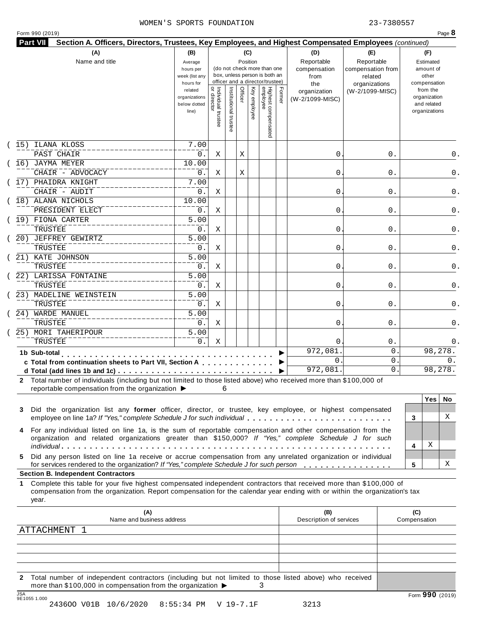|  |  | Form 990 (2019) |  |
|--|--|-----------------|--|
|--|--|-----------------|--|

| Highest compensated<br>employee<br> <br>  Individual trustee<br>  or director<br>Institutional trustee<br>Officer<br>Key employee<br>Former<br>from the<br>related<br>(W-2/1099-MISC)<br>organization<br>organization<br>organizations<br>(W-2/1099-MISC)<br>and related<br>below dotted<br>organizations<br>line)<br>ILANA KLOSS<br>7.00<br>PAST CHAIR<br>0.<br>0<br>0.<br>Χ<br>Χ<br>(16) JAYMA MEYER<br>10.00<br>CHAIR - ADVOCACY<br>0.<br>Χ<br>0<br>0.<br>Χ<br>17) PHAIDRA KNIGHT<br>7.00<br>CHAIR - AUDIT<br>0.<br>Χ<br>0<br>0.<br>0.<br>18) ALANA NICHOLS<br>10.00<br>PRESIDENT ELECT<br>0.<br>0<br>0.<br>Χ<br>0.<br>$\overline{5.00}$<br>19) FIONA CARTER<br>TRUSTEE<br>0.<br>0<br>0.<br>Χ<br>0.<br>$\overline{5.00}$<br>20) JEFFREY GEWIRTZ<br>TRUSTEE<br>0.<br>0.<br>Χ<br>0<br>0.<br>21) KATE JOHNSON<br>$\overline{5.00}$<br>TRUSTEE<br>0.<br>Χ<br>0<br>0.<br>0.<br>22) LARISSA FONTAINE<br>$\overline{5.00}$<br>TRUSTEE<br>0.<br>0<br>0.<br>Χ<br>0.<br>$\overline{5.00}$<br>23) MADELINE WEINSTEIN<br>TRUSTEE<br>0.<br>0.<br>Χ<br>0<br>0.<br>24) WARDE MANUEL<br>5.00<br>TRUSTEE<br>0.<br>Χ<br>0<br>0.<br>0.<br>25) MORI TAHERIPOUR<br>$\overline{5.00}$<br>TRUSTEE<br>0.<br>Χ<br>$\Omega$<br>0.<br>0.<br>98,278.<br>972,081<br>0<br>1b Sub-total<br>.<br>$\mathbf{0}$<br>0<br>0.<br>c Total from continuation sheets to Part VII, Section A<br>972,081.<br>98,278.<br>0<br>2 Total number of individuals (including but not limited to those listed above) who received more than \$100,000 of<br>reportable compensation from the organization ▶<br>6<br><b>Yes</b><br>Did the organization list any former officer, director, or trustee, key employee, or highest compensated<br>X<br>employee on line 1a? If "Yes," complete Schedule J for such individual<br>3<br>For any individual listed on line 1a, is the sum of reportable compensation and other compensation from the<br>organization and related organizations greater than \$150,000? If "Yes," complete Schedule J for such<br>Χ<br>4<br>Did any person listed on line 1a receive or accrue compensation from any unrelated organization or individual<br>х<br>for services rendered to the organization? If "Yes," complete Schedule J for such person<br>5<br><b>Section B. Independent Contractors</b><br>Complete this table for your five highest compensated independent contractors that received more than \$100,000 of<br>compensation from the organization. Report compensation for the calendar year ending with or within the organization's tax<br>year.<br>(A)<br>(B)<br>(C)<br>Name and business address<br>Description of services<br>Compensation<br>ATTACHMENT 1 |         | (A)<br>Name and title | (B)<br>Average<br>hours per<br>week (list any<br>hours for |  | (C)<br>Position | (do not check more than one<br>box, unless person is both an<br>officer and a director/trustee) | (D)<br>Reportable<br>compensation<br>from<br>the | (E)<br>Reportable<br>compensation from<br>related<br>organizations | (F)<br>Estimated<br>amount of<br>other<br>compensation |
|-----------------------------------------------------------------------------------------------------------------------------------------------------------------------------------------------------------------------------------------------------------------------------------------------------------------------------------------------------------------------------------------------------------------------------------------------------------------------------------------------------------------------------------------------------------------------------------------------------------------------------------------------------------------------------------------------------------------------------------------------------------------------------------------------------------------------------------------------------------------------------------------------------------------------------------------------------------------------------------------------------------------------------------------------------------------------------------------------------------------------------------------------------------------------------------------------------------------------------------------------------------------------------------------------------------------------------------------------------------------------------------------------------------------------------------------------------------------------------------------------------------------------------------------------------------------------------------------------------------------------------------------------------------------------------------------------------------------------------------------------------------------------------------------------------------------------------------------------------------------------------------------------------------------------------------------------------------------------------------------------------------------------------------------------------------------------------------------------------------------------------------------------------------------------------------------------------------------------------------------------------------------------------------------------------------------------------------------------------------------------------------------------------------------------------------------------------------------------------------------------------------------------------------------------------------------------------------------------------------------------------------------------------------------|---------|-----------------------|------------------------------------------------------------|--|-----------------|-------------------------------------------------------------------------------------------------|--------------------------------------------------|--------------------------------------------------------------------|--------------------------------------------------------|
|                                                                                                                                                                                                                                                                                                                                                                                                                                                                                                                                                                                                                                                                                                                                                                                                                                                                                                                                                                                                                                                                                                                                                                                                                                                                                                                                                                                                                                                                                                                                                                                                                                                                                                                                                                                                                                                                                                                                                                                                                                                                                                                                                                                                                                                                                                                                                                                                                                                                                                                                                                                                                                                                 |         |                       |                                                            |  |                 |                                                                                                 |                                                  |                                                                    |                                                        |
|                                                                                                                                                                                                                                                                                                                                                                                                                                                                                                                                                                                                                                                                                                                                                                                                                                                                                                                                                                                                                                                                                                                                                                                                                                                                                                                                                                                                                                                                                                                                                                                                                                                                                                                                                                                                                                                                                                                                                                                                                                                                                                                                                                                                                                                                                                                                                                                                                                                                                                                                                                                                                                                                 | 15)     |                       |                                                            |  |                 |                                                                                                 |                                                  |                                                                    |                                                        |
|                                                                                                                                                                                                                                                                                                                                                                                                                                                                                                                                                                                                                                                                                                                                                                                                                                                                                                                                                                                                                                                                                                                                                                                                                                                                                                                                                                                                                                                                                                                                                                                                                                                                                                                                                                                                                                                                                                                                                                                                                                                                                                                                                                                                                                                                                                                                                                                                                                                                                                                                                                                                                                                                 |         |                       |                                                            |  |                 |                                                                                                 |                                                  |                                                                    | 0.                                                     |
|                                                                                                                                                                                                                                                                                                                                                                                                                                                                                                                                                                                                                                                                                                                                                                                                                                                                                                                                                                                                                                                                                                                                                                                                                                                                                                                                                                                                                                                                                                                                                                                                                                                                                                                                                                                                                                                                                                                                                                                                                                                                                                                                                                                                                                                                                                                                                                                                                                                                                                                                                                                                                                                                 |         |                       |                                                            |  |                 |                                                                                                 |                                                  |                                                                    |                                                        |
|                                                                                                                                                                                                                                                                                                                                                                                                                                                                                                                                                                                                                                                                                                                                                                                                                                                                                                                                                                                                                                                                                                                                                                                                                                                                                                                                                                                                                                                                                                                                                                                                                                                                                                                                                                                                                                                                                                                                                                                                                                                                                                                                                                                                                                                                                                                                                                                                                                                                                                                                                                                                                                                                 |         |                       |                                                            |  |                 |                                                                                                 |                                                  |                                                                    | 0.                                                     |
|                                                                                                                                                                                                                                                                                                                                                                                                                                                                                                                                                                                                                                                                                                                                                                                                                                                                                                                                                                                                                                                                                                                                                                                                                                                                                                                                                                                                                                                                                                                                                                                                                                                                                                                                                                                                                                                                                                                                                                                                                                                                                                                                                                                                                                                                                                                                                                                                                                                                                                                                                                                                                                                                 |         |                       |                                                            |  |                 |                                                                                                 |                                                  |                                                                    |                                                        |
|                                                                                                                                                                                                                                                                                                                                                                                                                                                                                                                                                                                                                                                                                                                                                                                                                                                                                                                                                                                                                                                                                                                                                                                                                                                                                                                                                                                                                                                                                                                                                                                                                                                                                                                                                                                                                                                                                                                                                                                                                                                                                                                                                                                                                                                                                                                                                                                                                                                                                                                                                                                                                                                                 |         |                       |                                                            |  |                 |                                                                                                 |                                                  |                                                                    |                                                        |
|                                                                                                                                                                                                                                                                                                                                                                                                                                                                                                                                                                                                                                                                                                                                                                                                                                                                                                                                                                                                                                                                                                                                                                                                                                                                                                                                                                                                                                                                                                                                                                                                                                                                                                                                                                                                                                                                                                                                                                                                                                                                                                                                                                                                                                                                                                                                                                                                                                                                                                                                                                                                                                                                 |         |                       |                                                            |  |                 |                                                                                                 |                                                  |                                                                    |                                                        |
|                                                                                                                                                                                                                                                                                                                                                                                                                                                                                                                                                                                                                                                                                                                                                                                                                                                                                                                                                                                                                                                                                                                                                                                                                                                                                                                                                                                                                                                                                                                                                                                                                                                                                                                                                                                                                                                                                                                                                                                                                                                                                                                                                                                                                                                                                                                                                                                                                                                                                                                                                                                                                                                                 |         |                       |                                                            |  |                 |                                                                                                 |                                                  |                                                                    |                                                        |
|                                                                                                                                                                                                                                                                                                                                                                                                                                                                                                                                                                                                                                                                                                                                                                                                                                                                                                                                                                                                                                                                                                                                                                                                                                                                                                                                                                                                                                                                                                                                                                                                                                                                                                                                                                                                                                                                                                                                                                                                                                                                                                                                                                                                                                                                                                                                                                                                                                                                                                                                                                                                                                                                 |         |                       |                                                            |  |                 |                                                                                                 |                                                  |                                                                    |                                                        |
|                                                                                                                                                                                                                                                                                                                                                                                                                                                                                                                                                                                                                                                                                                                                                                                                                                                                                                                                                                                                                                                                                                                                                                                                                                                                                                                                                                                                                                                                                                                                                                                                                                                                                                                                                                                                                                                                                                                                                                                                                                                                                                                                                                                                                                                                                                                                                                                                                                                                                                                                                                                                                                                                 |         |                       |                                                            |  |                 |                                                                                                 |                                                  |                                                                    |                                                        |
|                                                                                                                                                                                                                                                                                                                                                                                                                                                                                                                                                                                                                                                                                                                                                                                                                                                                                                                                                                                                                                                                                                                                                                                                                                                                                                                                                                                                                                                                                                                                                                                                                                                                                                                                                                                                                                                                                                                                                                                                                                                                                                                                                                                                                                                                                                                                                                                                                                                                                                                                                                                                                                                                 |         |                       |                                                            |  |                 |                                                                                                 |                                                  |                                                                    |                                                        |
|                                                                                                                                                                                                                                                                                                                                                                                                                                                                                                                                                                                                                                                                                                                                                                                                                                                                                                                                                                                                                                                                                                                                                                                                                                                                                                                                                                                                                                                                                                                                                                                                                                                                                                                                                                                                                                                                                                                                                                                                                                                                                                                                                                                                                                                                                                                                                                                                                                                                                                                                                                                                                                                                 |         |                       |                                                            |  |                 |                                                                                                 |                                                  |                                                                    |                                                        |
|                                                                                                                                                                                                                                                                                                                                                                                                                                                                                                                                                                                                                                                                                                                                                                                                                                                                                                                                                                                                                                                                                                                                                                                                                                                                                                                                                                                                                                                                                                                                                                                                                                                                                                                                                                                                                                                                                                                                                                                                                                                                                                                                                                                                                                                                                                                                                                                                                                                                                                                                                                                                                                                                 |         |                       |                                                            |  |                 |                                                                                                 |                                                  |                                                                    |                                                        |
|                                                                                                                                                                                                                                                                                                                                                                                                                                                                                                                                                                                                                                                                                                                                                                                                                                                                                                                                                                                                                                                                                                                                                                                                                                                                                                                                                                                                                                                                                                                                                                                                                                                                                                                                                                                                                                                                                                                                                                                                                                                                                                                                                                                                                                                                                                                                                                                                                                                                                                                                                                                                                                                                 |         |                       |                                                            |  |                 |                                                                                                 |                                                  |                                                                    |                                                        |
|                                                                                                                                                                                                                                                                                                                                                                                                                                                                                                                                                                                                                                                                                                                                                                                                                                                                                                                                                                                                                                                                                                                                                                                                                                                                                                                                                                                                                                                                                                                                                                                                                                                                                                                                                                                                                                                                                                                                                                                                                                                                                                                                                                                                                                                                                                                                                                                                                                                                                                                                                                                                                                                                 |         |                       |                                                            |  |                 |                                                                                                 |                                                  |                                                                    |                                                        |
|                                                                                                                                                                                                                                                                                                                                                                                                                                                                                                                                                                                                                                                                                                                                                                                                                                                                                                                                                                                                                                                                                                                                                                                                                                                                                                                                                                                                                                                                                                                                                                                                                                                                                                                                                                                                                                                                                                                                                                                                                                                                                                                                                                                                                                                                                                                                                                                                                                                                                                                                                                                                                                                                 |         |                       |                                                            |  |                 |                                                                                                 |                                                  |                                                                    |                                                        |
|                                                                                                                                                                                                                                                                                                                                                                                                                                                                                                                                                                                                                                                                                                                                                                                                                                                                                                                                                                                                                                                                                                                                                                                                                                                                                                                                                                                                                                                                                                                                                                                                                                                                                                                                                                                                                                                                                                                                                                                                                                                                                                                                                                                                                                                                                                                                                                                                                                                                                                                                                                                                                                                                 |         |                       |                                                            |  |                 |                                                                                                 |                                                  |                                                                    |                                                        |
|                                                                                                                                                                                                                                                                                                                                                                                                                                                                                                                                                                                                                                                                                                                                                                                                                                                                                                                                                                                                                                                                                                                                                                                                                                                                                                                                                                                                                                                                                                                                                                                                                                                                                                                                                                                                                                                                                                                                                                                                                                                                                                                                                                                                                                                                                                                                                                                                                                                                                                                                                                                                                                                                 |         |                       |                                                            |  |                 |                                                                                                 |                                                  |                                                                    |                                                        |
|                                                                                                                                                                                                                                                                                                                                                                                                                                                                                                                                                                                                                                                                                                                                                                                                                                                                                                                                                                                                                                                                                                                                                                                                                                                                                                                                                                                                                                                                                                                                                                                                                                                                                                                                                                                                                                                                                                                                                                                                                                                                                                                                                                                                                                                                                                                                                                                                                                                                                                                                                                                                                                                                 |         |                       |                                                            |  |                 |                                                                                                 |                                                  |                                                                    |                                                        |
|                                                                                                                                                                                                                                                                                                                                                                                                                                                                                                                                                                                                                                                                                                                                                                                                                                                                                                                                                                                                                                                                                                                                                                                                                                                                                                                                                                                                                                                                                                                                                                                                                                                                                                                                                                                                                                                                                                                                                                                                                                                                                                                                                                                                                                                                                                                                                                                                                                                                                                                                                                                                                                                                 |         |                       |                                                            |  |                 |                                                                                                 |                                                  |                                                                    |                                                        |
|                                                                                                                                                                                                                                                                                                                                                                                                                                                                                                                                                                                                                                                                                                                                                                                                                                                                                                                                                                                                                                                                                                                                                                                                                                                                                                                                                                                                                                                                                                                                                                                                                                                                                                                                                                                                                                                                                                                                                                                                                                                                                                                                                                                                                                                                                                                                                                                                                                                                                                                                                                                                                                                                 |         |                       |                                                            |  |                 |                                                                                                 |                                                  |                                                                    |                                                        |
|                                                                                                                                                                                                                                                                                                                                                                                                                                                                                                                                                                                                                                                                                                                                                                                                                                                                                                                                                                                                                                                                                                                                                                                                                                                                                                                                                                                                                                                                                                                                                                                                                                                                                                                                                                                                                                                                                                                                                                                                                                                                                                                                                                                                                                                                                                                                                                                                                                                                                                                                                                                                                                                                 |         |                       |                                                            |  |                 |                                                                                                 |                                                  |                                                                    |                                                        |
|                                                                                                                                                                                                                                                                                                                                                                                                                                                                                                                                                                                                                                                                                                                                                                                                                                                                                                                                                                                                                                                                                                                                                                                                                                                                                                                                                                                                                                                                                                                                                                                                                                                                                                                                                                                                                                                                                                                                                                                                                                                                                                                                                                                                                                                                                                                                                                                                                                                                                                                                                                                                                                                                 |         |                       |                                                            |  |                 |                                                                                                 |                                                  |                                                                    |                                                        |
|                                                                                                                                                                                                                                                                                                                                                                                                                                                                                                                                                                                                                                                                                                                                                                                                                                                                                                                                                                                                                                                                                                                                                                                                                                                                                                                                                                                                                                                                                                                                                                                                                                                                                                                                                                                                                                                                                                                                                                                                                                                                                                                                                                                                                                                                                                                                                                                                                                                                                                                                                                                                                                                                 |         |                       |                                                            |  |                 |                                                                                                 |                                                  |                                                                    |                                                        |
|                                                                                                                                                                                                                                                                                                                                                                                                                                                                                                                                                                                                                                                                                                                                                                                                                                                                                                                                                                                                                                                                                                                                                                                                                                                                                                                                                                                                                                                                                                                                                                                                                                                                                                                                                                                                                                                                                                                                                                                                                                                                                                                                                                                                                                                                                                                                                                                                                                                                                                                                                                                                                                                                 |         |                       |                                                            |  |                 |                                                                                                 |                                                  |                                                                    | No.                                                    |
|                                                                                                                                                                                                                                                                                                                                                                                                                                                                                                                                                                                                                                                                                                                                                                                                                                                                                                                                                                                                                                                                                                                                                                                                                                                                                                                                                                                                                                                                                                                                                                                                                                                                                                                                                                                                                                                                                                                                                                                                                                                                                                                                                                                                                                                                                                                                                                                                                                                                                                                                                                                                                                                                 | 3       |                       |                                                            |  |                 |                                                                                                 |                                                  |                                                                    |                                                        |
|                                                                                                                                                                                                                                                                                                                                                                                                                                                                                                                                                                                                                                                                                                                                                                                                                                                                                                                                                                                                                                                                                                                                                                                                                                                                                                                                                                                                                                                                                                                                                                                                                                                                                                                                                                                                                                                                                                                                                                                                                                                                                                                                                                                                                                                                                                                                                                                                                                                                                                                                                                                                                                                                 |         |                       |                                                            |  |                 |                                                                                                 |                                                  |                                                                    |                                                        |
|                                                                                                                                                                                                                                                                                                                                                                                                                                                                                                                                                                                                                                                                                                                                                                                                                                                                                                                                                                                                                                                                                                                                                                                                                                                                                                                                                                                                                                                                                                                                                                                                                                                                                                                                                                                                                                                                                                                                                                                                                                                                                                                                                                                                                                                                                                                                                                                                                                                                                                                                                                                                                                                                 | 4<br>5. |                       |                                                            |  |                 |                                                                                                 |                                                  |                                                                    |                                                        |
|                                                                                                                                                                                                                                                                                                                                                                                                                                                                                                                                                                                                                                                                                                                                                                                                                                                                                                                                                                                                                                                                                                                                                                                                                                                                                                                                                                                                                                                                                                                                                                                                                                                                                                                                                                                                                                                                                                                                                                                                                                                                                                                                                                                                                                                                                                                                                                                                                                                                                                                                                                                                                                                                 | 1       |                       |                                                            |  |                 |                                                                                                 |                                                  |                                                                    |                                                        |
|                                                                                                                                                                                                                                                                                                                                                                                                                                                                                                                                                                                                                                                                                                                                                                                                                                                                                                                                                                                                                                                                                                                                                                                                                                                                                                                                                                                                                                                                                                                                                                                                                                                                                                                                                                                                                                                                                                                                                                                                                                                                                                                                                                                                                                                                                                                                                                                                                                                                                                                                                                                                                                                                 |         |                       |                                                            |  |                 |                                                                                                 |                                                  |                                                                    |                                                        |
|                                                                                                                                                                                                                                                                                                                                                                                                                                                                                                                                                                                                                                                                                                                                                                                                                                                                                                                                                                                                                                                                                                                                                                                                                                                                                                                                                                                                                                                                                                                                                                                                                                                                                                                                                                                                                                                                                                                                                                                                                                                                                                                                                                                                                                                                                                                                                                                                                                                                                                                                                                                                                                                                 |         |                       |                                                            |  |                 |                                                                                                 |                                                  |                                                                    |                                                        |
|                                                                                                                                                                                                                                                                                                                                                                                                                                                                                                                                                                                                                                                                                                                                                                                                                                                                                                                                                                                                                                                                                                                                                                                                                                                                                                                                                                                                                                                                                                                                                                                                                                                                                                                                                                                                                                                                                                                                                                                                                                                                                                                                                                                                                                                                                                                                                                                                                                                                                                                                                                                                                                                                 |         |                       |                                                            |  |                 |                                                                                                 |                                                  |                                                                    |                                                        |
|                                                                                                                                                                                                                                                                                                                                                                                                                                                                                                                                                                                                                                                                                                                                                                                                                                                                                                                                                                                                                                                                                                                                                                                                                                                                                                                                                                                                                                                                                                                                                                                                                                                                                                                                                                                                                                                                                                                                                                                                                                                                                                                                                                                                                                                                                                                                                                                                                                                                                                                                                                                                                                                                 |         |                       |                                                            |  |                 |                                                                                                 |                                                  |                                                                    |                                                        |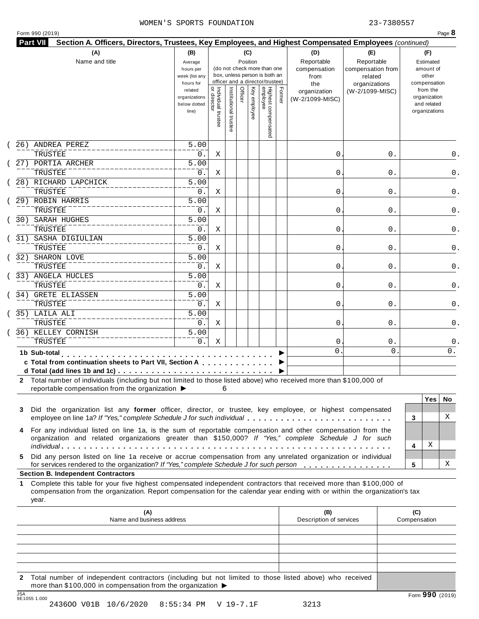|   |                                                                                                                                                                                                                                                           |                               |                                     |                       |          |              |                                                              |        | Section A. Officers, Directors, Trustees, Key Employees, and Highest Compensated Employees (continued) |                              |                     |                             |     |
|---|-----------------------------------------------------------------------------------------------------------------------------------------------------------------------------------------------------------------------------------------------------------|-------------------------------|-------------------------------------|-----------------------|----------|--------------|--------------------------------------------------------------|--------|--------------------------------------------------------------------------------------------------------|------------------------------|---------------------|-----------------------------|-----|
|   | (A)                                                                                                                                                                                                                                                       | (B)                           |                                     |                       | (C)      |              |                                                              |        | (D)                                                                                                    | (E)                          |                     | (F)                         |     |
|   | Name and title                                                                                                                                                                                                                                            | Average                       |                                     |                       | Position |              |                                                              |        | Reportable                                                                                             | Reportable                   |                     | Estimated                   |     |
|   |                                                                                                                                                                                                                                                           | hours per<br>week (list any   |                                     |                       |          |              | (do not check more than one<br>box, unless person is both an |        | compensation<br>from                                                                                   | compensation from<br>related |                     | amount of<br>other          |     |
|   |                                                                                                                                                                                                                                                           | hours for                     |                                     |                       |          |              | officer and a director/trustee)                              |        | the                                                                                                    | organizations                |                     | compensation                |     |
|   |                                                                                                                                                                                                                                                           | related                       |                                     |                       | Officer  |              |                                                              | Former | organization                                                                                           | (W-2/1099-MISC)              |                     | from the                    |     |
|   |                                                                                                                                                                                                                                                           | organizations<br>below dotted |                                     |                       |          |              |                                                              |        | (W-2/1099-MISC)                                                                                        |                              |                     | organization<br>and related |     |
|   |                                                                                                                                                                                                                                                           | line)                         |                                     |                       |          | Key employee |                                                              |        |                                                                                                        |                              |                     | organizations               |     |
|   |                                                                                                                                                                                                                                                           |                               | Individual trustee<br>  or director | Institutional trustee |          |              |                                                              |        |                                                                                                        |                              |                     |                             |     |
|   |                                                                                                                                                                                                                                                           |                               |                                     |                       |          |              | Highest compensated<br>employee                              |        |                                                                                                        |                              |                     |                             |     |
|   | 26) ANDREA PEREZ                                                                                                                                                                                                                                          | 5.00                          |                                     |                       |          |              |                                                              |        |                                                                                                        |                              |                     |                             |     |
|   | TRUSTEE                                                                                                                                                                                                                                                   | 0.                            | Χ                                   |                       |          |              |                                                              |        | 0                                                                                                      | 0.                           |                     |                             | 0.  |
|   | 27) PORTIA ARCHER                                                                                                                                                                                                                                         | 5.00                          |                                     |                       |          |              |                                                              |        |                                                                                                        |                              |                     |                             |     |
|   | TRUSTEE                                                                                                                                                                                                                                                   | 0.                            | Χ                                   |                       |          |              |                                                              |        | 0                                                                                                      | 0.                           |                     |                             | 0.  |
|   | 28) RICHARD LAPCHICK                                                                                                                                                                                                                                      | $\overline{5.00}$             |                                     |                       |          |              |                                                              |        |                                                                                                        |                              |                     |                             |     |
|   | TRUSTEE                                                                                                                                                                                                                                                   | 0.                            | Χ                                   |                       |          |              |                                                              |        | 0                                                                                                      | 0.                           |                     |                             | 0.  |
|   | 29) ROBIN HARRIS                                                                                                                                                                                                                                          | $\overline{5.00}$             |                                     |                       |          |              |                                                              |        |                                                                                                        |                              |                     |                             |     |
|   | TRUSTEE                                                                                                                                                                                                                                                   | 0.                            | Χ                                   |                       |          |              |                                                              |        | 0                                                                                                      | 0.                           |                     |                             | 0.  |
|   | SARAH HUGHES<br>30)                                                                                                                                                                                                                                       | $\overline{5.00}$             |                                     |                       |          |              |                                                              |        |                                                                                                        |                              |                     |                             |     |
|   | TRUSTEE                                                                                                                                                                                                                                                   | 0.                            | Χ                                   |                       |          |              |                                                              |        | 0                                                                                                      | 0.                           |                     |                             | 0.  |
|   | SASHA DIGIULIAN                                                                                                                                                                                                                                           | $\overline{5.00}$             |                                     |                       |          |              |                                                              |        |                                                                                                        |                              |                     |                             |     |
|   | 31)                                                                                                                                                                                                                                                       |                               |                                     |                       |          |              |                                                              |        |                                                                                                        |                              |                     |                             |     |
|   | TRUSTEE                                                                                                                                                                                                                                                   | 0.                            | Χ                                   |                       |          |              |                                                              |        | 0                                                                                                      | 0.                           |                     |                             | 0.  |
|   | 32)<br>SHARON LOVE                                                                                                                                                                                                                                        | $\overline{5.00}$             |                                     |                       |          |              |                                                              |        |                                                                                                        |                              |                     |                             |     |
|   | TRUSTEE                                                                                                                                                                                                                                                   | 0.                            | Χ                                   |                       |          |              |                                                              |        | 0                                                                                                      | 0.                           |                     |                             | 0.  |
|   | 33) ANGELA HUCLES                                                                                                                                                                                                                                         | $\overline{5.00}$             |                                     |                       |          |              |                                                              |        |                                                                                                        |                              |                     |                             |     |
|   | TRUSTEE                                                                                                                                                                                                                                                   | 0.                            | Χ                                   |                       |          |              |                                                              |        | 0                                                                                                      | 0.                           |                     |                             | 0.  |
|   | 34) GRETE ELIASSEN                                                                                                                                                                                                                                        | $\overline{5.00}$             |                                     |                       |          |              |                                                              |        |                                                                                                        |                              |                     |                             |     |
|   | TRUSTEE                                                                                                                                                                                                                                                   | 0.                            | Χ                                   |                       |          |              |                                                              |        | 0                                                                                                      | 0.                           |                     |                             | 0.  |
|   | 35) LAILA ALI                                                                                                                                                                                                                                             | 5.00                          |                                     |                       |          |              |                                                              |        |                                                                                                        |                              |                     |                             |     |
|   | TRUSTEE                                                                                                                                                                                                                                                   | 0.                            | Χ                                   |                       |          |              |                                                              |        | 0                                                                                                      | 0.                           |                     |                             | 0.  |
|   | 36) KELLEY CORNISH                                                                                                                                                                                                                                        | $\overline{5.00}$             |                                     |                       |          |              |                                                              |        |                                                                                                        |                              |                     |                             |     |
|   | TRUSTEE                                                                                                                                                                                                                                                   | 0.                            | Χ                                   |                       |          |              |                                                              |        | 0                                                                                                      | 0.                           |                     |                             | 0.  |
|   | 1b Sub-total                                                                                                                                                                                                                                              |                               |                                     |                       |          |              |                                                              |        | $\Omega$                                                                                               | 0                            |                     |                             | 0.  |
|   | .<br>c Total from continuation sheets to Part VII, Section A                                                                                                                                                                                              |                               |                                     |                       |          |              |                                                              |        |                                                                                                        |                              |                     |                             |     |
|   |                                                                                                                                                                                                                                                           |                               |                                     |                       |          |              |                                                              |        |                                                                                                        |                              |                     |                             |     |
|   | 2 Total number of individuals (including but not limited to those listed above) who received more than \$100,000 of                                                                                                                                       |                               |                                     |                       |          |              |                                                              |        |                                                                                                        |                              |                     |                             |     |
|   | reportable compensation from the organization $\blacktriangleright$                                                                                                                                                                                       |                               | 6                                   |                       |          |              |                                                              |        |                                                                                                        |                              |                     |                             |     |
|   |                                                                                                                                                                                                                                                           |                               |                                     |                       |          |              |                                                              |        |                                                                                                        |                              |                     | Yes                         | No. |
|   | Did the organization list any former officer, director, or trustee, key employee, or highest compensated<br>3                                                                                                                                             |                               |                                     |                       |          |              |                                                              |        |                                                                                                        |                              |                     |                             |     |
|   | employee on line 1a? If "Yes," complete Schedule J for such individual                                                                                                                                                                                    |                               |                                     |                       |          |              |                                                              |        |                                                                                                        |                              | 3                   |                             | X   |
|   | For any individual listed on line 1a, is the sum of reportable compensation and other compensation from the<br>4                                                                                                                                          |                               |                                     |                       |          |              |                                                              |        |                                                                                                        |                              |                     |                             |     |
|   | organization and related organizations greater than \$150,000? If "Yes," complete Schedule J for such                                                                                                                                                     |                               |                                     |                       |          |              |                                                              |        |                                                                                                        |                              |                     |                             |     |
|   |                                                                                                                                                                                                                                                           |                               |                                     |                       |          |              |                                                              |        |                                                                                                        |                              | 4                   | Χ                           |     |
|   | Did any person listed on line 1a receive or accrue compensation from any unrelated organization or individual<br>5.<br>for services rendered to the organization? If "Yes," complete Schedule J for such person                                           |                               |                                     |                       |          |              |                                                              |        |                                                                                                        |                              | 5                   |                             | х   |
|   | <b>Section B. Independent Contractors</b>                                                                                                                                                                                                                 |                               |                                     |                       |          |              |                                                              |        |                                                                                                        |                              |                     |                             |     |
| 1 | Complete this table for your five highest compensated independent contractors that received more than \$100,000 of<br>compensation from the organization. Report compensation for the calendar year ending with or within the organization's tax<br>year. |                               |                                     |                       |          |              |                                                              |        |                                                                                                        |                              |                     |                             |     |
|   |                                                                                                                                                                                                                                                           |                               |                                     |                       |          |              |                                                              |        |                                                                                                        |                              |                     |                             |     |
|   |                                                                                                                                                                                                                                                           |                               |                                     |                       |          |              |                                                              |        |                                                                                                        |                              |                     |                             |     |
|   | (A)<br>Name and business address                                                                                                                                                                                                                          |                               |                                     |                       |          |              |                                                              |        | (B)<br>Description of services                                                                         |                              | (C)<br>Compensation |                             |     |

**2** Total number of independent contractors (including but not limited to those listed above) who received more than \$100,000 in compensation from the organization  $\triangleright$ <br>  $\frac{\text{JSA}}{951055}$  1.000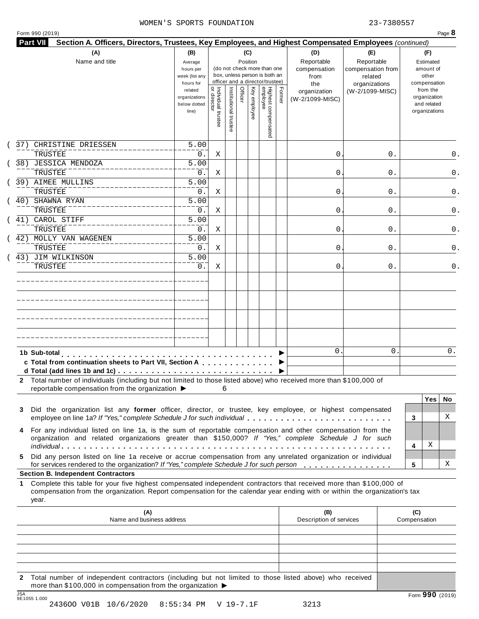|                                                                                                                                                                                                                                                                 |                                                                |                                     |                       |                 |              |                                                                    |        | Section A. Officers, Directors, Trustees, Key Employees, and Highest Compensated Employees (continued) |                                                   |                                                                          |     |
|-----------------------------------------------------------------------------------------------------------------------------------------------------------------------------------------------------------------------------------------------------------------|----------------------------------------------------------------|-------------------------------------|-----------------------|-----------------|--------------|--------------------------------------------------------------------|--------|--------------------------------------------------------------------------------------------------------|---------------------------------------------------|--------------------------------------------------------------------------|-----|
| (A)<br>Name and title                                                                                                                                                                                                                                           | (B)<br>Average<br>hours per<br>week (list any                  |                                     |                       | (C)<br>Position |              | (do not check more than one<br>box, unless person is both an       |        | (D)<br>Reportable<br>compensation<br>from                                                              | (E)<br>Reportable<br>compensation from<br>related | (F)<br>Estimated<br>amount of<br>other                                   |     |
|                                                                                                                                                                                                                                                                 | hours for<br>related<br>organizations<br>below dotted<br>line) | Individual trustee<br>  or director | Institutional trustee | Officer         | Key employee | officer and a director/trustee)<br>Highest compensated<br>employee | Former | the<br>organization<br>(W-2/1099-MISC)                                                                 | organizations<br>(W-2/1099-MISC)                  | compensation<br>from the<br>organization<br>and related<br>organizations |     |
| CHRISTINE DRIESSEN<br>37)<br>TRUSTEE                                                                                                                                                                                                                            | 5.00<br>$0$ .                                                  | Χ                                   |                       |                 |              |                                                                    |        | 0                                                                                                      | 0.                                                |                                                                          | 0.  |
| 38) JESSICA MENDOZA<br>TRUSTEE                                                                                                                                                                                                                                  | 5.00<br>0.                                                     | Χ                                   |                       |                 |              |                                                                    |        | 0                                                                                                      | 0.                                                |                                                                          |     |
| 39) AIMEE MULLINS<br>TRUSTEE                                                                                                                                                                                                                                    | 5.00<br>0.                                                     | Χ                                   |                       |                 |              |                                                                    |        | 0                                                                                                      | 0.                                                |                                                                          |     |
| SHAWNA RYAN<br>40)                                                                                                                                                                                                                                              | $\overline{5.00}$                                              |                                     |                       |                 |              |                                                                    |        |                                                                                                        |                                                   |                                                                          |     |
| TRUSTEE<br>41) CAROL STIFF                                                                                                                                                                                                                                      | $0$ .<br>5.00                                                  | Χ                                   |                       |                 |              |                                                                    |        | 0                                                                                                      | 0.                                                |                                                                          |     |
| TRUSTEE<br>42) MOLLY VAN WAGENEN                                                                                                                                                                                                                                | 0.<br>5.00                                                     | Χ                                   |                       |                 |              |                                                                    |        | 0                                                                                                      | 0.                                                |                                                                          |     |
| TRUSTEE<br>43) JIM WILKINSON                                                                                                                                                                                                                                    | 0.<br>5.00                                                     | Χ                                   |                       |                 |              |                                                                    |        | 0                                                                                                      | 0.                                                |                                                                          |     |
| TRUSTEE                                                                                                                                                                                                                                                         | 0.                                                             | X                                   |                       |                 |              |                                                                    |        | 0                                                                                                      | 0.                                                |                                                                          |     |
|                                                                                                                                                                                                                                                                 |                                                                |                                     |                       |                 |              |                                                                    |        |                                                                                                        |                                                   |                                                                          |     |
|                                                                                                                                                                                                                                                                 |                                                                |                                     |                       |                 |              |                                                                    |        |                                                                                                        |                                                   |                                                                          |     |
|                                                                                                                                                                                                                                                                 |                                                                |                                     |                       |                 |              |                                                                    |        |                                                                                                        |                                                   |                                                                          |     |
|                                                                                                                                                                                                                                                                 |                                                                |                                     |                       |                 |              |                                                                    |        | $\Omega$                                                                                               | 0                                                 |                                                                          | 0.  |
| 1b Sub-total<br>c Total from continuation sheets to Part VII, Section A                                                                                                                                                                                         |                                                                |                                     |                       |                 |              |                                                                    |        |                                                                                                        |                                                   |                                                                          |     |
| 2 Total number of individuals (including but not limited to those listed above) who received more than \$100,000 of                                                                                                                                             |                                                                |                                     |                       |                 |              |                                                                    |        |                                                                                                        |                                                   |                                                                          |     |
| reportable compensation from the organization ▶                                                                                                                                                                                                                 |                                                                | 6                                   |                       |                 |              |                                                                    |        |                                                                                                        |                                                   | <b>Yes</b>                                                               | No. |
| Did the organization list any former officer, director, or trustee, key employee, or highest compensated<br>3<br>employee on line 1a? If "Yes," complete Schedule J for such individual                                                                         |                                                                |                                     |                       |                 |              |                                                                    |        |                                                                                                        |                                                   | 3                                                                        | X   |
| For any individual listed on line 1a, is the sum of reportable compensation and other compensation from the<br>4<br>organization and related organizations greater than \$150,000? If "Yes," complete Schedule J for such                                       |                                                                |                                     |                       |                 |              |                                                                    |        |                                                                                                        |                                                   |                                                                          |     |
| Did any person listed on line 1a receive or accrue compensation from any unrelated organization or individual<br>5.                                                                                                                                             |                                                                |                                     |                       |                 |              |                                                                    |        |                                                                                                        |                                                   | Χ<br>4                                                                   |     |
| for services rendered to the organization? If "Yes," complete Schedule J for such person<br><b>Section B. Independent Contractors</b>                                                                                                                           |                                                                |                                     |                       |                 |              |                                                                    |        |                                                                                                        |                                                   | 5                                                                        | X   |
| Complete this table for your five highest compensated independent contractors that received more than \$100,000 of<br>1.<br>compensation from the organization. Report compensation for the calendar year ending with or within the organization's tax<br>year. |                                                                |                                     |                       |                 |              |                                                                    |        |                                                                                                        |                                                   |                                                                          |     |
| (A)                                                                                                                                                                                                                                                             |                                                                |                                     |                       |                 |              |                                                                    |        | (B)<br>Description of services                                                                         |                                                   | (C)<br>Compensation                                                      |     |
| Name and business address                                                                                                                                                                                                                                       |                                                                |                                     |                       |                 |              |                                                                    |        |                                                                                                        |                                                   |                                                                          |     |
|                                                                                                                                                                                                                                                                 |                                                                |                                     |                       |                 |              |                                                                    |        |                                                                                                        |                                                   |                                                                          |     |

**2** Total number of independent contractors (including but not limited to those listed above) who received more than \$100,000 in compensation from the organization  $\blacktriangleright$ 

2436OO V01B 10/6/2020 8:55:34 PM V 19-7.1F 3213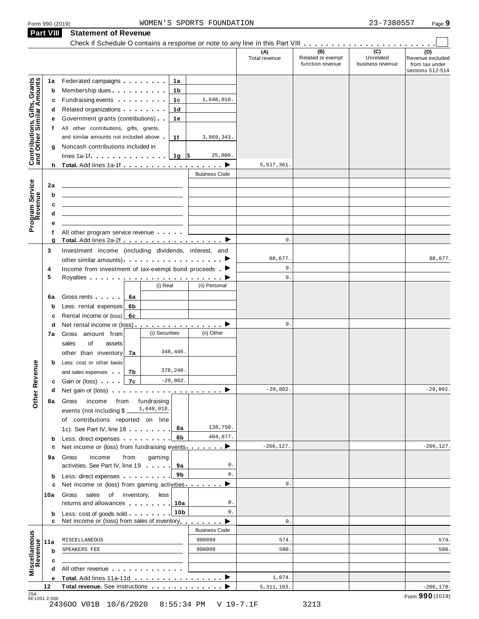**Part VIII Statement of Revenue**

|                                                           |        | Check if Schedule O contains a response or note to any line in this Part VIII                                                                                                                                                  |                |                      | (A)            | (B)                                   | $\overline{C}$                | (D)                                                    |
|-----------------------------------------------------------|--------|--------------------------------------------------------------------------------------------------------------------------------------------------------------------------------------------------------------------------------|----------------|----------------------|----------------|---------------------------------------|-------------------------------|--------------------------------------------------------|
|                                                           |        |                                                                                                                                                                                                                                |                |                      | Total revenue  | Related or exempt<br>function revenue | Unrelated<br>business revenue | Revenue excluded<br>from tax under<br>sections 512-514 |
|                                                           | 1a     | Federated campaigns <b>Federated</b>                                                                                                                                                                                           | 1а             |                      |                |                                       |                               |                                                        |
|                                                           | b      | Membership dues <b>All Accords</b> Membership dues                                                                                                                                                                             | 1b             |                      |                |                                       |                               |                                                        |
|                                                           | С      | Fundraising events <b>Fundraising</b>                                                                                                                                                                                          | 1c             | 1,648,018.           |                |                                       |                               |                                                        |
|                                                           |        | d Related organizations                                                                                                                                                                                                        | 1d             |                      |                |                                       |                               |                                                        |
|                                                           | е      | Government grants (contributions).                                                                                                                                                                                             | 1е             |                      |                |                                       |                               |                                                        |
|                                                           | t.     | All other contributions, gifts, grants,                                                                                                                                                                                        |                |                      |                |                                       |                               |                                                        |
|                                                           |        | and similar amounts not included above                                                                                                                                                                                         | 1f             | 3,869,343.           |                |                                       |                               |                                                        |
| Contributions, Gifts, Grants<br>and Other Similar Amounts | g      | Noncash contributions included in                                                                                                                                                                                              |                |                      |                |                                       |                               |                                                        |
|                                                           |        | lines 1a-1f $\ldots$ $\ldots$ $\ldots$ $\frac{1}{9}$ \$                                                                                                                                                                        |                | 25,000.              |                |                                       |                               |                                                        |
|                                                           |        |                                                                                                                                                                                                                                |                |                      | 5,517,361.     |                                       |                               |                                                        |
|                                                           |        |                                                                                                                                                                                                                                |                | <b>Business Code</b> |                |                                       |                               |                                                        |
|                                                           | 2a     |                                                                                                                                                                                                                                |                |                      |                |                                       |                               |                                                        |
| Program Service                                           | b      |                                                                                                                                                                                                                                |                |                      |                |                                       |                               |                                                        |
|                                                           | c      |                                                                                                                                                                                                                                |                |                      |                |                                       |                               |                                                        |
|                                                           | d      |                                                                                                                                                                                                                                |                |                      |                |                                       |                               |                                                        |
|                                                           | е      |                                                                                                                                                                                                                                |                |                      |                |                                       |                               |                                                        |
|                                                           | f      | All other program service revenue                                                                                                                                                                                              |                |                      |                |                                       |                               |                                                        |
|                                                           | g      | Total. Add lines 2a-2f ▶                                                                                                                                                                                                       |                |                      | $\mathbf{0}$ . |                                       |                               |                                                        |
|                                                           | 3      | Investment income (including dividends, interest, and                                                                                                                                                                          |                |                      |                |                                       |                               |                                                        |
|                                                           |        | other similar amounts) experience that is a set of the similar amounts).                                                                                                                                                       |                |                      | 88,677.        |                                       |                               | 88,677.                                                |
|                                                           | 4      | Income from investment of tax-exempt bond proceeds $\blacktriangleright$                                                                                                                                                       |                |                      | $\mathbf{0}$ . |                                       |                               |                                                        |
|                                                           | 5      |                                                                                                                                                                                                                                |                |                      | $\mathsf{0}$ . |                                       |                               |                                                        |
|                                                           |        |                                                                                                                                                                                                                                | (i) Real       | (ii) Personal        |                |                                       |                               |                                                        |
|                                                           | 6a     | Gross rents   6a                                                                                                                                                                                                               |                |                      |                |                                       |                               |                                                        |
|                                                           | b      | Less: rental expenses 6b                                                                                                                                                                                                       |                |                      |                |                                       |                               |                                                        |
|                                                           | с      | Rental income or (loss) 6c                                                                                                                                                                                                     |                |                      |                |                                       |                               |                                                        |
|                                                           | d      |                                                                                                                                                                                                                                |                |                      | $\mathbf{0}$ . |                                       |                               |                                                        |
|                                                           | 7a     | Gross amount from                                                                                                                                                                                                              | (i) Securities | (ii) Other           |                |                                       |                               |                                                        |
|                                                           |        | sales<br>of<br>assets                                                                                                                                                                                                          |                |                      |                |                                       |                               |                                                        |
|                                                           |        | other than inventory 7a                                                                                                                                                                                                        | 348,446.       |                      |                |                                       |                               |                                                        |
|                                                           | b      | Less: cost or other basis                                                                                                                                                                                                      |                |                      |                |                                       |                               |                                                        |
| evenue                                                    |        | and sales expenses<br>7b                                                                                                                                                                                                       | 378,248.       |                      |                |                                       |                               |                                                        |
|                                                           |        | 7c<br><b>c</b> Gain or (loss)                                                                                                                                                                                                  | $-29,802.$     |                      |                |                                       |                               |                                                        |
| Other <sub>R</sub>                                        | d      | Net gain or (loss) $\qquad \qquad$ $\qquad \qquad$ $\qquad$ $\qquad \qquad$ $\qquad \qquad$ $\qquad \qquad$                                                                                                                    |                |                      | $-29,802.$     |                                       |                               | $-29,802.$                                             |
|                                                           | 8а     | Gross<br>income from                                                                                                                                                                                                           | fundraising    |                      |                |                                       |                               |                                                        |
|                                                           |        | events (not including \$                                                                                                                                                                                                       | 1,648,018.     |                      |                |                                       |                               |                                                        |
|                                                           |        | of contributions reported on line                                                                                                                                                                                              |                |                      |                |                                       |                               |                                                        |
|                                                           |        | 1c). See Part IV, line 18                                                                                                                                                                                                      | 8а             | 138,750.             |                |                                       |                               |                                                        |
|                                                           | b      | Less: direct expenses                                                                                                                                                                                                          | 8b             | 404,877.             |                |                                       |                               |                                                        |
|                                                           | с      | Net income or (loss) from fundraising events ▶                                                                                                                                                                                 |                |                      | $-266, 127.$   |                                       |                               | $-266, 127.$                                           |
|                                                           | 9а     | income<br>from<br>Gross                                                                                                                                                                                                        | gaming         | 0.                   |                |                                       |                               |                                                        |
|                                                           |        | activities. See Part IV, line 19                                                                                                                                                                                               | 9а             |                      |                |                                       |                               |                                                        |
|                                                           | b      | Less: direct expenses <b>contained contained contained contained contained contained </b>                                                                                                                                      | 9b             | $0$ .                | $\mathbf{0}$ . |                                       |                               |                                                        |
|                                                           | с      | Net income or (loss) from gaming activities                                                                                                                                                                                    |                | ▸                    |                |                                       |                               |                                                        |
|                                                           | 10a    | sales of inventory,<br>Gross                                                                                                                                                                                                   | less           | 0.                   |                |                                       |                               |                                                        |
|                                                           |        | returns and allowances 10a                                                                                                                                                                                                     |                | 0.                   |                |                                       |                               |                                                        |
|                                                           | b<br>c | Less: cost of goods sold 10b<br>Net income or (loss) from sales of inventory                                                                                                                                                   |                |                      | $\mathbb O$ .  |                                       |                               |                                                        |
|                                                           |        |                                                                                                                                                                                                                                |                | <b>Business Code</b> |                |                                       |                               |                                                        |
|                                                           |        | MISCELLANEOUS                                                                                                                                                                                                                  |                | 900099               | 574.           |                                       |                               | 574.                                                   |
|                                                           | 11a    | SPEAKERS FEE                                                                                                                                                                                                                   |                | 900099               | 500.           |                                       |                               | 500.                                                   |
|                                                           | b      |                                                                                                                                                                                                                                |                |                      |                |                                       |                               |                                                        |
| Miscellaneous<br>Revenue                                  | c      |                                                                                                                                                                                                                                |                |                      |                |                                       |                               |                                                        |
|                                                           | d      | All other revenue experience in the set of the set of the set of the set of the set of the set of the set of the set of the set of the set of the set of the set of the set of the set of the set of the set of the set of the |                |                      |                |                                       |                               |                                                        |
|                                                           | е      | Total. Add lines 11a-11d                                                                                                                                                                                                       |                |                      | 1,074.         |                                       |                               |                                                        |
|                                                           | 12     | Total revenue. See instructions                                                                                                                                                                                                |                |                      | 5, 311, 183.   |                                       |                               | $-206, 178.$<br>Form 990 (2019)                        |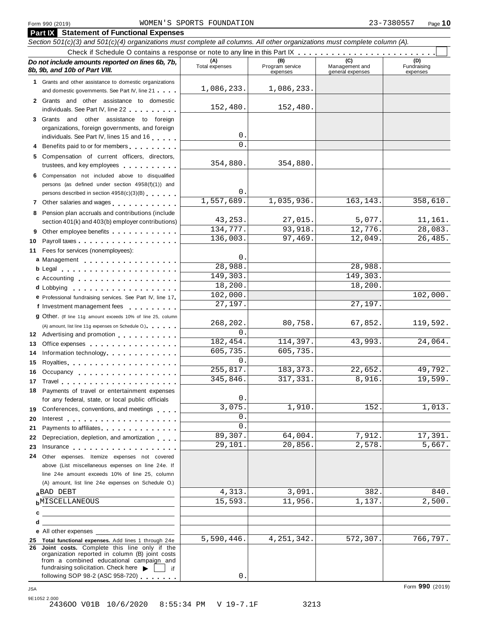|          | <b>Part IX</b> Statement of Functional Expenses                                                                                                                                                                                                                                 |                       |                                    |                                    |                                |
|----------|---------------------------------------------------------------------------------------------------------------------------------------------------------------------------------------------------------------------------------------------------------------------------------|-----------------------|------------------------------------|------------------------------------|--------------------------------|
|          | Section 501(c)(3) and 501(c)(4) organizations must complete all columns. All other organizations must complete column (A).                                                                                                                                                      |                       |                                    |                                    |                                |
|          |                                                                                                                                                                                                                                                                                 |                       |                                    |                                    |                                |
|          | Do not include amounts reported on lines 6b, 7b,<br>8b, 9b, and 10b of Part VIII.                                                                                                                                                                                               | (A)<br>Total expenses | (B)<br>Program service<br>expenses | Management and<br>general expenses | (D)<br>Fundraising<br>expenses |
|          | 1 Grants and other assistance to domestic organizations                                                                                                                                                                                                                         |                       |                                    |                                    |                                |
|          | and domestic governments. See Part IV, line 21                                                                                                                                                                                                                                  | 1,086,233.            | 1,086,233.                         |                                    |                                |
|          | 2 Grants and other assistance to domestic<br>individuals. See Part IV, line 22 <b>Canadian Accord Part II</b>                                                                                                                                                                   | 152,480.              | 152,480.                           |                                    |                                |
|          | 3 Grants and other assistance to foreign                                                                                                                                                                                                                                        |                       |                                    |                                    |                                |
|          | organizations, foreign governments, and foreign                                                                                                                                                                                                                                 | 0                     |                                    |                                    |                                |
|          | individuals. See Part IV, lines 15 and 16                                                                                                                                                                                                                                       | $\Omega$              |                                    |                                    |                                |
|          | 4 Benefits paid to or for members                                                                                                                                                                                                                                               |                       |                                    |                                    |                                |
|          | 5 Compensation of current officers, directors,<br>trustees, and key employees expressed and the set of the set of the set of the set of the set of the set of the set of the set of the set of the set of the set of the set of the set of the set of the set of the set of the | 354,880.              | 354,880.                           |                                    |                                |
|          | 6 Compensation not included above to disqualified                                                                                                                                                                                                                               |                       |                                    |                                    |                                |
|          | persons (as defined under section 4958(f)(1)) and                                                                                                                                                                                                                               | 0.                    |                                    |                                    |                                |
|          | persons described in section 4958(c)(3)(B)                                                                                                                                                                                                                                      | 1,557,689.            | 1,035,936.                         | 163, 143.                          | 358,610.                       |
|          |                                                                                                                                                                                                                                                                                 |                       |                                    |                                    |                                |
|          | 8 Pension plan accruals and contributions (include<br>section 401(k) and 403(b) employer contributions)                                                                                                                                                                         | 43, 253.              | 27,015.                            | 5,077.                             | 11,161.                        |
|          | 9 Other employee benefits                                                                                                                                                                                                                                                       | 134,777.              | 93,918.                            | 12,776.                            | 28,083.                        |
| 10       |                                                                                                                                                                                                                                                                                 | 136,003.              | 97,469.                            | 12,049.                            | 26,485.                        |
|          | 11 Fees for services (nonemployees):                                                                                                                                                                                                                                            |                       |                                    |                                    |                                |
|          | a Management                                                                                                                                                                                                                                                                    | 0                     |                                    |                                    |                                |
|          |                                                                                                                                                                                                                                                                                 | 28,988.               |                                    | 28,988.                            |                                |
|          | c Accounting                                                                                                                                                                                                                                                                    | 149,303.              |                                    | 149,303.                           |                                |
|          | <b>d</b> Lobbying<br>.                                                                                                                                                                                                                                                          | 18,200.               |                                    | 18,200.                            |                                |
|          | e Professional fundraising services. See Part IV, line 17                                                                                                                                                                                                                       | 102,000.              |                                    |                                    | 102,000.                       |
|          | f Investment management fees<br>.                                                                                                                                                                                                                                               | 27,197.               |                                    | 27,197.                            |                                |
|          | 9 Other. (If line 11g amount exceeds 10% of line 25, column                                                                                                                                                                                                                     |                       |                                    |                                    |                                |
|          | (A) amount, list line 11g expenses on Schedule O.)                                                                                                                                                                                                                              | 268,202.<br>$\Omega$  | 80,758.                            | 67,852.                            | 119,592.                       |
|          | 12 Advertising and promotion                                                                                                                                                                                                                                                    | 182,454.              | 114,397.                           | 43,993.                            | 24,064.                        |
| 13       | Office expenses example and the set of the set of the set of the set of the set of the set of the set of the set of the set of the set of the set of the set of the set of the set of the set of the set of the set of the set                                                  | 605,735.              | 605,735.                           |                                    |                                |
| 14<br>15 | Information technology experience and the state of the state of the state of the state of the state of the state of the state of the state of the state of the state of the state of the state of the state of the state of th<br>Royalties                                     | 0                     |                                    |                                    |                                |
| 16       | Occupancy                                                                                                                                                                                                                                                                       | 255,817.              | 183, 373.                          | 22,652.                            | 49,792.                        |
|          | 17 Travel <b>17 Travel</b>                                                                                                                                                                                                                                                      | 345,846               | 317,331.                           | 8,916.                             | 19,599.                        |
|          | 18 Payments of travel or entertainment expenses                                                                                                                                                                                                                                 |                       |                                    |                                    |                                |
|          | for any federal, state, or local public officials                                                                                                                                                                                                                               | 0                     |                                    |                                    |                                |
| 19       | Conferences, conventions, and meetings                                                                                                                                                                                                                                          | 3,075                 | 1,910.                             | 152.                               | 1,013.                         |
| 20       |                                                                                                                                                                                                                                                                                 | 0                     |                                    |                                    |                                |
| 21       | Payments to affiliates                                                                                                                                                                                                                                                          | 0                     |                                    |                                    |                                |
| 22       | Depreciation, depletion, and amortization                                                                                                                                                                                                                                       | 89,307.               | 64,004.                            | 7,912.                             | 17,391.                        |
| 23       | Insurance in the contract of the contract of the contract of the contract of the contract of the contract of the contract of the contract of the contract of the contract of the contract of the contract of the contract of t                                                  | 29,101.               | 20,856.                            | 2,578.                             | 5,667.                         |
| 24       | Other expenses. Itemize expenses not covered                                                                                                                                                                                                                                    |                       |                                    |                                    |                                |
|          | above (List miscellaneous expenses on line 24e. If<br>line 24e amount exceeds 10% of line 25, column                                                                                                                                                                            |                       |                                    |                                    |                                |
|          | (A) amount, list line 24e expenses on Schedule O.)                                                                                                                                                                                                                              |                       |                                    |                                    |                                |
|          | aBAD DEBT                                                                                                                                                                                                                                                                       | 4,313.                | 3,091.                             | 382.                               | 840.                           |
|          | <b>b</b> MISCELLANEOUS                                                                                                                                                                                                                                                          | 15,593.               | 11,956.                            | 1,137.                             | 2,500.                         |
| с        | <u> 1980 - Andrea Aonaichte ann an t-Aonaichte ann an t-Aonaichte ann an t-Aonaichte ann an t-Aonaichte ann an t-</u>                                                                                                                                                           |                       |                                    |                                    |                                |
| d        |                                                                                                                                                                                                                                                                                 |                       |                                    |                                    |                                |
|          | <b>e</b> All other expenses                                                                                                                                                                                                                                                     |                       |                                    |                                    |                                |
|          | 25 Total functional expenses. Add lines 1 through 24e                                                                                                                                                                                                                           | 5,590,446.            | 4, 251, 342.                       | 572,307.                           | 766,797.                       |
|          | 26 Joint costs. Complete this line only if the<br>organization reported in column (B) joint costs<br>from a combined educational campaign and                                                                                                                                   |                       |                                    |                                    |                                |
|          | fundraising solicitation. Check here<br>if<br>following SOP 98-2 (ASC 958-720)                                                                                                                                                                                                  |                       |                                    |                                    |                                |
|          |                                                                                                                                                                                                                                                                                 | 0                     |                                    |                                    |                                |

Form **990** (2019) JSA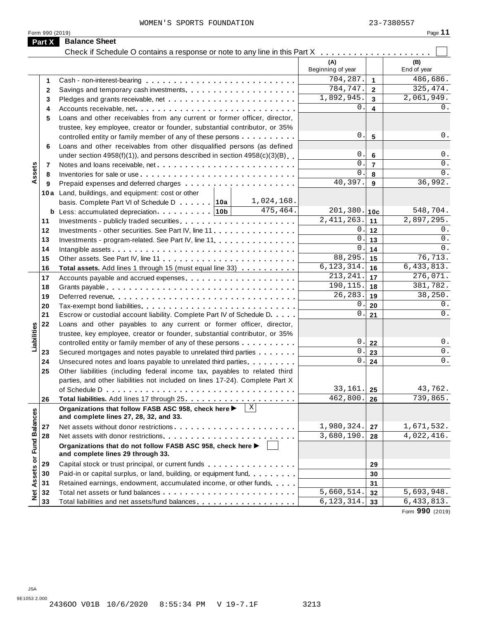|              |                                                                                                      | (A)               |                         | (B)          |
|--------------|------------------------------------------------------------------------------------------------------|-------------------|-------------------------|--------------|
|              |                                                                                                      | Beginning of year |                         | End of year  |
| 1            |                                                                                                      | 704,287.          | $\mathbf{1}$            | 486,686.     |
| $\mathbf{2}$ |                                                                                                      | 784,747.          | $\overline{\mathbf{2}}$ | 325,474.     |
| 3            |                                                                                                      | 1,892,945.        | $\mathbf{3}$            | 2,061,949.   |
| 4            | Accounts receivable, net                                                                             | 0.                | 4                       | 0.           |
| 5            | Loans and other receivables from any current or former officer, director,                            |                   |                         |              |
|              | trustee, key employee, creator or founder, substantial contributor, or 35%                           |                   |                         |              |
|              | controlled entity or family member of any of these persons                                           | 0.                | $5\phantom{a}$          | 0.           |
| 6            | Loans and other receivables from other disqualified persons (as defined                              |                   |                         |              |
|              | under section $4958(f)(1)$ , and persons described in section $4958(c)(3)(B)$                        | 0.                | $6\phantom{1}6$         | $0$ .        |
| 7            |                                                                                                      | $\mathbf{0}$ .    | $\overline{7}$          | 0.           |
| 8            |                                                                                                      | 0.                | 8                       | 0.           |
| 9            |                                                                                                      | 40,397.           | 9                       | 36,992.      |
|              | 10a Land, buildings, and equipment: cost or other                                                    |                   |                         |              |
|              | 1,024,168.<br>basis. Complete Part VI of Schedule D 10a                                              |                   |                         |              |
| b            | 475,464.                                                                                             | $201, 380.$ 10c   |                         | 548,704.     |
| 11           |                                                                                                      | 2, 411, 263.      | 11                      | 2,897,295.   |
| 12           | Investments - other securities. See Part IV, line 11                                                 | 0.                | 12                      | 0.           |
| 13           |                                                                                                      | 0.                | 13                      | $0$ .        |
|              | Investments - program-related. See Part IV, line 11.                                                 | 0.                | 14                      | $0$ .        |
| 14           |                                                                                                      | 88,295.           | 15                      | 76, 713.     |
| 15           |                                                                                                      | 6, 123, 314.      | 16                      | 6,433,813.   |
| 16           | Total assets. Add lines 1 through 15 (must equal line 33)                                            | 213, 241.         | 17                      | 276,071.     |
| 17           |                                                                                                      | 190,115.          |                         | 381,782.     |
| 18           |                                                                                                      | 26, 283.          | 18                      | 38,250.      |
| 19           |                                                                                                      |                   | 19                      |              |
| 20           |                                                                                                      | 0.                | 20                      | 0.           |
| 21           | Escrow or custodial account liability. Complete Part IV of Schedule D.                               | 0.                | 21                      | $0$ .        |
| 22           | Loans and other payables to any current or former officer, director,                                 |                   |                         |              |
|              | trustee, key employee, creator or founder, substantial contributor, or 35%                           |                   |                         |              |
|              | controlled entity or family member of any of these persons                                           | 0.                | 22                      | $0$ .        |
| 23           | Secured mortgages and notes payable to unrelated third parties                                       | $0$ .             | 23                      | 0.           |
| 24           | Unsecured notes and loans payable to unrelated third parties                                         | 0.1               | 24                      | 0.           |
| 25           | Other liabilities (including federal income tax, payables to related third                           |                   |                         |              |
|              | parties, and other liabilities not included on lines 17-24). Complete Part X                         |                   |                         |              |
|              | of Schedule D $\ldots \ldots \ldots \ldots \ldots \ldots \ldots \ldots \ldots \ldots$                | 33,161.           | 25                      | 43,762.      |
| 26           |                                                                                                      | 462,800.          | 26                      | 739,865.     |
|              | X <br>Organizations that follow FASB ASC 958, check here ▶<br>and complete lines 27, 28, 32, and 33. |                   |                         |              |
| 27           |                                                                                                      | 1,980,324.        | 27                      | 1,671,532.   |
| 28           |                                                                                                      | 3,680,190.        | 28                      | 4,022,416.   |
|              | Organizations that do not follow FASB ASC 958, check here ▶<br>and complete lines 29 through 33.     |                   |                         |              |
| 29           | Capital stock or trust principal, or current funds                                                   |                   | 29                      |              |
| 30           | Paid-in or capital surplus, or land, building, or equipment fund.                                    |                   | 30                      |              |
| 31           | Retained earnings, endowment, accumulated income, or other funds                                     |                   | 31                      |              |
| 32           |                                                                                                      | 5,660,514.        | 32                      | 5,693,948.   |
|              |                                                                                                      | 6, 123, 314.      |                         | 6, 433, 813. |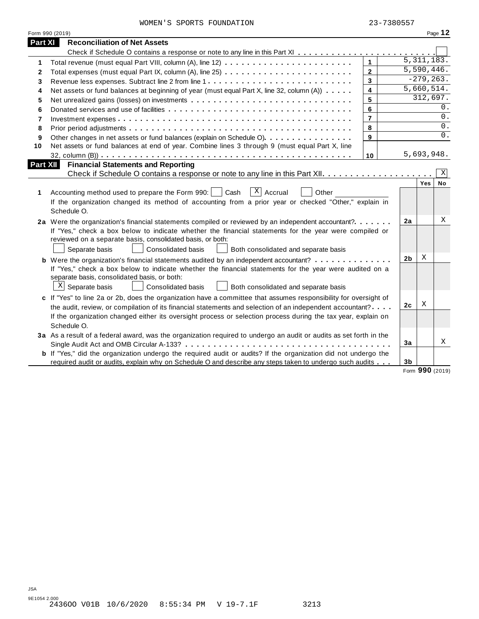|  | WOMEN'S SPORTS FOUNDATION | 23-7380557 |
|--|---------------------------|------------|

|                 | Form 990 (2019)                                                                                                    |                         |                |            | Page 12                 |
|-----------------|--------------------------------------------------------------------------------------------------------------------|-------------------------|----------------|------------|-------------------------|
| <b>Part XI</b>  | <b>Reconciliation of Net Assets</b>                                                                                |                         |                |            |                         |
|                 |                                                                                                                    |                         |                |            |                         |
| 1               |                                                                                                                    | $\mathbf{1}$            |                |            | 5,311,183.              |
| $\mathbf{2}$    |                                                                                                                    | $\overline{2}$          |                |            | $\overline{5,590},446.$ |
| 3               |                                                                                                                    | $\overline{3}$          |                |            | $-279, 263.$            |
| 4               | Net assets or fund balances at beginning of year (must equal Part X, line 32, column (A))                          | $\overline{\mathbf{4}}$ |                |            | 5,660,514.              |
| 5               |                                                                                                                    | 5                       |                |            | 312,697.                |
| 6               |                                                                                                                    | 6                       |                |            | 0.                      |
| 7               |                                                                                                                    | $\overline{7}$          |                |            | 0.                      |
| 8               |                                                                                                                    | $\bf{8}$                |                |            | $0$ .                   |
| 9               | Other changes in net assets or fund balances (explain on Schedule O).                                              | $\overline{9}$          |                |            | $\overline{0}$ .        |
| 10              | Net assets or fund balances at end of year. Combine lines 3 through 9 (must equal Part X, line                     |                         |                |            |                         |
|                 |                                                                                                                    | 10                      |                | 5,693,948. |                         |
| <b>Part XII</b> | <b>Financial Statements and Reporting</b>                                                                          |                         |                |            |                         |
|                 |                                                                                                                    |                         |                |            | Χ                       |
|                 |                                                                                                                    |                         |                | Yes        | No                      |
| 1               | $\overline{X}$ Accrual<br>Accounting method used to prepare the Form 990:     Cash<br>Other                        |                         |                |            |                         |
|                 | If the organization changed its method of accounting from a prior year or checked "Other," explain in              |                         |                |            |                         |
|                 | Schedule O.                                                                                                        |                         |                |            |                         |
|                 | 2a Were the organization's financial statements compiled or reviewed by an independent accountant?                 |                         | 2a             |            | X                       |
|                 | If "Yes," check a box below to indicate whether the financial statements for the year were compiled or             |                         |                |            |                         |
|                 | reviewed on a separate basis, consolidated basis, or both:                                                         |                         |                |            |                         |
|                 | Separate basis<br><b>Consolidated basis</b><br>Both consolidated and separate basis                                |                         |                |            |                         |
|                 | <b>b</b> Were the organization's financial statements audited by an independent accountant?                        |                         | 2 <sub>b</sub> | X          |                         |
|                 | If "Yes," check a box below to indicate whether the financial statements for the year were audited on a            |                         |                |            |                         |
|                 | separate basis, consolidated basis, or both:                                                                       |                         |                |            |                         |
|                 | $X$ Separate basis<br>Consolidated basis<br>Both consolidated and separate basis                                   |                         |                |            |                         |
|                 | c If "Yes" to line 2a or 2b, does the organization have a committee that assumes responsibility for oversight of   |                         |                |            |                         |
|                 | the audit, review, or compilation of its financial statements and selection of an independent accountant?          |                         | 2c             | X          |                         |
|                 | If the organization changed either its oversight process or selection process during the tax year, explain on      |                         |                |            |                         |
|                 | Schedule O.                                                                                                        |                         |                |            |                         |
|                 | 3a As a result of a federal award, was the organization required to undergo an audit or audits as set forth in the |                         |                |            |                         |
|                 |                                                                                                                    |                         | 3a             |            | Χ                       |
|                 | b If "Yes," did the organization undergo the required audit or audits? If the organization did not undergo the     |                         |                |            |                         |
|                 |                                                                                                                    |                         |                |            |                         |

Form **990** (2019)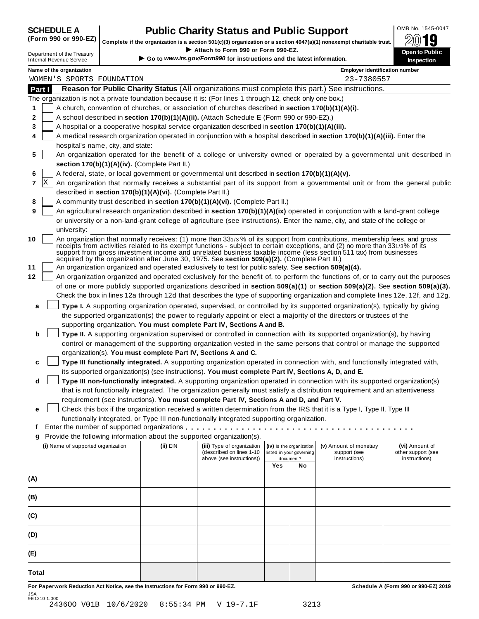## **CHEDULE A Public Charity Status and Public Support**  $\frac{100\text{dB No. }1545-0047}{000\text{dB}}$

(Form 990 or 990-EZ) complete if the organization is a section 501(c)(3) organization or a section 4947(a)(1) nonexempt charitable trust.  $2019$ 

|         |                                                               |                                                            | Complete if the organization is a section 501(c)(3) organization or a section 4947(a)(1) nonexempt charitable trust. |                          |                          |                                                                                                                                                                                                                                                   | ZW IJ                               |
|---------|---------------------------------------------------------------|------------------------------------------------------------|----------------------------------------------------------------------------------------------------------------------|--------------------------|--------------------------|---------------------------------------------------------------------------------------------------------------------------------------------------------------------------------------------------------------------------------------------------|-------------------------------------|
|         | Department of the Treasury<br><b>Internal Revenue Service</b> |                                                            | Attach to Form 990 or Form 990-EZ.<br>Go to www.irs.gov/Form990 for instructions and the latest information.         |                          |                          |                                                                                                                                                                                                                                                   | Open to Public<br><b>Inspection</b> |
|         | Name of the organization                                      |                                                            |                                                                                                                      |                          |                          | <b>Employer identification number</b>                                                                                                                                                                                                             |                                     |
|         | WOMEN'S SPORTS FOUNDATION                                     |                                                            |                                                                                                                      |                          |                          | 23-7380557                                                                                                                                                                                                                                        |                                     |
| Part I  |                                                               |                                                            |                                                                                                                      |                          |                          | Reason for Public Charity Status (All organizations must complete this part.) See instructions.                                                                                                                                                   |                                     |
|         |                                                               |                                                            | The organization is not a private foundation because it is: (For lines 1 through 12, check only one box.)            |                          |                          |                                                                                                                                                                                                                                                   |                                     |
| 1       |                                                               |                                                            | A church, convention of churches, or association of churches described in section 170(b)(1)(A)(i).                   |                          |                          |                                                                                                                                                                                                                                                   |                                     |
| 2       |                                                               |                                                            | A school described in section 170(b)(1)(A)(ii). (Attach Schedule E (Form 990 or 990-EZ).)                            |                          |                          |                                                                                                                                                                                                                                                   |                                     |
| 3       |                                                               |                                                            | A hospital or a cooperative hospital service organization described in section 170(b)(1)(A)(iii).                    |                          |                          |                                                                                                                                                                                                                                                   |                                     |
| 4       |                                                               |                                                            |                                                                                                                      |                          |                          | A medical research organization operated in conjunction with a hospital described in section 170(b)(1)(A)(iii). Enter the                                                                                                                         |                                     |
| 5       | hospital's name, city, and state:                             |                                                            |                                                                                                                      |                          |                          | An organization operated for the benefit of a college or university owned or operated by a governmental unit described in                                                                                                                         |                                     |
|         |                                                               | section 170(b)(1)(A)(iv). (Complete Part II.)              |                                                                                                                      |                          |                          |                                                                                                                                                                                                                                                   |                                     |
| 6       |                                                               |                                                            | A federal, state, or local government or governmental unit described in section 170(b)(1)(A)(v).                     |                          |                          |                                                                                                                                                                                                                                                   |                                     |
| ΙX<br>7 |                                                               |                                                            |                                                                                                                      |                          |                          | An organization that normally receives a substantial part of its support from a governmental unit or from the general public                                                                                                                      |                                     |
|         |                                                               | described in section 170(b)(1)(A)(vi). (Complete Part II.) |                                                                                                                      |                          |                          |                                                                                                                                                                                                                                                   |                                     |
| 8       |                                                               |                                                            | A community trust described in section 170(b)(1)(A)(vi). (Complete Part II.)                                         |                          |                          |                                                                                                                                                                                                                                                   |                                     |
| 9       |                                                               |                                                            |                                                                                                                      |                          |                          | An agricultural research organization described in section 170(b)(1)(A)(ix) operated in conjunction with a land-grant college                                                                                                                     |                                     |
|         |                                                               |                                                            |                                                                                                                      |                          |                          | or university or a non-land-grant college of agriculture (see instructions). Enter the name, city, and state of the college or                                                                                                                    |                                     |
|         | university:                                                   |                                                            |                                                                                                                      |                          |                          |                                                                                                                                                                                                                                                   |                                     |
| 10      |                                                               |                                                            |                                                                                                                      |                          |                          | An organization that normally receives: (1) more than 331/3% of its support from contributions, membership fees, and gross                                                                                                                        |                                     |
|         |                                                               |                                                            |                                                                                                                      |                          |                          | receipts from activities related to its exempt functions - subject to certain exceptions, and (2) no more than 331/3% of its<br>support from gross investment income and unrelated business taxable income (less section 511 tax) from businesses |                                     |
|         |                                                               |                                                            | acquired by the organization after June 30, 1975. See section 509(a)(2). (Complete Part III.)                        |                          |                          |                                                                                                                                                                                                                                                   |                                     |
| 11      |                                                               |                                                            | An organization organized and operated exclusively to test for public safety. See section 509(a)(4).                 |                          |                          |                                                                                                                                                                                                                                                   |                                     |
| 12      |                                                               |                                                            |                                                                                                                      |                          |                          | An organization organized and operated exclusively for the benefit of, to perform the functions of, or to carry out the purposes                                                                                                                  |                                     |
|         |                                                               |                                                            |                                                                                                                      |                          |                          | of one or more publicly supported organizations described in section 509(a)(1) or section 509(a)(2). See section 509(a)(3).                                                                                                                       |                                     |
|         |                                                               |                                                            |                                                                                                                      |                          |                          | Check the box in lines 12a through 12d that describes the type of supporting organization and complete lines 12e, 12f, and 12g.                                                                                                                   |                                     |
| a       |                                                               |                                                            |                                                                                                                      |                          |                          | Type I. A supporting organization operated, supervised, or controlled by its supported organization(s), typically by giving                                                                                                                       |                                     |
|         |                                                               |                                                            |                                                                                                                      |                          |                          | the supported organization(s) the power to regularly appoint or elect a majority of the directors or trustees of the                                                                                                                              |                                     |
|         |                                                               |                                                            | supporting organization. You must complete Part IV, Sections A and B.                                                |                          |                          |                                                                                                                                                                                                                                                   |                                     |
| b       |                                                               |                                                            |                                                                                                                      |                          |                          | Type II. A supporting organization supervised or controlled in connection with its supported organization(s), by having                                                                                                                           |                                     |
|         |                                                               |                                                            |                                                                                                                      |                          |                          | control or management of the supporting organization vested in the same persons that control or manage the supported                                                                                                                              |                                     |
|         |                                                               |                                                            | organization(s). You must complete Part IV, Sections A and C.                                                        |                          |                          |                                                                                                                                                                                                                                                   |                                     |
| c       |                                                               |                                                            |                                                                                                                      |                          |                          | Type III functionally integrated. A supporting organization operated in connection with, and functionally integrated with,                                                                                                                        |                                     |
|         |                                                               |                                                            | its supported organization(s) (see instructions). You must complete Part IV, Sections A, D, and E.                   |                          |                          |                                                                                                                                                                                                                                                   |                                     |
| d       |                                                               |                                                            |                                                                                                                      |                          |                          | Type III non-functionally integrated. A supporting organization operated in connection with its supported organization(s)                                                                                                                         |                                     |
|         |                                                               |                                                            |                                                                                                                      |                          |                          | that is not functionally integrated. The organization generally must satisfy a distribution requirement and an attentiveness                                                                                                                      |                                     |
|         |                                                               |                                                            | requirement (see instructions). You must complete Part IV, Sections A and D, and Part V.                             |                          |                          |                                                                                                                                                                                                                                                   |                                     |
| е       |                                                               |                                                            |                                                                                                                      |                          |                          | Check this box if the organization received a written determination from the IRS that it is a Type I, Type II, Type III                                                                                                                           |                                     |
| f       |                                                               |                                                            | functionally integrated, or Type III non-functionally integrated supporting organization.                            |                          |                          |                                                                                                                                                                                                                                                   |                                     |
|         |                                                               |                                                            | Provide the following information about the supported organization(s).                                               |                          |                          |                                                                                                                                                                                                                                                   |                                     |
| g       | (i) Name of supported organization                            | (ii) EIN                                                   | (iii) Type of organization                                                                                           |                          | (iv) Is the organization | (v) Amount of monetary                                                                                                                                                                                                                            | (vi) Amount of                      |
|         |                                                               |                                                            | (described on lines 1-10                                                                                             | listed in your governing |                          | support (see                                                                                                                                                                                                                                      | other support (see                  |
|         |                                                               |                                                            | above (see instructions))                                                                                            | Yes                      | document?                | instructions)                                                                                                                                                                                                                                     | instructions)                       |
|         |                                                               |                                                            |                                                                                                                      |                          | No                       |                                                                                                                                                                                                                                                   |                                     |
| (A)     |                                                               |                                                            |                                                                                                                      |                          |                          |                                                                                                                                                                                                                                                   |                                     |
|         |                                                               |                                                            |                                                                                                                      |                          |                          |                                                                                                                                                                                                                                                   |                                     |
| (B)     |                                                               |                                                            |                                                                                                                      |                          |                          |                                                                                                                                                                                                                                                   |                                     |
| (C)     |                                                               |                                                            |                                                                                                                      |                          |                          |                                                                                                                                                                                                                                                   |                                     |
|         |                                                               |                                                            |                                                                                                                      |                          |                          |                                                                                                                                                                                                                                                   |                                     |
| (D)     |                                                               |                                                            |                                                                                                                      |                          |                          |                                                                                                                                                                                                                                                   |                                     |
|         |                                                               |                                                            |                                                                                                                      |                          |                          |                                                                                                                                                                                                                                                   |                                     |
| (E)     |                                                               |                                                            |                                                                                                                      |                          |                          |                                                                                                                                                                                                                                                   |                                     |
|         |                                                               |                                                            |                                                                                                                      |                          |                          |                                                                                                                                                                                                                                                   |                                     |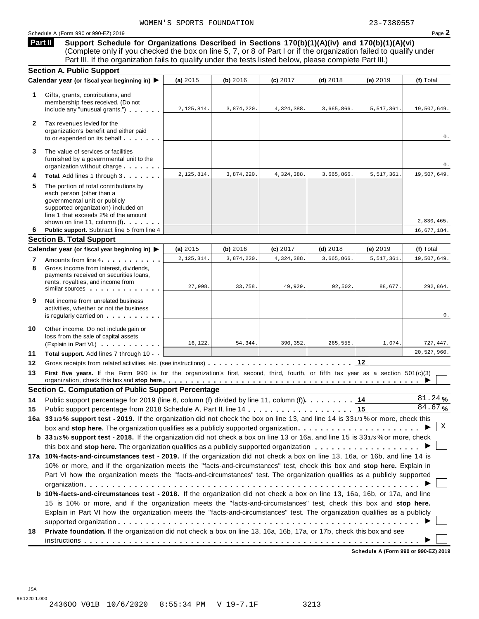### Schedule <sup>A</sup> (Form <sup>990</sup> or 990-EZ) <sup>2019</sup> Page **2**

**Support Schedule for Organizations Described in Sections 170(b)(1)(A)(iv) and 170(b)(1)(A)(vi)** Complete only if you checked the box on line 5, 7, or 8 of Part I or if the organization failed to qualify under Part III. If the organization fails to qualify under the tests listed below, please complete Part III.) **Part II**

|              | <b>Section A. Public Support</b>                                                                                                                                                                                                                                                                                |            |            |            |            |            |                  |
|--------------|-----------------------------------------------------------------------------------------------------------------------------------------------------------------------------------------------------------------------------------------------------------------------------------------------------------------|------------|------------|------------|------------|------------|------------------|
|              | Calendar year (or fiscal year beginning in) ▶                                                                                                                                                                                                                                                                   | (a) 2015   | (b) 2016   | (c) 2017   | $(d)$ 2018 | (e) 2019   | (f) Total        |
| 1.           | Gifts, grants, contributions, and<br>membership fees received. (Do not<br>include any "unusual grants.")                                                                                                                                                                                                        | 2,125,814. | 3,874,220. | 4,324,388. | 3,665,866. | 5,517,361. | 19,507,649.      |
| $\mathbf{2}$ | Tax revenues levied for the<br>organization's benefit and either paid<br>to or expended on its behalf                                                                                                                                                                                                           |            |            |            |            |            | 0.               |
| 3            | The value of services or facilities<br>furnished by a governmental unit to the<br>organization without charge                                                                                                                                                                                                   |            |            |            |            |            | 0.               |
| 4            | Total. Add lines 1 through 3                                                                                                                                                                                                                                                                                    | 2,125,814. | 3,874,220. | 4,324,388. | 3,665,866. | 5,517,361. | 19,507,649.      |
| 5            | The portion of total contributions by<br>each person (other than a<br>governmental unit or publicly<br>supported organization) included on<br>line 1 that exceeds 2% of the amount<br>shown on line 11, column (f)                                                                                              |            |            |            |            |            | 2,830,465.       |
| 6            | Public support. Subtract line 5 from line 4                                                                                                                                                                                                                                                                     |            |            |            |            |            | 16,677,184.      |
|              | <b>Section B. Total Support</b>                                                                                                                                                                                                                                                                                 |            |            |            |            |            |                  |
|              | Calendar year (or fiscal year beginning in) ▶                                                                                                                                                                                                                                                                   | (a) $2015$ | (b) 2016   | (c) 2017   | $(d)$ 2018 | (e) $2019$ | (f) Total        |
| 7            | Amounts from line 4                                                                                                                                                                                                                                                                                             | 2,125,814. | 3,874,220. | 4,324,388  | 3,665,866  | 5,517,361  | 19,507,649.      |
| 8            | Gross income from interest, dividends,<br>payments received on securities loans,<br>rents, royalties, and income from<br>similar sources experiences                                                                                                                                                            | 27.998.    | 33,758.    | 49,929     | 92,502     | 88,677.    | 292,864.         |
| 9            | Net income from unrelated business<br>activities, whether or not the business<br>is regularly carried on the control of the set of the control of the control of the control of the control of the control of the control of the control of the control of the control of the control of the control of the con |            |            |            |            |            | 0.               |
| 10           | Other income. Do not include gain or<br>loss from the sale of capital assets<br>(Explain in Part VI.)                                                                                                                                                                                                           | 16,122.    | 54,344.    | 390,352.   | 265,555.   | 1,074.     | 727,447.         |
| 11           | Total support. Add lines 7 through 10                                                                                                                                                                                                                                                                           |            |            |            |            |            | 20,527,960.      |
| 12           |                                                                                                                                                                                                                                                                                                                 |            |            |            |            |            |                  |
| 13           | First five years. If the Form 990 is for the organization's first, second, third, fourth, or fifth tax year as a section 501(c)(3)                                                                                                                                                                              |            |            |            |            |            |                  |
|              | <b>Section C. Computation of Public Support Percentage</b>                                                                                                                                                                                                                                                      |            |            |            |            |            |                  |
| 14           | Public support percentage for 2019 (line 6, column (f) divided by line 11, column (f)).                                                                                                                                                                                                                         |            |            |            |            | 14         | 81.24%<br>84.67% |
| 15           |                                                                                                                                                                                                                                                                                                                 |            |            |            |            |            |                  |
|              | 16a 331/3% support test - 2019. If the organization did not check the box on line 13, and line 14 is 331/3% or more, check this                                                                                                                                                                                 |            |            |            |            |            | Χ                |
|              | box and stop here. The organization qualifies as a publicly supported organization                                                                                                                                                                                                                              |            |            |            |            |            |                  |
|              | b 331/3% support test - 2018. If the organization did not check a box on line 13 or 16a, and line 15 is 331/3% or more, check                                                                                                                                                                                   |            |            |            |            |            |                  |
|              | 17a 10%-facts-and-circumstances test - 2019. If the organization did not check a box on line 13, 16a, or 16b, and line 14 is                                                                                                                                                                                    |            |            |            |            |            |                  |
|              | 10% or more, and if the organization meets the "facts-and-circumstances" test, check this box and stop here. Explain in                                                                                                                                                                                         |            |            |            |            |            |                  |
|              | Part VI how the organization meets the "facts-and-circumstances" test. The organization qualifies as a publicly supported                                                                                                                                                                                       |            |            |            |            |            |                  |
|              |                                                                                                                                                                                                                                                                                                                 |            |            |            |            |            |                  |
|              | <b>b 10%-facts-and-circumstances test - 2018.</b> If the organization did not check a box on line 13, 16a, 16b, or 17a, and line                                                                                                                                                                                |            |            |            |            |            |                  |
|              | 15 is 10% or more, and if the organization meets the "facts-and-circumstances" test, check this box and stop here.                                                                                                                                                                                              |            |            |            |            |            |                  |
|              | Explain in Part VI how the organization meets the "facts-and-circumstances" test. The organization qualifies as a publicly                                                                                                                                                                                      |            |            |            |            |            |                  |
|              |                                                                                                                                                                                                                                                                                                                 |            |            |            |            |            |                  |
| 18           | Private foundation. If the organization did not check a box on line 13, 16a, 16b, 17a, or 17b, check this box and see                                                                                                                                                                                           |            |            |            |            |            |                  |
|              |                                                                                                                                                                                                                                                                                                                 |            |            |            |            |            |                  |
|              |                                                                                                                                                                                                                                                                                                                 |            |            |            |            |            |                  |

**Schedule A (Form 990 or 990-EZ) 2019**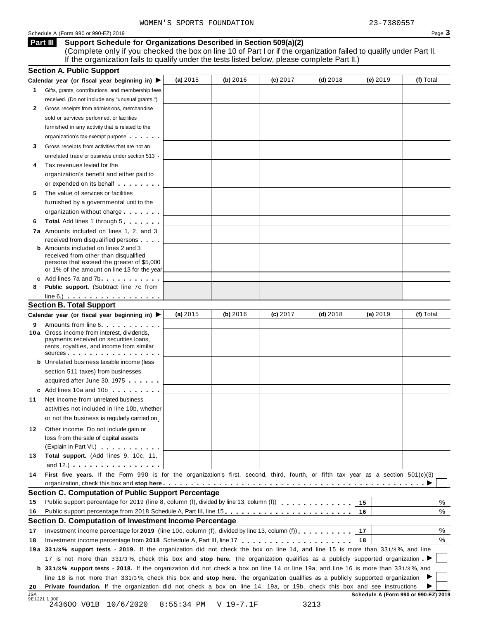### Schedule A (Form 990 or 990-EZ) 2019 Page 3

### **Support Schedule for Organizations Described in Section 509(a)(2) Part III**

(Complete only if you checked the box on line 10 of Part I or if the organization failed to qualify under Part II. If the organization fails to qualify under the tests listed below, please complete Part II.)

| (e) 2019<br>(a) $2015$<br>(b) 2016<br>(c) 2017<br>$(d)$ 2018<br>Gifts, grants, contributions, and membership fees<br>received. (Do not include any "unusual grants.")<br>Gross receipts from admissions, merchandise<br>2<br>sold or services performed, or facilities<br>furnished in any activity that is related to the<br>organization's tax-exempt purpose<br>Gross receipts from activities that are not an<br>3<br>unrelated trade or business under section 513<br>Tax revenues levied for the<br>4<br>organization's benefit and either paid to<br>or expended on its behalf <b>contains the set of the set of the set of the set of the set of the set of the set of the set of the set of the set of the set of the set of the set of the set of the set of the set of the set of</b><br>The value of services or facilities<br>5<br>furnished by a governmental unit to the<br>organization without charge<br><b>Total.</b> Add lines 1 through 5<br>6<br>7a Amounts included on lines 1, 2, and 3<br>received from disqualified persons<br><b>b</b> Amounts included on lines 2 and 3<br>received from other than disqualified<br>persons that exceed the greater of \$5,000<br>or 1% of the amount on line 13 for the year<br>c Add lines 7a and 7b<br><b>Public support.</b> (Subtract line 7c from<br>8<br>$line 6.)$<br><b>Section B. Total Support</b><br>(a) $2015$<br>(b) 2016<br>(c) 2017<br>$(d)$ 2018<br>(e) $2019$<br>(f) Total<br>Calendar year (or fiscal year beginning in) ▶<br>Amounts from line 6 <b>Amounts</b> from line 6<br>9<br>10 a Gross income from interest, dividends,<br>payments received on securities loans,<br>rents, royalties, and income from similar<br>sources<br><b>b</b> Unrelated business taxable income (less<br>section 511 taxes) from businesses<br>acquired after June 30, 1975<br>c Add lines 10a and 10b<br>Net income from unrelated business<br>11<br>activities not included in line 10b, whether<br>or not the business is regularly carried on<br>Other income. Do not include gain or<br>12<br>loss from the sale of capital assets<br>(Explain in Part VI.) <b>All Accords</b><br>Total support. (Add lines 9, 10c, 11,<br>13<br>and $12.$ ) $\cdots$ $\cdots$ $\cdots$ $\cdots$<br>First five years. If the Form 990 is for the organization's first, second, third, fourth, or fifth tax year as a section 501(c)(3)<br>14<br><b>Section C. Computation of Public Support Percentage</b><br>Public support percentage for 2019 (line 8, column (f), divided by line 13, column (f)<br>15<br>15<br>16<br>Public support percentage from 2018 Schedule A, Part III, line 15.<br>16<br>Section D. Computation of Investment Income Percentage<br>17<br>Investment income percentage for 2019 (line 10c, column (f), divided by line 13, column (f)), $\ldots$ , , , , , , ,<br>17<br>18<br>18<br>19a 331/3% support tests - 2019. If the organization did not check the box on line 14, and line 15 is more than 331/3%, and line<br>17 is not more than 331/3%, check this box and stop here. The organization qualifies as a publicly supported organization<br><b>b</b> 331/3% support tests - 2018. If the organization did not check a box on line 14 or line 19a, and line 16 is more than 331/3%, and<br>line 18 is not more than 331/3%, check this box and stop here. The organization qualifies as a publicly supported organization<br>Private foundation. If the organization did not check a box on line 14, 19a, or 19b, check this box and see instructions<br>20<br><b>JSA</b><br>Schedule A (Form 990 or 990-EZ) 2019<br>9E1221 1.000<br>8:55:34 PM<br>3213 | <b>Section A. Public Support</b>                                  |           |  |           |
|-------------------------------------------------------------------------------------------------------------------------------------------------------------------------------------------------------------------------------------------------------------------------------------------------------------------------------------------------------------------------------------------------------------------------------------------------------------------------------------------------------------------------------------------------------------------------------------------------------------------------------------------------------------------------------------------------------------------------------------------------------------------------------------------------------------------------------------------------------------------------------------------------------------------------------------------------------------------------------------------------------------------------------------------------------------------------------------------------------------------------------------------------------------------------------------------------------------------------------------------------------------------------------------------------------------------------------------------------------------------------------------------------------------------------------------------------------------------------------------------------------------------------------------------------------------------------------------------------------------------------------------------------------------------------------------------------------------------------------------------------------------------------------------------------------------------------------------------------------------------------------------------------------------------------------------------------------------------------------------------------------------------------------------------------------------------------------------------------------------------------------------------------------------------------------------------------------------------------------------------------------------------------------------------------------------------------------------------------------------------------------------------------------------------------------------------------------------------------------------------------------------------------------------------------------------------------------------------------------------------------------------------------------------------------------------------------------------------------------------------------------------------------------------------------------------------------------------------------------------------------------------------------------------------------------------------------------------------------------------------------------------------------------------------------------------------------------------------------------------------------------------------------------------------------------------------------------------------------------------------------------------------------------------------------------------------------------------------------------------------------------------------------------------------------------------------------------------------------------------------------------------------------------------------------------------------------------------------------------------------------------------------------|-------------------------------------------------------------------|-----------|--|-----------|
|                                                                                                                                                                                                                                                                                                                                                                                                                                                                                                                                                                                                                                                                                                                                                                                                                                                                                                                                                                                                                                                                                                                                                                                                                                                                                                                                                                                                                                                                                                                                                                                                                                                                                                                                                                                                                                                                                                                                                                                                                                                                                                                                                                                                                                                                                                                                                                                                                                                                                                                                                                                                                                                                                                                                                                                                                                                                                                                                                                                                                                                                                                                                                                                                                                                                                                                                                                                                                                                                                                                                                                                                                                                 | Calendar year (or fiscal year beginning in) $\blacktriangleright$ |           |  | (f) Total |
|                                                                                                                                                                                                                                                                                                                                                                                                                                                                                                                                                                                                                                                                                                                                                                                                                                                                                                                                                                                                                                                                                                                                                                                                                                                                                                                                                                                                                                                                                                                                                                                                                                                                                                                                                                                                                                                                                                                                                                                                                                                                                                                                                                                                                                                                                                                                                                                                                                                                                                                                                                                                                                                                                                                                                                                                                                                                                                                                                                                                                                                                                                                                                                                                                                                                                                                                                                                                                                                                                                                                                                                                                                                 | 1.                                                                |           |  |           |
|                                                                                                                                                                                                                                                                                                                                                                                                                                                                                                                                                                                                                                                                                                                                                                                                                                                                                                                                                                                                                                                                                                                                                                                                                                                                                                                                                                                                                                                                                                                                                                                                                                                                                                                                                                                                                                                                                                                                                                                                                                                                                                                                                                                                                                                                                                                                                                                                                                                                                                                                                                                                                                                                                                                                                                                                                                                                                                                                                                                                                                                                                                                                                                                                                                                                                                                                                                                                                                                                                                                                                                                                                                                 |                                                                   |           |  |           |
|                                                                                                                                                                                                                                                                                                                                                                                                                                                                                                                                                                                                                                                                                                                                                                                                                                                                                                                                                                                                                                                                                                                                                                                                                                                                                                                                                                                                                                                                                                                                                                                                                                                                                                                                                                                                                                                                                                                                                                                                                                                                                                                                                                                                                                                                                                                                                                                                                                                                                                                                                                                                                                                                                                                                                                                                                                                                                                                                                                                                                                                                                                                                                                                                                                                                                                                                                                                                                                                                                                                                                                                                                                                 |                                                                   |           |  |           |
|                                                                                                                                                                                                                                                                                                                                                                                                                                                                                                                                                                                                                                                                                                                                                                                                                                                                                                                                                                                                                                                                                                                                                                                                                                                                                                                                                                                                                                                                                                                                                                                                                                                                                                                                                                                                                                                                                                                                                                                                                                                                                                                                                                                                                                                                                                                                                                                                                                                                                                                                                                                                                                                                                                                                                                                                                                                                                                                                                                                                                                                                                                                                                                                                                                                                                                                                                                                                                                                                                                                                                                                                                                                 |                                                                   |           |  |           |
|                                                                                                                                                                                                                                                                                                                                                                                                                                                                                                                                                                                                                                                                                                                                                                                                                                                                                                                                                                                                                                                                                                                                                                                                                                                                                                                                                                                                                                                                                                                                                                                                                                                                                                                                                                                                                                                                                                                                                                                                                                                                                                                                                                                                                                                                                                                                                                                                                                                                                                                                                                                                                                                                                                                                                                                                                                                                                                                                                                                                                                                                                                                                                                                                                                                                                                                                                                                                                                                                                                                                                                                                                                                 |                                                                   |           |  |           |
|                                                                                                                                                                                                                                                                                                                                                                                                                                                                                                                                                                                                                                                                                                                                                                                                                                                                                                                                                                                                                                                                                                                                                                                                                                                                                                                                                                                                                                                                                                                                                                                                                                                                                                                                                                                                                                                                                                                                                                                                                                                                                                                                                                                                                                                                                                                                                                                                                                                                                                                                                                                                                                                                                                                                                                                                                                                                                                                                                                                                                                                                                                                                                                                                                                                                                                                                                                                                                                                                                                                                                                                                                                                 |                                                                   |           |  |           |
|                                                                                                                                                                                                                                                                                                                                                                                                                                                                                                                                                                                                                                                                                                                                                                                                                                                                                                                                                                                                                                                                                                                                                                                                                                                                                                                                                                                                                                                                                                                                                                                                                                                                                                                                                                                                                                                                                                                                                                                                                                                                                                                                                                                                                                                                                                                                                                                                                                                                                                                                                                                                                                                                                                                                                                                                                                                                                                                                                                                                                                                                                                                                                                                                                                                                                                                                                                                                                                                                                                                                                                                                                                                 |                                                                   |           |  |           |
|                                                                                                                                                                                                                                                                                                                                                                                                                                                                                                                                                                                                                                                                                                                                                                                                                                                                                                                                                                                                                                                                                                                                                                                                                                                                                                                                                                                                                                                                                                                                                                                                                                                                                                                                                                                                                                                                                                                                                                                                                                                                                                                                                                                                                                                                                                                                                                                                                                                                                                                                                                                                                                                                                                                                                                                                                                                                                                                                                                                                                                                                                                                                                                                                                                                                                                                                                                                                                                                                                                                                                                                                                                                 |                                                                   |           |  |           |
|                                                                                                                                                                                                                                                                                                                                                                                                                                                                                                                                                                                                                                                                                                                                                                                                                                                                                                                                                                                                                                                                                                                                                                                                                                                                                                                                                                                                                                                                                                                                                                                                                                                                                                                                                                                                                                                                                                                                                                                                                                                                                                                                                                                                                                                                                                                                                                                                                                                                                                                                                                                                                                                                                                                                                                                                                                                                                                                                                                                                                                                                                                                                                                                                                                                                                                                                                                                                                                                                                                                                                                                                                                                 |                                                                   |           |  |           |
|                                                                                                                                                                                                                                                                                                                                                                                                                                                                                                                                                                                                                                                                                                                                                                                                                                                                                                                                                                                                                                                                                                                                                                                                                                                                                                                                                                                                                                                                                                                                                                                                                                                                                                                                                                                                                                                                                                                                                                                                                                                                                                                                                                                                                                                                                                                                                                                                                                                                                                                                                                                                                                                                                                                                                                                                                                                                                                                                                                                                                                                                                                                                                                                                                                                                                                                                                                                                                                                                                                                                                                                                                                                 |                                                                   |           |  |           |
|                                                                                                                                                                                                                                                                                                                                                                                                                                                                                                                                                                                                                                                                                                                                                                                                                                                                                                                                                                                                                                                                                                                                                                                                                                                                                                                                                                                                                                                                                                                                                                                                                                                                                                                                                                                                                                                                                                                                                                                                                                                                                                                                                                                                                                                                                                                                                                                                                                                                                                                                                                                                                                                                                                                                                                                                                                                                                                                                                                                                                                                                                                                                                                                                                                                                                                                                                                                                                                                                                                                                                                                                                                                 |                                                                   |           |  |           |
|                                                                                                                                                                                                                                                                                                                                                                                                                                                                                                                                                                                                                                                                                                                                                                                                                                                                                                                                                                                                                                                                                                                                                                                                                                                                                                                                                                                                                                                                                                                                                                                                                                                                                                                                                                                                                                                                                                                                                                                                                                                                                                                                                                                                                                                                                                                                                                                                                                                                                                                                                                                                                                                                                                                                                                                                                                                                                                                                                                                                                                                                                                                                                                                                                                                                                                                                                                                                                                                                                                                                                                                                                                                 |                                                                   |           |  |           |
|                                                                                                                                                                                                                                                                                                                                                                                                                                                                                                                                                                                                                                                                                                                                                                                                                                                                                                                                                                                                                                                                                                                                                                                                                                                                                                                                                                                                                                                                                                                                                                                                                                                                                                                                                                                                                                                                                                                                                                                                                                                                                                                                                                                                                                                                                                                                                                                                                                                                                                                                                                                                                                                                                                                                                                                                                                                                                                                                                                                                                                                                                                                                                                                                                                                                                                                                                                                                                                                                                                                                                                                                                                                 |                                                                   |           |  |           |
|                                                                                                                                                                                                                                                                                                                                                                                                                                                                                                                                                                                                                                                                                                                                                                                                                                                                                                                                                                                                                                                                                                                                                                                                                                                                                                                                                                                                                                                                                                                                                                                                                                                                                                                                                                                                                                                                                                                                                                                                                                                                                                                                                                                                                                                                                                                                                                                                                                                                                                                                                                                                                                                                                                                                                                                                                                                                                                                                                                                                                                                                                                                                                                                                                                                                                                                                                                                                                                                                                                                                                                                                                                                 |                                                                   |           |  |           |
|                                                                                                                                                                                                                                                                                                                                                                                                                                                                                                                                                                                                                                                                                                                                                                                                                                                                                                                                                                                                                                                                                                                                                                                                                                                                                                                                                                                                                                                                                                                                                                                                                                                                                                                                                                                                                                                                                                                                                                                                                                                                                                                                                                                                                                                                                                                                                                                                                                                                                                                                                                                                                                                                                                                                                                                                                                                                                                                                                                                                                                                                                                                                                                                                                                                                                                                                                                                                                                                                                                                                                                                                                                                 |                                                                   |           |  |           |
|                                                                                                                                                                                                                                                                                                                                                                                                                                                                                                                                                                                                                                                                                                                                                                                                                                                                                                                                                                                                                                                                                                                                                                                                                                                                                                                                                                                                                                                                                                                                                                                                                                                                                                                                                                                                                                                                                                                                                                                                                                                                                                                                                                                                                                                                                                                                                                                                                                                                                                                                                                                                                                                                                                                                                                                                                                                                                                                                                                                                                                                                                                                                                                                                                                                                                                                                                                                                                                                                                                                                                                                                                                                 |                                                                   |           |  |           |
|                                                                                                                                                                                                                                                                                                                                                                                                                                                                                                                                                                                                                                                                                                                                                                                                                                                                                                                                                                                                                                                                                                                                                                                                                                                                                                                                                                                                                                                                                                                                                                                                                                                                                                                                                                                                                                                                                                                                                                                                                                                                                                                                                                                                                                                                                                                                                                                                                                                                                                                                                                                                                                                                                                                                                                                                                                                                                                                                                                                                                                                                                                                                                                                                                                                                                                                                                                                                                                                                                                                                                                                                                                                 |                                                                   |           |  |           |
|                                                                                                                                                                                                                                                                                                                                                                                                                                                                                                                                                                                                                                                                                                                                                                                                                                                                                                                                                                                                                                                                                                                                                                                                                                                                                                                                                                                                                                                                                                                                                                                                                                                                                                                                                                                                                                                                                                                                                                                                                                                                                                                                                                                                                                                                                                                                                                                                                                                                                                                                                                                                                                                                                                                                                                                                                                                                                                                                                                                                                                                                                                                                                                                                                                                                                                                                                                                                                                                                                                                                                                                                                                                 |                                                                   |           |  |           |
|                                                                                                                                                                                                                                                                                                                                                                                                                                                                                                                                                                                                                                                                                                                                                                                                                                                                                                                                                                                                                                                                                                                                                                                                                                                                                                                                                                                                                                                                                                                                                                                                                                                                                                                                                                                                                                                                                                                                                                                                                                                                                                                                                                                                                                                                                                                                                                                                                                                                                                                                                                                                                                                                                                                                                                                                                                                                                                                                                                                                                                                                                                                                                                                                                                                                                                                                                                                                                                                                                                                                                                                                                                                 |                                                                   |           |  |           |
|                                                                                                                                                                                                                                                                                                                                                                                                                                                                                                                                                                                                                                                                                                                                                                                                                                                                                                                                                                                                                                                                                                                                                                                                                                                                                                                                                                                                                                                                                                                                                                                                                                                                                                                                                                                                                                                                                                                                                                                                                                                                                                                                                                                                                                                                                                                                                                                                                                                                                                                                                                                                                                                                                                                                                                                                                                                                                                                                                                                                                                                                                                                                                                                                                                                                                                                                                                                                                                                                                                                                                                                                                                                 |                                                                   |           |  |           |
|                                                                                                                                                                                                                                                                                                                                                                                                                                                                                                                                                                                                                                                                                                                                                                                                                                                                                                                                                                                                                                                                                                                                                                                                                                                                                                                                                                                                                                                                                                                                                                                                                                                                                                                                                                                                                                                                                                                                                                                                                                                                                                                                                                                                                                                                                                                                                                                                                                                                                                                                                                                                                                                                                                                                                                                                                                                                                                                                                                                                                                                                                                                                                                                                                                                                                                                                                                                                                                                                                                                                                                                                                                                 |                                                                   |           |  |           |
|                                                                                                                                                                                                                                                                                                                                                                                                                                                                                                                                                                                                                                                                                                                                                                                                                                                                                                                                                                                                                                                                                                                                                                                                                                                                                                                                                                                                                                                                                                                                                                                                                                                                                                                                                                                                                                                                                                                                                                                                                                                                                                                                                                                                                                                                                                                                                                                                                                                                                                                                                                                                                                                                                                                                                                                                                                                                                                                                                                                                                                                                                                                                                                                                                                                                                                                                                                                                                                                                                                                                                                                                                                                 |                                                                   |           |  |           |
|                                                                                                                                                                                                                                                                                                                                                                                                                                                                                                                                                                                                                                                                                                                                                                                                                                                                                                                                                                                                                                                                                                                                                                                                                                                                                                                                                                                                                                                                                                                                                                                                                                                                                                                                                                                                                                                                                                                                                                                                                                                                                                                                                                                                                                                                                                                                                                                                                                                                                                                                                                                                                                                                                                                                                                                                                                                                                                                                                                                                                                                                                                                                                                                                                                                                                                                                                                                                                                                                                                                                                                                                                                                 |                                                                   |           |  |           |
|                                                                                                                                                                                                                                                                                                                                                                                                                                                                                                                                                                                                                                                                                                                                                                                                                                                                                                                                                                                                                                                                                                                                                                                                                                                                                                                                                                                                                                                                                                                                                                                                                                                                                                                                                                                                                                                                                                                                                                                                                                                                                                                                                                                                                                                                                                                                                                                                                                                                                                                                                                                                                                                                                                                                                                                                                                                                                                                                                                                                                                                                                                                                                                                                                                                                                                                                                                                                                                                                                                                                                                                                                                                 |                                                                   |           |  |           |
|                                                                                                                                                                                                                                                                                                                                                                                                                                                                                                                                                                                                                                                                                                                                                                                                                                                                                                                                                                                                                                                                                                                                                                                                                                                                                                                                                                                                                                                                                                                                                                                                                                                                                                                                                                                                                                                                                                                                                                                                                                                                                                                                                                                                                                                                                                                                                                                                                                                                                                                                                                                                                                                                                                                                                                                                                                                                                                                                                                                                                                                                                                                                                                                                                                                                                                                                                                                                                                                                                                                                                                                                                                                 |                                                                   |           |  |           |
|                                                                                                                                                                                                                                                                                                                                                                                                                                                                                                                                                                                                                                                                                                                                                                                                                                                                                                                                                                                                                                                                                                                                                                                                                                                                                                                                                                                                                                                                                                                                                                                                                                                                                                                                                                                                                                                                                                                                                                                                                                                                                                                                                                                                                                                                                                                                                                                                                                                                                                                                                                                                                                                                                                                                                                                                                                                                                                                                                                                                                                                                                                                                                                                                                                                                                                                                                                                                                                                                                                                                                                                                                                                 |                                                                   |           |  |           |
|                                                                                                                                                                                                                                                                                                                                                                                                                                                                                                                                                                                                                                                                                                                                                                                                                                                                                                                                                                                                                                                                                                                                                                                                                                                                                                                                                                                                                                                                                                                                                                                                                                                                                                                                                                                                                                                                                                                                                                                                                                                                                                                                                                                                                                                                                                                                                                                                                                                                                                                                                                                                                                                                                                                                                                                                                                                                                                                                                                                                                                                                                                                                                                                                                                                                                                                                                                                                                                                                                                                                                                                                                                                 |                                                                   |           |  |           |
|                                                                                                                                                                                                                                                                                                                                                                                                                                                                                                                                                                                                                                                                                                                                                                                                                                                                                                                                                                                                                                                                                                                                                                                                                                                                                                                                                                                                                                                                                                                                                                                                                                                                                                                                                                                                                                                                                                                                                                                                                                                                                                                                                                                                                                                                                                                                                                                                                                                                                                                                                                                                                                                                                                                                                                                                                                                                                                                                                                                                                                                                                                                                                                                                                                                                                                                                                                                                                                                                                                                                                                                                                                                 |                                                                   |           |  |           |
|                                                                                                                                                                                                                                                                                                                                                                                                                                                                                                                                                                                                                                                                                                                                                                                                                                                                                                                                                                                                                                                                                                                                                                                                                                                                                                                                                                                                                                                                                                                                                                                                                                                                                                                                                                                                                                                                                                                                                                                                                                                                                                                                                                                                                                                                                                                                                                                                                                                                                                                                                                                                                                                                                                                                                                                                                                                                                                                                                                                                                                                                                                                                                                                                                                                                                                                                                                                                                                                                                                                                                                                                                                                 |                                                                   |           |  |           |
|                                                                                                                                                                                                                                                                                                                                                                                                                                                                                                                                                                                                                                                                                                                                                                                                                                                                                                                                                                                                                                                                                                                                                                                                                                                                                                                                                                                                                                                                                                                                                                                                                                                                                                                                                                                                                                                                                                                                                                                                                                                                                                                                                                                                                                                                                                                                                                                                                                                                                                                                                                                                                                                                                                                                                                                                                                                                                                                                                                                                                                                                                                                                                                                                                                                                                                                                                                                                                                                                                                                                                                                                                                                 |                                                                   |           |  |           |
|                                                                                                                                                                                                                                                                                                                                                                                                                                                                                                                                                                                                                                                                                                                                                                                                                                                                                                                                                                                                                                                                                                                                                                                                                                                                                                                                                                                                                                                                                                                                                                                                                                                                                                                                                                                                                                                                                                                                                                                                                                                                                                                                                                                                                                                                                                                                                                                                                                                                                                                                                                                                                                                                                                                                                                                                                                                                                                                                                                                                                                                                                                                                                                                                                                                                                                                                                                                                                                                                                                                                                                                                                                                 |                                                                   |           |  |           |
|                                                                                                                                                                                                                                                                                                                                                                                                                                                                                                                                                                                                                                                                                                                                                                                                                                                                                                                                                                                                                                                                                                                                                                                                                                                                                                                                                                                                                                                                                                                                                                                                                                                                                                                                                                                                                                                                                                                                                                                                                                                                                                                                                                                                                                                                                                                                                                                                                                                                                                                                                                                                                                                                                                                                                                                                                                                                                                                                                                                                                                                                                                                                                                                                                                                                                                                                                                                                                                                                                                                                                                                                                                                 |                                                                   |           |  |           |
|                                                                                                                                                                                                                                                                                                                                                                                                                                                                                                                                                                                                                                                                                                                                                                                                                                                                                                                                                                                                                                                                                                                                                                                                                                                                                                                                                                                                                                                                                                                                                                                                                                                                                                                                                                                                                                                                                                                                                                                                                                                                                                                                                                                                                                                                                                                                                                                                                                                                                                                                                                                                                                                                                                                                                                                                                                                                                                                                                                                                                                                                                                                                                                                                                                                                                                                                                                                                                                                                                                                                                                                                                                                 |                                                                   |           |  |           |
|                                                                                                                                                                                                                                                                                                                                                                                                                                                                                                                                                                                                                                                                                                                                                                                                                                                                                                                                                                                                                                                                                                                                                                                                                                                                                                                                                                                                                                                                                                                                                                                                                                                                                                                                                                                                                                                                                                                                                                                                                                                                                                                                                                                                                                                                                                                                                                                                                                                                                                                                                                                                                                                                                                                                                                                                                                                                                                                                                                                                                                                                                                                                                                                                                                                                                                                                                                                                                                                                                                                                                                                                                                                 |                                                                   |           |  |           |
|                                                                                                                                                                                                                                                                                                                                                                                                                                                                                                                                                                                                                                                                                                                                                                                                                                                                                                                                                                                                                                                                                                                                                                                                                                                                                                                                                                                                                                                                                                                                                                                                                                                                                                                                                                                                                                                                                                                                                                                                                                                                                                                                                                                                                                                                                                                                                                                                                                                                                                                                                                                                                                                                                                                                                                                                                                                                                                                                                                                                                                                                                                                                                                                                                                                                                                                                                                                                                                                                                                                                                                                                                                                 |                                                                   |           |  |           |
|                                                                                                                                                                                                                                                                                                                                                                                                                                                                                                                                                                                                                                                                                                                                                                                                                                                                                                                                                                                                                                                                                                                                                                                                                                                                                                                                                                                                                                                                                                                                                                                                                                                                                                                                                                                                                                                                                                                                                                                                                                                                                                                                                                                                                                                                                                                                                                                                                                                                                                                                                                                                                                                                                                                                                                                                                                                                                                                                                                                                                                                                                                                                                                                                                                                                                                                                                                                                                                                                                                                                                                                                                                                 |                                                                   |           |  |           |
|                                                                                                                                                                                                                                                                                                                                                                                                                                                                                                                                                                                                                                                                                                                                                                                                                                                                                                                                                                                                                                                                                                                                                                                                                                                                                                                                                                                                                                                                                                                                                                                                                                                                                                                                                                                                                                                                                                                                                                                                                                                                                                                                                                                                                                                                                                                                                                                                                                                                                                                                                                                                                                                                                                                                                                                                                                                                                                                                                                                                                                                                                                                                                                                                                                                                                                                                                                                                                                                                                                                                                                                                                                                 |                                                                   |           |  |           |
|                                                                                                                                                                                                                                                                                                                                                                                                                                                                                                                                                                                                                                                                                                                                                                                                                                                                                                                                                                                                                                                                                                                                                                                                                                                                                                                                                                                                                                                                                                                                                                                                                                                                                                                                                                                                                                                                                                                                                                                                                                                                                                                                                                                                                                                                                                                                                                                                                                                                                                                                                                                                                                                                                                                                                                                                                                                                                                                                                                                                                                                                                                                                                                                                                                                                                                                                                                                                                                                                                                                                                                                                                                                 |                                                                   |           |  |           |
|                                                                                                                                                                                                                                                                                                                                                                                                                                                                                                                                                                                                                                                                                                                                                                                                                                                                                                                                                                                                                                                                                                                                                                                                                                                                                                                                                                                                                                                                                                                                                                                                                                                                                                                                                                                                                                                                                                                                                                                                                                                                                                                                                                                                                                                                                                                                                                                                                                                                                                                                                                                                                                                                                                                                                                                                                                                                                                                                                                                                                                                                                                                                                                                                                                                                                                                                                                                                                                                                                                                                                                                                                                                 |                                                                   |           |  |           |
|                                                                                                                                                                                                                                                                                                                                                                                                                                                                                                                                                                                                                                                                                                                                                                                                                                                                                                                                                                                                                                                                                                                                                                                                                                                                                                                                                                                                                                                                                                                                                                                                                                                                                                                                                                                                                                                                                                                                                                                                                                                                                                                                                                                                                                                                                                                                                                                                                                                                                                                                                                                                                                                                                                                                                                                                                                                                                                                                                                                                                                                                                                                                                                                                                                                                                                                                                                                                                                                                                                                                                                                                                                                 |                                                                   |           |  |           |
|                                                                                                                                                                                                                                                                                                                                                                                                                                                                                                                                                                                                                                                                                                                                                                                                                                                                                                                                                                                                                                                                                                                                                                                                                                                                                                                                                                                                                                                                                                                                                                                                                                                                                                                                                                                                                                                                                                                                                                                                                                                                                                                                                                                                                                                                                                                                                                                                                                                                                                                                                                                                                                                                                                                                                                                                                                                                                                                                                                                                                                                                                                                                                                                                                                                                                                                                                                                                                                                                                                                                                                                                                                                 |                                                                   |           |  |           |
|                                                                                                                                                                                                                                                                                                                                                                                                                                                                                                                                                                                                                                                                                                                                                                                                                                                                                                                                                                                                                                                                                                                                                                                                                                                                                                                                                                                                                                                                                                                                                                                                                                                                                                                                                                                                                                                                                                                                                                                                                                                                                                                                                                                                                                                                                                                                                                                                                                                                                                                                                                                                                                                                                                                                                                                                                                                                                                                                                                                                                                                                                                                                                                                                                                                                                                                                                                                                                                                                                                                                                                                                                                                 |                                                                   |           |  |           |
|                                                                                                                                                                                                                                                                                                                                                                                                                                                                                                                                                                                                                                                                                                                                                                                                                                                                                                                                                                                                                                                                                                                                                                                                                                                                                                                                                                                                                                                                                                                                                                                                                                                                                                                                                                                                                                                                                                                                                                                                                                                                                                                                                                                                                                                                                                                                                                                                                                                                                                                                                                                                                                                                                                                                                                                                                                                                                                                                                                                                                                                                                                                                                                                                                                                                                                                                                                                                                                                                                                                                                                                                                                                 |                                                                   |           |  |           |
|                                                                                                                                                                                                                                                                                                                                                                                                                                                                                                                                                                                                                                                                                                                                                                                                                                                                                                                                                                                                                                                                                                                                                                                                                                                                                                                                                                                                                                                                                                                                                                                                                                                                                                                                                                                                                                                                                                                                                                                                                                                                                                                                                                                                                                                                                                                                                                                                                                                                                                                                                                                                                                                                                                                                                                                                                                                                                                                                                                                                                                                                                                                                                                                                                                                                                                                                                                                                                                                                                                                                                                                                                                                 |                                                                   |           |  |           |
|                                                                                                                                                                                                                                                                                                                                                                                                                                                                                                                                                                                                                                                                                                                                                                                                                                                                                                                                                                                                                                                                                                                                                                                                                                                                                                                                                                                                                                                                                                                                                                                                                                                                                                                                                                                                                                                                                                                                                                                                                                                                                                                                                                                                                                                                                                                                                                                                                                                                                                                                                                                                                                                                                                                                                                                                                                                                                                                                                                                                                                                                                                                                                                                                                                                                                                                                                                                                                                                                                                                                                                                                                                                 |                                                                   |           |  |           |
|                                                                                                                                                                                                                                                                                                                                                                                                                                                                                                                                                                                                                                                                                                                                                                                                                                                                                                                                                                                                                                                                                                                                                                                                                                                                                                                                                                                                                                                                                                                                                                                                                                                                                                                                                                                                                                                                                                                                                                                                                                                                                                                                                                                                                                                                                                                                                                                                                                                                                                                                                                                                                                                                                                                                                                                                                                                                                                                                                                                                                                                                                                                                                                                                                                                                                                                                                                                                                                                                                                                                                                                                                                                 |                                                                   |           |  | %         |
|                                                                                                                                                                                                                                                                                                                                                                                                                                                                                                                                                                                                                                                                                                                                                                                                                                                                                                                                                                                                                                                                                                                                                                                                                                                                                                                                                                                                                                                                                                                                                                                                                                                                                                                                                                                                                                                                                                                                                                                                                                                                                                                                                                                                                                                                                                                                                                                                                                                                                                                                                                                                                                                                                                                                                                                                                                                                                                                                                                                                                                                                                                                                                                                                                                                                                                                                                                                                                                                                                                                                                                                                                                                 |                                                                   |           |  | %         |
|                                                                                                                                                                                                                                                                                                                                                                                                                                                                                                                                                                                                                                                                                                                                                                                                                                                                                                                                                                                                                                                                                                                                                                                                                                                                                                                                                                                                                                                                                                                                                                                                                                                                                                                                                                                                                                                                                                                                                                                                                                                                                                                                                                                                                                                                                                                                                                                                                                                                                                                                                                                                                                                                                                                                                                                                                                                                                                                                                                                                                                                                                                                                                                                                                                                                                                                                                                                                                                                                                                                                                                                                                                                 |                                                                   |           |  |           |
|                                                                                                                                                                                                                                                                                                                                                                                                                                                                                                                                                                                                                                                                                                                                                                                                                                                                                                                                                                                                                                                                                                                                                                                                                                                                                                                                                                                                                                                                                                                                                                                                                                                                                                                                                                                                                                                                                                                                                                                                                                                                                                                                                                                                                                                                                                                                                                                                                                                                                                                                                                                                                                                                                                                                                                                                                                                                                                                                                                                                                                                                                                                                                                                                                                                                                                                                                                                                                                                                                                                                                                                                                                                 |                                                                   |           |  | %         |
|                                                                                                                                                                                                                                                                                                                                                                                                                                                                                                                                                                                                                                                                                                                                                                                                                                                                                                                                                                                                                                                                                                                                                                                                                                                                                                                                                                                                                                                                                                                                                                                                                                                                                                                                                                                                                                                                                                                                                                                                                                                                                                                                                                                                                                                                                                                                                                                                                                                                                                                                                                                                                                                                                                                                                                                                                                                                                                                                                                                                                                                                                                                                                                                                                                                                                                                                                                                                                                                                                                                                                                                                                                                 |                                                                   |           |  | %         |
|                                                                                                                                                                                                                                                                                                                                                                                                                                                                                                                                                                                                                                                                                                                                                                                                                                                                                                                                                                                                                                                                                                                                                                                                                                                                                                                                                                                                                                                                                                                                                                                                                                                                                                                                                                                                                                                                                                                                                                                                                                                                                                                                                                                                                                                                                                                                                                                                                                                                                                                                                                                                                                                                                                                                                                                                                                                                                                                                                                                                                                                                                                                                                                                                                                                                                                                                                                                                                                                                                                                                                                                                                                                 |                                                                   |           |  |           |
|                                                                                                                                                                                                                                                                                                                                                                                                                                                                                                                                                                                                                                                                                                                                                                                                                                                                                                                                                                                                                                                                                                                                                                                                                                                                                                                                                                                                                                                                                                                                                                                                                                                                                                                                                                                                                                                                                                                                                                                                                                                                                                                                                                                                                                                                                                                                                                                                                                                                                                                                                                                                                                                                                                                                                                                                                                                                                                                                                                                                                                                                                                                                                                                                                                                                                                                                                                                                                                                                                                                                                                                                                                                 |                                                                   |           |  |           |
|                                                                                                                                                                                                                                                                                                                                                                                                                                                                                                                                                                                                                                                                                                                                                                                                                                                                                                                                                                                                                                                                                                                                                                                                                                                                                                                                                                                                                                                                                                                                                                                                                                                                                                                                                                                                                                                                                                                                                                                                                                                                                                                                                                                                                                                                                                                                                                                                                                                                                                                                                                                                                                                                                                                                                                                                                                                                                                                                                                                                                                                                                                                                                                                                                                                                                                                                                                                                                                                                                                                                                                                                                                                 |                                                                   |           |  |           |
|                                                                                                                                                                                                                                                                                                                                                                                                                                                                                                                                                                                                                                                                                                                                                                                                                                                                                                                                                                                                                                                                                                                                                                                                                                                                                                                                                                                                                                                                                                                                                                                                                                                                                                                                                                                                                                                                                                                                                                                                                                                                                                                                                                                                                                                                                                                                                                                                                                                                                                                                                                                                                                                                                                                                                                                                                                                                                                                                                                                                                                                                                                                                                                                                                                                                                                                                                                                                                                                                                                                                                                                                                                                 |                                                                   |           |  |           |
|                                                                                                                                                                                                                                                                                                                                                                                                                                                                                                                                                                                                                                                                                                                                                                                                                                                                                                                                                                                                                                                                                                                                                                                                                                                                                                                                                                                                                                                                                                                                                                                                                                                                                                                                                                                                                                                                                                                                                                                                                                                                                                                                                                                                                                                                                                                                                                                                                                                                                                                                                                                                                                                                                                                                                                                                                                                                                                                                                                                                                                                                                                                                                                                                                                                                                                                                                                                                                                                                                                                                                                                                                                                 |                                                                   |           |  |           |
|                                                                                                                                                                                                                                                                                                                                                                                                                                                                                                                                                                                                                                                                                                                                                                                                                                                                                                                                                                                                                                                                                                                                                                                                                                                                                                                                                                                                                                                                                                                                                                                                                                                                                                                                                                                                                                                                                                                                                                                                                                                                                                                                                                                                                                                                                                                                                                                                                                                                                                                                                                                                                                                                                                                                                                                                                                                                                                                                                                                                                                                                                                                                                                                                                                                                                                                                                                                                                                                                                                                                                                                                                                                 |                                                                   |           |  |           |
|                                                                                                                                                                                                                                                                                                                                                                                                                                                                                                                                                                                                                                                                                                                                                                                                                                                                                                                                                                                                                                                                                                                                                                                                                                                                                                                                                                                                                                                                                                                                                                                                                                                                                                                                                                                                                                                                                                                                                                                                                                                                                                                                                                                                                                                                                                                                                                                                                                                                                                                                                                                                                                                                                                                                                                                                                                                                                                                                                                                                                                                                                                                                                                                                                                                                                                                                                                                                                                                                                                                                                                                                                                                 | 243600 V01B 10/6/2020                                             | V 19-7.1F |  |           |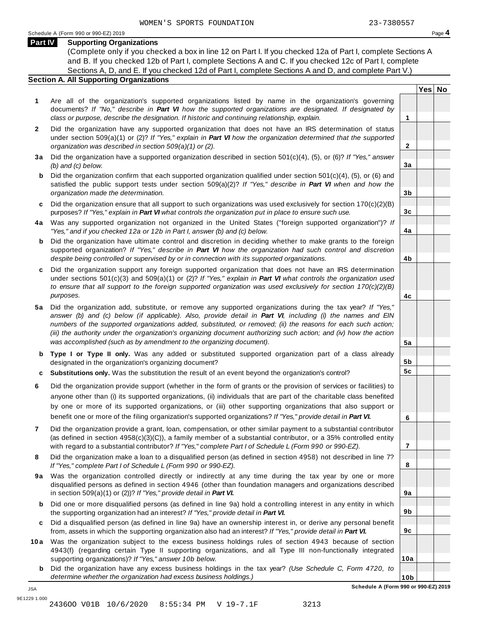### **Part IV Supporting Organizations**

(Complete only if you checked a box in line 12 on Part I. If you checked 12a of Part I, complete Sections A and B. If you checked 12b of Part I, complete Sections A and C. If you checked 12c of Part I, complete Sections A, D, and E. If you checked 12d of Part I, complete Sections A and D, and complete Part V.)

### **Section A. All Supporting Organizations**

- **1** Are all of the organization's supported organizations listed by name in the organization's governing documents? *If "No," describe in Part VI how the supported organizations are designated. If designated by class or purpose, describe the designation. If historic and continuing relationship, explain.* **1**
- **2** Did the organization have any supported organization that does not have an IRS determination of status under section 509(a)(1) or (2)? *If"Yes," explain in Part VI how the organization determined that the supported organization was described in section 509(a)(1) or (2).*
- **3 a** Did the organization have a supported organization described in section 501(c)(4), (5), or (6)? *If "Yes," answer (b) and (c) below.*
- **b** Did the organization confirm that each supported organization qualified under section 501(c)(4), (5), or (6) and | satisfied the public support tests under section 509(a)(2)? *If "Yes," describe in Part VI when and how the organization made the determination.*
- **c** Did the organization ensure that all support to such organizations was used exclusively for section 170(c)(2)(B) purposes? *If"Yes," explain in Part VI what controls the organization put in place to ensure such use.*
- **4 a** Was any supported organization not organized in the United States ("foreign supported organization")? *If "Yes," and if you checked 12a or 12b in Part I, answer (b) and (c) below.*
- **b** Did the organization have ultimate control and discretion in deciding whether to make grants to the foreign | supported organization? *If "Yes," describe in Part VI how the organization had such control and discretion despite being controlled or supervised by or in connection with its supported organizations.*
- **c** Did the organization support any foreign supported organization that does not have an IRS determination under sections 501(c)(3) and 509(a)(1) or (2)? *If "Yes," explain in Part VI what controls the organization used to ensure that all support to the foreign supported organization was used exclusively for section 170(c)(2)(B) purposes.*
- **5 a** Did the organization add, substitute, or remove any supported organizations during the tax year? *If "Yes,"* answer (b) and (c) below (if applicable). Also, provide detail in Part VI, including (i) the names and EIN *numbers of the supported organizations added, substituted, or removed; (ii) the reasons for each such action;* (iii) the authority under the organization's organizing document authorizing such action; and (iv) how the action *was accomplished (such as by amendment to the organizing document).*
- **b Type I or Type II only.** Was any added or substituted supported organization part of a class already designated in the organization's organizing document?
- **c Substitutions only.** Was the substitution the result of an event beyond the organization's control?
- **6** Did the organization provide support (whether in the form of grants or the provision of services or facilities) to anyone other than (i) its supported organizations, (ii) individuals that are part of the charitable class benefited by one or more of its supported organizations, or (iii) other supporting organizations that also support or benefit one or more of the filing organization's supported organizations? *If"Yes," provide detail in Part VI.*
- **7** Did the organization provide a grant, loan, compensation, or other similar payment to a substantial contributor (as defined in section 4958(c)(3)(C)), a family member of a substantial contributor, or a 35% controlled entity with regard to a substantial contributor? *If"Yes," complete Part I of Schedule L (Form 990 or 990-EZ).*
- **8** Did the organization make a loan to a disqualified person (as defined in section 4958) not described in line 7? *If "Yes," complete Part I of Schedule L (Form 990 or 990-EZ).*
- **9a** Was the organization controlled directly or indirectly at any time during the tax year by one or more | disqualified persons as defined in section 4946 (other than foundation managers and organizations described in section 509(a)(1) or (2))? *If"Yes," provide detail in Part VI.*
- **b** Did one or more disqualified persons (as defined in line 9a) hold a controlling interest in any entity in which | the supporting organization had an interest? *If"Yes," provide detail in Part VI.*
- **c** Did a disqualified person (as defined in line 9a) have an ownership interest in, or derive any personal benefit from, assets in which the supporting organization also had an interest? *If"Yes," provide detail in Part VI.*
- **10a** Was the organization subject to the excess business holdings rules of section 4943 because of section | 4943(f) (regarding certain Type II supporting organizations, and all Type III non-functionally integrated supporting organizations)? *If"Yes," answer 10b below.*
	- **b** Did the organization have any excess business holdings in the tax year? *(Use Schedule C, Form 4720, to determine whether the organization had excess business holdings.)*

**Yes No**

**2**

**3a**

**3b**

**3c**

**4a**

**4b**

**4c**

**5a**

**5b 5c**

**6**

**7**

**8**

**9a**

**9b**

**9c**

**10a**

**10b Schedule A (Form 990 or 990-EZ) 2019**

JSA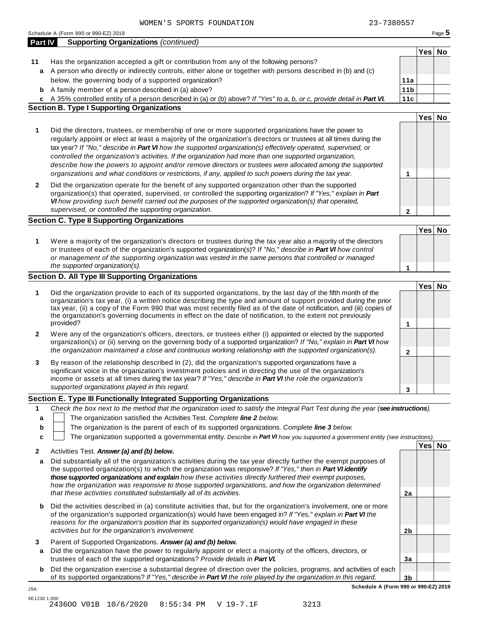|                  | WOMEN'S SPORTS FOUNDATION                                                                                                                                                                                                                                                                                                                                                                                                                                                                                                                                                                                                                                                    | 23-7380557      |        |        |
|------------------|------------------------------------------------------------------------------------------------------------------------------------------------------------------------------------------------------------------------------------------------------------------------------------------------------------------------------------------------------------------------------------------------------------------------------------------------------------------------------------------------------------------------------------------------------------------------------------------------------------------------------------------------------------------------------|-----------------|--------|--------|
|                  | Schedule A (Form 990 or 990-EZ) 2019                                                                                                                                                                                                                                                                                                                                                                                                                                                                                                                                                                                                                                         |                 |        | Page 5 |
|                  | <b>Supporting Organizations (continued)</b><br><b>Part IV</b>                                                                                                                                                                                                                                                                                                                                                                                                                                                                                                                                                                                                                |                 |        |        |
|                  |                                                                                                                                                                                                                                                                                                                                                                                                                                                                                                                                                                                                                                                                              |                 | Yes No |        |
| 11               | Has the organization accepted a gift or contribution from any of the following persons?                                                                                                                                                                                                                                                                                                                                                                                                                                                                                                                                                                                      |                 |        |        |
| a                | A person who directly or indirectly controls, either alone or together with persons described in (b) and (c)                                                                                                                                                                                                                                                                                                                                                                                                                                                                                                                                                                 |                 |        |        |
|                  | below, the governing body of a supported organization?                                                                                                                                                                                                                                                                                                                                                                                                                                                                                                                                                                                                                       | 11a             |        |        |
| b                | A family member of a person described in (a) above?                                                                                                                                                                                                                                                                                                                                                                                                                                                                                                                                                                                                                          | 11 <sub>b</sub> |        |        |
|                  | c A 35% controlled entity of a person described in (a) or (b) above? If "Yes" to a, b, or c, provide detail in Part VI.                                                                                                                                                                                                                                                                                                                                                                                                                                                                                                                                                      | 11c             |        |        |
|                  | <b>Section B. Type I Supporting Organizations</b>                                                                                                                                                                                                                                                                                                                                                                                                                                                                                                                                                                                                                            |                 |        |        |
|                  |                                                                                                                                                                                                                                                                                                                                                                                                                                                                                                                                                                                                                                                                              |                 | Yes No |        |
| 1                | Did the directors, trustees, or membership of one or more supported organizations have the power to<br>regularly appoint or elect at least a majority of the organization's directors or trustees at all times during the<br>tax year? If "No," describe in Part VI how the supported organization(s) effectively operated, supervised, or<br>controlled the organization's activities. If the organization had more than one supported organization,<br>describe how the powers to appoint and/or remove directors or trustees were allocated among the supported<br>organizations and what conditions or restrictions, if any, applied to such powers during the tax year. | 1               |        |        |
| 2                | Did the organization operate for the benefit of any supported organization other than the supported<br>organization(s) that operated, supervised, or controlled the supporting organization? If "Yes," explain in Part<br>VI how providing such benefit carried out the purposes of the supported organization(s) that operated,                                                                                                                                                                                                                                                                                                                                             |                 |        |        |
|                  | supervised, or controlled the supporting organization.                                                                                                                                                                                                                                                                                                                                                                                                                                                                                                                                                                                                                       | $\mathbf{2}$    |        |        |
|                  | <b>Section C. Type II Supporting Organizations</b>                                                                                                                                                                                                                                                                                                                                                                                                                                                                                                                                                                                                                           |                 |        |        |
|                  |                                                                                                                                                                                                                                                                                                                                                                                                                                                                                                                                                                                                                                                                              |                 | Yes No |        |
| 1                | Were a majority of the organization's directors or trustees during the tax year also a majority of the directors<br>or trustees of each of the organization's supported organization(s)? If "No," describe in Part VI how control<br>or management of the supporting organization was vested in the same persons that controlled or managed<br>the supported organization(s).                                                                                                                                                                                                                                                                                                | 1               |        |        |
|                  | <b>Section D. All Type III Supporting Organizations</b>                                                                                                                                                                                                                                                                                                                                                                                                                                                                                                                                                                                                                      |                 |        |        |
|                  |                                                                                                                                                                                                                                                                                                                                                                                                                                                                                                                                                                                                                                                                              |                 | Yes No |        |
| 1                | Did the organization provide to each of its supported organizations, by the last day of the fifth month of the<br>organization's tax year, (i) a written notice describing the type and amount of support provided during the prior<br>tax year, (ii) a copy of the Form 990 that was most recently filed as of the date of notification, and (iii) copies of<br>the organization's governing documents in effect on the date of notification, to the extent not previously<br>provided?                                                                                                                                                                                     | 1               |        |        |
| 2                | Were any of the organization's officers, directors, or trustees either (i) appointed or elected by the supported                                                                                                                                                                                                                                                                                                                                                                                                                                                                                                                                                             |                 |        |        |
|                  | organization(s) or (ii) serving on the governing body of a supported organization? If "No," explain in Part VI how<br>the organization maintained a close and continuous working relationship with the supported organization(s).                                                                                                                                                                                                                                                                                                                                                                                                                                            | $\mathbf{2}$    |        |        |
| 3                | By reason of the relationship described in (2), did the organization's supported organizations have a<br>significant voice in the organization's investment policies and in directing the use of the organization's<br>income or assets at all times during the tax year? If "Yes," describe in Part VI the role the organization's<br>supported organizations played in this regard.                                                                                                                                                                                                                                                                                        |                 |        |        |
|                  |                                                                                                                                                                                                                                                                                                                                                                                                                                                                                                                                                                                                                                                                              | 3               |        |        |
|                  | Section E. Type III Functionally Integrated Supporting Organizations                                                                                                                                                                                                                                                                                                                                                                                                                                                                                                                                                                                                         |                 |        |        |
| 1<br>a<br>b<br>c | Check the box next to the method that the organization used to satisfy the Integral Part Test during the year (see instructions).<br>The organization satisfied the Activities Test. Complete line 2 below.<br>The organization is the parent of each of its supported organizations. Complete line 3 below.<br>The organization supported a governmental entity. Describe in Part VI how you supported a government entity (see instructions).                                                                                                                                                                                                                              |                 |        |        |
| 2                | Activities Test. Answer (a) and (b) below.                                                                                                                                                                                                                                                                                                                                                                                                                                                                                                                                                                                                                                   |                 | Yes No |        |
| а                | Did substantially all of the organization's activities during the tax year directly further the exempt purposes of<br>the supported organization(s) to which the organization was responsive? If "Yes," then in Part VI identify<br>those supported organizations and explain how these activities directly furthered their exempt purposes,<br>how the organization was responsive to those supported organizations, and how the organization determined<br>that these activities constituted substantially all of its activities.                                                                                                                                          | 2a              |        |        |
| b                | Did the activities described in (a) constitute activities that, but for the organization's involvement, one or more<br>of the organization's supported organization(s) would have been engaged in? If "Yes," explain in Part VI the                                                                                                                                                                                                                                                                                                                                                                                                                                          |                 |        |        |

**3** Parent of Supported Organizations. *Answer (a) and (b) below.*

*activities but for the organization's involvement.*

JSA

**a** Did the organization have the power to regularly appoint or elect a majority of the officers, directors, or trustees of each of the supported organizations? *Provide details in Part VI.*

*reasons for the organization's position that its supported organization(s) would have engaged in these*

**b** Did the organization exercise a substantial degree of direction over the policies, programs, and activities of each of its supported organizations? *If"Yes," describe in Part VI the role played by the organization in this regard.*

**3b Schedule A (Form 990 or 990-EZ) 2019**

**2b**

**3a**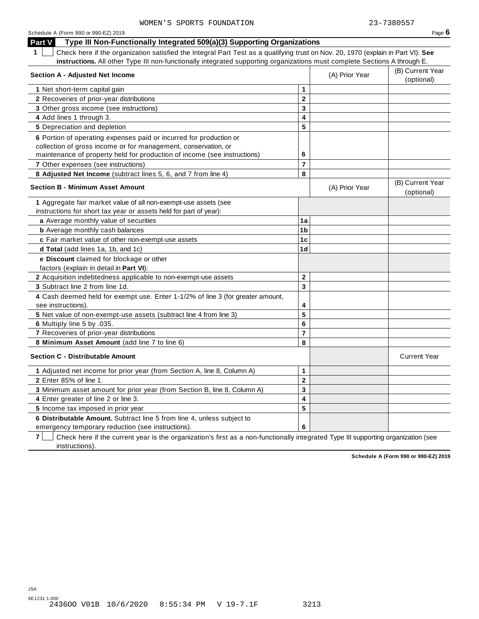| Schedule A (Form 990 or 990-EZ) 2019                                                                                                             |                         |                | Page 6                         |
|--------------------------------------------------------------------------------------------------------------------------------------------------|-------------------------|----------------|--------------------------------|
| Type III Non-Functionally Integrated 509(a)(3) Supporting Organizations<br><b>Part V</b>                                                         |                         |                |                                |
| $\mathbf{1}$<br>Check here if the organization satisfied the Integral Part Test as a qualifying trust on Nov. 20, 1970 (explain in Part VI). See |                         |                |                                |
| instructions. All other Type III non-functionally integrated supporting organizations must complete Sections A through E.                        |                         |                |                                |
| <b>Section A - Adjusted Net Income</b>                                                                                                           |                         | (A) Prior Year | (B) Current Year<br>(optional) |
| 1 Net short-term capital gain                                                                                                                    | 1                       |                |                                |
| 2 Recoveries of prior-year distributions                                                                                                         | $\mathbf 2$             |                |                                |
| 3 Other gross income (see instructions)                                                                                                          | $\overline{3}$          |                |                                |
| 4 Add lines 1 through 3.                                                                                                                         | 4                       |                |                                |
| 5 Depreciation and depletion                                                                                                                     | 5                       |                |                                |
| 6 Portion of operating expenses paid or incurred for production or                                                                               |                         |                |                                |
| collection of gross income or for management, conservation, or                                                                                   |                         |                |                                |
| maintenance of property held for production of income (see instructions)                                                                         | 6                       |                |                                |
| <b>7</b> Other expenses (see instructions)                                                                                                       | $\overline{\mathbf{r}}$ |                |                                |
| 8 Adjusted Net Income (subtract lines 5, 6, and 7 from line 4)                                                                                   | 8                       |                |                                |
| <b>Section B - Minimum Asset Amount</b>                                                                                                          |                         | (A) Prior Year | (B) Current Year<br>(optional) |
| 1 Aggregate fair market value of all non-exempt-use assets (see                                                                                  |                         |                |                                |
| instructions for short tax year or assets held for part of year):                                                                                |                         |                |                                |
| a Average monthly value of securities                                                                                                            | 1a                      |                |                                |
| <b>b</b> Average monthly cash balances                                                                                                           | 1 <sub>b</sub>          |                |                                |
| c Fair market value of other non-exempt-use assets                                                                                               | 1c                      |                |                                |
| d Total (add lines 1a, 1b, and 1c)                                                                                                               | 1d                      |                |                                |
| e Discount claimed for blockage or other                                                                                                         |                         |                |                                |
| factors (explain in detail in Part VI):                                                                                                          |                         |                |                                |
| 2 Acquisition indebtedness applicable to non-exempt-use assets                                                                                   | $\mathbf{2}$            |                |                                |
| 3 Subtract line 2 from line 1d.                                                                                                                  | 3                       |                |                                |
| 4 Cash deemed held for exempt use. Enter 1-1/2% of line 3 (for greater amount,<br>see instructions).                                             | 4                       |                |                                |
| 5 Net value of non-exempt-use assets (subtract line 4 from line 3)                                                                               | 5                       |                |                                |
| 6 Multiply line 5 by .035.                                                                                                                       | $6\phantom{1}$          |                |                                |
| 7 Recoveries of prior-year distributions                                                                                                         | $\overline{\mathbf{r}}$ |                |                                |
| 8 Minimum Asset Amount (add line 7 to line 6)                                                                                                    | 8                       |                |                                |
| <b>Section C - Distributable Amount</b>                                                                                                          |                         |                | <b>Current Year</b>            |
| 1 Adjusted net income for prior year (from Section A, line 8, Column A)                                                                          | 1                       |                |                                |
| 2 Enter 85% of line 1.                                                                                                                           | $\mathbf 2$             |                |                                |
| 3 Minimum asset amount for prior year (from Section B, line 8, Column A)                                                                         | 3                       |                |                                |
| 4 Enter greater of line 2 or line 3.                                                                                                             | 4                       |                |                                |
| 5 Income tax imposed in prior year                                                                                                               | 5                       |                |                                |
| 6 Distributable Amount. Subtract line 5 from line 4, unless subject to                                                                           |                         |                |                                |
| emergency temporary reduction (see instructions).                                                                                                | 6                       |                |                                |

**7** | Check here if the current year is the organization's first as a non-functionally integrated Type III supporting organization (see instructions).

**Schedule A (Form 990 or 990-EZ) 2019**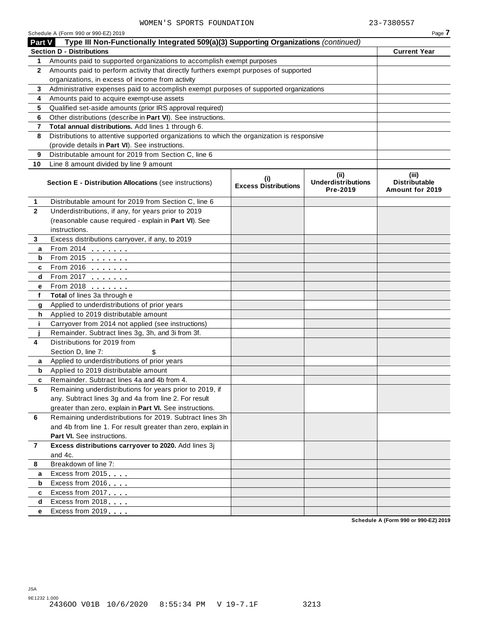|                | Schedule A (Form 990 or 990-EZ) 2019                                                       |                                    |                                               | Page 7                                           |
|----------------|--------------------------------------------------------------------------------------------|------------------------------------|-----------------------------------------------|--------------------------------------------------|
| Part V         | Type III Non-Functionally Integrated 509(a)(3) Supporting Organizations (continued)        |                                    |                                               |                                                  |
|                | <b>Section D - Distributions</b>                                                           |                                    |                                               | <b>Current Year</b>                              |
| 1.             | Amounts paid to supported organizations to accomplish exempt purposes                      |                                    |                                               |                                                  |
| $\mathbf{2}$   | Amounts paid to perform activity that directly furthers exempt purposes of supported       |                                    |                                               |                                                  |
|                | organizations, in excess of income from activity                                           |                                    |                                               |                                                  |
| 3              | Administrative expenses paid to accomplish exempt purposes of supported organizations      |                                    |                                               |                                                  |
| 4              | Amounts paid to acquire exempt-use assets                                                  |                                    |                                               |                                                  |
| 5              | Qualified set-aside amounts (prior IRS approval required)                                  |                                    |                                               |                                                  |
| 6              | Other distributions (describe in Part VI). See instructions.                               |                                    |                                               |                                                  |
| 7              | Total annual distributions. Add lines 1 through 6.                                         |                                    |                                               |                                                  |
| 8              | Distributions to attentive supported organizations to which the organization is responsive |                                    |                                               |                                                  |
|                | (provide details in Part VI). See instructions.                                            |                                    |                                               |                                                  |
| 9              | Distributable amount for 2019 from Section C, line 6                                       |                                    |                                               |                                                  |
| 10             | Line 8 amount divided by line 9 amount                                                     |                                    |                                               |                                                  |
|                | <b>Section E - Distribution Allocations (see instructions)</b>                             | (i)<br><b>Excess Distributions</b> | (ii)<br><b>Underdistributions</b><br>Pre-2019 | (iii)<br><b>Distributable</b><br>Amount for 2019 |
| 1              | Distributable amount for 2019 from Section C, line 6                                       |                                    |                                               |                                                  |
| $\mathbf{2}$   | Underdistributions, if any, for years prior to 2019                                        |                                    |                                               |                                                  |
|                | (reasonable cause required - explain in Part VI). See                                      |                                    |                                               |                                                  |
|                | instructions.                                                                              |                                    |                                               |                                                  |
| 3              | Excess distributions carryover, if any, to 2019                                            |                                    |                                               |                                                  |
| a              | From 2014 $\frac{1}{2}$                                                                    |                                    |                                               |                                                  |
| b              | From 2015 $\frac{1}{2}$                                                                    |                                    |                                               |                                                  |
| c              | From 2016 $\frac{1}{2}$                                                                    |                                    |                                               |                                                  |
| d              | From 2017 $\frac{1}{2}$                                                                    |                                    |                                               |                                                  |
| е              | From 2018                                                                                  |                                    |                                               |                                                  |
| f              | Total of lines 3a through e                                                                |                                    |                                               |                                                  |
| g              | Applied to underdistributions of prior years                                               |                                    |                                               |                                                  |
| h              | Applied to 2019 distributable amount                                                       |                                    |                                               |                                                  |
| j.             | Carryover from 2014 not applied (see instructions)                                         |                                    |                                               |                                                  |
|                | Remainder. Subtract lines 3g, 3h, and 3i from 3f.                                          |                                    |                                               |                                                  |
| 4              | Distributions for 2019 from                                                                |                                    |                                               |                                                  |
|                | Section D, line 7:<br>\$                                                                   |                                    |                                               |                                                  |
| a              | Applied to underdistributions of prior years                                               |                                    |                                               |                                                  |
| b              | Applied to 2019 distributable amount                                                       |                                    |                                               |                                                  |
|                | Remainder. Subtract lines 4a and 4b from 4.                                                |                                    |                                               |                                                  |
| 5              | Remaining underdistributions for years prior to 2019, if                                   |                                    |                                               |                                                  |
|                | any. Subtract lines 3g and 4a from line 2. For result                                      |                                    |                                               |                                                  |
|                | greater than zero, explain in Part VI. See instructions.                                   |                                    |                                               |                                                  |
| 6              | Remaining underdistributions for 2019. Subtract lines 3h                                   |                                    |                                               |                                                  |
|                | and 4b from line 1. For result greater than zero, explain in<br>Part VI. See instructions. |                                    |                                               |                                                  |
| $\overline{7}$ | Excess distributions carryover to 2020. Add lines 3j                                       |                                    |                                               |                                                  |
|                | and 4c.                                                                                    |                                    |                                               |                                                  |
| 8              | Breakdown of line 7:                                                                       |                                    |                                               |                                                  |
| a              | Excess from 2015                                                                           |                                    |                                               |                                                  |
| b              | Excess from 2016                                                                           |                                    |                                               |                                                  |
| c              | Excess from 2017                                                                           |                                    |                                               |                                                  |
| d              | Excess from 2018                                                                           |                                    |                                               |                                                  |
| е              | Excess from 2019                                                                           |                                    |                                               |                                                  |
|                |                                                                                            |                                    |                                               | Schodule A (Form 990 or 990-F7) 2019             |

**Schedule A (Form 990 or 990-EZ) 2019**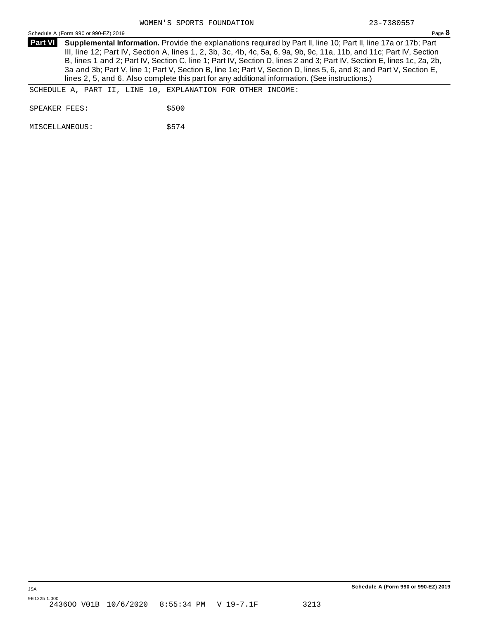Schedule <sup>A</sup> (Form <sup>990</sup> or 990-EZ) <sup>2019</sup> Page **8**

**Supplemental Information.** Provide the explanations required by Part II, line 10; Part II, line 17a or 17b; Part **Part VI** III, line 12; Part IV, Section A, lines 1, 2, 3b, 3c, 4b, 4c, 5a, 6, 9a, 9b, 9c, 11a, 11b, and 11c; Part IV, Section B, lines 1 and 2; Part IV, Section C, line 1; Part IV, Section D, lines 2 and 3; Part IV, Section E, lines 1c, 2a, 2b, 3a and 3b; Part V, line 1; Part V, Section B, line 1e; Part V, Section D, lines 5, 6, and 8; and Part V, Section E, lines 2, 5, and 6. Also complete this part for any additional information. (See instructions.)

SCHEDULE A, PART II, LINE 10, EXPLANATION FOR OTHER INCOME:

SPEAKER FEES: \$500

MISCELLANEOUS:  $$574$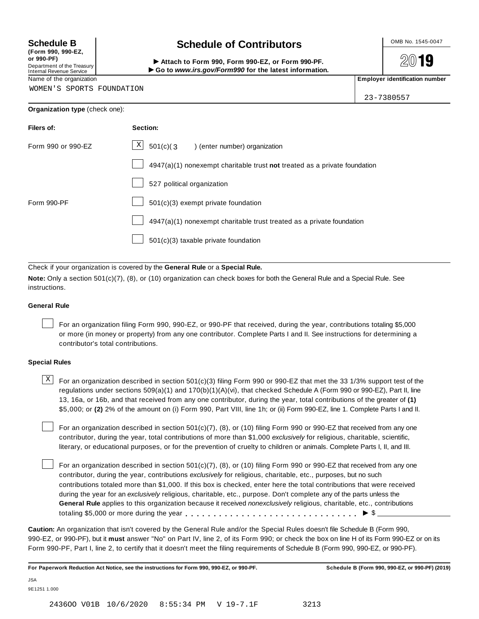**(Form 990, 990-EZ, or 990-PF)** Department of the Treasury<br>Internal Revenue Service

## **Schedule B chedule of Contributors**

(Porm 990, Form 990, Form 990-EZ, or Form 990-PF.<br>Department of the Treasury → Attach to Form 990, Form 990-EZ, or Form 990-PF.<br>Internal Revenue Service → → Go to www.irs.gov/Form990 for the latest information.<br>Name of th

2019

WOMEN'S SPORTS FOUNDATION

| 23-7380557 |  |
|------------|--|

| Filers of:         | Section:                                                                    |
|--------------------|-----------------------------------------------------------------------------|
| Form 990 or 990-EZ | $\mathbf{X}$<br>501(c)(3<br>) (enter number) organization                   |
|                    | $4947(a)(1)$ nonexempt charitable trust not treated as a private foundation |
|                    | 527 political organization                                                  |
| Form 990-PF        | $501(c)(3)$ exempt private foundation                                       |
|                    | 4947(a)(1) nonexempt charitable trust treated as a private foundation       |
|                    | 501(c)(3) taxable private foundation                                        |

Check if your organization is covered by the **General Rule** or a **Special Rule.**

**Note:** Only a section 501(c)(7), (8), or (10) organization can check boxes for both the General Rule and a Special Rule. See instructions.

### **General Rule**

For an organization filing Form 990, 990-EZ, or 990-PF that received, during the year, contributions totaling \$5,000 or more (in money or property) from any one contributor. Complete Parts I and II. See instructions for determining a contributor's total contributions.

### **Special Rules**

 $\text{X}$  For an organization described in section 501(c)(3) filing Form 990 or 990-EZ that met the 33 1/3% support test of the regulations under sections 509(a)(1) and 170(b)(1)(A)(vi), that checked Schedule A (Form 990 or 990-EZ), Part II, line 13, 16a, or 16b, and that received from any one contributor, during the year, total contributions of the greater of **(1)** \$5,000; or **(2)** 2% of the amount on (i) Form 990, Part VIII, line 1h; or (ii) Form 990-EZ, line 1. Complete Parts I and II.

For an organization described in section 501(c)(7), (8), or (10) filing Form 990 or 990-EZ that received from any one contributor, during the year, total contributions of more than \$1,000 *exclusively* for religious, charitable, scientific, literary, or educational purposes, or for the prevention of cruelty to children or animals. Complete Parts I, II, and III.

For an organization described in section 501(c)(7), (8), or (10) filing Form 990 or 990-EZ that received from any one contributor, during the year, contributions *exclusively* for religious, charitable, etc., purposes, but no such contributions totaled more than \$1,000. If this box is checked, enter here the total contributions that were received during the year for an *exclusively* religious, charitable, etc., purpose. Don't complete any of the parts unless the **General Rule** applies to this organization because it received *nonexclusively* religious, charitable, etc., contributions totaling \$5,000 or more during the year m m m m m m m m m m m m m m m m m m m m m m m m m m m m m m m I \$

**Caution:** An organization that isn't covered by the General Rule and/or the Special Rules doesn't file Schedule B (Form 990, 990-EZ, or 990-PF), but it **must** answer "No" on Part IV, line 2, of its Form 990; or check the box on line H of its Form 990-EZ or on its Form 990-PF, Part I, line 2, to certify that it doesn't meet the filing requirements of Schedule B (Form 990, 990-EZ, or 990-PF).

For Paperwork Reduction Act Notice, see the instructions for Form 990, 990-EZ, or 990-PF. Schedule B (Form 990, 990-EZ, or 990-PF) (2019)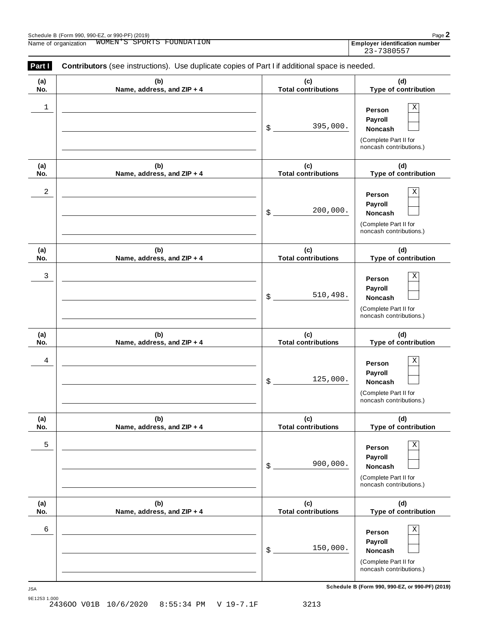| Schedule B (Form 990, 990-EZ, or 990-PF) (2019) |                                            | $Page$ .                                        |
|-------------------------------------------------|--------------------------------------------|-------------------------------------------------|
| Name of<br>, organization                       | :ON<br>WOMEN<br>PORTS.<br>H'OUNDA'<br>יש ה | $\cdots$<br>Emplover<br>r identification number |

| Part I     | Contributors (see instructions). Use duplicate copies of Part I if additional space is needed. |                                   |                                                                                              |
|------------|------------------------------------------------------------------------------------------------|-----------------------------------|----------------------------------------------------------------------------------------------|
| (a)<br>No. | (b)<br>Name, address, and ZIP + 4                                                              | (c)<br><b>Total contributions</b> | (d)<br>Type of contribution                                                                  |
| 1          |                                                                                                | 395,000.<br>\$                    | Χ<br>Person<br>Payroll<br>Noncash<br>(Complete Part II for<br>noncash contributions.)        |
| (a)<br>No. | (b)<br>Name, address, and ZIP + 4                                                              | (c)<br><b>Total contributions</b> | (d)<br>Type of contribution                                                                  |
| 2          |                                                                                                | 200,000.<br>\$                    | Χ<br>Person<br>Payroll<br>Noncash<br>(Complete Part II for<br>noncash contributions.)        |
| (a)<br>No. | (b)<br>Name, address, and ZIP + 4                                                              | (c)<br><b>Total contributions</b> | (d)<br>Type of contribution                                                                  |
| 3          |                                                                                                | 510,498.<br>\$                    | Χ<br>Person<br>Payroll<br>Noncash<br>(Complete Part II for<br>noncash contributions.)        |
| (a)<br>No. | (b)<br>Name, address, and ZIP + 4                                                              | (c)<br><b>Total contributions</b> | (d)<br>Type of contribution                                                                  |
| 4          |                                                                                                | 125,000.<br>\$                    | Χ<br>Person<br>Payroll<br>Noncash<br>(Complete Part II for<br>noncash contributions.)        |
| (a)<br>No. | (b)<br>Name, address, and ZIP + 4                                                              | (c)<br><b>Total contributions</b> | (d)<br>Type of contribution                                                                  |
| 5          |                                                                                                | 900,000.<br>\$                    | Χ<br>Person<br>Payroll<br><b>Noncash</b><br>(Complete Part II for<br>noncash contributions.) |
| (a)<br>No. | (b)<br>Name, address, and ZIP + 4                                                              | (c)<br><b>Total contributions</b> | (d)<br>Type of contribution                                                                  |
| 6          |                                                                                                | 150,000.<br>\$                    | Χ<br>Person<br>Payroll<br><b>Noncash</b><br>(Complete Part II for<br>noncash contributions.) |

**Schedule B (Form 990, 990-EZ, or 990-PF) (2019)** JSA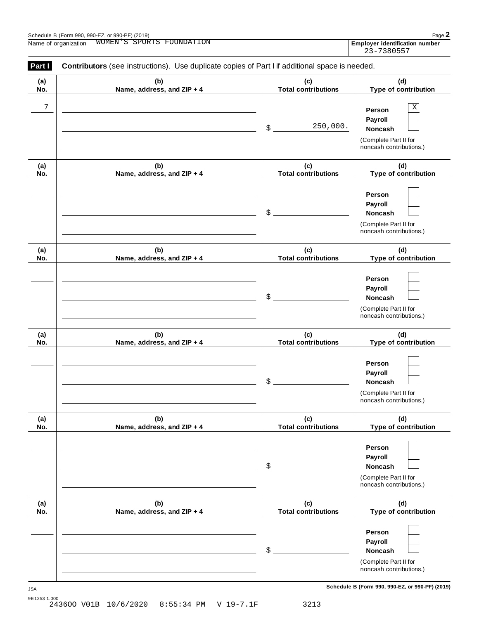| Schedule B (Form 990, 990-EZ, or 990-PF) (2019) |                                               | $Page$ .                                        |
|-------------------------------------------------|-----------------------------------------------|-------------------------------------------------|
| Name<br>organization                            | WOMEN<br>⊣⊺∩⊤⊤<br>פידי ר<br>SPOR.<br>UINDA''' | $\cdots$<br>Emplover<br>r identification number |

| (a) | (b)                        | (c)                        | (d)                                                                                   |
|-----|----------------------------|----------------------------|---------------------------------------------------------------------------------------|
| No. | Name, address, and ZIP + 4 | <b>Total contributions</b> | Type of contribution                                                                  |
| 7   |                            | 250,000.<br>\$             | Χ<br>Person<br>Payroll<br>Noncash<br>(Complete Part II for<br>noncash contributions.) |
| (a) | (b)                        | (c)                        | (d)                                                                                   |
| No. | Name, address, and ZIP + 4 | <b>Total contributions</b> | Type of contribution                                                                  |
|     |                            | \$                         | Person<br>Payroll<br>Noncash<br>(Complete Part II for<br>noncash contributions.)      |
| (a) | (b)                        | (c)                        | (d)                                                                                   |
| No. | Name, address, and ZIP + 4 | <b>Total contributions</b> | Type of contribution                                                                  |
|     |                            | \$                         | Person<br>Payroll<br>Noncash<br>(Complete Part II for<br>noncash contributions.)      |
| (a) | (b)                        | (c)                        | (d)                                                                                   |
| No. | Name, address, and ZIP + 4 | <b>Total contributions</b> | Type of contribution                                                                  |
|     |                            | \$                         | Person<br>Payroll<br>Noncash<br>(Complete Part II for<br>noncash contributions.)      |
| (a) | (b)                        | (c)                        | (d)                                                                                   |
| No. | Name, address, and ZIP + 4 | <b>Total contributions</b> | Type of contribution                                                                  |
|     |                            | \$                         | Person<br>Payroll<br>Noncash<br>(Complete Part II for<br>noncash contributions.)      |
| (a) | (b)                        | (c)                        | (d)                                                                                   |
| No. | Name, address, and ZIP + 4 | <b>Total contributions</b> | Type of contribution                                                                  |
|     |                            | $\boldsymbol{\theta}$      | Person<br>Payroll<br>Noncash<br>(Complete Part II for<br>noncash contributions.)      |

**Schedule B (Form 990, 990-EZ, or 990-PF) (2019)** JSA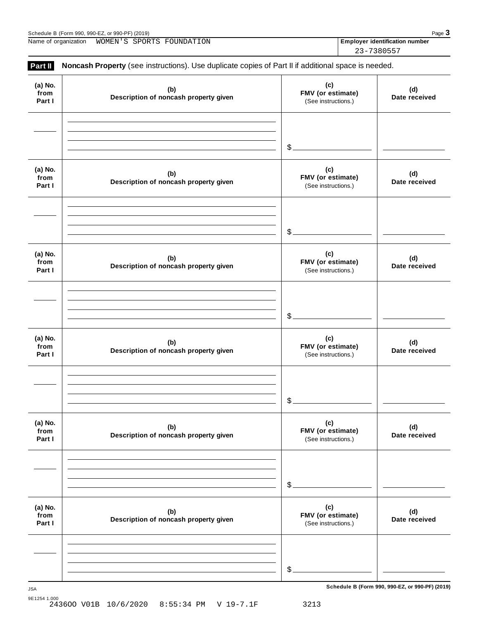| <u>.</u><br>) (2019)<br>$\alpha r$ QQ $\Omega$ - $\mathsf{P}\Gamma$<br>Schedule<br>റററ<br>-990.<br>'Form<br>…… カリーニ<br>ω<br>- - - - - - - - - | Pac<br>$\mathbf{1}$ |
|-----------------------------------------------------------------------------------------------------------------------------------------------|---------------------|
|                                                                                                                                               |                     |

Name of organization **WOMEN'S SPORTS FOUNDATION Employer identification number** 

23-7380557

| Part II                   | Noncash Property (see instructions). Use duplicate copies of Part II if additional space is needed. |                                                 |                      |
|---------------------------|-----------------------------------------------------------------------------------------------------|-------------------------------------------------|----------------------|
| (a) No.<br>from<br>Part I | (b)<br>Description of noncash property given                                                        | (c)<br>FMV (or estimate)<br>(See instructions.) | (d)<br>Date received |
|                           |                                                                                                     | $\frac{1}{2}$                                   |                      |
| (a) No.<br>from<br>Part I | (b)<br>Description of noncash property given                                                        | (c)<br>FMV (or estimate)<br>(See instructions.) | (d)<br>Date received |
|                           |                                                                                                     | $\frac{1}{2}$                                   |                      |
| (a) No.<br>from<br>Part I | (b)<br>Description of noncash property given                                                        | (c)<br>FMV (or estimate)<br>(See instructions.) | (d)<br>Date received |
|                           |                                                                                                     | $\frac{1}{2}$                                   |                      |
| (a) No.<br>from<br>Part I | (b)<br>Description of noncash property given                                                        | (c)<br>FMV (or estimate)<br>(See instructions.) | (d)<br>Date received |
|                           |                                                                                                     | \$                                              |                      |
| (a) No.<br>from<br>Part I | (b)<br>Description of noncash property given                                                        | (c)<br>FMV (or estimate)<br>(See instructions.) | (d)<br>Date received |
|                           |                                                                                                     | \$                                              |                      |
| (a) No.<br>from<br>Part I | (b)<br>Description of noncash property given                                                        | (c)<br>FMV (or estimate)<br>(See instructions.) | (d)<br>Date received |
|                           |                                                                                                     |                                                 |                      |
|                           |                                                                                                     | $\frac{1}{2}$                                   |                      |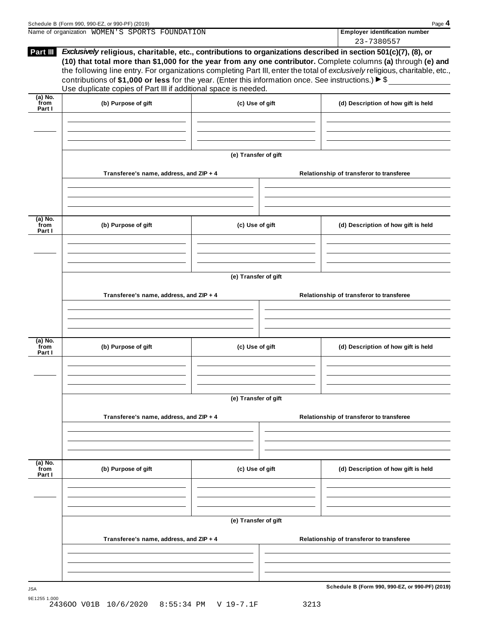|                             | Schedule B (Form 990, 990-EZ, or 990-PF) (2019)                                                                                                                                                                                                                                                           |                      |  | Page 4                                                                                                                                                                                                                                                      |
|-----------------------------|-----------------------------------------------------------------------------------------------------------------------------------------------------------------------------------------------------------------------------------------------------------------------------------------------------------|----------------------|--|-------------------------------------------------------------------------------------------------------------------------------------------------------------------------------------------------------------------------------------------------------------|
|                             | Name of organization WOMEN'S SPORTS FOUNDATION                                                                                                                                                                                                                                                            |                      |  | <b>Employer identification number</b>                                                                                                                                                                                                                       |
| Part III                    | Exclusively religious, charitable, etc., contributions to organizations described in section 501(c)(7), (8), or<br>contributions of \$1,000 or less for the year. (Enter this information once. See instructions.) $\triangleright$ \$<br>Use duplicate copies of Part III if additional space is needed. |                      |  | 23-7380557<br>(10) that total more than \$1,000 for the year from any one contributor. Complete columns (a) through (e) and<br>the following line entry. For organizations completing Part III, enter the total of exclusively religious, charitable, etc., |
| $(a)$ No.<br>from<br>Part I | (b) Purpose of gift                                                                                                                                                                                                                                                                                       | (c) Use of gift      |  | (d) Description of how gift is held                                                                                                                                                                                                                         |
|                             |                                                                                                                                                                                                                                                                                                           |                      |  |                                                                                                                                                                                                                                                             |
|                             |                                                                                                                                                                                                                                                                                                           | (e) Transfer of gift |  |                                                                                                                                                                                                                                                             |
|                             | Transferee's name, address, and ZIP + 4                                                                                                                                                                                                                                                                   |                      |  | Relationship of transferor to transferee                                                                                                                                                                                                                    |
| $(a)$ No.<br>from           | (b) Purpose of gift                                                                                                                                                                                                                                                                                       | (c) Use of gift      |  | (d) Description of how gift is held                                                                                                                                                                                                                         |
| Part I                      |                                                                                                                                                                                                                                                                                                           |                      |  |                                                                                                                                                                                                                                                             |
|                             |                                                                                                                                                                                                                                                                                                           | (e) Transfer of gift |  |                                                                                                                                                                                                                                                             |
|                             | Transferee's name, address, and ZIP + 4                                                                                                                                                                                                                                                                   |                      |  | Relationship of transferor to transferee                                                                                                                                                                                                                    |
| $(a)$ No.<br>from<br>Part I | (b) Purpose of gift                                                                                                                                                                                                                                                                                       | (c) Use of gift      |  | (d) Description of how gift is held                                                                                                                                                                                                                         |
|                             |                                                                                                                                                                                                                                                                                                           | (e) Transfer of gift |  |                                                                                                                                                                                                                                                             |
|                             | Transferee's name, address, and ZIP + 4                                                                                                                                                                                                                                                                   |                      |  | Relationship of transferor to transferee                                                                                                                                                                                                                    |
| $(a)$ No.<br>from<br>Part I | (b) Purpose of gift                                                                                                                                                                                                                                                                                       | (c) Use of gift      |  | (d) Description of how gift is held                                                                                                                                                                                                                         |
|                             |                                                                                                                                                                                                                                                                                                           |                      |  |                                                                                                                                                                                                                                                             |
|                             |                                                                                                                                                                                                                                                                                                           | (e) Transfer of gift |  |                                                                                                                                                                                                                                                             |
|                             | Transferee's name, address, and ZIP + 4                                                                                                                                                                                                                                                                   |                      |  | Relationship of transferor to transferee                                                                                                                                                                                                                    |
|                             |                                                                                                                                                                                                                                                                                                           |                      |  | Schedule B (Form 990, 990-EZ, or 990-PF) (2019)                                                                                                                                                                                                             |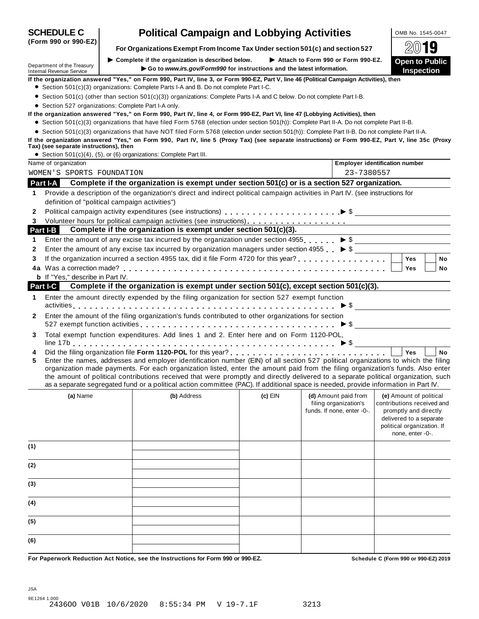| Department of the Treasury<br><b>Internal Revenue Service</b> | $\blacktriangleright$ Complete if the organization is described below.                                                                                                                                                                                                                                                                                                                                                                                                                                                                               |           |                                                                             |                                                                                                                                                             |
|---------------------------------------------------------------|------------------------------------------------------------------------------------------------------------------------------------------------------------------------------------------------------------------------------------------------------------------------------------------------------------------------------------------------------------------------------------------------------------------------------------------------------------------------------------------------------------------------------------------------------|-----------|-----------------------------------------------------------------------------|-------------------------------------------------------------------------------------------------------------------------------------------------------------|
|                                                               | Go to www.irs.gov/Form990 for instructions and the latest information.                                                                                                                                                                                                                                                                                                                                                                                                                                                                               |           | Attach to Form 990 or Form 990-EZ.                                          | <b>Open to Public</b><br><b>Inspection</b>                                                                                                                  |
|                                                               | If the organization answered "Yes," on Form 990, Part IV, line 3, or Form 990-EZ, Part V, line 46 (Political Campaign Activities), then                                                                                                                                                                                                                                                                                                                                                                                                              |           |                                                                             |                                                                                                                                                             |
|                                                               | • Section 501(c)(3) organizations: Complete Parts I-A and B. Do not complete Part I-C.                                                                                                                                                                                                                                                                                                                                                                                                                                                               |           |                                                                             |                                                                                                                                                             |
|                                                               | • Section 501(c) (other than section 501(c)(3)) organizations: Complete Parts I-A and C below. Do not complete Part I-B.                                                                                                                                                                                                                                                                                                                                                                                                                             |           |                                                                             |                                                                                                                                                             |
|                                                               | • Section 527 organizations: Complete Part I-A only.                                                                                                                                                                                                                                                                                                                                                                                                                                                                                                 |           |                                                                             |                                                                                                                                                             |
|                                                               | If the organization answered "Yes," on Form 990, Part IV, line 4, or Form 990-EZ, Part VI, line 47 (Lobbying Activities), then<br>• Section 501(c)(3) organizations that have filed Form 5768 (election under section 501(h)): Complete Part II-A. Do not complete Part II-B.                                                                                                                                                                                                                                                                        |           |                                                                             |                                                                                                                                                             |
|                                                               | • Section 501(c)(3) organizations that have NOT filed Form 5768 (election under section 501(h)): Complete Part II-B. Do not complete Part II-A.                                                                                                                                                                                                                                                                                                                                                                                                      |           |                                                                             |                                                                                                                                                             |
|                                                               | If the organization answered "Yes," on Form 990, Part IV, line 5 (Proxy Tax) (see separate instructions) or Form 990-EZ, Part V, line 35c (Proxy                                                                                                                                                                                                                                                                                                                                                                                                     |           |                                                                             |                                                                                                                                                             |
| Tax) (see separate instructions), then                        | • Section 501(c)(4), (5), or (6) organizations: Complete Part III.                                                                                                                                                                                                                                                                                                                                                                                                                                                                                   |           |                                                                             |                                                                                                                                                             |
| Name of organization                                          |                                                                                                                                                                                                                                                                                                                                                                                                                                                                                                                                                      |           |                                                                             | <b>Employer identification number</b>                                                                                                                       |
| WOMEN'S SPORTS FOUNDATION                                     |                                                                                                                                                                                                                                                                                                                                                                                                                                                                                                                                                      |           | 23-7380557                                                                  |                                                                                                                                                             |
| Part I-A                                                      | Complete if the organization is exempt under section 501(c) or is a section 527 organization.                                                                                                                                                                                                                                                                                                                                                                                                                                                        |           |                                                                             |                                                                                                                                                             |
|                                                               |                                                                                                                                                                                                                                                                                                                                                                                                                                                                                                                                                      |           |                                                                             |                                                                                                                                                             |
| 1                                                             | Provide a description of the organization's direct and indirect political campaign activities in Part IV. (see instructions for<br>definition of "political campaign activities")                                                                                                                                                                                                                                                                                                                                                                    |           |                                                                             |                                                                                                                                                             |
| 2                                                             |                                                                                                                                                                                                                                                                                                                                                                                                                                                                                                                                                      |           |                                                                             |                                                                                                                                                             |
| 3                                                             |                                                                                                                                                                                                                                                                                                                                                                                                                                                                                                                                                      |           |                                                                             |                                                                                                                                                             |
| Part I-B                                                      | Complete if the organization is exempt under section 501(c)(3).                                                                                                                                                                                                                                                                                                                                                                                                                                                                                      |           |                                                                             |                                                                                                                                                             |
| 1                                                             | Enter the amount of any excise tax incurred by the organization under section 4955 $\triangleright$ \$                                                                                                                                                                                                                                                                                                                                                                                                                                               |           |                                                                             |                                                                                                                                                             |
| 2                                                             | Enter the amount of any excise tax incurred by organization managers under section 4955 $\triangleright$ \$                                                                                                                                                                                                                                                                                                                                                                                                                                          |           |                                                                             |                                                                                                                                                             |
| 3                                                             |                                                                                                                                                                                                                                                                                                                                                                                                                                                                                                                                                      |           |                                                                             | <b>Yes</b><br><b>No</b>                                                                                                                                     |
|                                                               |                                                                                                                                                                                                                                                                                                                                                                                                                                                                                                                                                      |           |                                                                             | Yes<br>No                                                                                                                                                   |
| <b>b</b> If "Yes," describe in Part IV.                       |                                                                                                                                                                                                                                                                                                                                                                                                                                                                                                                                                      |           |                                                                             |                                                                                                                                                             |
| Part I-C                                                      | Complete if the organization is exempt under section 501(c), except section 501(c)(3).                                                                                                                                                                                                                                                                                                                                                                                                                                                               |           |                                                                             |                                                                                                                                                             |
| 1                                                             | Enter the amount directly expended by the filing organization for section 527 exempt function                                                                                                                                                                                                                                                                                                                                                                                                                                                        |           |                                                                             |                                                                                                                                                             |
|                                                               |                                                                                                                                                                                                                                                                                                                                                                                                                                                                                                                                                      |           |                                                                             |                                                                                                                                                             |
| 2                                                             | Enter the amount of the filing organization's funds contributed to other organizations for section                                                                                                                                                                                                                                                                                                                                                                                                                                                   |           |                                                                             |                                                                                                                                                             |
|                                                               |                                                                                                                                                                                                                                                                                                                                                                                                                                                                                                                                                      |           |                                                                             | $\triangleright$ \$                                                                                                                                         |
| 3                                                             | Total exempt function expenditures. Add lines 1 and 2. Enter here and on Form 1120-POL,                                                                                                                                                                                                                                                                                                                                                                                                                                                              |           |                                                                             |                                                                                                                                                             |
|                                                               |                                                                                                                                                                                                                                                                                                                                                                                                                                                                                                                                                      |           |                                                                             |                                                                                                                                                             |
| 4<br>5                                                        | Enter the names, addresses and employer identification number (EIN) of all section 527 political organizations to which the filing<br>organization made payments. For each organization listed, enter the amount paid from the filing organization's funds. Also enter<br>the amount of political contributions received that were promptly and directly delivered to a separate political organization, such<br>as a separate segregated fund or a political action committee (PAC). If additional space is needed, provide information in Part IV. |           |                                                                             | <b>Yes</b><br><b>No</b>                                                                                                                                     |
| (a) Name                                                      | (b) Address                                                                                                                                                                                                                                                                                                                                                                                                                                                                                                                                          | $(c)$ EIN | (d) Amount paid from<br>filing organization's<br>funds. If none, enter -0-. | (e) Amount of political<br>contributions received and<br>promptly and directly<br>delivered to a separate<br>political organization. If<br>none, enter -0-. |
| (1)                                                           |                                                                                                                                                                                                                                                                                                                                                                                                                                                                                                                                                      |           |                                                                             |                                                                                                                                                             |
| (2)                                                           |                                                                                                                                                                                                                                                                                                                                                                                                                                                                                                                                                      |           |                                                                             |                                                                                                                                                             |
| (3)                                                           |                                                                                                                                                                                                                                                                                                                                                                                                                                                                                                                                                      |           |                                                                             |                                                                                                                                                             |
|                                                               |                                                                                                                                                                                                                                                                                                                                                                                                                                                                                                                                                      |           |                                                                             |                                                                                                                                                             |
| (4)                                                           |                                                                                                                                                                                                                                                                                                                                                                                                                                                                                                                                                      |           |                                                                             |                                                                                                                                                             |
| (5)                                                           |                                                                                                                                                                                                                                                                                                                                                                                                                                                                                                                                                      |           |                                                                             |                                                                                                                                                             |

# **SCHEDULE C Political Campaign and Lobbying Activities**  $\frac{1 \text{ OMB NO. } 1545-0047}{2 \text{ OMB} }$

For Paperwork Reduction Act Notice, see the Instructions for Form 990 or 990-EZ. Schedule C (Form 990 or 990-E2) 2019

**(Form 990 or 990-EZ)**



**For Organizations Exempt From Income Tax Under section 501(c) and section <sup>527</sup>** À¾µ½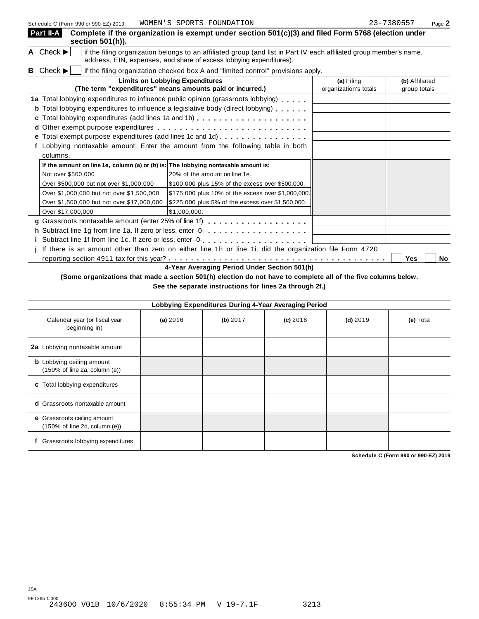|   | Part II-A                     | section 501(h)).                           | Complete if the organization is exempt under section 501(c)(3) and filed Form 5768 (election under                                                                                         |                                     |                                |
|---|-------------------------------|--------------------------------------------|--------------------------------------------------------------------------------------------------------------------------------------------------------------------------------------------|-------------------------------------|--------------------------------|
|   | A Check $\blacktriangleright$ |                                            | if the filing organization belongs to an affiliated group (and list in Part IV each affiliated group member's name,<br>address, EIN, expenses, and share of excess lobbying expenditures). |                                     |                                |
| B | Check $\blacktriangleright$   |                                            | if the filing organization checked box A and "limited control" provisions apply.                                                                                                           |                                     |                                |
|   |                               |                                            | <b>Limits on Lobbying Expenditures</b><br>(The term "expenditures" means amounts paid or incurred.)                                                                                        | (a) Filing<br>organization's totals | (b) Affiliated<br>group totals |
|   |                               |                                            | 1a Total lobbying expenditures to influence public opinion (grassroots lobbying)<br><b>b</b> Total lobbying expenditures to influence a legislative body (direct lobbying)                 |                                     |                                |
|   |                               |                                            |                                                                                                                                                                                            |                                     |                                |
|   | columns.                      |                                            | e Total exempt purpose expenditures (add lines 1c and 1d)<br>Lobbying nontaxable amount. Enter the amount from the following table in both                                                 |                                     |                                |
|   |                               |                                            | If the amount on line 1e, column (a) or (b) is: The lobbying nontaxable amount is:                                                                                                         |                                     |                                |
|   |                               | Not over \$500,000                         | 20% of the amount on line 1e.                                                                                                                                                              |                                     |                                |
|   |                               | Over \$500,000 but not over \$1,000,000    | \$100,000 plus 15% of the excess over \$500,000.                                                                                                                                           |                                     |                                |
|   |                               | Over \$1,000,000 but not over \$1,500,000  | \$175,000 plus 10% of the excess over \$1,000,000.                                                                                                                                         |                                     |                                |
|   |                               | Over \$1,500,000 but not over \$17,000,000 | \$225,000 plus 5% of the excess over \$1,500,000.                                                                                                                                          |                                     |                                |
|   |                               | Over \$17,000,000                          | \$1,000,000.                                                                                                                                                                               |                                     |                                |
|   |                               |                                            |                                                                                                                                                                                            |                                     |                                |
|   |                               |                                            |                                                                                                                                                                                            |                                     |                                |
|   |                               |                                            |                                                                                                                                                                                            |                                     |                                |
|   |                               |                                            | If there is an amount other than zero on either line 1h or line 1i, did the organization file Form 4720                                                                                    |                                     |                                |
|   |                               |                                            |                                                                                                                                                                                            |                                     | Yes<br><b>No</b>               |
|   |                               |                                            | 4-Year Averaging Period Under Section 501(h)                                                                                                                                               |                                     |                                |

(Some organizations that made a section 501(h) election do not have to complete all of the five columns below. **See the separate instructions for lines 2a through 2f.)**

**Lobbying Expenditures During 4-Year Averaging Period** Calendar year (or fiscal year beginning in) **(a)** 2016 **(b)** 2017 **(c)** 2018 **(d)** 2019 **(e)** Total **2a** Lobbying nontaxable amount **b** Lobbying ceiling amount (150% of line 2a, column (e)) **c** Total lobbying expenditures **d** Grassroots nontaxable amount **e** Grassroots ceiling amount (150% of line 2d, column (e)) **f** Grassroots lobbying expenditures

**Schedule C (Form 990 or 990-EZ) 2019**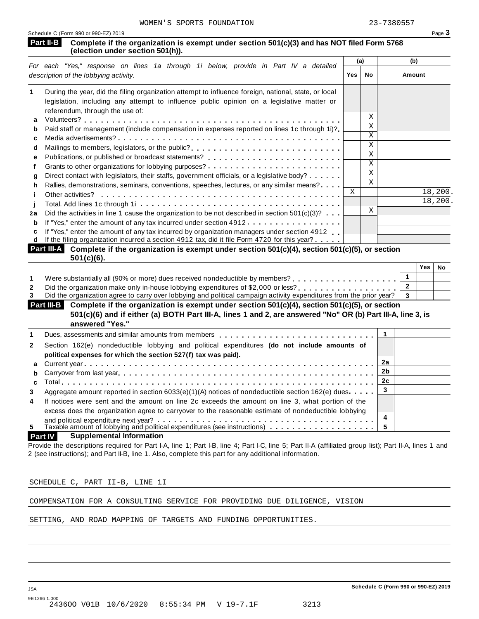| For each "Yes," response on lines 1a through 1i below, provide in Part IV a detailed<br>description of the lobbying activity.<br>During the year, did the filing organization attempt to influence foreign, national, state, or local<br>legislation, including any attempt to influence public opinion on a legislative matter or | Yes         | (a)                                | (b)            |           |
|------------------------------------------------------------------------------------------------------------------------------------------------------------------------------------------------------------------------------------------------------------------------------------------------------------------------------------|-------------|------------------------------------|----------------|-----------|
|                                                                                                                                                                                                                                                                                                                                    |             | No                                 | Amount         |           |
|                                                                                                                                                                                                                                                                                                                                    |             |                                    |                |           |
|                                                                                                                                                                                                                                                                                                                                    |             |                                    |                |           |
| referendum, through the use of:                                                                                                                                                                                                                                                                                                    |             | Χ                                  |                |           |
| Paid staff or management (include compensation in expenses reported on lines 1c through 1i)?                                                                                                                                                                                                                                       |             | X                                  |                |           |
|                                                                                                                                                                                                                                                                                                                                    |             | $\mathbf X$                        |                |           |
| Mailings to members, legislators, or the public?                                                                                                                                                                                                                                                                                   |             | $\mathbf X$                        |                |           |
|                                                                                                                                                                                                                                                                                                                                    |             | $\rm X$<br>$\overline{\mathbf{x}}$ |                |           |
|                                                                                                                                                                                                                                                                                                                                    |             | $\mathbf X$                        |                |           |
| Direct contact with legislators, their staffs, government officials, or a legislative body?                                                                                                                                                                                                                                        |             | $\mathbf{X}$                       |                |           |
| Rallies, demonstrations, seminars, conventions, speeches, lectures, or any similar means?<br>Other activities?                                                                                                                                                                                                                     | $\mathbf X$ |                                    |                | 18,200.   |
|                                                                                                                                                                                                                                                                                                                                    |             |                                    |                | 18,200.   |
| Did the activities in line 1 cause the organization to be not described in section $501(c)(3)? \ldots$                                                                                                                                                                                                                             |             | X                                  |                |           |
| If "Yes," enter the amount of any tax incurred under section 4912                                                                                                                                                                                                                                                                  |             |                                    |                |           |
| If "Yes," enter the amount of any tax incurred by organization managers under section 4912                                                                                                                                                                                                                                         |             |                                    |                |           |
|                                                                                                                                                                                                                                                                                                                                    |             |                                    |                |           |
| If the filing organization incurred a section 4912 tax, did it file Form 4720 for this year?                                                                                                                                                                                                                                       |             |                                    |                |           |
| Part III-A Complete if the organization is exempt under section $501(c)(4)$ , section $501(c)(5)$ , or section<br>$501(c)(6)$ .                                                                                                                                                                                                    |             |                                    |                |           |
|                                                                                                                                                                                                                                                                                                                                    |             |                                    |                | Yes<br>No |
|                                                                                                                                                                                                                                                                                                                                    |             |                                    | 1              |           |
| Did the organization make only in-house lobbying expenditures of \$2,000 or less?                                                                                                                                                                                                                                                  |             |                                    | $\overline{2}$ |           |
| Did the organization agree to carry over lobbying and political campaign activity expenditures from the prior year?                                                                                                                                                                                                                |             |                                    | 3              |           |
| Complete if the organization is exempt under section 501(c)(4), section 501(c)(5), or section<br>Part III-B<br>501(c)(6) and if either (a) BOTH Part III-A, lines 1 and 2, are answered "No" OR (b) Part III-A, line 3, is                                                                                                         |             |                                    |                |           |
| answered "Yes."                                                                                                                                                                                                                                                                                                                    |             |                                    |                |           |
| Dues, assessments and similar amounts from members entitled vinces of the series of the series of the series o                                                                                                                                                                                                                     |             | 1                                  |                |           |
| Section 162(e) nondeductible lobbying and political expenditures (do not include amounts of                                                                                                                                                                                                                                        |             |                                    |                |           |
| political expenses for which the section 527(f) tax was paid).                                                                                                                                                                                                                                                                     |             |                                    |                |           |
|                                                                                                                                                                                                                                                                                                                                    |             | 2a                                 |                |           |
|                                                                                                                                                                                                                                                                                                                                    |             | 2 <sub>b</sub>                     |                |           |
|                                                                                                                                                                                                                                                                                                                                    |             | 2 <sub>c</sub><br>3                |                |           |
| Aggregate amount reported in section 6033(e)(1)(A) notices of nondeductible section 162(e) dues $\cdots$                                                                                                                                                                                                                           |             |                                    |                |           |
| If notices were sent and the amount on line 2c exceeds the amount on line 3, what portion of the<br>excess does the organization agree to carryover to the reasonable estimate of nondeductible lobbying                                                                                                                           |             |                                    |                |           |
|                                                                                                                                                                                                                                                                                                                                    |             | 4<br>5                             |                |           |

COMPENSATION FOR A CONSULTING SERVICE FOR PROVIDING DUE DILIGENCE, VISION

SETTING, AND ROAD MAPPING OF TARGETS AND FUNDING OPPORTUNITIES.

JSA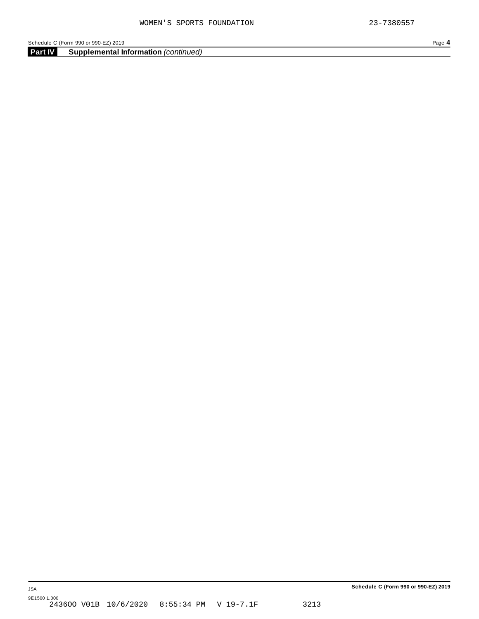**Part IV Supplemental Information** *(continued)*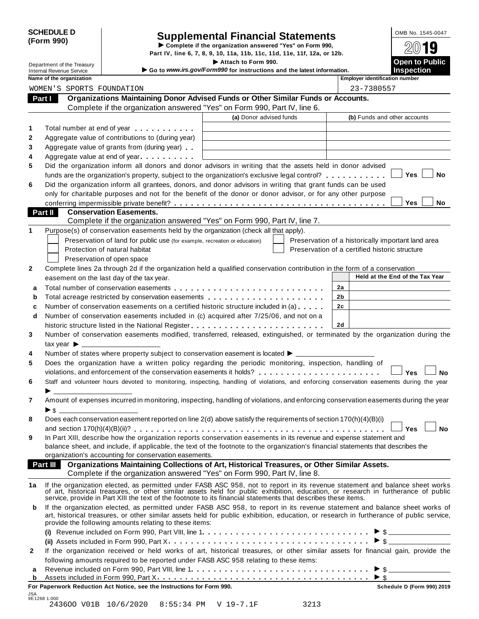| <b>SCHEDULE D</b> |  |
|-------------------|--|
| (Form 990)        |  |

# SCHEDULE D<br>
Supplemental Financial Statements<br>
Form 990)<br>
Part IV, line 6, 7, 8, 9, 10, 11a, 11b, 11c, 11d, 11e, 11f, 12a, or 12b.<br>
Part IV, line 6, 7, 8, 9, 10, 11a, 11b, 11c, 11d, 11e, 11f, 12a, or 12b.

|                |                                                               |                                                                                                                                                                                                                                                                                                                                                     | Part IV, line 6, 7, 8, 9, 10, 11a, 11b, 11c, 11d, 11e, 11f, 12a, or 12b.                      |                                                |                                                    |
|----------------|---------------------------------------------------------------|-----------------------------------------------------------------------------------------------------------------------------------------------------------------------------------------------------------------------------------------------------------------------------------------------------------------------------------------------------|-----------------------------------------------------------------------------------------------|------------------------------------------------|----------------------------------------------------|
|                | Department of the Treasury<br><b>Internal Revenue Service</b> |                                                                                                                                                                                                                                                                                                                                                     | Attach to Form 990.<br>Go to www.irs.gov/Form990 for instructions and the latest information. |                                                | <b>Open to Public</b><br><b>Inspection</b>         |
|                | Name of the organization                                      |                                                                                                                                                                                                                                                                                                                                                     |                                                                                               |                                                | <b>Employer identification number</b>              |
|                | WOMEN'S SPORTS FOUNDATION                                     |                                                                                                                                                                                                                                                                                                                                                     |                                                                                               | 23-7380557                                     |                                                    |
|                | Part I                                                        | Organizations Maintaining Donor Advised Funds or Other Similar Funds or Accounts.                                                                                                                                                                                                                                                                   |                                                                                               |                                                |                                                    |
|                |                                                               | Complete if the organization answered "Yes" on Form 990, Part IV, line 6.                                                                                                                                                                                                                                                                           |                                                                                               |                                                |                                                    |
|                |                                                               |                                                                                                                                                                                                                                                                                                                                                     | (a) Donor advised funds                                                                       |                                                | (b) Funds and other accounts                       |
| 1              |                                                               | Total number at end of year entitled as a set of the set of the set of the set of the set of the set of the set of the set of the set of the set of the set of the set of the set of the set of the set of the set of the set                                                                                                                       |                                                                                               |                                                |                                                    |
| 2              |                                                               | Aggregate value of contributions to (during year)                                                                                                                                                                                                                                                                                                   |                                                                                               |                                                |                                                    |
| 3              |                                                               | Aggregate value of grants from (during year)                                                                                                                                                                                                                                                                                                        |                                                                                               |                                                |                                                    |
| 4              |                                                               | Aggregate value at end of year                                                                                                                                                                                                                                                                                                                      |                                                                                               |                                                |                                                    |
| 5              |                                                               | Did the organization inform all donors and donor advisors in writing that the assets held in donor advised                                                                                                                                                                                                                                          |                                                                                               |                                                |                                                    |
|                |                                                               | funds are the organization's property, subject to the organization's exclusive legal control?                                                                                                                                                                                                                                                       |                                                                                               |                                                | Yes<br>No                                          |
| 6              |                                                               | Did the organization inform all grantees, donors, and donor advisors in writing that grant funds can be used                                                                                                                                                                                                                                        |                                                                                               |                                                |                                                    |
|                |                                                               | only for charitable purposes and not for the benefit of the donor or donor advisor, or for any other purpose                                                                                                                                                                                                                                        |                                                                                               |                                                |                                                    |
|                |                                                               |                                                                                                                                                                                                                                                                                                                                                     |                                                                                               |                                                | Yes<br>No.                                         |
|                | Part II                                                       | <b>Conservation Easements.</b>                                                                                                                                                                                                                                                                                                                      |                                                                                               |                                                |                                                    |
| 1              |                                                               | Complete if the organization answered "Yes" on Form 990, Part IV, line 7.                                                                                                                                                                                                                                                                           |                                                                                               |                                                |                                                    |
|                |                                                               | Purpose(s) of conservation easements held by the organization (check all that apply).                                                                                                                                                                                                                                                               |                                                                                               |                                                |                                                    |
|                |                                                               | Preservation of land for public use (for example, recreation or education)                                                                                                                                                                                                                                                                          |                                                                                               |                                                | Preservation of a historically important land area |
|                |                                                               | Protection of natural habitat                                                                                                                                                                                                                                                                                                                       |                                                                                               | Preservation of a certified historic structure |                                                    |
|                |                                                               | Preservation of open space                                                                                                                                                                                                                                                                                                                          |                                                                                               |                                                |                                                    |
| 2              |                                                               | Complete lines 2a through 2d if the organization held a qualified conservation contribution in the form of a conservation                                                                                                                                                                                                                           |                                                                                               |                                                | Held at the End of the Tax Year                    |
|                |                                                               | easement on the last day of the tax year.                                                                                                                                                                                                                                                                                                           |                                                                                               |                                                |                                                    |
| a              |                                                               |                                                                                                                                                                                                                                                                                                                                                     |                                                                                               | 2a                                             |                                                    |
| b              |                                                               | Total acreage restricted by conservation easements                                                                                                                                                                                                                                                                                                  |                                                                                               | 2b                                             |                                                    |
| c              |                                                               | Number of conservation easements on a certified historic structure included in (a)                                                                                                                                                                                                                                                                  |                                                                                               | 2c                                             |                                                    |
| d              |                                                               | Number of conservation easements included in (c) acquired after 7/25/06, and not on a                                                                                                                                                                                                                                                               |                                                                                               |                                                |                                                    |
|                |                                                               |                                                                                                                                                                                                                                                                                                                                                     |                                                                                               | 2d                                             |                                                    |
| 3              |                                                               | Number of conservation easements modified, transferred, released, extinguished, or terminated by the organization during the                                                                                                                                                                                                                        |                                                                                               |                                                |                                                    |
|                | tax year $\blacktriangleright$                                |                                                                                                                                                                                                                                                                                                                                                     |                                                                                               |                                                |                                                    |
| 4              |                                                               | Number of states where property subject to conservation easement is located ▶ _________                                                                                                                                                                                                                                                             |                                                                                               |                                                |                                                    |
| 5              |                                                               | Does the organization have a written policy regarding the periodic monitoring, inspection, handling of                                                                                                                                                                                                                                              |                                                                                               |                                                |                                                    |
|                |                                                               | violations, and enforcement of the conservation easements it holds?                                                                                                                                                                                                                                                                                 |                                                                                               |                                                | Yes<br>No                                          |
| 6              |                                                               | Staff and volunteer hours devoted to monitoring, inspecting, handling of violations, and enforcing conservation easements during the year                                                                                                                                                                                                           |                                                                                               |                                                |                                                    |
|                |                                                               |                                                                                                                                                                                                                                                                                                                                                     |                                                                                               |                                                |                                                    |
| $\overline{7}$ |                                                               | Amount of expenses incurred in monitoring, inspecting, handling of violations, and enforcing conservation easements during the year                                                                                                                                                                                                                 |                                                                                               |                                                |                                                    |
|                |                                                               |                                                                                                                                                                                                                                                                                                                                                     |                                                                                               |                                                |                                                    |
| 8              |                                                               | Does each conservation easement reported on line 2(d) above satisfy the requirements of section 170(h)(4)(B)(i)                                                                                                                                                                                                                                     |                                                                                               |                                                |                                                    |
|                |                                                               | In Part XIII, describe how the organization reports conservation easements in its revenue and expense statement and                                                                                                                                                                                                                                 |                                                                                               |                                                | <b>No</b><br>Yes                                   |
| 9              |                                                               | balance sheet, and include, if applicable, the text of the footnote to the organization's financial statements that describes the                                                                                                                                                                                                                   |                                                                                               |                                                |                                                    |
|                |                                                               | organization's accounting for conservation easements.                                                                                                                                                                                                                                                                                               |                                                                                               |                                                |                                                    |
|                | Part III                                                      | Organizations Maintaining Collections of Art, Historical Treasures, or Other Similar Assets.                                                                                                                                                                                                                                                        |                                                                                               |                                                |                                                    |
|                |                                                               | Complete if the organization answered "Yes" on Form 990, Part IV, line 8.                                                                                                                                                                                                                                                                           |                                                                                               |                                                |                                                    |
|                |                                                               |                                                                                                                                                                                                                                                                                                                                                     |                                                                                               |                                                |                                                    |
| 1a             |                                                               | If the organization elected, as permitted under FASB ASC 958, not to report in its revenue statement and balance sheet works<br>of art, historical treasures, or other similar assets held for public exhibition, education, or r<br>service, provide in Part XIII the text of the footnote to its financial statements that describes these items. |                                                                                               |                                                |                                                    |
| b              |                                                               | If the organization elected, as permitted under FASB ASC 958, to report in its revenue statement and balance sheet works of<br>art, historical treasures, or other similar assets held for public exhibition, education, or research in furtherance of public service,<br>provide the following amounts relating to these items:                    |                                                                                               |                                                |                                                    |
|                |                                                               |                                                                                                                                                                                                                                                                                                                                                     |                                                                                               |                                                |                                                    |
|                |                                                               |                                                                                                                                                                                                                                                                                                                                                     |                                                                                               |                                                |                                                    |
| $\mathbf{2}$   |                                                               | If the organization received or held works of art, historical treasures, or other similar assets for financial gain, provide the                                                                                                                                                                                                                    |                                                                                               |                                                |                                                    |
|                |                                                               | following amounts required to be reported under FASB ASC 958 relating to these items:                                                                                                                                                                                                                                                               |                                                                                               |                                                |                                                    |
| а              |                                                               |                                                                                                                                                                                                                                                                                                                                                     |                                                                                               |                                                |                                                    |
| b              |                                                               |                                                                                                                                                                                                                                                                                                                                                     |                                                                                               |                                                |                                                    |

| For Paperwork Reduction Act Notice, see the Instructions for Form 990. |  |                                            |  |      |  |
|------------------------------------------------------------------------|--|--------------------------------------------|--|------|--|
| JSA<br>9E1268 1.000                                                    |  |                                            |  |      |  |
|                                                                        |  | 243600 V01B 10/6/2020 8:55:34 PM V 19-7.1F |  | 3213 |  |

**For Paperwork Reduction Act Notice, see the Instructions for Form 990. Schedule D (Form 990) 2019**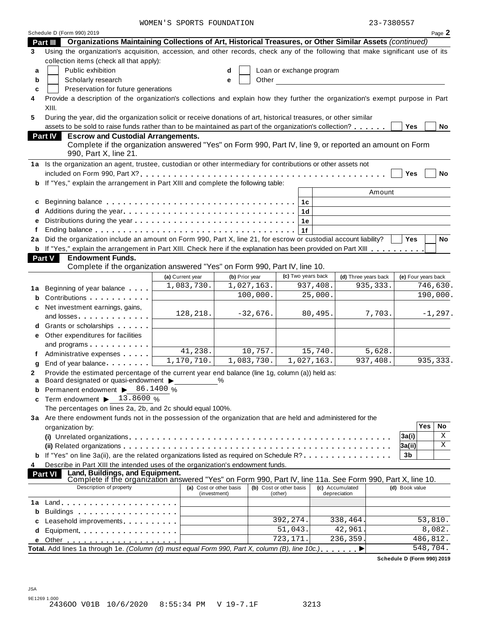|         |                                                                                                                                                                                          | WOMEN'S SPORTS FOUNDATION               |                |                                    |                                 | 23-7380557           |                     |                    |
|---------|------------------------------------------------------------------------------------------------------------------------------------------------------------------------------------------|-----------------------------------------|----------------|------------------------------------|---------------------------------|----------------------|---------------------|--------------------|
|         | Schedule D (Form 990) 2019                                                                                                                                                               |                                         |                |                                    |                                 |                      |                     | Page 2             |
|         | Organizations Maintaining Collections of Art, Historical Treasures, or Other Similar Assets (continued)<br>Part III                                                                      |                                         |                |                                    |                                 |                      |                     |                    |
| 3       | Using the organization's acquisition, accession, and other records, check any of the following that make significant use of its                                                          |                                         |                |                                    |                                 |                      |                     |                    |
|         | collection items (check all that apply):                                                                                                                                                 |                                         |                |                                    |                                 |                      |                     |                    |
| a       | Public exhibition                                                                                                                                                                        |                                         | d              | Loan or exchange program           |                                 |                      |                     |                    |
| b       | Scholarly research                                                                                                                                                                       |                                         | Other<br>e     |                                    |                                 |                      |                     |                    |
| c       | Preservation for future generations                                                                                                                                                      |                                         |                |                                    |                                 |                      |                     |                    |
| 4       | Provide a description of the organization's collections and explain how they further the organization's exempt purpose in Part                                                           |                                         |                |                                    |                                 |                      |                     |                    |
|         | XIII.                                                                                                                                                                                    |                                         |                |                                    |                                 |                      |                     |                    |
| 5       | During the year, did the organization solicit or receive donations of art, historical treasures, or other similar                                                                        |                                         |                |                                    |                                 |                      |                     |                    |
|         | assets to be sold to raise funds rather than to be maintained as part of the organization's collection?                                                                                  |                                         |                |                                    |                                 |                      | Yes                 | No                 |
|         | Part IV<br><b>Escrow and Custodial Arrangements.</b><br>Complete if the organization answered "Yes" on Form 990, Part IV, line 9, or reported an amount on Form<br>990, Part X, line 21. |                                         |                |                                    |                                 |                      |                     |                    |
|         | 1a Is the organization an agent, trustee, custodian or other intermediary for contributions or other assets not                                                                          |                                         |                |                                    |                                 |                      |                     |                    |
|         |                                                                                                                                                                                          |                                         |                |                                    |                                 |                      | Yes                 | No                 |
|         | <b>b</b> If "Yes," explain the arrangement in Part XIII and complete the following table:                                                                                                |                                         |                |                                    |                                 |                      |                     |                    |
|         |                                                                                                                                                                                          |                                         |                |                                    |                                 | Amount               |                     |                    |
|         |                                                                                                                                                                                          |                                         |                |                                    |                                 |                      |                     |                    |
| c       |                                                                                                                                                                                          |                                         |                | 1c                                 |                                 |                      |                     |                    |
|         |                                                                                                                                                                                          |                                         |                | 1 <sub>d</sub>                     |                                 |                      |                     |                    |
| е       |                                                                                                                                                                                          |                                         |                | 1e                                 |                                 |                      |                     |                    |
|         |                                                                                                                                                                                          |                                         |                | 1f                                 |                                 |                      |                     |                    |
| 2a      | Did the organization include an amount on Form 990, Part X, line 21, for escrow or custodial account liability?                                                                          |                                         |                |                                    |                                 |                      | <b>Yes</b>          | No                 |
|         | <b>b</b> If "Yes," explain the arrangement in Part XIII. Check here if the explanation has been provided on Part XIII                                                                    |                                         |                |                                    |                                 |                      |                     |                    |
|         | Part V<br><b>Endowment Funds.</b>                                                                                                                                                        |                                         |                |                                    |                                 |                      |                     |                    |
|         | Complete if the organization answered "Yes" on Form 990, Part IV, line 10.                                                                                                               |                                         |                |                                    |                                 |                      |                     |                    |
|         |                                                                                                                                                                                          | (a) Current year                        | (b) Prior year | (c) Two years back                 |                                 | (d) Three years back | (e) Four years back |                    |
| 1a      | Beginning of year balance                                                                                                                                                                | 1,083,730.                              | 1,027,163.     |                                    | 937,408.                        | 935, 333.            |                     | 746,630.           |
|         | Contributions <b>Contributions</b>                                                                                                                                                       |                                         | 100,000.       |                                    | 25,000.                         |                      |                     | 190,000.           |
|         | Net investment earnings, gains,                                                                                                                                                          |                                         |                |                                    |                                 |                      |                     |                    |
|         | and losses                                                                                                                                                                               | 128,218.                                | $-32,676.$     |                                    | 80,495.                         | 7,703.               |                     | $-1, 297.$         |
|         | Grants or scholarships                                                                                                                                                                   |                                         |                |                                    |                                 |                      |                     |                    |
| е       | Other expenditures for facilities                                                                                                                                                        |                                         |                |                                    |                                 |                      |                     |                    |
|         |                                                                                                                                                                                          |                                         |                |                                    |                                 |                      |                     |                    |
|         | and programs                                                                                                                                                                             | 41,238.                                 | 10,757.        |                                    | 15,740.                         | 5,628.               |                     |                    |
|         | Administrative expenses                                                                                                                                                                  | 1,170,710.                              | 1,083,730.     | 1,027,163.                         |                                 | 937,408.             |                     | 935, 333.          |
|         | End of year balance expansion of year balance                                                                                                                                            |                                         |                |                                    |                                 |                      |                     |                    |
| 2       | Provide the estimated percentage of the current year end balance (line 1g, column (a)) held as:<br>Board designated or quasi-endowment $\blacktriangleright$                             |                                         | $\%$           |                                    |                                 |                      |                     |                    |
| a       |                                                                                                                                                                                          |                                         |                |                                    |                                 |                      |                     |                    |
|         |                                                                                                                                                                                          |                                         |                |                                    |                                 |                      |                     |                    |
| b       | Permanent endowment ▶ 86.1400 %                                                                                                                                                          |                                         |                |                                    |                                 |                      |                     |                    |
| c       | Term endowment $\blacktriangleright$ 13.8600 %                                                                                                                                           |                                         |                |                                    |                                 |                      |                     |                    |
|         | The percentages on lines 2a, 2b, and 2c should equal 100%.                                                                                                                               |                                         |                |                                    |                                 |                      |                     |                    |
|         | 3a Are there endowment funds not in the possession of the organization that are held and administered for the                                                                            |                                         |                |                                    |                                 |                      |                     |                    |
|         | organization by:                                                                                                                                                                         |                                         |                |                                    |                                 |                      | Yes                 | No                 |
|         |                                                                                                                                                                                          |                                         |                |                                    |                                 |                      | 3a(i)               | Χ                  |
|         |                                                                                                                                                                                          |                                         |                |                                    |                                 |                      | 3a(ii)              | Χ                  |
|         | <b>b</b> If "Yes" on line 3a(ii), are the related organizations listed as required on Schedule R?                                                                                        |                                         |                |                                    |                                 |                      | 3b                  |                    |
|         | Describe in Part XIII the intended uses of the organization's endowment funds.                                                                                                           |                                         |                |                                    |                                 |                      |                     |                    |
|         | Land, Buildings, and Equipment.<br><b>Part VI</b>                                                                                                                                        |                                         |                |                                    |                                 |                      |                     |                    |
|         | Complete if the organization answered "Yes" on Form 990, Part IV, line 11a. See Form 990, Part X, line 10.                                                                               |                                         |                |                                    |                                 |                      |                     |                    |
|         | Description of property                                                                                                                                                                  | (a) Cost or other basis<br>(investment) |                | (b) Cost or other basis<br>(other) | (c) Accumulated<br>depreciation |                      | (d) Book value      |                    |
|         | $Land.$                                                                                                                                                                                  |                                         |                |                                    |                                 |                      |                     |                    |
| b       |                                                                                                                                                                                          |                                         |                |                                    |                                 |                      |                     |                    |
|         | Buildings                                                                                                                                                                                |                                         |                |                                    |                                 |                      |                     |                    |
| c       | Leasehold improvements <b>Leasehold</b> improvements                                                                                                                                     |                                         |                | 392, 274.                          | 338,464.                        |                      |                     | 53,810.            |
| 4<br>1a | d Equipment.                                                                                                                                                                             |                                         |                | 51,043.<br>$\overline{723,171}$ .  | 42,961<br>236,359.              |                      |                     | 8,082.<br>486,812. |

**Schedule D (Form 990) 2019**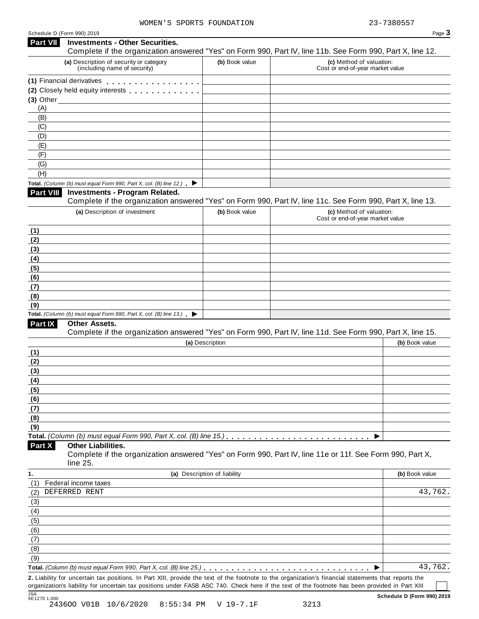| Schedule D (Form 990) 2019 |  |  |
|----------------------------|--|--|
|                            |  |  |

|            | Schedule D (Form 990) 2019                                                               |                              | Page 3                                                                                                                                                                                                                                                                                                 |
|------------|------------------------------------------------------------------------------------------|------------------------------|--------------------------------------------------------------------------------------------------------------------------------------------------------------------------------------------------------------------------------------------------------------------------------------------------------|
| Part VII   | <b>Investments - Other Securities.</b>                                                   |                              | Complete if the organization answered "Yes" on Form 990, Part IV, line 11b. See Form 990, Part X, line 12.                                                                                                                                                                                             |
|            | (a) Description of security or category<br>(including name of security)                  | (b) Book value               | (c) Method of valuation:<br>Cost or end-of-year market value                                                                                                                                                                                                                                           |
|            | (1) Financial derivatives                                                                |                              |                                                                                                                                                                                                                                                                                                        |
|            | (2) Closely held equity interests                                                        |                              |                                                                                                                                                                                                                                                                                                        |
|            | $(3)$ Other                                                                              |                              |                                                                                                                                                                                                                                                                                                        |
| (A)        |                                                                                          |                              |                                                                                                                                                                                                                                                                                                        |
| (B)        |                                                                                          |                              |                                                                                                                                                                                                                                                                                                        |
| (C)<br>(D) |                                                                                          |                              |                                                                                                                                                                                                                                                                                                        |
| (E)        |                                                                                          |                              |                                                                                                                                                                                                                                                                                                        |
| (F)        |                                                                                          |                              |                                                                                                                                                                                                                                                                                                        |
| (G)        |                                                                                          |                              |                                                                                                                                                                                                                                                                                                        |
| (H)        |                                                                                          |                              |                                                                                                                                                                                                                                                                                                        |
|            | Total. (Column (b) must equal Form 990, Part X, col. (B) line 12.) $\blacktriangleright$ |                              |                                                                                                                                                                                                                                                                                                        |
| Part VIII  | <b>Investments - Program Related.</b>                                                    |                              | Complete if the organization answered "Yes" on Form 990, Part IV, line 11c. See Form 990, Part X, line 13.                                                                                                                                                                                             |
|            | (a) Description of investment                                                            | (b) Book value               | (c) Method of valuation:                                                                                                                                                                                                                                                                               |
|            |                                                                                          |                              | Cost or end-of-year market value                                                                                                                                                                                                                                                                       |
| (1)        |                                                                                          |                              |                                                                                                                                                                                                                                                                                                        |
| (2)<br>(3) |                                                                                          |                              |                                                                                                                                                                                                                                                                                                        |
|            |                                                                                          |                              |                                                                                                                                                                                                                                                                                                        |
| (4)<br>(5) |                                                                                          |                              |                                                                                                                                                                                                                                                                                                        |
| (6)        |                                                                                          |                              |                                                                                                                                                                                                                                                                                                        |
| (7)        |                                                                                          |                              |                                                                                                                                                                                                                                                                                                        |
| (8)        |                                                                                          |                              |                                                                                                                                                                                                                                                                                                        |
| (9)        |                                                                                          |                              |                                                                                                                                                                                                                                                                                                        |
|            | Total. (Column (b) must equal Form 990, Part X, col. (B) line 13.) $\blacktriangleright$ |                              |                                                                                                                                                                                                                                                                                                        |
| Part IX    | Other Assets.                                                                            |                              | Complete if the organization answered "Yes" on Form 990, Part IV, line 11d. See Form 990, Part X, line 15.                                                                                                                                                                                             |
|            |                                                                                          | (a) Description              | (b) Book value                                                                                                                                                                                                                                                                                         |
| (1)        |                                                                                          |                              |                                                                                                                                                                                                                                                                                                        |
| (2)        |                                                                                          |                              |                                                                                                                                                                                                                                                                                                        |
| (3)        |                                                                                          |                              |                                                                                                                                                                                                                                                                                                        |
| (4)<br>(5) |                                                                                          |                              |                                                                                                                                                                                                                                                                                                        |
| (6)        |                                                                                          |                              |                                                                                                                                                                                                                                                                                                        |
| (7)        |                                                                                          |                              |                                                                                                                                                                                                                                                                                                        |
| (8)        |                                                                                          |                              |                                                                                                                                                                                                                                                                                                        |
| (9)        |                                                                                          |                              |                                                                                                                                                                                                                                                                                                        |
|            |                                                                                          |                              |                                                                                                                                                                                                                                                                                                        |
| Part X     | <b>Other Liabilities.</b><br>line 25.                                                    |                              | Complete if the organization answered "Yes" on Form 990, Part IV, line 11e or 11f. See Form 990, Part X,                                                                                                                                                                                               |
|            |                                                                                          | (a) Description of liability | (b) Book value                                                                                                                                                                                                                                                                                         |
| (1)        | Federal income taxes                                                                     |                              |                                                                                                                                                                                                                                                                                                        |
|            | DEFERRED RENT                                                                            |                              | 43,762.                                                                                                                                                                                                                                                                                                |
| (3)        |                                                                                          |                              |                                                                                                                                                                                                                                                                                                        |
| (4)        |                                                                                          |                              |                                                                                                                                                                                                                                                                                                        |
| (5)        |                                                                                          |                              |                                                                                                                                                                                                                                                                                                        |
| (6)        |                                                                                          |                              |                                                                                                                                                                                                                                                                                                        |
| (7)        |                                                                                          |                              |                                                                                                                                                                                                                                                                                                        |
| (8)<br>(9) |                                                                                          |                              |                                                                                                                                                                                                                                                                                                        |
|            |                                                                                          |                              | 43,762.                                                                                                                                                                                                                                                                                                |
|            |                                                                                          |                              |                                                                                                                                                                                                                                                                                                        |
|            |                                                                                          |                              | 2. Liability for uncertain tax positions. In Part XIII, provide the text of the footnote to the organization's financial statements that reports the<br>organization's liability for uncertain tax positions under FASB ASC 740. Check here if the text of the footnote has been provided in Part XIII |
|            |                                                                                          |                              |                                                                                                                                                                                                                                                                                                        |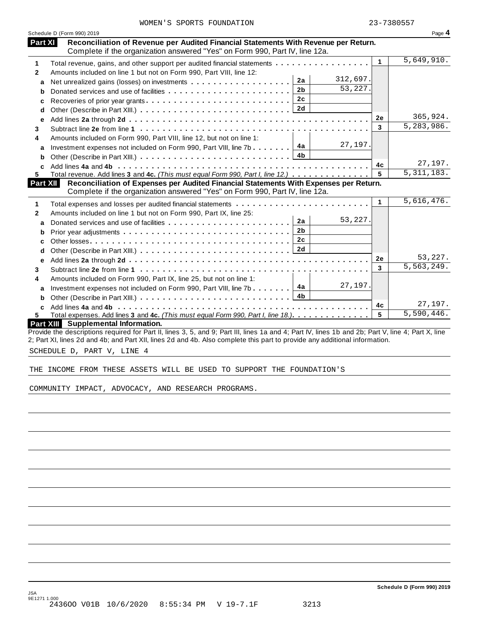|  |  |  | WOMEN'S SPORTS FOUNDATION |
|--|--|--|---------------------------|
|--|--|--|---------------------------|

|                | Schedule D (Form 990) 2019                                                                                                                                         |              | Page 4                  |
|----------------|--------------------------------------------------------------------------------------------------------------------------------------------------------------------|--------------|-------------------------|
| <b>Part XI</b> | Reconciliation of Revenue per Audited Financial Statements With Revenue per Return.<br>Complete if the organization answered "Yes" on Form 990, Part IV, line 12a. |              |                         |
| 1              | Total revenue, gains, and other support per audited financial statements                                                                                           | $\mathbf{1}$ | 5,649,910.              |
| $\mathbf{2}$   | Amounts included on line 1 but not on Form 990, Part VIII, line 12:                                                                                                |              |                         |
| a              | 312,697.<br>2a                                                                                                                                                     |              |                         |
| b              | 53,227.<br>2 <sub>b</sub><br>Donated services and use of facilities                                                                                                |              |                         |
| c              | 2c<br>Recoveries of prior year grants                                                                                                                              |              |                         |
| d              | 2d                                                                                                                                                                 |              |                         |
| e              |                                                                                                                                                                    | <b>2e</b>    | 365,924.                |
| 3              |                                                                                                                                                                    | 3            | $\overline{5,283},986.$ |
| 4              | Amounts included on Form 990, Part VIII, line 12, but not on line 1:                                                                                               |              |                         |
|                | 27,197.<br>4a<br>Investment expenses not included on Form 990, Part VIII, line 7b                                                                                  |              |                         |
| a              | 4b                                                                                                                                                                 |              |                         |
|                |                                                                                                                                                                    | 4c           | 27,197.                 |
| C.<br>5.       | Total revenue. Add lines 3 and 4c. (This must equal Form 990, Part I, line 12.)                                                                                    | 5            | 5,311,183.              |
| Part XII       | Reconciliation of Expenses per Audited Financial Statements With Expenses per Return.                                                                              |              |                         |
|                | Complete if the organization answered "Yes" on Form 990, Part IV, line 12a.                                                                                        |              |                         |
| 1              |                                                                                                                                                                    | 1            | 5,616,476.              |
| $\mathbf{2}$   | Amounts included on line 1 but not on Form 990, Part IX, line 25:                                                                                                  |              |                         |
| a              | 53,227.<br>2a<br>Donated services and use of facilities                                                                                                            |              |                         |
| b              | 2 <sub>b</sub>                                                                                                                                                     |              |                         |
| C              | 2 <sub>c</sub>                                                                                                                                                     |              |                         |
| d              |                                                                                                                                                                    |              |                         |
| е              |                                                                                                                                                                    | 2e           | 53,227.                 |
| 3              |                                                                                                                                                                    | 3            | 5, 563, 249.            |
| 4              | Amounts included on Form 990, Part IX, line 25, but not on line 1:                                                                                                 |              |                         |
|                | 27,197.<br>Investment expenses not included on Form 990, Part VIII, line 7b $\boxed{4a}$                                                                           |              |                         |
| a              |                                                                                                                                                                    |              |                         |
| b              |                                                                                                                                                                    | 4c           | 27,197.                 |
| 5.             | Total expenses. Add lines 3 and 4c. (This must equal Form 990, Part I, line 18.)                                                                                   | 5            | 5,590,446.              |
|                | Part XIII Supplemental Information.                                                                                                                                |              |                         |
|                | Provide the descriptions required for Part II, lines 3, 5, and 9; Part III, lines 1a and 4; Part IV, lines 1b and 2b; Part V, line 4; Part X, line                 |              |                         |

2; Part XI, lines 2d and 4b; and Part XII, lines 2d and 4b. Also complete this part to provide any additional information.

SCHEDULE D, PART V, LINE 4

THE INCOME FROM THESE ASSETS WILL BE USED TO SUPPORT THE FOUNDATION'S

COMMUNITY IMPACT, ADVOCACY, AND RESEARCH PROGRAMS.

**Schedule D (Form 990) 2019**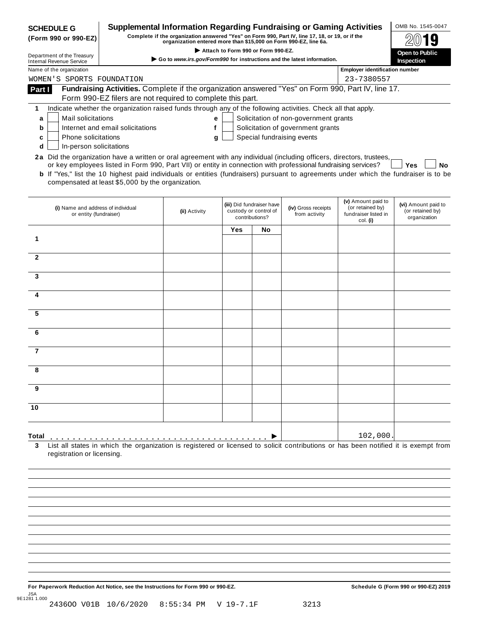| <b>SCHEDULE G</b>                                                                                                      |                                                                                                                                                                     | Supplemental Information Regarding Fundraising or Gaming Activities |     |                                         |                                       |                                        | OMB No. 1545-0047                |  |  |  |  |
|------------------------------------------------------------------------------------------------------------------------|---------------------------------------------------------------------------------------------------------------------------------------------------------------------|---------------------------------------------------------------------|-----|-----------------------------------------|---------------------------------------|----------------------------------------|----------------------------------|--|--|--|--|
| (Form 990 or 990-EZ)                                                                                                   | Complete if the organization answered "Yes" on Form 990, Part IV, line 17, 18, or 19, or if the<br>organization entered more than \$15,000 on Form 990-EZ, line 6a. |                                                                     |     |                                         |                                       |                                        |                                  |  |  |  |  |
|                                                                                                                        | Attach to Form 990 or Form 990-EZ.<br>Department of the Treasury                                                                                                    |                                                                     |     |                                         |                                       |                                        |                                  |  |  |  |  |
| <b>Internal Revenue Service</b>                                                                                        | Go to www.irs.gov/Form990 for instructions and the latest information.<br><b>Inspection</b>                                                                         |                                                                     |     |                                         |                                       |                                        |                                  |  |  |  |  |
|                                                                                                                        | Name of the organization<br><b>Employer identification number</b>                                                                                                   |                                                                     |     |                                         |                                       |                                        |                                  |  |  |  |  |
| WOMEN'S SPORTS FOUNDATION                                                                                              |                                                                                                                                                                     |                                                                     |     |                                         |                                       | 23-7380557                             |                                  |  |  |  |  |
| Part I                                                                                                                 | Fundraising Activities. Complete if the organization answered "Yes" on Form 990, Part IV, line 17.<br>Form 990-EZ filers are not required to complete this part.    |                                                                     |     |                                         |                                       |                                        |                                  |  |  |  |  |
|                                                                                                                        | Indicate whether the organization raised funds through any of the following activities. Check all that apply.                                                       |                                                                     |     |                                         |                                       |                                        |                                  |  |  |  |  |
| 1<br><b>Mail solicitations</b>                                                                                         |                                                                                                                                                                     |                                                                     |     |                                         | Solicitation of non-government grants |                                        |                                  |  |  |  |  |
| a<br>b                                                                                                                 | Internet and email solicitations                                                                                                                                    | е<br>f                                                              |     |                                         | Solicitation of government grants     |                                        |                                  |  |  |  |  |
| <b>Phone solicitations</b><br>c                                                                                        |                                                                                                                                                                     | g                                                                   |     |                                         | Special fundraising events            |                                        |                                  |  |  |  |  |
| In-person solicitations<br>d                                                                                           |                                                                                                                                                                     |                                                                     |     |                                         |                                       |                                        |                                  |  |  |  |  |
| 2a Did the organization have a written or oral agreement with any individual (including officers, directors, trustees, |                                                                                                                                                                     |                                                                     |     |                                         |                                       |                                        |                                  |  |  |  |  |
|                                                                                                                        | or key employees listed in Form 990, Part VII) or entity in connection with professional fundraising services?                                                      |                                                                     |     |                                         |                                       |                                        | Yes<br>No                        |  |  |  |  |
|                                                                                                                        | <b>b</b> If "Yes," list the 10 highest paid individuals or entities (fundraisers) pursuant to agreements under which the fundraiser is to be                        |                                                                     |     |                                         |                                       |                                        |                                  |  |  |  |  |
|                                                                                                                        | compensated at least \$5,000 by the organization.                                                                                                                   |                                                                     |     |                                         |                                       |                                        |                                  |  |  |  |  |
|                                                                                                                        |                                                                                                                                                                     |                                                                     |     |                                         |                                       |                                        |                                  |  |  |  |  |
|                                                                                                                        |                                                                                                                                                                     | (ii) Activity                                                       |     | (iii) Did fundraiser have               | (iv) Gross receipts                   | (v) Amount paid to<br>(or retained bv) | (vi) Amount paid to              |  |  |  |  |
|                                                                                                                        | (i) Name and address of individual<br>or entity (fundraiser)                                                                                                        |                                                                     |     | custody or control of<br>contributions? | from activity                         | fundraiser listed in                   | (or retained by)<br>organization |  |  |  |  |
|                                                                                                                        |                                                                                                                                                                     |                                                                     |     |                                         |                                       | col. (i)                               |                                  |  |  |  |  |
| 1                                                                                                                      |                                                                                                                                                                     |                                                                     | Yes | No                                      |                                       |                                        |                                  |  |  |  |  |
|                                                                                                                        |                                                                                                                                                                     |                                                                     |     |                                         |                                       |                                        |                                  |  |  |  |  |
| $\overline{2}$                                                                                                         |                                                                                                                                                                     |                                                                     |     |                                         |                                       |                                        |                                  |  |  |  |  |
|                                                                                                                        |                                                                                                                                                                     |                                                                     |     |                                         |                                       |                                        |                                  |  |  |  |  |
| 3                                                                                                                      |                                                                                                                                                                     |                                                                     |     |                                         |                                       |                                        |                                  |  |  |  |  |
|                                                                                                                        |                                                                                                                                                                     |                                                                     |     |                                         |                                       |                                        |                                  |  |  |  |  |
| 4                                                                                                                      |                                                                                                                                                                     |                                                                     |     |                                         |                                       |                                        |                                  |  |  |  |  |
|                                                                                                                        |                                                                                                                                                                     |                                                                     |     |                                         |                                       |                                        |                                  |  |  |  |  |
| 5                                                                                                                      |                                                                                                                                                                     |                                                                     |     |                                         |                                       |                                        |                                  |  |  |  |  |
|                                                                                                                        |                                                                                                                                                                     |                                                                     |     |                                         |                                       |                                        |                                  |  |  |  |  |
| 6                                                                                                                      |                                                                                                                                                                     |                                                                     |     |                                         |                                       |                                        |                                  |  |  |  |  |
|                                                                                                                        |                                                                                                                                                                     |                                                                     |     |                                         |                                       |                                        |                                  |  |  |  |  |
| $\overline{7}$                                                                                                         |                                                                                                                                                                     |                                                                     |     |                                         |                                       |                                        |                                  |  |  |  |  |
|                                                                                                                        |                                                                                                                                                                     |                                                                     |     |                                         |                                       |                                        |                                  |  |  |  |  |
|                                                                                                                        |                                                                                                                                                                     |                                                                     |     |                                         |                                       |                                        |                                  |  |  |  |  |
| 9                                                                                                                      |                                                                                                                                                                     |                                                                     |     |                                         |                                       |                                        |                                  |  |  |  |  |
|                                                                                                                        |                                                                                                                                                                     |                                                                     |     |                                         |                                       |                                        |                                  |  |  |  |  |
| 10                                                                                                                     |                                                                                                                                                                     |                                                                     |     |                                         |                                       |                                        |                                  |  |  |  |  |
|                                                                                                                        |                                                                                                                                                                     |                                                                     |     |                                         |                                       |                                        |                                  |  |  |  |  |
|                                                                                                                        |                                                                                                                                                                     |                                                                     |     |                                         |                                       |                                        |                                  |  |  |  |  |
| Total                                                                                                                  |                                                                                                                                                                     |                                                                     |     |                                         |                                       | 102,000.                               |                                  |  |  |  |  |
| 3                                                                                                                      | List all states in which the organization is registered or licensed to solicit contributions or has been notified it is exempt from                                 |                                                                     |     |                                         |                                       |                                        |                                  |  |  |  |  |
| registration or licensing.                                                                                             |                                                                                                                                                                     |                                                                     |     |                                         |                                       |                                        |                                  |  |  |  |  |
|                                                                                                                        |                                                                                                                                                                     |                                                                     |     |                                         |                                       |                                        |                                  |  |  |  |  |
|                                                                                                                        |                                                                                                                                                                     |                                                                     |     |                                         |                                       |                                        |                                  |  |  |  |  |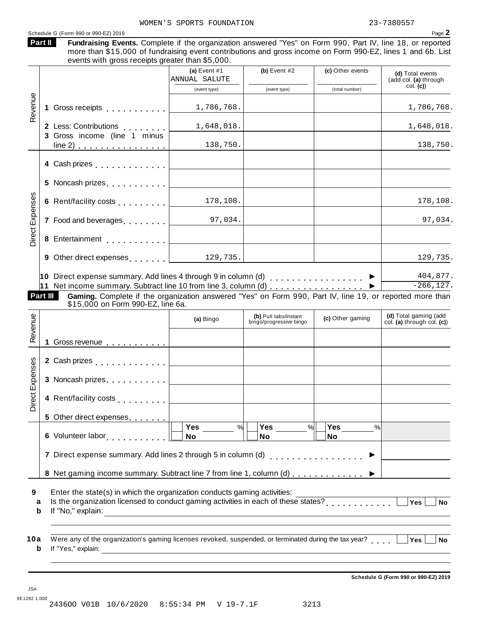| Part II         | Schedule G (Form 990 or 990-EZ) 2019<br>Fundraising Events. Complete if the organization answered "Yes" on Form 990, Part IV, line 18, or reported<br>more than \$15,000 of fundraising event contributions and gross income on Form 990-EZ, lines 1 and 6b. List<br>events with gross receipts greater than \$5,000.    |                                                                                                                      |                                                  |                                       | Page 2                                                                           |
|-----------------|--------------------------------------------------------------------------------------------------------------------------------------------------------------------------------------------------------------------------------------------------------------------------------------------------------------------------|----------------------------------------------------------------------------------------------------------------------|--------------------------------------------------|---------------------------------------|----------------------------------------------------------------------------------|
|                 |                                                                                                                                                                                                                                                                                                                          | (a) Event $#1$<br>ANNUAL SALUTE                                                                                      | (b) Event $#2$                                   | (c) Other events                      | (d) Total events<br>(add col. (a) through                                        |
|                 |                                                                                                                                                                                                                                                                                                                          | (event type)                                                                                                         | (event type)                                     | (total number)                        | col. (c)                                                                         |
| Revenue         |                                                                                                                                                                                                                                                                                                                          | 1,786,768.                                                                                                           |                                                  |                                       | 1,786,768.                                                                       |
|                 | 2 Less: Contributions                                                                                                                                                                                                                                                                                                    | 1,648,018.                                                                                                           |                                                  |                                       | 1,648,018.                                                                       |
|                 | 3 Gross income (line 1 minus<br>$line 2)$                                                                                                                                                                                                                                                                                | 138,750.                                                                                                             |                                                  |                                       | 138,750.                                                                         |
|                 |                                                                                                                                                                                                                                                                                                                          |                                                                                                                      |                                                  |                                       |                                                                                  |
|                 |                                                                                                                                                                                                                                                                                                                          |                                                                                                                      |                                                  |                                       |                                                                                  |
|                 |                                                                                                                                                                                                                                                                                                                          | 178,108.                                                                                                             |                                                  |                                       | 178,108.                                                                         |
| Direct Expenses | 7 Food and beverages example 197,034.                                                                                                                                                                                                                                                                                    |                                                                                                                      |                                                  |                                       | 97,034.                                                                          |
|                 |                                                                                                                                                                                                                                                                                                                          |                                                                                                                      |                                                  |                                       |                                                                                  |
|                 | 9 Other direct expenses 1.1   129, 735.                                                                                                                                                                                                                                                                                  |                                                                                                                      |                                                  |                                       | 129,735.                                                                         |
|                 | 10 Direct expense summary. Add lines 4 through 9 in column (d) $\ldots$ ,,,,,,,,,,,,,,,,<br>11 Net income summary. Subtract line 10 from line 3, column (d)<br>Gaming. Complete if the organization answered "Yes" on Form 990, Part IV, line 19, or reported more than<br>Part III<br>\$15,000 on Form 990-EZ, line 6a. | (a) Bingo                                                                                                            | (b) Pull tabs/instant<br>bingo/progressive bingo | (c) Other gaming                      | 404,877.<br>$-266, 127.$<br>(d) Total gaming (add<br>col. (a) through col. $(c)$ |
| Revenue         | 1 Gross revenue                                                                                                                                                                                                                                                                                                          |                                                                                                                      |                                                  |                                       |                                                                                  |
|                 | 2 Cash prizes <b>contained 2</b> Cash prizes                                                                                                                                                                                                                                                                             |                                                                                                                      |                                                  |                                       |                                                                                  |
|                 | 3 Noncash prizes                                                                                                                                                                                                                                                                                                         |                                                                                                                      |                                                  |                                       |                                                                                  |
| Direct Exp      | 4 Rent/facility costs [1, 1, 1, 1, 1]                                                                                                                                                                                                                                                                                    |                                                                                                                      |                                                  |                                       |                                                                                  |
|                 | 5 Other direct expenses                                                                                                                                                                                                                                                                                                  |                                                                                                                      |                                                  |                                       |                                                                                  |
|                 | 6 Volunteer labor entitled to the control of                                                                                                                                                                                                                                                                             | Yes<br>%<br>No                                                                                                       | Yes<br>$\%$<br>No                                | Yes $\qquad \qquad \qquad$<br>%<br>No |                                                                                  |
|                 | 7 Direct expense summary. Add lines 2 through 5 in column (d)                                                                                                                                                                                                                                                            |                                                                                                                      |                                                  | . <b>.</b> .                          |                                                                                  |
|                 |                                                                                                                                                                                                                                                                                                                          |                                                                                                                      |                                                  |                                       |                                                                                  |
|                 | 8 Net gaming income summary. Subtract line 7 from line 1, column (d)                                                                                                                                                                                                                                                     |                                                                                                                      |                                                  |                                       |                                                                                  |
| 9<br>a<br>b     | Enter the state(s) in which the organization conducts gaming activities:<br>Is the organization licensed to conduct gaming activities in each of these states?<br><br><u> </u><br>If "No," explain:                                                                                                                      | <u> 1989 - Johann Barn, mars ann an t-Amhain Aonaich an t-Aonaich an t-Aonaich ann an t-Aonaich ann an t-Aonaich</u> |                                                  |                                       | $\overline{Yes}$<br><b>No</b>                                                    |

JSA 9E1282 1.000 2436OO V01B 10/6/2020 8:55:34 PM V 19-7.1F 3213 **Schedule G (Form 990 or 990-EZ) 2019**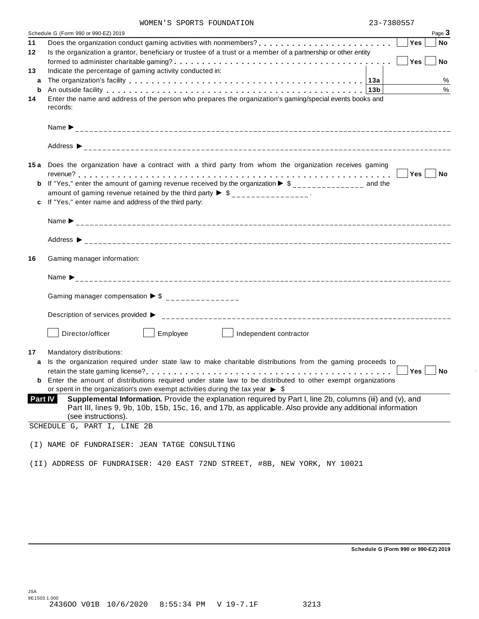|  |  |  | WOMEN'S SPORTS FOUNDATION |
|--|--|--|---------------------------|
|--|--|--|---------------------------|

| MOMEN 9 PLOKIP LOOMDAIIOM                                                                                                                                                                                                                                                                                                             | 79-190051        |
|---------------------------------------------------------------------------------------------------------------------------------------------------------------------------------------------------------------------------------------------------------------------------------------------------------------------------------------|------------------|
| Schedule G (Form 990 or 990-EZ) 2019                                                                                                                                                                                                                                                                                                  | Page 3           |
| Does the organization conduct gaming activities with nonmembers?<br>11                                                                                                                                                                                                                                                                | Yes<br><b>No</b> |
| Is the organization a grantor, beneficiary or trustee of a trust or a member of a partnership or other entity<br>12                                                                                                                                                                                                                   |                  |
|                                                                                                                                                                                                                                                                                                                                       | Yes<br><b>No</b> |
| Indicate the percentage of gaming activity conducted in:<br>13                                                                                                                                                                                                                                                                        |                  |
| a                                                                                                                                                                                                                                                                                                                                     | $\%$             |
| An outside facility enterpretation of the control of the control of the control of the control of the control o<br>b                                                                                                                                                                                                                  | $\%$             |
| Enter the name and address of the person who prepares the organization's gaming/special events books and                                                                                                                                                                                                                              |                  |
| records:                                                                                                                                                                                                                                                                                                                              |                  |
|                                                                                                                                                                                                                                                                                                                                       |                  |
|                                                                                                                                                                                                                                                                                                                                       |                  |
| 15a Does the organization have a contract with a third party from whom the organization receives gaming<br>If "Yes," enter the amount of gaming revenue received by the organization $\blacktriangleright$ \$______________ and the<br>b<br>amount of gaming revenue retained by the third party $\triangleright$ \$ _______________. | Yes<br>No No     |
| If "Yes," enter name and address of the third party:<br>c                                                                                                                                                                                                                                                                             |                  |
|                                                                                                                                                                                                                                                                                                                                       |                  |
|                                                                                                                                                                                                                                                                                                                                       |                  |
|                                                                                                                                                                                                                                                                                                                                       |                  |
| Gaming manager information:                                                                                                                                                                                                                                                                                                           |                  |
| Name $\sum_{-1}^{1}$                                                                                                                                                                                                                                                                                                                  |                  |
| Gaming manager compensation $\triangleright$ \$ _______________                                                                                                                                                                                                                                                                       |                  |
|                                                                                                                                                                                                                                                                                                                                       |                  |
| Director/officer<br>Employee<br>Independent contractor                                                                                                                                                                                                                                                                                |                  |
| Mandatory distributions:                                                                                                                                                                                                                                                                                                              |                  |
| Is the organization required under state law to make charitable distributions from the gaming proceeds to<br>a                                                                                                                                                                                                                        |                  |
|                                                                                                                                                                                                                                                                                                                                       | Yes<br>No        |
| <b>b</b> Enter the amount of distributions required under state law to be distributed to other exempt organizations                                                                                                                                                                                                                   |                  |
| or spent in the organization's own exempt activities during the tax year $\triangleright$ \$                                                                                                                                                                                                                                          |                  |
| Supplemental Information. Provide the explanation required by Part I, line 2b, columns (iii) and (v), and<br><b>Part IV</b>                                                                                                                                                                                                           |                  |
| Part III, lines 9, 9b, 10b, 15b, 15c, 16, and 17b, as applicable. Also provide any additional information                                                                                                                                                                                                                             |                  |
| (see instructions).                                                                                                                                                                                                                                                                                                                   |                  |
| SCHEDULE G, PART I, LINE 2B                                                                                                                                                                                                                                                                                                           |                  |
|                                                                                                                                                                                                                                                                                                                                       |                  |
| (I) NAME OF FUNDRAISER: JEAN TATGE CONSULTING                                                                                                                                                                                                                                                                                         |                  |
|                                                                                                                                                                                                                                                                                                                                       |                  |
| (II) ADDRESS OF FUNDRAISER: 420 EAST 72ND STREET, #8B, NEW YORK, NY 10021                                                                                                                                                                                                                                                             |                  |
|                                                                                                                                                                                                                                                                                                                                       |                  |

**Schedule G (Form 990 or 990-EZ) 2019**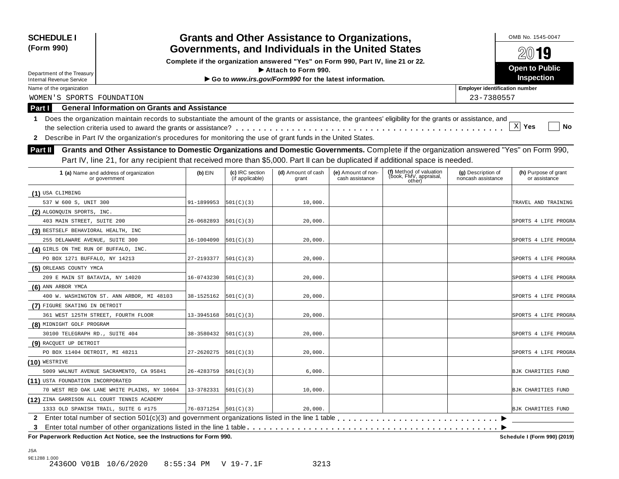| <b>SCHEDULE I</b><br>(Form 990)                                                                                                                            |                          |                                    | <b>Grants and Other Assistance to Organizations,</b>  |                                       |                                                             |                                          | OMB No. 1545-0047                     |
|------------------------------------------------------------------------------------------------------------------------------------------------------------|--------------------------|------------------------------------|-------------------------------------------------------|---------------------------------------|-------------------------------------------------------------|------------------------------------------|---------------------------------------|
| Governments, and Individuals in the United States<br>Complete if the organization answered "Yes" on Form 990, Part IV, line 21 or 22.                      |                          |                                    |                                                       |                                       |                                                             |                                          | $20$ 19                               |
|                                                                                                                                                            |                          |                                    | Attach to Form 990.                                   |                                       |                                                             |                                          | <b>Open to Public</b>                 |
| Department of the Treasury                                                                                                                                 |                          |                                    | Go to www.irs.gov/Form990 for the latest information. |                                       |                                                             |                                          | <b>Inspection</b>                     |
| <b>Internal Revenue Service</b><br>Name of the organization                                                                                                |                          |                                    |                                                       |                                       |                                                             | <b>Employer identification number</b>    |                                       |
| WOMEN'S SPORTS FOUNDATION                                                                                                                                  |                          |                                    |                                                       |                                       |                                                             | 23-7380557                               |                                       |
| <b>General Information on Grants and Assistance</b><br>Part I                                                                                              |                          |                                    |                                                       |                                       |                                                             |                                          |                                       |
| Does the organization maintain records to substantiate the amount of the grants or assistance, the grantees' eligibility for the grants or assistance, and |                          |                                    |                                                       |                                       |                                                             |                                          |                                       |
| 1                                                                                                                                                          |                          |                                    |                                                       |                                       |                                                             |                                          | $\mathbf{x}$<br>Yes<br>No             |
| Describe in Part IV the organization's procedures for monitoring the use of grant funds in the United States.<br>2                                         |                          |                                    |                                                       |                                       |                                                             |                                          |                                       |
|                                                                                                                                                            |                          |                                    |                                                       |                                       |                                                             |                                          |                                       |
| Grants and Other Assistance to Domestic Organizations and Domestic Governments. Complete if the organization answered "Yes" on Form 990,<br>Part II        |                          |                                    |                                                       |                                       |                                                             |                                          |                                       |
| Part IV, line 21, for any recipient that received more than \$5,000. Part II can be duplicated if additional space is needed.                              |                          |                                    |                                                       |                                       |                                                             |                                          |                                       |
| 1 (a) Name and address of organization<br>or government                                                                                                    | $(b)$ EIN                | (c) IRC section<br>(if applicable) | (d) Amount of cash<br>grant                           | (e) Amount of non-<br>cash assistance | (f) Method of valuation<br>(book, FMV, appraisal,<br>other) | (g) Description of<br>noncash assistance | (h) Purpose of grant<br>or assistance |
| (1) USA CLIMBING                                                                                                                                           |                          |                                    |                                                       |                                       |                                                             |                                          |                                       |
| 537 W 600 S, UNIT 300                                                                                                                                      | 91-1899953               | 501(C)(3)                          | 10,000.                                               |                                       |                                                             |                                          | TRAVEL AND TRAINING                   |
| (2) ALGONQUIN SPORTS, INC.                                                                                                                                 |                          |                                    |                                                       |                                       |                                                             |                                          |                                       |
| 403 MAIN STREET, SUITE 200                                                                                                                                 | 26-0682893               | 501(C)(3)                          | 20,000.                                               |                                       |                                                             |                                          | SPORTS 4 LIFE PROGRA                  |
| (3) BESTSELF BEHAVIORAL HEALTH, INC                                                                                                                        |                          |                                    |                                                       |                                       |                                                             |                                          |                                       |
| 255 DELAWARE AVENUE, SUITE 300                                                                                                                             | 16-1004090               | 501(C)(3)                          | 20,000.                                               |                                       |                                                             |                                          | SPORTS 4 LIFE PROGRA                  |
| (4) GIRLS ON THE RUN OF BUFFALO, INC.                                                                                                                      |                          |                                    |                                                       |                                       |                                                             |                                          |                                       |
| PO BOX 1271 BUFFALO, NY 14213                                                                                                                              | 27-2193377               | 501(C)(3)                          | 20,000.                                               |                                       |                                                             |                                          | SPORTS 4 LIFE PROGRA                  |
| (5) ORLEANS COUNTY YMCA                                                                                                                                    |                          |                                    |                                                       |                                       |                                                             |                                          |                                       |
| 209 E MAIN ST BATAVIA, NY 14020                                                                                                                            | 16-0743230               | 501(C)(3)                          | 20,000.                                               |                                       |                                                             |                                          | SPORTS 4 LIFE PROGRA                  |
| (6) ANN ARBOR YMCA                                                                                                                                         |                          |                                    |                                                       |                                       |                                                             |                                          |                                       |
| 400 W. WASHINGTON ST. ANN ARBOR, MI 48103                                                                                                                  | 38-1525162               | 501(C)(3)                          | 20,000.                                               |                                       |                                                             |                                          | SPORTS 4 LIFE PROGRA                  |
| (7) FIGURE SKATING IN DETROIT                                                                                                                              |                          |                                    |                                                       |                                       |                                                             |                                          |                                       |
| 361 WEST 125TH STREET, FOURTH FLOOR                                                                                                                        | 13-3945168               | 501(C)(3)                          | 20,000.                                               |                                       |                                                             |                                          | SPORTS 4 LIFE PROGRA                  |
| (8) MIDNIGHT GOLF PROGRAM                                                                                                                                  |                          |                                    |                                                       |                                       |                                                             |                                          |                                       |
| 30100 TELEGRAPH RD., SUITE 404                                                                                                                             | 38-3580432               | 501(C)(3)                          | 20,000.                                               |                                       |                                                             |                                          | SPORTS 4 LIFE PROGRA                  |
| (9) RACQUET UP DETROIT                                                                                                                                     |                          |                                    |                                                       |                                       |                                                             |                                          |                                       |
| PO BOX 11404 DETROIT, MI 48211                                                                                                                             | 27-2620275               | 501(C)(3)                          | 20,000.                                               |                                       |                                                             |                                          | SPORTS 4 LIFE PROGRA                  |
| $(10)$ WESTRIVE                                                                                                                                            |                          |                                    |                                                       |                                       |                                                             |                                          |                                       |
| 5009 WALNUT AVENUE SACRAMENTO, CA 95841                                                                                                                    | 26-4283759               | 501(C)(3)                          | 6,000.                                                |                                       |                                                             |                                          | BJK CHARITIES FUND                    |
| (11) USTA FOUNDATION INCORPORATED                                                                                                                          |                          |                                    |                                                       |                                       |                                                             |                                          |                                       |
| 70 WEST RED OAK LANE WHITE PLAINS, NY 10604                                                                                                                | 13-3782331               | 501(C)(3)                          | 10,000.                                               |                                       |                                                             |                                          | BJK CHARITIES FUND                    |
| (12) ZINA GARRISON ALL COURT TENNIS ACADEMY                                                                                                                |                          |                                    |                                                       |                                       |                                                             |                                          |                                       |
| 1333 OLD SPANISH TRAIL, SUITE G #175                                                                                                                       | 76-0371254   501 (C) (3) |                                    | 20,000.                                               |                                       |                                                             |                                          | BJK CHARITIES FUND                    |
|                                                                                                                                                            |                          |                                    |                                                       |                                       |                                                             |                                          |                                       |
| 3<br>For Paperwork Reduction Act Notice, see the Instructions for Form 990.                                                                                |                          |                                    |                                                       |                                       |                                                             |                                          | Schedule I (Form 990) (2019)          |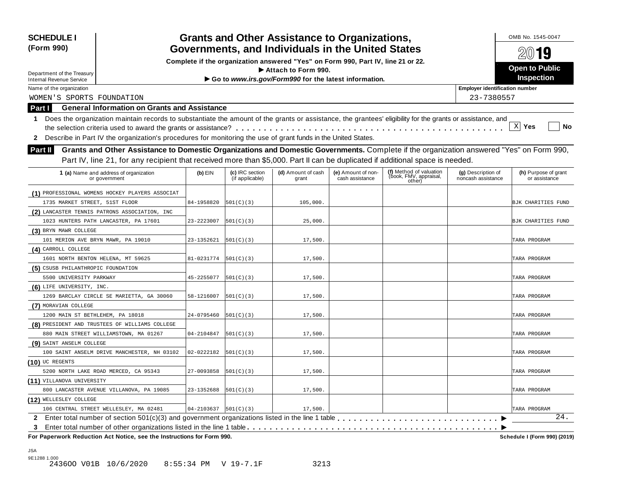| <b>Grants and Other Assistance to Organizations,</b><br><b>SCHEDULE I</b><br>Governments, and Individuals in the United States<br>(Form 990)                     |                            |                                    |                                                                                                         |                                       |                                                             |                                          | OMB No. 1545-0047                     |  |  |
|------------------------------------------------------------------------------------------------------------------------------------------------------------------|----------------------------|------------------------------------|---------------------------------------------------------------------------------------------------------|---------------------------------------|-------------------------------------------------------------|------------------------------------------|---------------------------------------|--|--|
|                                                                                                                                                                  |                            | $20$ 19                            |                                                                                                         |                                       |                                                             |                                          |                                       |  |  |
|                                                                                                                                                                  |                            |                                    | Complete if the organization answered "Yes" on Form 990, Part IV, line 21 or 22.<br>Attach to Form 990. |                                       |                                                             |                                          | <b>Open to Public</b>                 |  |  |
| Department of the Treasury<br><b>Internal Revenue Service</b>                                                                                                    |                            |                                    | Go to www.irs.gov/Form990 for the latest information.                                                   |                                       |                                                             |                                          | Inspection                            |  |  |
| Name of the organization                                                                                                                                         |                            |                                    |                                                                                                         |                                       |                                                             | <b>Employer identification number</b>    |                                       |  |  |
| WOMEN'S SPORTS FOUNDATION                                                                                                                                        |                            |                                    |                                                                                                         |                                       |                                                             |                                          |                                       |  |  |
| 23-7380557<br><b>General Information on Grants and Assistance</b><br><b>Part I</b>                                                                               |                            |                                    |                                                                                                         |                                       |                                                             |                                          |                                       |  |  |
| Does the organization maintain records to substantiate the amount of the grants or assistance, the grantees' eligibility for the grants or assistance, and<br>1. |                            |                                    |                                                                                                         |                                       |                                                             |                                          |                                       |  |  |
|                                                                                                                                                                  |                            |                                    |                                                                                                         |                                       |                                                             |                                          | $\mathbf{x}$<br>Yes<br>No             |  |  |
| 2 Describe in Part IV the organization's procedures for monitoring the use of grant funds in the United States.                                                  |                            |                                    |                                                                                                         |                                       |                                                             |                                          |                                       |  |  |
|                                                                                                                                                                  |                            |                                    |                                                                                                         |                                       |                                                             |                                          |                                       |  |  |
| Grants and Other Assistance to Domestic Organizations and Domestic Governments. Complete if the organization answered "Yes" on Form 990,<br><b>Part II</b>       |                            |                                    |                                                                                                         |                                       |                                                             |                                          |                                       |  |  |
| Part IV, line 21, for any recipient that received more than \$5,000. Part II can be duplicated if additional space is needed.                                    |                            |                                    |                                                                                                         |                                       |                                                             |                                          |                                       |  |  |
| 1 (a) Name and address of organization<br>or government                                                                                                          | $(b)$ EIN                  | (c) IRC section<br>(if applicable) | (d) Amount of cash<br>grant                                                                             | (e) Amount of non-<br>cash assistance | (f) Method of valuation<br>(book, FMV, appraisal,<br>other) | (g) Description of<br>noncash assistance | (h) Purpose of grant<br>or assistance |  |  |
| (1) PROFESSIONAL WOMENS HOCKEY PLAYERS ASSOCIAT                                                                                                                  |                            |                                    |                                                                                                         |                                       |                                                             |                                          |                                       |  |  |
| 1735 MARKET STREET, 51ST FLOOR                                                                                                                                   | 84-1958820                 | 501(C)(3)                          | 105,000.                                                                                                |                                       |                                                             |                                          | BJK CHARITIES FUND                    |  |  |
| (2) LANCASTER TENNIS PATRONS ASSOCIATION, INC                                                                                                                    |                            |                                    |                                                                                                         |                                       |                                                             |                                          |                                       |  |  |
| 1023 HUNTERS PATH LANCASTER, PA 17601                                                                                                                            | 23-2223007                 | 501(C)(3)                          | 25,000.                                                                                                 |                                       |                                                             |                                          | BJK CHARITIES FUND                    |  |  |
| (3) BRYN MAWR COLLEGE                                                                                                                                            |                            |                                    |                                                                                                         |                                       |                                                             |                                          |                                       |  |  |
| 101 MERION AVE BRYN MAWR, PA 19010                                                                                                                               | 23-1352621                 | 501(C)(3)                          | 17,500.                                                                                                 |                                       |                                                             |                                          | TARA PROGRAM                          |  |  |
| (4) CARROLL COLLEGE                                                                                                                                              |                            |                                    |                                                                                                         |                                       |                                                             |                                          |                                       |  |  |
| 1601 NORTH BENTON HELENA, MT 59625                                                                                                                               | 81-0231774                 | 501(C)(3)                          | 17,500.                                                                                                 |                                       |                                                             |                                          | TARA PROGRAM                          |  |  |
| (5) CSUSB PHILANTHROPIC FOUNDATION                                                                                                                               |                            |                                    |                                                                                                         |                                       |                                                             |                                          |                                       |  |  |
| 5500 UNIVERSITY PARKWAY                                                                                                                                          | 45-2255077                 | 501(C)(3)                          | 17,500.                                                                                                 |                                       |                                                             |                                          | TARA PROGRAM                          |  |  |
| (6) LIFE UNIVERSITY, INC.                                                                                                                                        |                            |                                    |                                                                                                         |                                       |                                                             |                                          |                                       |  |  |
| 1269 BARCLAY CIRCLE SE MARIETTA, GA 30060                                                                                                                        | 58-1216007                 | 501(C)(3)                          | 17,500.                                                                                                 |                                       |                                                             |                                          | TARA PROGRAM                          |  |  |
| (7) MORAVIAN COLLEGE                                                                                                                                             |                            |                                    |                                                                                                         |                                       |                                                             |                                          |                                       |  |  |
| 1200 MAIN ST BETHLEHEM, PA 18018                                                                                                                                 | 24-0795460                 | 501(C)(3)                          | 17,500.                                                                                                 |                                       |                                                             |                                          | TARA PROGRAM                          |  |  |
| (8) PRESIDENT AND TRUSTEES OF WILLIAMS COLLEGE                                                                                                                   |                            |                                    |                                                                                                         |                                       |                                                             |                                          |                                       |  |  |
| 880 MAIN STREET WILLIAMSTOWN, MA 01267                                                                                                                           | 04-2104847                 | 501(C)(3)                          | 17,500.                                                                                                 |                                       |                                                             |                                          | TARA PROGRAM                          |  |  |
| (9) SAINT ANSELM COLLEGE                                                                                                                                         |                            |                                    |                                                                                                         |                                       |                                                             |                                          |                                       |  |  |
| 100 SAINT ANSELM DRIVE MANCHESTER, NH 03102                                                                                                                      | 02-0222182                 | 501(C)(3)                          | 17,500.                                                                                                 |                                       |                                                             |                                          | TARA PROGRAM                          |  |  |
| $(10)$ UC REGENTS                                                                                                                                                |                            |                                    |                                                                                                         |                                       |                                                             |                                          |                                       |  |  |
| 5200 NORTH LAKE ROAD MERCED, CA 95343                                                                                                                            | 27-0093858                 | 501(C)(3)                          | 17,500.                                                                                                 |                                       |                                                             |                                          | TARA PROGRAM                          |  |  |
| (11) VILLANOVA UNIVERSITY                                                                                                                                        |                            |                                    |                                                                                                         |                                       |                                                             |                                          |                                       |  |  |
| 800 LANCASTER AVENUE VILLANOVA, PA 19085                                                                                                                         | 23-1352688                 | 501(C)(3)                          | 17,500.                                                                                                 |                                       |                                                             |                                          | TARA PROGRAM                          |  |  |
| (12) WELLESLEY COLLEGE                                                                                                                                           |                            |                                    |                                                                                                         |                                       |                                                             |                                          |                                       |  |  |
| 106 CENTRAL STREET WELLESLEY, MA 02481                                                                                                                           | $04-2103637$ $ 501(C)(3) $ |                                    | 17,500.                                                                                                 |                                       |                                                             |                                          | TARA PROGRAM                          |  |  |
|                                                                                                                                                                  |                            |                                    |                                                                                                         |                                       |                                                             |                                          | 24.                                   |  |  |
| 3<br>For Paperwork Reduction Act Notice, see the Instructions for Form 990.                                                                                      |                            |                                    |                                                                                                         |                                       |                                                             |                                          | Schedule I (Form 990) (2019)          |  |  |

JSA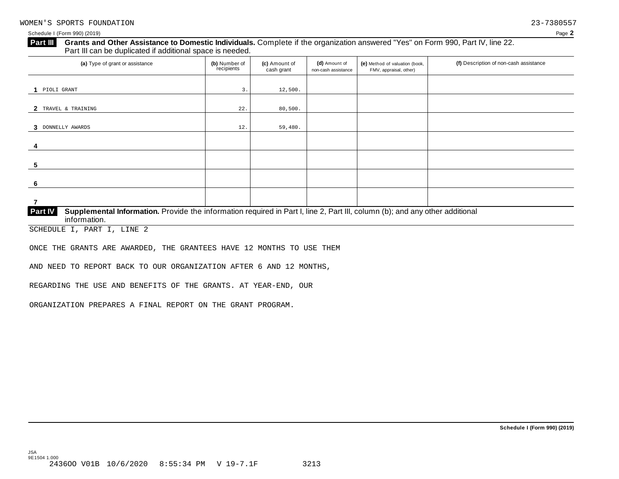### Schedule I (Form 990) (2019) Page **2**

### **Grants and Other Assistance to Domestic Individuals.** Complete ifthe organization answered "Yes" on Form 990, Part IV, line 22. **Part III** Grants and Other Assistance to Domestic Individuals<br>Part III can be duplicated if additional space is needed.

| (a) Type of grant or assistance                                                                                                                         | (b) Number of<br>recipients | (c) Amount of<br>cash grant | (d) Amount of<br>non-cash assistance | (e) Method of valuation (book,<br>FMV, appraisal, other) | (f) Description of non-cash assistance |  |  |  |  |
|---------------------------------------------------------------------------------------------------------------------------------------------------------|-----------------------------|-----------------------------|--------------------------------------|----------------------------------------------------------|----------------------------------------|--|--|--|--|
|                                                                                                                                                         |                             |                             |                                      |                                                          |                                        |  |  |  |  |
| 1 PIOLI GRANT                                                                                                                                           | 3.                          | 12,500.                     |                                      |                                                          |                                        |  |  |  |  |
| 2 TRAVEL & TRAINING                                                                                                                                     | 22.                         | 80,500.                     |                                      |                                                          |                                        |  |  |  |  |
| 3 DONNELLY AWARDS                                                                                                                                       | 12.                         | 59,480.                     |                                      |                                                          |                                        |  |  |  |  |
| 4                                                                                                                                                       |                             |                             |                                      |                                                          |                                        |  |  |  |  |
| 5                                                                                                                                                       |                             |                             |                                      |                                                          |                                        |  |  |  |  |
| 6                                                                                                                                                       |                             |                             |                                      |                                                          |                                        |  |  |  |  |
| 7                                                                                                                                                       |                             |                             |                                      |                                                          |                                        |  |  |  |  |
| Part IV<br>Supplemental Information. Provide the information required in Part I, line 2, Part III, column (b); and any other additional<br>information. |                             |                             |                                      |                                                          |                                        |  |  |  |  |

SCHEDULE I, PART I, LINE 2

ONCE THE GRANTS ARE AWARDED, THE GRANTEES HAVE 12 MONTHS TO USE THEM

AND NEED TO REPORT BACK TO OUR ORGANIZATION AFTER 6 AND 12 MONTHS,

REGARDING THE USE AND BENEFITS OF THE GRANTS. AT YEAR-END, OUR

ORGANIZATION PREPARES A FINAL REPORT ON THE GRANT PROGRAM.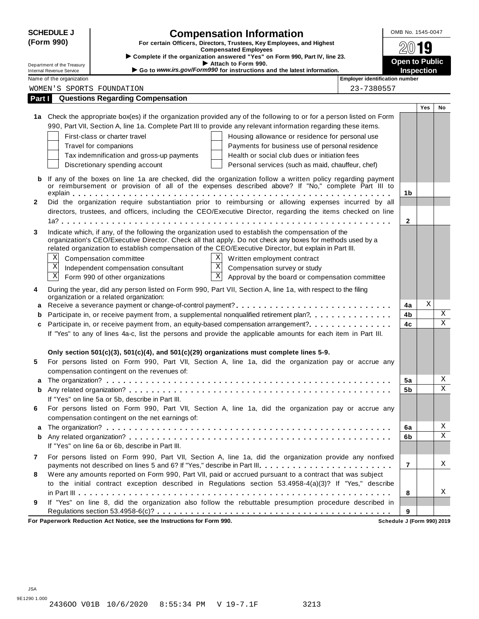| <b>SCHEDULE J</b>                                                                                                   |                                                                                                                                                                                                                     | OMB No. 1545-0047                     |                                            |                            |  |  |  |
|---------------------------------------------------------------------------------------------------------------------|---------------------------------------------------------------------------------------------------------------------------------------------------------------------------------------------------------------------|---------------------------------------|--------------------------------------------|----------------------------|--|--|--|
| (Form 990)<br>For certain Officers, Directors, Trustees, Key Employees, and Highest<br><b>Compensated Employees</b> |                                                                                                                                                                                                                     |                                       |                                            | 19                         |  |  |  |
|                                                                                                                     | > Complete if the organization answered "Yes" on Form 990, Part IV, line 23.                                                                                                                                        |                                       |                                            |                            |  |  |  |
| Department of the Treasury<br>Internal Revenue Service                                                              | Attach to Form 990.<br>Go to www.irs.gov/Form990 for instructions and the latest information.                                                                                                                       |                                       | <b>Open to Public</b><br><b>Inspection</b> |                            |  |  |  |
| Name of the organization                                                                                            |                                                                                                                                                                                                                     | <b>Employer identification number</b> |                                            |                            |  |  |  |
|                                                                                                                     | WOMEN'S SPORTS FOUNDATION                                                                                                                                                                                           | 23-7380557                            |                                            |                            |  |  |  |
| Part I                                                                                                              | <b>Questions Regarding Compensation</b>                                                                                                                                                                             |                                       |                                            |                            |  |  |  |
|                                                                                                                     |                                                                                                                                                                                                                     |                                       |                                            | <b>Yes</b><br>No           |  |  |  |
|                                                                                                                     | 1a Check the appropriate box(es) if the organization provided any of the following to or for a person listed on Form                                                                                                |                                       |                                            |                            |  |  |  |
|                                                                                                                     | 990, Part VII, Section A, line 1a. Complete Part III to provide any relevant information regarding these items.                                                                                                     |                                       |                                            |                            |  |  |  |
|                                                                                                                     | First-class or charter travel<br>Housing allowance or residence for personal use                                                                                                                                    |                                       |                                            |                            |  |  |  |
|                                                                                                                     | Travel for companions<br>Payments for business use of personal residence                                                                                                                                            |                                       |                                            |                            |  |  |  |
|                                                                                                                     | Tax indemnification and gross-up payments<br>Health or social club dues or initiation fees                                                                                                                          |                                       |                                            |                            |  |  |  |
|                                                                                                                     | Discretionary spending account<br>Personal services (such as maid, chauffeur, chef)                                                                                                                                 |                                       |                                            |                            |  |  |  |
| b                                                                                                                   | If any of the boxes on line 1a are checked, did the organization follow a written policy regarding payment                                                                                                          |                                       |                                            |                            |  |  |  |
|                                                                                                                     | or reimbursement or provision of all of the expenses described above? If "No," complete Part III to                                                                                                                 |                                       |                                            |                            |  |  |  |
|                                                                                                                     |                                                                                                                                                                                                                     |                                       | 1 <sub>b</sub>                             |                            |  |  |  |
| $\mathbf{2}$                                                                                                        | Did the organization require substantiation prior to reimbursing or allowing expenses incurred by all                                                                                                               |                                       |                                            |                            |  |  |  |
|                                                                                                                     | directors, trustees, and officers, including the CEO/Executive Director, regarding the items checked on line                                                                                                        |                                       |                                            |                            |  |  |  |
|                                                                                                                     |                                                                                                                                                                                                                     |                                       | $\mathbf{2}$                               |                            |  |  |  |
| 3                                                                                                                   | Indicate which, if any, of the following the organization used to establish the compensation of the                                                                                                                 |                                       |                                            |                            |  |  |  |
|                                                                                                                     | organization's CEO/Executive Director. Check all that apply. Do not check any boxes for methods used by a<br>related organization to establish compensation of the CEO/Executive Director, but explain in Part III. |                                       |                                            |                            |  |  |  |
| X                                                                                                                   | X<br>Compensation committee<br>Written employment contract                                                                                                                                                          |                                       |                                            |                            |  |  |  |
| $\mathbf X$                                                                                                         | $\overline{X}$ Compensation survey or study<br>Independent compensation consultant                                                                                                                                  |                                       |                                            |                            |  |  |  |
| $\mathbf X$                                                                                                         | $\overline{\mathbf{x}}$<br>Form 990 of other organizations<br>Approval by the board or compensation committee                                                                                                       |                                       |                                            |                            |  |  |  |
|                                                                                                                     |                                                                                                                                                                                                                     |                                       |                                            |                            |  |  |  |
| 4                                                                                                                   | During the year, did any person listed on Form 990, Part VII, Section A, line 1a, with respect to the filing<br>organization or a related organization:                                                             |                                       |                                            |                            |  |  |  |
| a                                                                                                                   |                                                                                                                                                                                                                     |                                       | 4a                                         | Χ                          |  |  |  |
| b                                                                                                                   | Participate in, or receive payment from, a supplemental nonqualified retirement plan?.                                                                                                                              |                                       | 4b                                         | X                          |  |  |  |
| c                                                                                                                   | Participate in, or receive payment from, an equity-based compensation arrangement?                                                                                                                                  |                                       | 4c                                         | $\mathbf X$                |  |  |  |
|                                                                                                                     | If "Yes" to any of lines 4a-c, list the persons and provide the applicable amounts for each item in Part III.                                                                                                       |                                       |                                            |                            |  |  |  |
|                                                                                                                     |                                                                                                                                                                                                                     |                                       |                                            |                            |  |  |  |
|                                                                                                                     | Only section $501(c)(3)$ , $501(c)(4)$ , and $501(c)(29)$ organizations must complete lines 5-9.                                                                                                                    |                                       |                                            |                            |  |  |  |
| 5                                                                                                                   | For persons listed on Form 990, Part VII, Section A, line 1a, did the organization pay or accrue any                                                                                                                |                                       |                                            |                            |  |  |  |
|                                                                                                                     | compensation contingent on the revenues of:                                                                                                                                                                         |                                       |                                            |                            |  |  |  |
|                                                                                                                     |                                                                                                                                                                                                                     |                                       | 5a                                         | Χ                          |  |  |  |
| b                                                                                                                   |                                                                                                                                                                                                                     |                                       | 5b                                         | Χ                          |  |  |  |
|                                                                                                                     | If "Yes" on line 5a or 5b, describe in Part III.                                                                                                                                                                    |                                       |                                            |                            |  |  |  |
| 6                                                                                                                   | For persons listed on Form 990, Part VII, Section A, line 1a, did the organization pay or accrue any                                                                                                                |                                       |                                            |                            |  |  |  |
|                                                                                                                     | compensation contingent on the net earnings of:                                                                                                                                                                     |                                       |                                            | Χ                          |  |  |  |
| а                                                                                                                   |                                                                                                                                                                                                                     |                                       | 6a                                         | X                          |  |  |  |
| b                                                                                                                   | If "Yes" on line 6a or 6b, describe in Part III.                                                                                                                                                                    |                                       | 6b                                         |                            |  |  |  |
|                                                                                                                     |                                                                                                                                                                                                                     |                                       |                                            |                            |  |  |  |
| 7                                                                                                                   | For persons listed on Form 990, Part VII, Section A, line 1a, did the organization provide any nonfixed<br>payments not described on lines 5 and 6? If "Yes," describe in Part III.                                 |                                       | $\overline{7}$                             | Χ                          |  |  |  |
| 8                                                                                                                   | Were any amounts reported on Form 990, Part VII, paid or accrued pursuant to a contract that was subject                                                                                                            |                                       |                                            |                            |  |  |  |
|                                                                                                                     | to the initial contract exception described in Regulations section 53.4958-4(a)(3)? If "Yes," describe                                                                                                              |                                       |                                            |                            |  |  |  |
|                                                                                                                     |                                                                                                                                                                                                                     |                                       | 8                                          | Χ                          |  |  |  |
| 9                                                                                                                   | If "Yes" on line 8, did the organization also follow the rebuttable presumption procedure described in                                                                                                              |                                       |                                            |                            |  |  |  |
|                                                                                                                     |                                                                                                                                                                                                                     |                                       | 9                                          |                            |  |  |  |
|                                                                                                                     | For Paperwork Reduction Act Notice, see the Instructions for Form 990.                                                                                                                                              |                                       |                                            | Schedule J (Form 990) 2019 |  |  |  |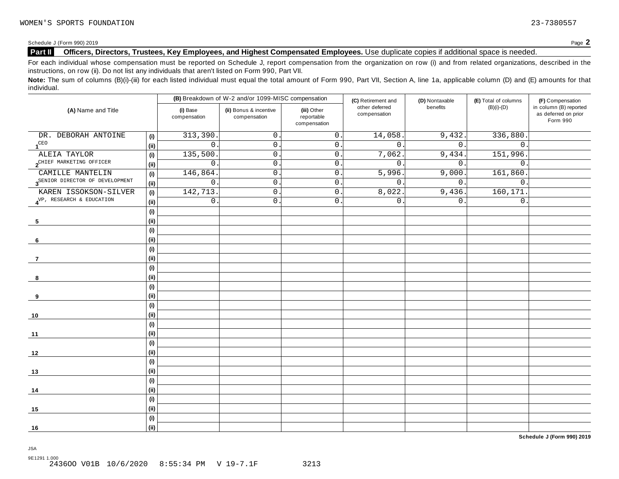Schedule <sup>J</sup> (Form 990) <sup>2019</sup> Page **2**

### **Part II Officers, Directors, Trustees, Key Employees, and Highest Compensated Employees.** Use duplicate copies ifadditional space is needed.

For each individual whose compensation must be reported on Schedule J, report compensation from the organization on row (i) and from related organizations, described in the instructions, on row (ii). Do not list any individuals that aren't listed on Form 990, Part VII.

Note: The sum of columns (B)(i)-(iii) for each listed individual must equal the total amount of Form 990, Part VII, Section A, line 1a, applicable column (D) and (E) amounts for that individual.

| (A) Name and Title                                  |     |                          | (B) Breakdown of W-2 and/or 1099-MISC compensation |                                           | (C) Retirement and             | (D) Nontaxable   | (E) Total of columns | (F) Compensation                                           |
|-----------------------------------------------------|-----|--------------------------|----------------------------------------------------|-------------------------------------------|--------------------------------|------------------|----------------------|------------------------------------------------------------|
|                                                     |     | (i) Base<br>compensation | (ii) Bonus & incentive<br>compensation             | (iii) Other<br>reportable<br>compensation | other deferred<br>compensation | benefits         | $(B)(i)-(D)$         | in column (B) reported<br>as deferred on prior<br>Form 990 |
| DR. DEBORAH ANTOINE                                 | (i) | 313,390                  | $\mathsf{O}$ .                                     | $\mathsf 0$ .                             | 14,058.                        | 9,432.           | 336,880              |                                                            |
| $1^{\text{CEO}}$                                    | (i) | $\mathsf{O}$             | $\mathsf{O}$ .                                     | $0$ .                                     | $\mathsf{O}$ .                 | $0\,$ .          | $\mathsf{O}$ .       |                                                            |
| ALEIA TAYLOR                                        | (i) | 135,500                  | $\mathsf{O}$ .                                     | $0$ .                                     | 7,062                          | 9,434.           | 151,996              |                                                            |
| 2 <sup>CHIEF</sup> MARKETING OFFICER                | (i) | $\mathsf{O}\xspace$      | $\mathsf{O}$ .                                     | $\mathsf{O}$                              | $\overline{0}$ .               | $\overline{0}$ . | $\mathsf{O}$ .       |                                                            |
| CAMILLE MANTELIN                                    | (i) | 146,864                  | $\mathsf{O}$ .                                     | $0$ .                                     | 5,996.                         | 9,000.           | 161,860              |                                                            |
| 3 <sup>SENIOR</sup> DIRECTOR OF DEVELOPMENT         | (i) | $\mathsf{O}$             | $\mathbf 0$                                        | $\mathsf 0$ .                             | 0.                             | 0.               | $\mathbf 0$ .        |                                                            |
| KAREN ISSOKSON-SILVER                               | (i) | 142,713                  | $\mathsf{O}$ .                                     | 0.                                        | 8,022.                         | 9,436.           | 160, 171.            |                                                            |
| $\boldsymbol{A}^{\text{VP}}$ , RESEARCH & EDUCATION | (i) | 0                        | $\mathsf{O}$ .                                     | $0$ .                                     | $0$ .                          | 0.               | $\mathbf 0$ .        |                                                            |
|                                                     | (i) |                          |                                                    |                                           |                                |                  |                      |                                                            |
| 5                                                   | (i) |                          |                                                    |                                           |                                |                  |                      |                                                            |
|                                                     | (i) |                          |                                                    |                                           |                                |                  |                      |                                                            |
| 6                                                   | (i) |                          |                                                    |                                           |                                |                  |                      |                                                            |
|                                                     | (i) |                          |                                                    |                                           |                                |                  |                      |                                                            |
| $\overline{7}$                                      | (i) |                          |                                                    |                                           |                                |                  |                      |                                                            |
|                                                     | (i) |                          |                                                    |                                           |                                |                  |                      |                                                            |
| 8                                                   | (i) |                          |                                                    |                                           |                                |                  |                      |                                                            |
|                                                     | (i) |                          |                                                    |                                           |                                |                  |                      |                                                            |
| 9                                                   | (i) |                          |                                                    |                                           |                                |                  |                      |                                                            |
|                                                     | (i) |                          |                                                    |                                           |                                |                  |                      |                                                            |
| 10                                                  | (i) |                          |                                                    |                                           |                                |                  |                      |                                                            |
|                                                     | (i) |                          |                                                    |                                           |                                |                  |                      |                                                            |
| 11                                                  | (i) |                          |                                                    |                                           |                                |                  |                      |                                                            |
|                                                     | (i) |                          |                                                    |                                           |                                |                  |                      |                                                            |
| $12$                                                | (i) |                          |                                                    |                                           |                                |                  |                      |                                                            |
|                                                     | (i) |                          |                                                    |                                           |                                |                  |                      |                                                            |
| 13                                                  | (i) |                          |                                                    |                                           |                                |                  |                      |                                                            |
|                                                     | (i) |                          |                                                    |                                           |                                |                  |                      |                                                            |
| 14                                                  | (i) |                          |                                                    |                                           |                                |                  |                      |                                                            |
|                                                     | (i) |                          |                                                    |                                           |                                |                  |                      |                                                            |
| 15                                                  | (i) |                          |                                                    |                                           |                                |                  |                      |                                                            |
|                                                     | (i) |                          |                                                    |                                           |                                |                  |                      |                                                            |
| 16                                                  | (i) |                          |                                                    |                                           |                                |                  |                      |                                                            |

**Schedule J (Form 990) 2019**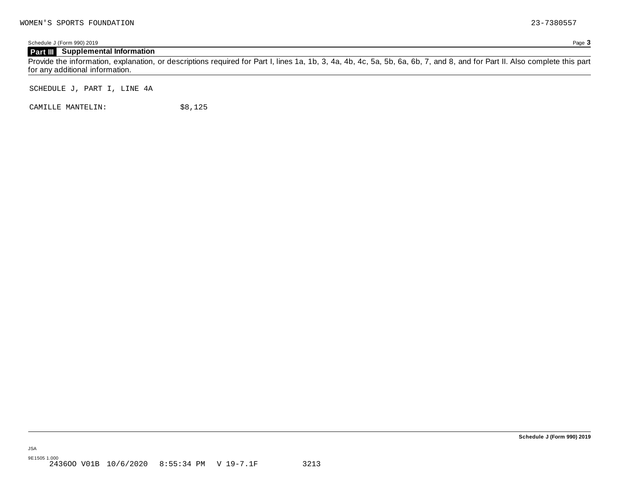Schedule J (Form 990) 2019 Page **3**

### **Part III Supplemental Information**

Provide the information, explanation, or descriptions required for Part I, lines 1a, 1b, 3, 4a, 4b, 4c, 5a, 5b, 6a, 6b, 7, and 8, and for Part II. Also complete this part for any additional information.

SCHEDULE J, PART I, LINE 4A

CAMILLE MANTELIN:  $$8,125$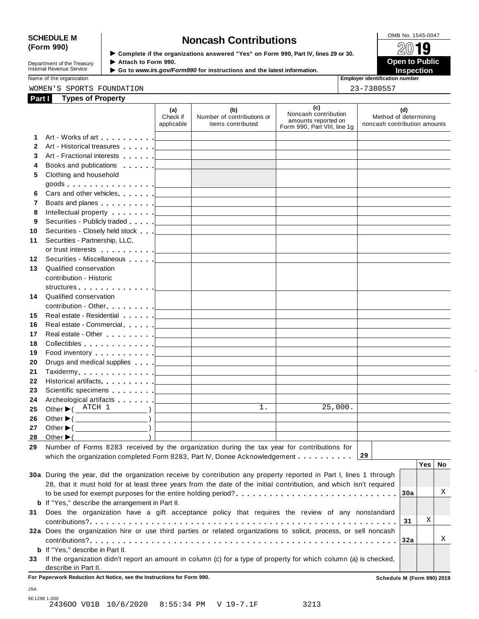# SCHEDULE M<br> **SCHEDULE M SCHEDULE M SCHEDULE M SCHEDULE M SCHEDULE M SCHEDULE M SCHEDULE M SCHEDULE M SCHEDULE M SCHEDULE M SCHEDULE M SCHEDULE M SCHEDULE M SCHEDULE M**

Department of the Treasury<br>Internal Revenue Service

**Examplete** if the organizations answered "Yes" on Form 990, Part IV, lines 29 or 30. △<del>△</del><br>► Attach to Form 990. **Department of the Treasury ▶ Attach to Form 990.**<br>Internal Revenue Service ▶ Go to *www.irs.gov/Form990* for instructions and the latest information.<br>Nome of the organization aumhor

Name of the organization **intervalse of the organization intervalse of the organization <b>intervalse of the organization intervalse of the organization intervalse of the organization intervalse of the organization**

### WOMEN'S SPORTS FOUNDATION 23-7380557

|   | mpioyer iuemmeunem i |  |
|---|----------------------|--|
| ົ | .                    |  |

| Part I       | <b>Types of Property</b>                                                                                                                                                                                                                                                                                                                                                                                                                                                                                                             |                               |                                                                                                                     |                                                                                    |                                                              |
|--------------|--------------------------------------------------------------------------------------------------------------------------------------------------------------------------------------------------------------------------------------------------------------------------------------------------------------------------------------------------------------------------------------------------------------------------------------------------------------------------------------------------------------------------------------|-------------------------------|---------------------------------------------------------------------------------------------------------------------|------------------------------------------------------------------------------------|--------------------------------------------------------------|
|              |                                                                                                                                                                                                                                                                                                                                                                                                                                                                                                                                      | (a)<br>Check if<br>applicable | (b)<br>Number of contributions or<br>items contributed                                                              | (c)<br>Noncash contribution<br>amounts reported on<br>Form 990, Part VIII, line 1g | (d)<br>Method of determining<br>noncash contribution amounts |
| 1.           |                                                                                                                                                                                                                                                                                                                                                                                                                                                                                                                                      |                               |                                                                                                                     |                                                                                    |                                                              |
| $\mathbf{2}$ | Art - Historical treasures                                                                                                                                                                                                                                                                                                                                                                                                                                                                                                           |                               | the control of the control of the control of the control of the control of                                          |                                                                                    |                                                              |
| 3            |                                                                                                                                                                                                                                                                                                                                                                                                                                                                                                                                      |                               |                                                                                                                     |                                                                                    |                                                              |
| 4            |                                                                                                                                                                                                                                                                                                                                                                                                                                                                                                                                      |                               | <u> 1989 - Johann Barn, mars ann an t-Amhain an t-Amhain an t-Amhain an t-Amhain an t-Amhain an t-Amhain an t-A</u> |                                                                                    |                                                              |
| 5            | Clothing and household                                                                                                                                                                                                                                                                                                                                                                                                                                                                                                               |                               |                                                                                                                     |                                                                                    |                                                              |
|              |                                                                                                                                                                                                                                                                                                                                                                                                                                                                                                                                      |                               |                                                                                                                     |                                                                                    |                                                              |
| 6            |                                                                                                                                                                                                                                                                                                                                                                                                                                                                                                                                      |                               |                                                                                                                     | the control of the control of the control of the control of the control of         |                                                              |
| 7            | Boats and planes entertainment and planes are all the set of the set of the set of the set of the set of the set of the set of the set of the set of the set of the set of the set of the set of the set of the set of the set                                                                                                                                                                                                                                                                                                       |                               |                                                                                                                     |                                                                                    |                                                              |
| 8            |                                                                                                                                                                                                                                                                                                                                                                                                                                                                                                                                      |                               |                                                                                                                     |                                                                                    |                                                              |
| 9            | Securities - Publicly traded equal to the securities - Publicly traded equal to the securities of the securities                                                                                                                                                                                                                                                                                                                                                                                                                     |                               |                                                                                                                     |                                                                                    |                                                              |
| 10           | Securities - Closely held stock [ _________ ]                                                                                                                                                                                                                                                                                                                                                                                                                                                                                        |                               | <u> 1989 - Johann Barbara, martxa alemaniar a</u>                                                                   |                                                                                    |                                                              |
| 11           | Securities - Partnership, LLC,                                                                                                                                                                                                                                                                                                                                                                                                                                                                                                       |                               |                                                                                                                     |                                                                                    |                                                              |
|              |                                                                                                                                                                                                                                                                                                                                                                                                                                                                                                                                      |                               |                                                                                                                     |                                                                                    |                                                              |
| 12           | Securities - Miscellaneous                                                                                                                                                                                                                                                                                                                                                                                                                                                                                                           |                               | the control of the control of the control of the control of                                                         |                                                                                    |                                                              |
| 13           | Qualified conservation                                                                                                                                                                                                                                                                                                                                                                                                                                                                                                               |                               |                                                                                                                     |                                                                                    |                                                              |
|              | contribution - Historic                                                                                                                                                                                                                                                                                                                                                                                                                                                                                                              |                               |                                                                                                                     |                                                                                    |                                                              |
|              |                                                                                                                                                                                                                                                                                                                                                                                                                                                                                                                                      |                               |                                                                                                                     |                                                                                    |                                                              |
| 14           | Qualified conservation                                                                                                                                                                                                                                                                                                                                                                                                                                                                                                               |                               |                                                                                                                     |                                                                                    |                                                              |
|              |                                                                                                                                                                                                                                                                                                                                                                                                                                                                                                                                      |                               |                                                                                                                     |                                                                                    |                                                              |
| 15           |                                                                                                                                                                                                                                                                                                                                                                                                                                                                                                                                      |                               |                                                                                                                     | the control of the control of the control of the control of                        |                                                              |
| 16           | Real estate - Commercial expansion of the set of the set of the set of the set of the set of the set of the set of the set of the set of the set of the set of the set of the set of the set of the set of the set of the set                                                                                                                                                                                                                                                                                                        |                               |                                                                                                                     |                                                                                    |                                                              |
| 17           |                                                                                                                                                                                                                                                                                                                                                                                                                                                                                                                                      |                               |                                                                                                                     |                                                                                    |                                                              |
| 18           | $\text{Collectibles} \text{ . } \ldots \text{ . } \ldots \text{ . } \ldots \text{ . } \text{ . } \textcolor{red}{\text{1}} \text{ . } \textcolor{red}{\text{1}} \text{ . } \textcolor{red}{\text{1}} \text{ . } \textcolor{red}{\text{2}} \text{ . } \textcolor{red}{\text{2}} \text{ . } \textcolor{red}{\text{2}} \text{ . } \textcolor{red}{\text{3}} \text{ . } \textcolor{red}{\text{4}} \text{ . } \textcolor{red}{\text{5}} \text{ . } \textcolor{red}{\text{6}} \text{ . } \textcolor{red}{\text{5}} \text{ . } \textcolor{$ |                               |                                                                                                                     |                                                                                    |                                                              |
| 19           | Food inventory $\ldots \ldots \ldots$ . $\Box$                                                                                                                                                                                                                                                                                                                                                                                                                                                                                       |                               |                                                                                                                     |                                                                                    |                                                              |
| 20           | Drugs and medical supplies equal to the contract of the contract of the contract of the contract of the contract of the contract of the contract of the contract of the contract of the contract of the contract of the contra                                                                                                                                                                                                                                                                                                       |                               |                                                                                                                     |                                                                                    |                                                              |
| 21           |                                                                                                                                                                                                                                                                                                                                                                                                                                                                                                                                      |                               |                                                                                                                     |                                                                                    |                                                              |
| 22           |                                                                                                                                                                                                                                                                                                                                                                                                                                                                                                                                      |                               |                                                                                                                     |                                                                                    |                                                              |
| 23           |                                                                                                                                                                                                                                                                                                                                                                                                                                                                                                                                      |                               |                                                                                                                     |                                                                                    |                                                              |
| 24           | Archeological artifacts <u>  _ _ _ _ _ _   _ _ _ _ _ _ _ _ _ _</u>                                                                                                                                                                                                                                                                                                                                                                                                                                                                   |                               |                                                                                                                     | the control of the control of the control of                                       |                                                              |
| 25           | Other $\blacktriangleright$ ( ATCH 1<br>$\qquad \qquad$                                                                                                                                                                                                                                                                                                                                                                                                                                                                              |                               | 1.<br><u> 1989 - Johann John Stein, fransk politik (</u>                                                            | 25,000.                                                                            |                                                              |
| 26           |                                                                                                                                                                                                                                                                                                                                                                                                                                                                                                                                      |                               |                                                                                                                     |                                                                                    |                                                              |
| 27           |                                                                                                                                                                                                                                                                                                                                                                                                                                                                                                                                      |                               |                                                                                                                     |                                                                                    |                                                              |
|              | 28 Other $\blacktriangleright$ (                                                                                                                                                                                                                                                                                                                                                                                                                                                                                                     |                               |                                                                                                                     |                                                                                    |                                                              |
|              | 29 Number of Forms 8283 received by the organization during the tax year for contributions for                                                                                                                                                                                                                                                                                                                                                                                                                                       |                               |                                                                                                                     |                                                                                    |                                                              |
|              | which the organization completed Form 8283, Part IV, Donee Acknowledgement                                                                                                                                                                                                                                                                                                                                                                                                                                                           |                               |                                                                                                                     |                                                                                    | 29                                                           |
|              |                                                                                                                                                                                                                                                                                                                                                                                                                                                                                                                                      |                               |                                                                                                                     |                                                                                    | Yes  <br>No                                                  |
|              | 30a During the year, did the organization receive by contribution any property reported in Part I, lines 1 through                                                                                                                                                                                                                                                                                                                                                                                                                   |                               |                                                                                                                     |                                                                                    |                                                              |
|              | 28, that it must hold for at least three years from the date of the initial contribution, and which isn't required                                                                                                                                                                                                                                                                                                                                                                                                                   |                               |                                                                                                                     |                                                                                    |                                                              |
|              |                                                                                                                                                                                                                                                                                                                                                                                                                                                                                                                                      |                               |                                                                                                                     |                                                                                    | Χ<br>30a                                                     |
|              | <b>b</b> If "Yes," describe the arrangement in Part II.                                                                                                                                                                                                                                                                                                                                                                                                                                                                              |                               |                                                                                                                     |                                                                                    |                                                              |
| 31           | Does the organization have a gift acceptance policy that requires the review of any nonstandard                                                                                                                                                                                                                                                                                                                                                                                                                                      |                               |                                                                                                                     |                                                                                    |                                                              |
|              |                                                                                                                                                                                                                                                                                                                                                                                                                                                                                                                                      |                               |                                                                                                                     |                                                                                    | Χ<br>31                                                      |
|              | 32a Does the organization hire or use third parties or related organizations to solicit, process, or sell noncash                                                                                                                                                                                                                                                                                                                                                                                                                    |                               |                                                                                                                     |                                                                                    |                                                              |
|              |                                                                                                                                                                                                                                                                                                                                                                                                                                                                                                                                      |                               |                                                                                                                     |                                                                                    | Χ<br>32a                                                     |
|              | <b>b</b> If "Yes," describe in Part II.                                                                                                                                                                                                                                                                                                                                                                                                                                                                                              |                               |                                                                                                                     |                                                                                    |                                                              |
|              | 33 If the organization didn't report an amount in column (c) for a type of property for which column (a) is checked,                                                                                                                                                                                                                                                                                                                                                                                                                 |                               |                                                                                                                     |                                                                                    |                                                              |
|              | describe in Part II.                                                                                                                                                                                                                                                                                                                                                                                                                                                                                                                 |                               |                                                                                                                     |                                                                                    |                                                              |

**For Paperwork Reduction Act Notice, see the Instructions for Form 990. Schedule M (Form 990) 2019**

JSA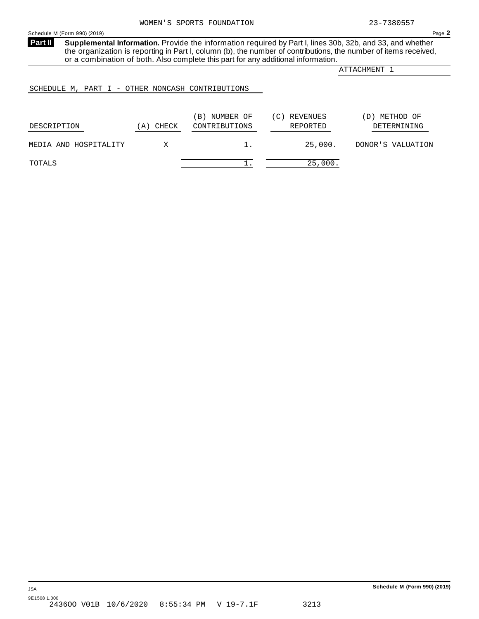<span id="page-47-0"></span>**Supplemental Information.** Provide the information required by Part I, lines 30b, 32b, and 33, and whether the organization is reporting in Part I, column (b), the number of contributions, the number of items received, or a combination of both. Also complete this part for any additional information. **Part II**

ATTACHMENT 1

### SCHEDULE M, PART I - OTHER NONCASH CONTRIBUTIONS

| DESCRIPTION           | CHECK<br>$\mathbf{A}$ | NUMBER OF<br>$\mathbf{B}$ )<br>CONTRIBUTIONS | (C) REVENUES<br>REPORTED | METHOD OF<br>D)<br>DETERMINING |
|-----------------------|-----------------------|----------------------------------------------|--------------------------|--------------------------------|
| MEDIA AND HOSPITALITY |                       |                                              | 25,000.                  | DONOR'S VALUATION              |
| TOTALS                |                       |                                              | 25,000.                  |                                |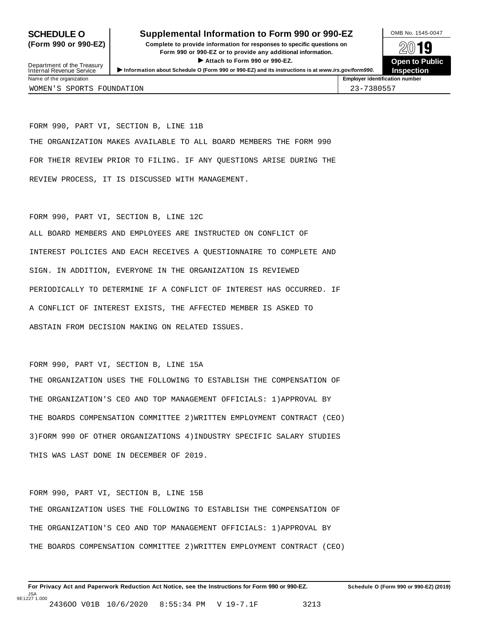### **SCHEDULE O** Supplemental Information to Form 990 or 990-EZ DAMB No. 1545-0047

**(Form 990 or 990-EZ) Complete to provide information for responses to specific questions on** plete to provide information for responses to specific questions on  $\mathbb{Z}^{0}$  **19 EV I D**<br>
Attach to Form 990 or 990-EZ.<br>
and the Communicational information.<br> **Communication of the Communication** Department of the Treasury <br>Depen to Public<br>Name of the organization<br>Name of the organization<br>Name of the organization<br>Name of the organization<br>Inspection

**Inspection**

FORM 990, PART VI, SECTION B, LINE 11B THE ORGANIZATION MAKES AVAILABLE TO ALL BOARD MEMBERS THE FORM 990 FOR THEIR REVIEW PRIOR TO FILING. IF ANY QUESTIONS ARISE DURING THE REVIEW PROCESS, IT IS DISCUSSED WITH MANAGEMENT.

FORM 990, PART VI, SECTION B, LINE 12C

ALL BOARD MEMBERS AND EMPLOYEES ARE INSTRUCTED ON CONFLICT OF INTEREST POLICIES AND EACH RECEIVES A QUESTIONNAIRE TO COMPLETE AND SIGN. IN ADDITION, EVERYONE IN THE ORGANIZATION IS REVIEWED PERIODICALLY TO DETERMINE IF A CONFLICT OF INTEREST HAS OCCURRED. IF A CONFLICT OF INTEREST EXISTS, THE AFFECTED MEMBER IS ASKED TO ABSTAIN FROM DECISION MAKING ON RELATED ISSUES.

FORM 990, PART VI, SECTION B, LINE 15A

THE ORGANIZATION USES THE FOLLOWING TO ESTABLISH THE COMPENSATION OF THE ORGANIZATION'S CEO AND TOP MANAGEMENT OFFICIALS: 1)APPROVAL BY THE BOARDS COMPENSATION COMMITTEE 2)WRITTEN EMPLOYMENT CONTRACT (CEO) 3)FORM 990 OF OTHER ORGANIZATIONS 4)INDUSTRY SPECIFIC SALARY STUDIES THIS WAS LAST DONE IN DECEMBER OF 2019.

FORM 990, PART VI, SECTION B, LINE 15B THE ORGANIZATION USES THE FOLLOWING TO ESTABLISH THE COMPENSATION OF THE ORGANIZATION'S CEO AND TOP MANAGEMENT OFFICIALS: 1)APPROVAL BY THE BOARDS COMPENSATION COMMITTEE 2)WRITTEN EMPLOYMENT CONTRACT (CEO)